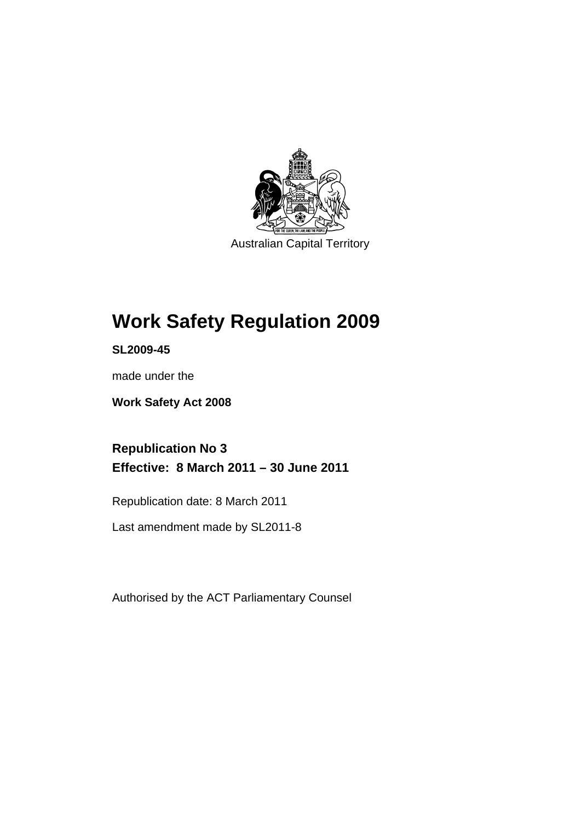

Australian Capital Territory

# **Work Safety Regulation 2009**

**SL2009-45** 

made under the

**Work Safety Act 2008** 

**Republication No 3 Effective: 8 March 2011 – 30 June 2011** 

Republication date: 8 March 2011

Last amendment made by SL2011-8

Authorised by the ACT Parliamentary Counsel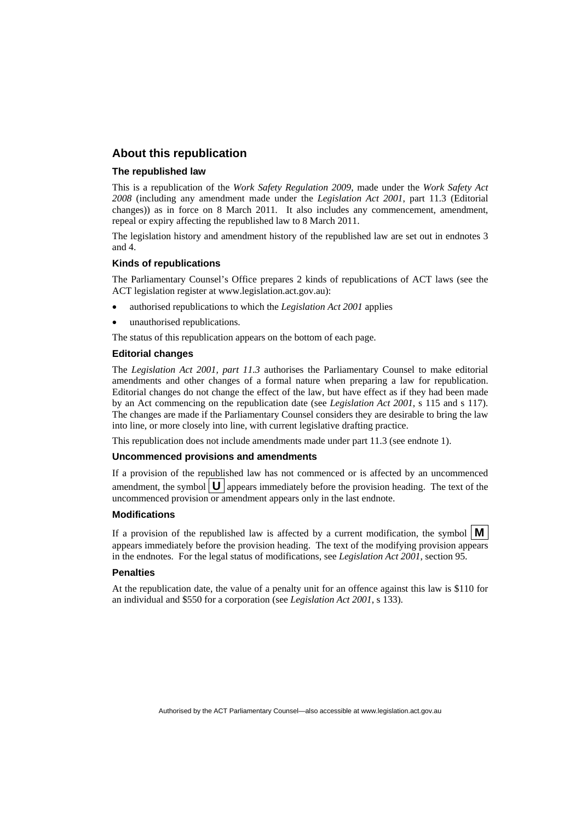# **About this republication**

### **The republished law**

This is a republication of the *Work Safety Regulation 2009*, made under the *Work Safety Act 2008* (including any amendment made under the *Legislation Act 2001*, part 11.3 (Editorial changes)) as in force on 8 March 2011*.* It also includes any commencement, amendment, repeal or expiry affecting the republished law to 8 March 2011.

The legislation history and amendment history of the republished law are set out in endnotes 3 and 4.

### **Kinds of republications**

The Parliamentary Counsel's Office prepares 2 kinds of republications of ACT laws (see the ACT legislation register at www.legislation.act.gov.au):

- authorised republications to which the *Legislation Act 2001* applies
- unauthorised republications.

The status of this republication appears on the bottom of each page.

### **Editorial changes**

The *Legislation Act 2001, part 11.3* authorises the Parliamentary Counsel to make editorial amendments and other changes of a formal nature when preparing a law for republication. Editorial changes do not change the effect of the law, but have effect as if they had been made by an Act commencing on the republication date (see *Legislation Act 2001*, s 115 and s 117). The changes are made if the Parliamentary Counsel considers they are desirable to bring the law into line, or more closely into line, with current legislative drafting practice.

This republication does not include amendments made under part 11.3 (see endnote 1).

#### **Uncommenced provisions and amendments**

If a provision of the republished law has not commenced or is affected by an uncommenced amendment, the symbol  $\mathbf{U}$  appears immediately before the provision heading. The text of the uncommenced provision  $\overline{or}$  amendment appears only in the last endnote.

#### **Modifications**

If a provision of the republished law is affected by a current modification, the symbol  $\mathbf{M}$ appears immediately before the provision heading. The text of the modifying provision appears in the endnotes. For the legal status of modifications, see *Legislation Act 2001*, section 95.

#### **Penalties**

At the republication date, the value of a penalty unit for an offence against this law is \$110 for an individual and \$550 for a corporation (see *Legislation Act 2001*, s 133).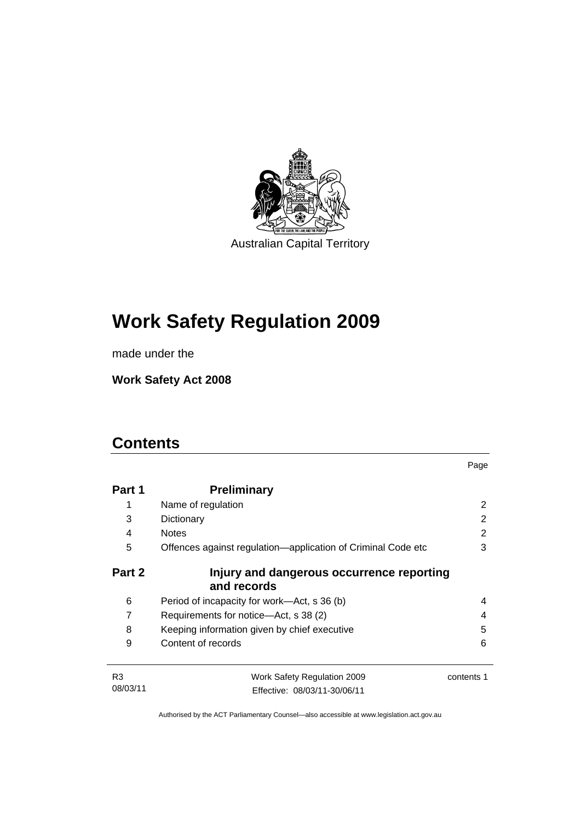

# **Work Safety Regulation 2009**

made under the

**Work Safety Act 2008** 

# **Contents**

| Part 1                     | <b>Preliminary</b>                                           |            |
|----------------------------|--------------------------------------------------------------|------------|
|                            | Name of regulation                                           | 2          |
| 3                          | Dictionary<br><b>Notes</b>                                   | 2          |
| 4                          |                                                              | 2          |
| 5                          | Offences against regulation-application of Criminal Code etc | 3          |
| Part 2                     | Injury and dangerous occurrence reporting<br>and records     |            |
| 6                          | Period of incapacity for work—Act, s 36 (b)                  | 4          |
| 7                          | Requirements for notice—Act, s 38 (2)                        | 4          |
| 8                          | Keeping information given by chief executive                 | 5          |
| 9                          | Content of records                                           | 6          |
| R <sub>3</sub><br>08/03/11 | Work Safety Regulation 2009<br>Effective: 08/03/11-30/06/11  | contents 1 |

Page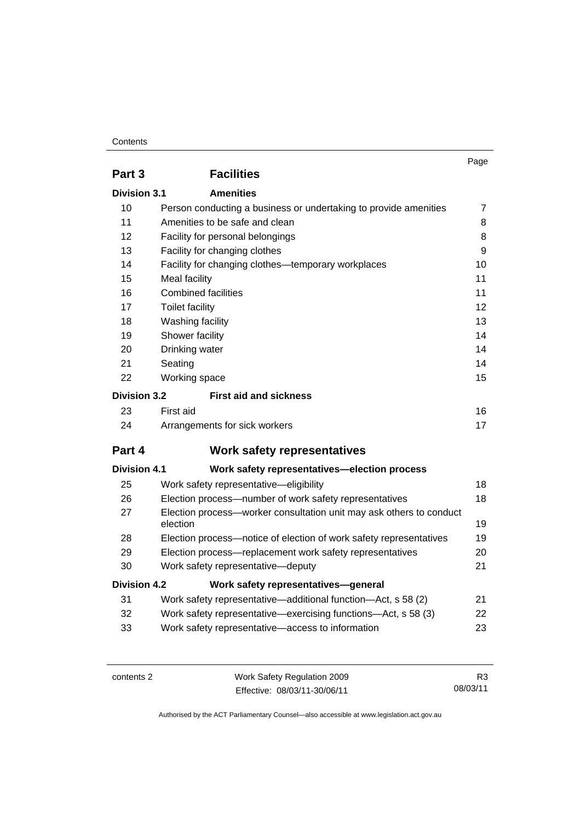# **Contents**

|                                         |                                                                                 | Page           |  |
|-----------------------------------------|---------------------------------------------------------------------------------|----------------|--|
| Part 3                                  | <b>Facilities</b>                                                               |                |  |
| <b>Division 3.1</b><br><b>Amenities</b> |                                                                                 |                |  |
| 10                                      | Person conducting a business or undertaking to provide amenities                | $\overline{7}$ |  |
| 11                                      | Amenities to be safe and clean                                                  | 8              |  |
| 12                                      | Facility for personal belongings                                                | 8              |  |
| 13                                      | Facility for changing clothes                                                   | $\mathsf g$    |  |
| 14                                      | Facility for changing clothes—temporary workplaces                              | 10             |  |
| 15                                      | Meal facility                                                                   | 11             |  |
| 16                                      | <b>Combined facilities</b>                                                      | 11             |  |
| 17                                      | <b>Toilet facility</b>                                                          | 12             |  |
| 18                                      | Washing facility                                                                | 13             |  |
| 19                                      | Shower facility                                                                 | 14             |  |
| 20                                      | Drinking water                                                                  | 14             |  |
| 21                                      | 14<br>Seating                                                                   |                |  |
| 22                                      | Working space                                                                   | 15             |  |
| <b>Division 3.2</b>                     | <b>First aid and sickness</b>                                                   |                |  |
| 23                                      | First aid                                                                       | 16             |  |
| 24                                      | Arrangements for sick workers                                                   | 17             |  |
| Part 4                                  | <b>Work safety representatives</b>                                              |                |  |
| <b>Division 4.1</b>                     | Work safety representatives-election process                                    |                |  |
| 25                                      | Work safety representative-eligibility                                          | 18             |  |
| 26                                      | Election process-number of work safety representatives                          | 18             |  |
| 27                                      | Election process-worker consultation unit may ask others to conduct<br>election | 19             |  |
| 28                                      | Election process-notice of election of work safety representatives              | 19             |  |
| 29                                      | Election process-replacement work safety representatives                        | 20             |  |
| 30                                      | Work safety representative-deputy                                               | 21             |  |
| <b>Division 4.2</b>                     | Work safety representatives-general                                             |                |  |
| 31                                      | Work safety representative—additional function—Act, s 58 (2)                    | 21             |  |
| 32                                      | Work safety representative—exercising functions—Act, s 58 (3)                   | 22             |  |
| 33                                      | Work safety representative-access to information                                | 23             |  |

contents 2 Work Safety Regulation 2009 Effective: 08/03/11-30/06/11

R3 08/03/11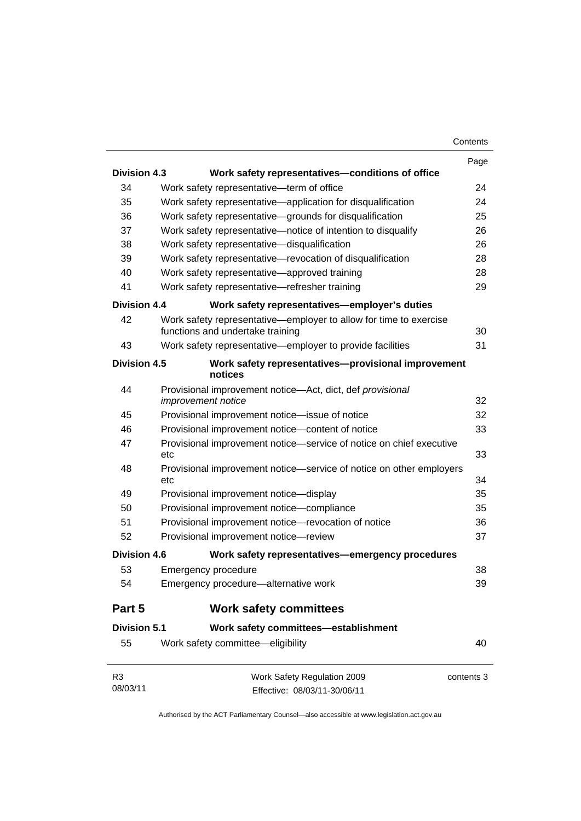|                     |                                                                                                       | Page       |
|---------------------|-------------------------------------------------------------------------------------------------------|------------|
| <b>Division 4.3</b> | Work safety representatives-conditions of office                                                      |            |
| 34                  | Work safety representative-term of office                                                             | 24         |
| 35                  | Work safety representative—application for disqualification                                           | 24         |
| 36                  | Work safety representative-grounds for disqualification                                               | 25         |
| 37                  | Work safety representative—notice of intention to disqualify                                          | 26         |
| 38                  | Work safety representative-disqualification                                                           | 26         |
| 39                  | Work safety representative—revocation of disqualification                                             | 28         |
| 40                  | Work safety representative-approved training                                                          | 28         |
| 41                  | Work safety representative-refresher training                                                         | 29         |
| Division 4.4        | Work safety representatives-employer's duties                                                         |            |
| 42                  | Work safety representative—employer to allow for time to exercise<br>functions and undertake training | 30         |
| 43                  | Work safety representative-employer to provide facilities                                             | 31         |
| <b>Division 4.5</b> | Work safety representatives-provisional improvement<br>notices                                        |            |
| 44                  | Provisional improvement notice-Act, dict, def provisional                                             |            |
|                     | improvement notice                                                                                    | 32         |
| 45                  | Provisional improvement notice-issue of notice                                                        | 32         |
| 46                  | Provisional improvement notice-content of notice                                                      | 33         |
| 47                  | Provisional improvement notice-service of notice on chief executive<br>etc                            | 33         |
| 48                  | Provisional improvement notice—service of notice on other employers<br>etc                            | 34         |
| 49                  | Provisional improvement notice-display                                                                | 35         |
| 50                  | Provisional improvement notice-compliance                                                             | 35         |
| 51                  | Provisional improvement notice-revocation of notice                                                   | 36         |
| 52                  | Provisional improvement notice-review                                                                 | 37         |
| <b>Division 4.6</b> | Work safety representatives—emergency procedures                                                      |            |
| 53                  | Emergency procedure                                                                                   | 38         |
| 54                  | Emergency procedure-alternative work                                                                  | 39         |
| Part 5              | <b>Work safety committees</b>                                                                         |            |
| <b>Division 5.1</b> | Work safety committees-establishment                                                                  |            |
| 55                  | Work safety committee-eligibility                                                                     | 40         |
| R3<br>08/03/11      | Work Safety Regulation 2009<br>Effective: 08/03/11-30/06/11                                           | contents 3 |

Effective: 08/03/11-30/06/11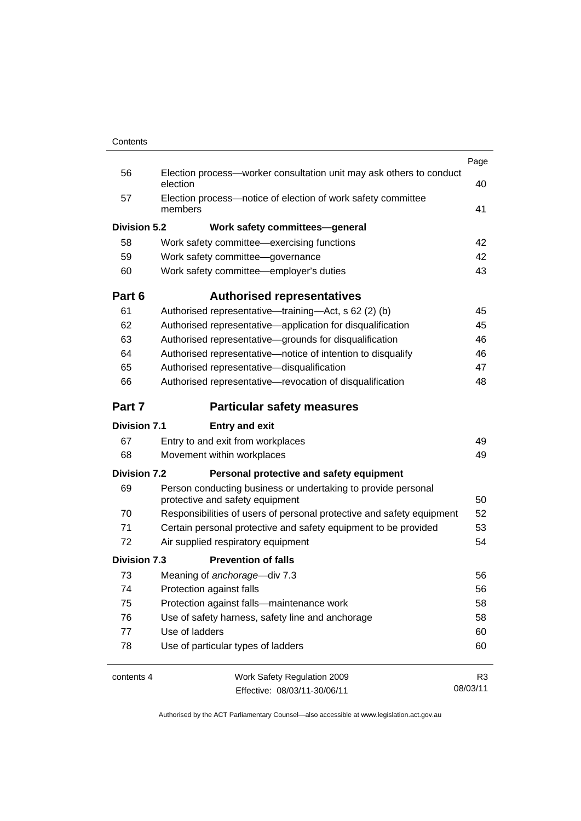| 56                  | Election process-worker consultation unit may ask others to conduct                              | Page           |
|---------------------|--------------------------------------------------------------------------------------------------|----------------|
|                     | election                                                                                         | 40             |
| 57                  | Election process-notice of election of work safety committee<br>members                          | 41             |
| <b>Division 5.2</b> | Work safety committees-general                                                                   |                |
| 58                  | Work safety committee-exercising functions                                                       | 42             |
| 59                  | Work safety committee-governance                                                                 | 42             |
| 60                  | Work safety committee-employer's duties                                                          | 43             |
| Part 6              | <b>Authorised representatives</b>                                                                |                |
| 61                  | Authorised representative—training—Act, s 62 (2) (b)                                             | 45             |
| 62                  | Authorised representative-application for disqualification                                       | 45             |
| 63                  | Authorised representative-grounds for disqualification                                           | 46             |
| 64                  | Authorised representative-notice of intention to disqualify                                      | 46             |
| 65                  | Authorised representative-disqualification                                                       | 47             |
| 66                  | Authorised representative-revocation of disqualification                                         | 48             |
| Part 7              | <b>Particular safety measures</b>                                                                |                |
| <b>Division 7.1</b> | <b>Entry and exit</b>                                                                            |                |
| 67                  | Entry to and exit from workplaces                                                                | 49             |
| 68                  | Movement within workplaces                                                                       | 49             |
| <b>Division 7.2</b> | Personal protective and safety equipment                                                         |                |
| 69                  | Person conducting business or undertaking to provide personal<br>protective and safety equipment | 50             |
| 70                  | Responsibilities of users of personal protective and safety equipment                            | 52             |
| 71                  | Certain personal protective and safety equipment to be provided                                  | 53             |
| 72                  | Air supplied respiratory equipment                                                               | 54             |
| <b>Division 7.3</b> | <b>Prevention of falls</b>                                                                       |                |
| 73                  | Meaning of anchorage-div 7.3                                                                     | 56             |
| 74                  | Protection against falls                                                                         | 56             |
| 75                  | Protection against falls-maintenance work<br>Use of safety harness, safety line and anchorage    |                |
| 76                  |                                                                                                  |                |
| 77                  | Use of ladders                                                                                   | 60             |
| 78                  | Use of particular types of ladders                                                               | 60             |
| contents 4          | Work Safety Regulation 2009                                                                      | R <sub>3</sub> |
|                     | Effective: 08/03/11-30/06/11                                                                     | 08/03/11       |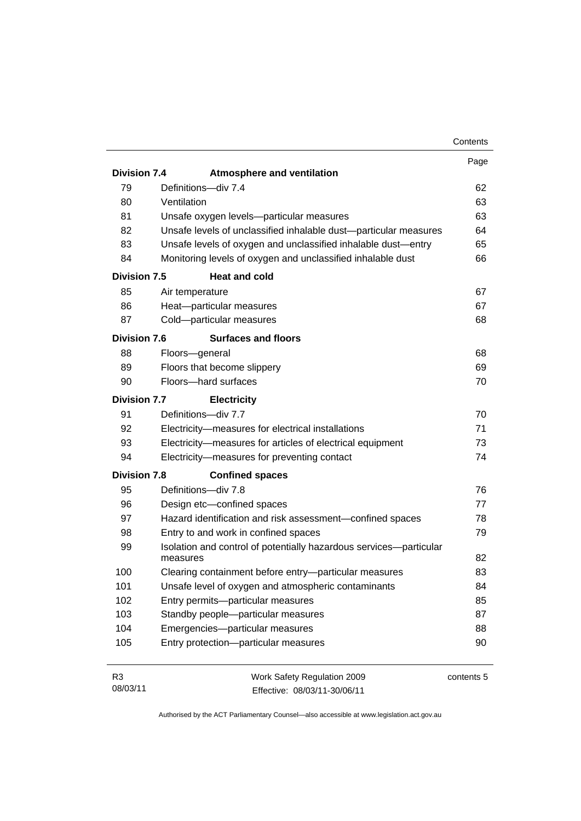|                     |                                                                    | Contents   |
|---------------------|--------------------------------------------------------------------|------------|
|                     |                                                                    | Page       |
| <b>Division 7.4</b> | <b>Atmosphere and ventilation</b>                                  |            |
| 79                  | Definitions-div 7.4                                                | 62         |
| 80                  | Ventilation                                                        | 63         |
| 81                  | Unsafe oxygen levels-particular measures                           | 63         |
| 82                  | Unsafe levels of unclassified inhalable dust-particular measures   | 64         |
| 83                  | Unsafe levels of oxygen and unclassified inhalable dust-entry      | 65         |
| 84                  | Monitoring levels of oxygen and unclassified inhalable dust        | 66         |
| <b>Division 7.5</b> | <b>Heat and cold</b>                                               |            |
| 85                  | Air temperature                                                    | 67         |
| 86                  | Heat-particular measures                                           | 67         |
| 87                  | Cold-particular measures                                           | 68         |
| Division 7.6        | <b>Surfaces and floors</b>                                         |            |
| 88                  | Floors-general                                                     | 68         |
| 89                  | Floors that become slippery                                        | 69         |
| 90                  | Floors-hard surfaces                                               | 70         |
| Division 7.7        | <b>Electricity</b>                                                 |            |
| 91                  | Definitions-div 7.7                                                | 70         |
| 92                  | Electricity-measures for electrical installations                  | 71         |
| 93                  | Electricity-measures for articles of electrical equipment          | 73         |
| 94                  | Electricity-measures for preventing contact                        | 74         |
| <b>Division 7.8</b> | <b>Confined spaces</b>                                             |            |
| 95                  | Definitions-div 7.8                                                | 76         |
| 96                  | Design etc-confined spaces                                         | 77         |
| 97                  | Hazard identification and risk assessment-confined spaces          | 78         |
| 98                  | Entry to and work in confined spaces                               | 79         |
| 99                  | Isolation and control of potentially hazardous services-particular |            |
|                     | measures                                                           | 82         |
| 100                 | Clearing containment before entry-particular measures              | 83         |
| 101                 | Unsafe level of oxygen and atmospheric contaminants                | 84         |
| 102                 | Entry permits-particular measures                                  | 85         |
| 103                 | Standby people-particular measures                                 | 87         |
| 104                 | Emergencies-particular measures                                    | 88         |
| 105                 | Entry protection-particular measures                               | 90         |
| R <sub>3</sub>      | Work Safety Regulation 2009                                        | contents 5 |

08/03/11 Effective: 08/03/11-30/06/11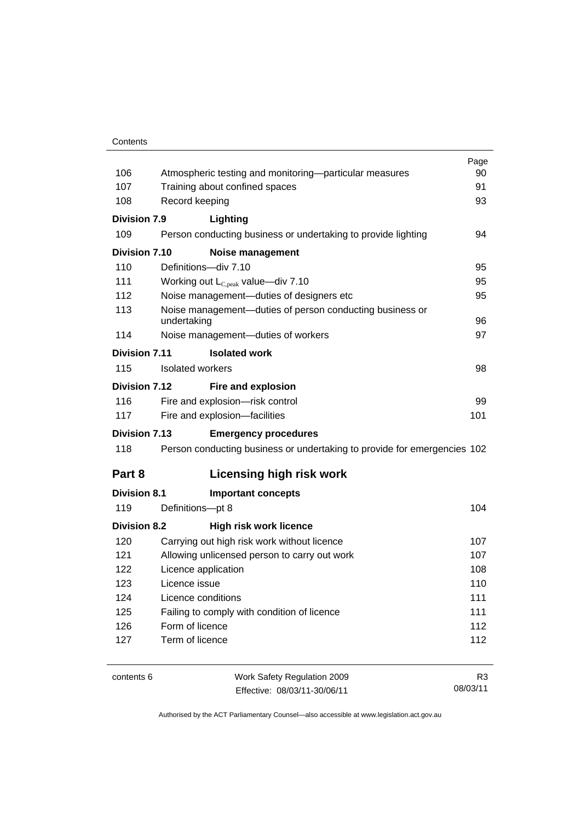#### **Contents**

|                      |                                                                          | Page           |
|----------------------|--------------------------------------------------------------------------|----------------|
| 106                  | Atmospheric testing and monitoring—particular measures                   | 90             |
| 107                  | Training about confined spaces                                           | 91             |
| 108                  | Record keeping                                                           | 93             |
| Division 7.9         | Lighting                                                                 |                |
| 109                  | Person conducting business or undertaking to provide lighting            | 94             |
| Division 7.10        | <b>Noise management</b>                                                  |                |
| 110                  | Definitions-div 7.10                                                     | 95             |
| 111                  | Working out $L_{C,peak}$ value—div 7.10                                  | 95             |
| 112                  | Noise management-duties of designers etc                                 | 95             |
| 113                  | Noise management-duties of person conducting business or<br>undertaking  | 96             |
| 114                  | Noise management-duties of workers                                       | 97             |
| Division 7.11        | <b>Isolated work</b>                                                     |                |
| 115                  | Isolated workers                                                         | 98             |
| Division 7.12        | <b>Fire and explosion</b>                                                |                |
| 116                  | Fire and explosion-risk control                                          | 99             |
| 117                  | Fire and explosion-facilities                                            | 101            |
| <b>Division 7.13</b> | <b>Emergency procedures</b>                                              |                |
| 118                  | Person conducting business or undertaking to provide for emergencies 102 |                |
| Part 8               | <b>Licensing high risk work</b>                                          |                |
| <b>Division 8.1</b>  | <b>Important concepts</b>                                                |                |
| 119                  | Definitions-pt 8                                                         | 104            |
| <b>Division 8.2</b>  | <b>High risk work licence</b>                                            |                |
| 120                  | Carrying out high risk work without licence                              | 107            |
| 121                  | Allowing unlicensed person to carry out work                             | 107            |
| 122                  | Licence application                                                      | 108            |
| 123                  | Licence issue                                                            |                |
| 124                  | Licence conditions                                                       | 111            |
| 125                  | Failing to comply with condition of licence                              | 111            |
| 126                  | Form of licence                                                          | 112            |
| 127                  | Term of licence                                                          | 112            |
| contents 6           | Work Safety Regulation 2009                                              | R <sub>3</sub> |
|                      |                                                                          |                |

Effective: 08/03/11-30/06/11

08/03/11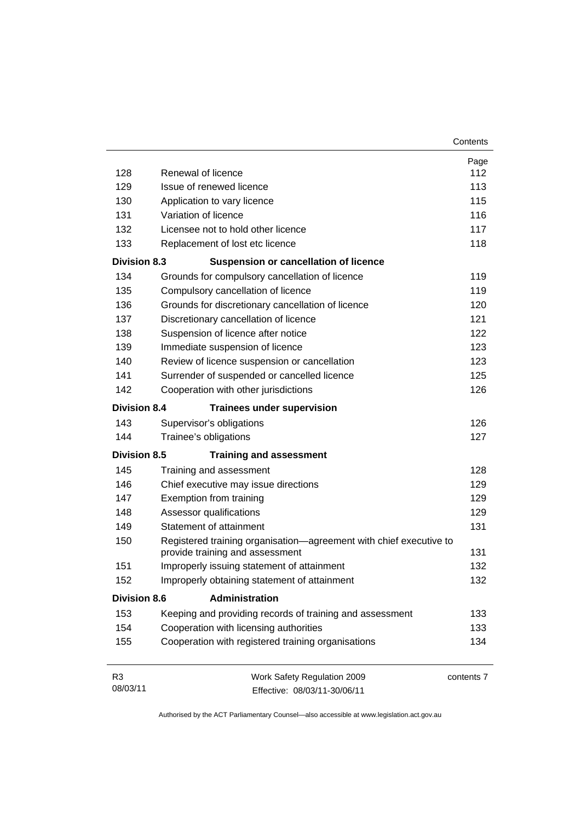| 128                        | Renewal of licence                                                 | Page<br>112 |  |
|----------------------------|--------------------------------------------------------------------|-------------|--|
| 129                        | Issue of renewed licence                                           | 113         |  |
| 130                        |                                                                    | 115         |  |
| 131                        | Application to vary licence<br>Variation of licence                | 116         |  |
|                            | Licensee not to hold other licence                                 | 117         |  |
| 132                        |                                                                    |             |  |
| 133                        | Replacement of lost etc licence                                    | 118         |  |
| <b>Division 8.3</b>        | <b>Suspension or cancellation of licence</b>                       |             |  |
| 134                        | Grounds for compulsory cancellation of licence                     | 119         |  |
| 135                        | Compulsory cancellation of licence                                 | 119         |  |
| 136                        | Grounds for discretionary cancellation of licence                  | 120         |  |
| 137                        | Discretionary cancellation of licence                              | 121         |  |
| 138                        | Suspension of licence after notice                                 | 122         |  |
| 139                        | Immediate suspension of licence                                    | 123         |  |
| 140                        | Review of licence suspension or cancellation                       | 123         |  |
| 141                        | Surrender of suspended or cancelled licence                        | 125         |  |
| 142                        | Cooperation with other jurisdictions                               | 126         |  |
| <b>Division 8.4</b>        | <b>Trainees under supervision</b>                                  |             |  |
| 143                        | Supervisor's obligations                                           | 126         |  |
| 144                        | Trainee's obligations                                              | 127         |  |
| <b>Division 8.5</b>        | <b>Training and assessment</b>                                     |             |  |
| 145                        | Training and assessment                                            | 128         |  |
| 146                        | Chief executive may issue directions                               | 129         |  |
| 147                        | Exemption from training                                            | 129         |  |
| 148                        | Assessor qualifications                                            | 129         |  |
| 149                        | Statement of attainment                                            | 131         |  |
| 150                        | Registered training organisation-agreement with chief executive to |             |  |
|                            | provide training and assessment                                    | 131         |  |
| 151                        | Improperly issuing statement of attainment                         | 132         |  |
| 152                        | Improperly obtaining statement of attainment                       | 132         |  |
| <b>Division 8.6</b>        | <b>Administration</b>                                              |             |  |
| 153                        | Keeping and providing records of training and assessment           | 133         |  |
| 154                        | Cooperation with licensing authorities                             | 133         |  |
| 155                        | Cooperation with registered training organisations                 | 134         |  |
| R <sub>3</sub><br>08/03/11 | Work Safety Regulation 2009<br>Effective: 08/03/11-30/06/11        | contents 7  |  |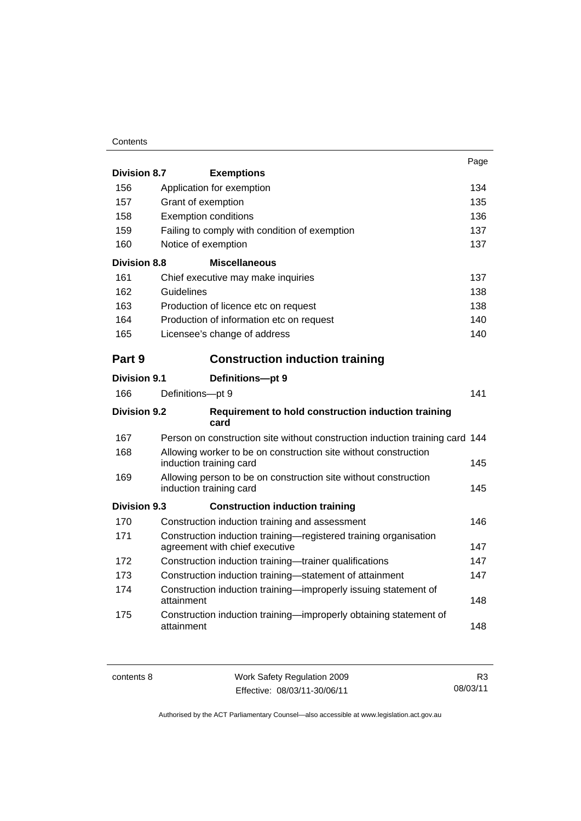# **Contents**

|                     |                                                                                                    | Page |
|---------------------|----------------------------------------------------------------------------------------------------|------|
| <b>Division 8.7</b> | <b>Exemptions</b>                                                                                  |      |
| 156                 | Application for exemption                                                                          | 134  |
| 157                 | Grant of exemption                                                                                 | 135  |
| 158                 | <b>Exemption conditions</b>                                                                        | 136  |
| 159                 | Failing to comply with condition of exemption                                                      | 137  |
| 160                 | Notice of exemption                                                                                | 137  |
| <b>Division 8.8</b> | <b>Miscellaneous</b>                                                                               |      |
| 161                 | Chief executive may make inquiries                                                                 | 137  |
| 162                 | Guidelines                                                                                         | 138  |
| 163                 | Production of licence etc on request                                                               | 138  |
| 164                 | Production of information etc on request                                                           | 140  |
| 165                 | Licensee's change of address                                                                       | 140  |
| Part 9              | <b>Construction induction training</b>                                                             |      |
| <b>Division 9.1</b> | Definitions-pt 9                                                                                   |      |
| 166                 | Definitions-pt 9                                                                                   | 141  |
| Division 9.2        | Requirement to hold construction induction training<br>card                                        |      |
| 167                 | Person on construction site without construction induction training card 144                       |      |
| 168                 | Allowing worker to be on construction site without construction<br>induction training card         | 145  |
| 169                 | Allowing person to be on construction site without construction<br>induction training card         | 145  |
| <b>Division 9.3</b> | <b>Construction induction training</b>                                                             |      |
| 170                 | Construction induction training and assessment                                                     | 146  |
| 171                 | Construction induction training-registered training organisation<br>agreement with chief executive | 147  |
| 172                 | Construction induction training-trainer qualifications                                             | 147  |
| 173                 | Construction induction training-statement of attainment                                            | 147  |
| 174                 | Construction induction training-improperly issuing statement of<br>attainment                      | 148  |
| 175                 | Construction induction training-improperly obtaining statement of<br>attainment                    | 148  |

| contents 8 | Work Safety Regulation 2009  | R3       |
|------------|------------------------------|----------|
|            | Effective: 08/03/11-30/06/11 | 08/03/11 |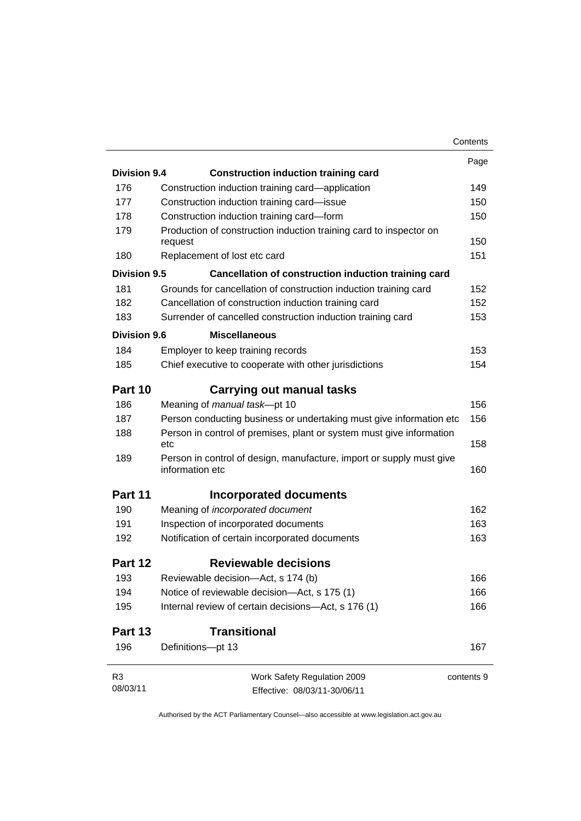|                            |                                                                                         | Contents   |
|----------------------------|-----------------------------------------------------------------------------------------|------------|
|                            |                                                                                         | Page       |
| <b>Division 9.4</b>        | <b>Construction induction training card</b>                                             |            |
| 176                        | Construction induction training card—application                                        | 149        |
| 177                        | Construction induction training card-issue                                              | 150        |
| 178                        | Construction induction training card-form                                               | 150        |
| 179                        | Production of construction induction training card to inspector on<br>request           | 150        |
| 180                        | Replacement of lost etc card                                                            | 151        |
| Division 9.5               | Cancellation of construction induction training card                                    |            |
| 181                        | Grounds for cancellation of construction induction training card                        | 152        |
| 182                        | Cancellation of construction induction training card                                    | 152        |
| 183                        | Surrender of cancelled construction induction training card                             | 153        |
| Division 9.6               | <b>Miscellaneous</b>                                                                    |            |
|                            |                                                                                         |            |
| 184                        | Employer to keep training records                                                       | 153        |
| 185                        | Chief executive to cooperate with other jurisdictions                                   | 154        |
| Part 10                    | Carrying out manual tasks                                                               |            |
| 186                        | Meaning of manual task-pt 10                                                            | 156        |
| 187                        | Person conducting business or undertaking must give information etc                     | 156        |
| 188                        | Person in control of premises, plant or system must give information<br>etc             | 158        |
| 189                        | Person in control of design, manufacture, import or supply must give<br>information etc | 160        |
| Part 11                    | Incorporated documents                                                                  |            |
| 190                        | Meaning of incorporated document                                                        | 162        |
| 191                        | Inspection of incorporated documents                                                    | 163        |
| 192                        | Notification of certain incorporated documents                                          | 163        |
| Part 12                    | <b>Reviewable decisions</b>                                                             |            |
| 193                        | Reviewable decision-Act, s 174 (b)                                                      | 166        |
| 194                        | Notice of reviewable decision-Act, s 175 (1)                                            | 166        |
| 195                        | Internal review of certain decisions-Act, s 176 (1)                                     | 166        |
| Part 13                    | <b>Transitional</b>                                                                     |            |
| 196                        | Definitions-pt 13                                                                       | 167        |
| R <sub>3</sub><br>08/03/11 | Work Safety Regulation 2009<br>Effective: 08/03/11-30/06/11                             | contents 9 |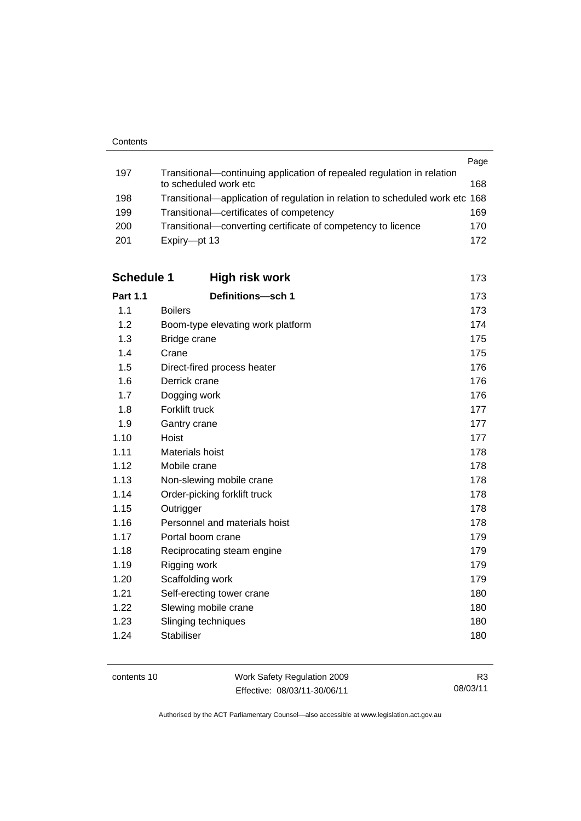|      |                                                                              | Page |
|------|------------------------------------------------------------------------------|------|
| 197  | Transitional—continuing application of repealed regulation in relation       |      |
|      | to scheduled work etc                                                        | 168  |
| 198  | Transitional—application of regulation in relation to scheduled work etc 168 |      |
| 199  | Transitional—certificates of competency                                      | 169  |
| 200  | Transitional—converting certificate of competency to licence                 | 170  |
| -201 | Expiry-pt 13                                                                 | 172  |

| <b>Schedule 1</b> | <b>High risk work</b>             | 173 |
|-------------------|-----------------------------------|-----|
| <b>Part 1.1</b>   | Definitions-sch 1                 | 173 |
| 1.1               | <b>Boilers</b>                    | 173 |
| 1.2               | Boom-type elevating work platform | 174 |
| 1.3               | Bridge crane                      | 175 |
| 1.4               | Crane                             | 175 |
| 1.5               | Direct-fired process heater       | 176 |
| 1.6               | Derrick crane                     | 176 |
| 1.7               | Dogging work                      | 176 |
| 1.8               | Forklift truck                    | 177 |
| 1.9               | Gantry crane                      | 177 |
| 1.10              | Hoist                             | 177 |
| 1.11              | Materials hoist                   | 178 |
| 1.12              | Mobile crane                      | 178 |
| 1.13              | Non-slewing mobile crane          | 178 |
| 1.14              | Order-picking forklift truck      | 178 |
| 1.15              | Outrigger                         | 178 |
| 1.16              | Personnel and materials hoist     | 178 |
| 1.17              | Portal boom crane                 | 179 |
| 1.18              | Reciprocating steam engine        | 179 |
| 1.19              | Rigging work                      | 179 |
| 1.20              | Scaffolding work                  | 179 |
| 1.21              | Self-erecting tower crane         | 180 |
| 1.22              | Slewing mobile crane              | 180 |
| 1.23              | Slinging techniques               | 180 |
| 1.24              | <b>Stabiliser</b>                 | 180 |

| contents 10 |  |
|-------------|--|
|-------------|--|

Work Safety Regulation 2009 Effective: 08/03/11-30/06/11

R3 08/03/11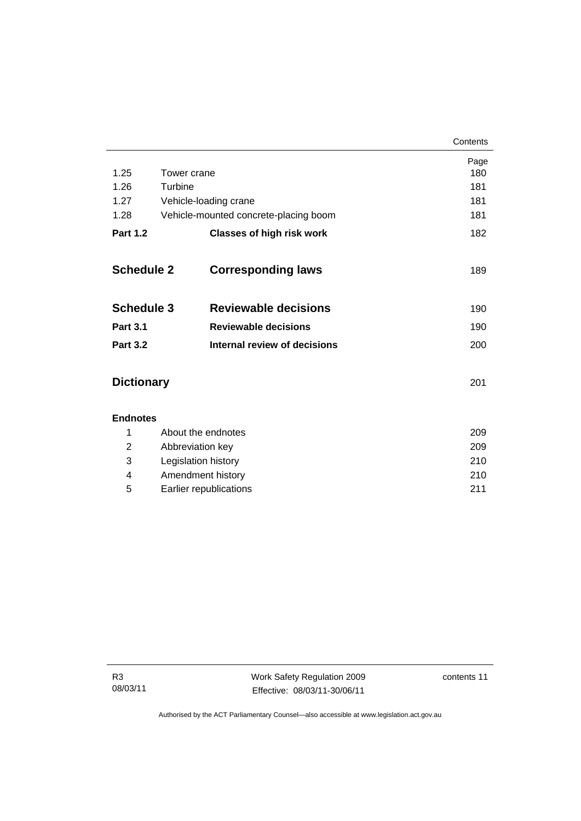|                   |             |                                       | Contents |
|-------------------|-------------|---------------------------------------|----------|
|                   |             |                                       | Page     |
| 1.25              | Tower crane |                                       | 180      |
| 1.26              | Turbine     |                                       | 181      |
| 1.27              |             | Vehicle-loading crane                 | 181      |
| 1.28              |             | Vehicle-mounted concrete-placing boom | 181      |
| <b>Part 1.2</b>   |             | <b>Classes of high risk work</b>      | 182      |
| <b>Schedule 2</b> |             |                                       |          |
|                   |             | <b>Corresponding laws</b>             | 189      |
| <b>Schedule 3</b> |             | <b>Reviewable decisions</b>           | 190      |
| <b>Part 3.1</b>   |             | <b>Reviewable decisions</b>           | 190      |
| <b>Part 3.2</b>   |             | Internal review of decisions          | 200      |
|                   |             |                                       |          |
| <b>Dictionary</b> |             |                                       | 201      |
| <b>Endnotes</b>   |             |                                       |          |
|                   |             |                                       |          |

|   | About the endnotes     | 209 |
|---|------------------------|-----|
| 2 | Abbreviation key       | 209 |
| 3 | Legislation history    | 210 |
| 4 | Amendment history      | 210 |
| 5 | Earlier republications | 211 |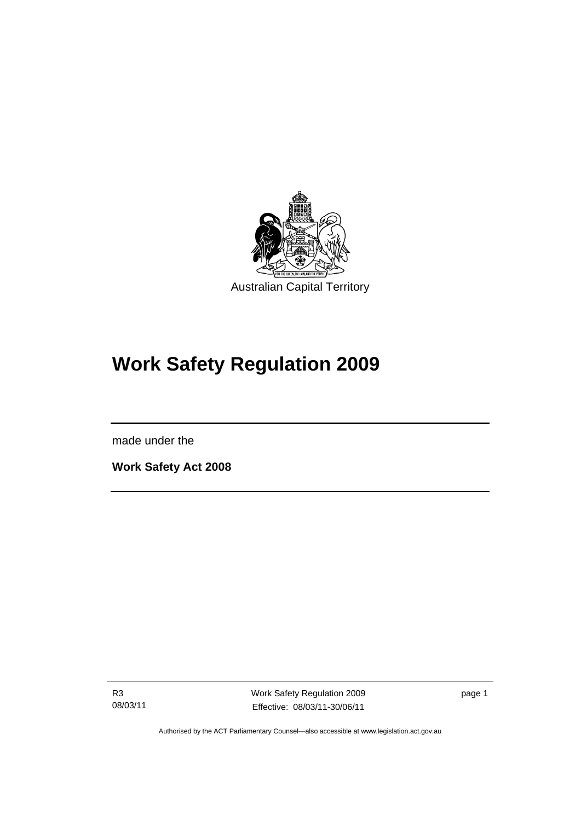

# **Work Safety Regulation 2009**

made under the

Ī

**Work Safety Act 2008** 

R3 08/03/11 Work Safety Regulation 2009 Effective: 08/03/11-30/06/11

page 1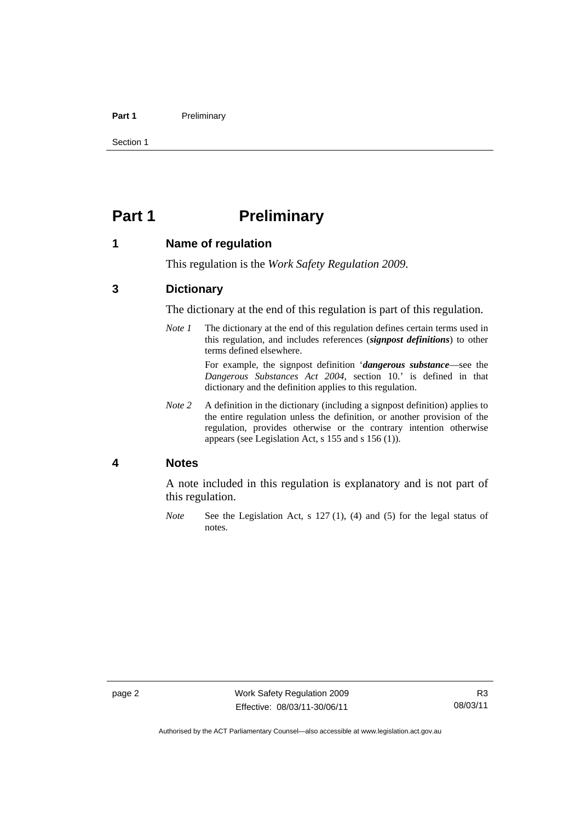#### Part 1 **Preliminary**

Section 1

# **Part 1** Preliminary

# **1 Name of regulation**

This regulation is the *Work Safety Regulation 2009*.

# **3 Dictionary**

The dictionary at the end of this regulation is part of this regulation.

*Note 1* The dictionary at the end of this regulation defines certain terms used in this regulation, and includes references (*signpost definitions*) to other terms defined elsewhere.

> For example, the signpost definition '*dangerous substance*—see the *Dangerous Substances Act 2004*, section 10.' is defined in that dictionary and the definition applies to this regulation.

*Note 2* A definition in the dictionary (including a signpost definition) applies to the entire regulation unless the definition, or another provision of the regulation, provides otherwise or the contrary intention otherwise appears (see Legislation Act, s 155 and s 156 (1)).

## **4 Notes**

A note included in this regulation is explanatory and is not part of this regulation.

*Note* See the Legislation Act, s 127 (1), (4) and (5) for the legal status of notes.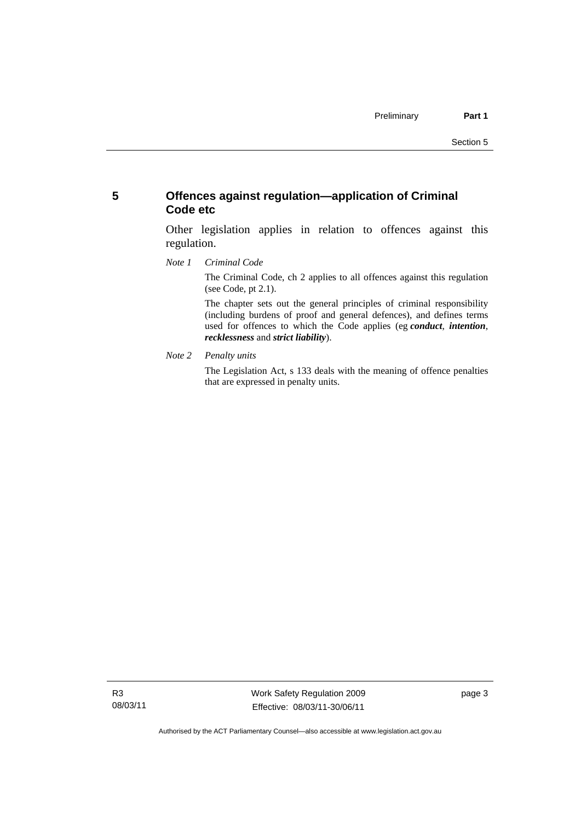# **5 Offences against regulation—application of Criminal Code etc**

Other legislation applies in relation to offences against this regulation.

*Note 1 Criminal Code*

The Criminal Code, ch 2 applies to all offences against this regulation (see Code, pt 2.1).

The chapter sets out the general principles of criminal responsibility (including burdens of proof and general defences), and defines terms used for offences to which the Code applies (eg *conduct*, *intention*, *recklessness* and *strict liability*).

*Note 2 Penalty units* 

The Legislation Act, s 133 deals with the meaning of offence penalties that are expressed in penalty units.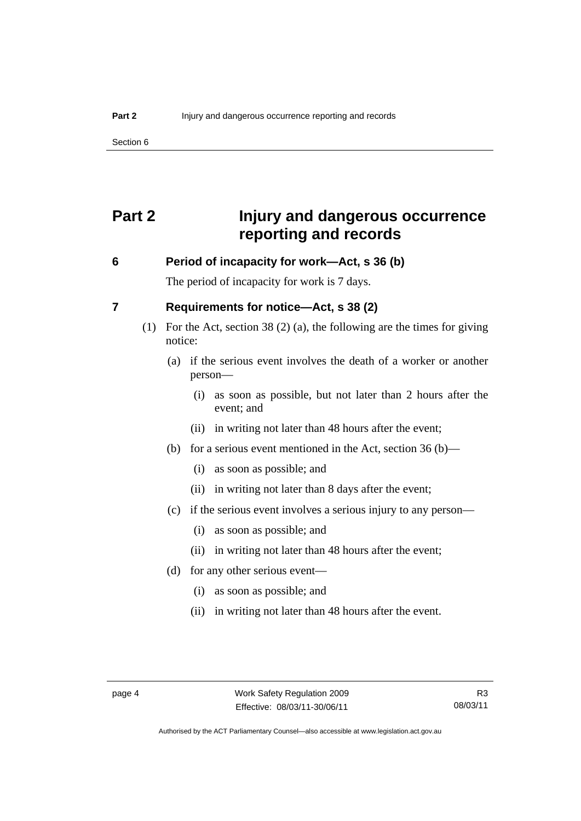# **Part 2 Injury and dangerous occurrence reporting and records**

# **6 Period of incapacity for work—Act, s 36 (b)**

The period of incapacity for work is 7 days.

# **7 Requirements for notice—Act, s 38 (2)**

- (1) For the Act, section 38 (2) (a), the following are the times for giving notice:
	- (a) if the serious event involves the death of a worker or another person—
		- (i) as soon as possible, but not later than 2 hours after the event; and
		- (ii) in writing not later than 48 hours after the event;
	- (b) for a serious event mentioned in the Act, section 36 (b)—
		- (i) as soon as possible; and
		- (ii) in writing not later than 8 days after the event;
	- (c) if the serious event involves a serious injury to any person—
		- (i) as soon as possible; and
		- (ii) in writing not later than 48 hours after the event;
	- (d) for any other serious event—
		- (i) as soon as possible; and
		- (ii) in writing not later than 48 hours after the event.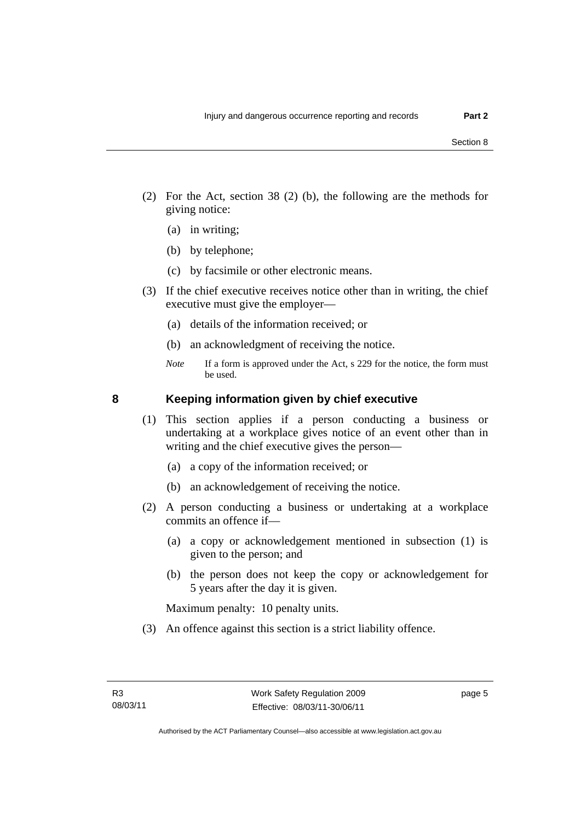- (2) For the Act, section 38 (2) (b), the following are the methods for giving notice:
	- (a) in writing;
	- (b) by telephone;
	- (c) by facsimile or other electronic means.
- (3) If the chief executive receives notice other than in writing, the chief executive must give the employer—
	- (a) details of the information received; or
	- (b) an acknowledgment of receiving the notice.
	- *Note* If a form is approved under the Act, s 229 for the notice, the form must be used.

### **8 Keeping information given by chief executive**

- (1) This section applies if a person conducting a business or undertaking at a workplace gives notice of an event other than in writing and the chief executive gives the person—
	- (a) a copy of the information received; or
	- (b) an acknowledgement of receiving the notice.
- (2) A person conducting a business or undertaking at a workplace commits an offence if—
	- (a) a copy or acknowledgement mentioned in subsection (1) is given to the person; and
	- (b) the person does not keep the copy or acknowledgement for 5 years after the day it is given.

Maximum penalty: 10 penalty units.

(3) An offence against this section is a strict liability offence.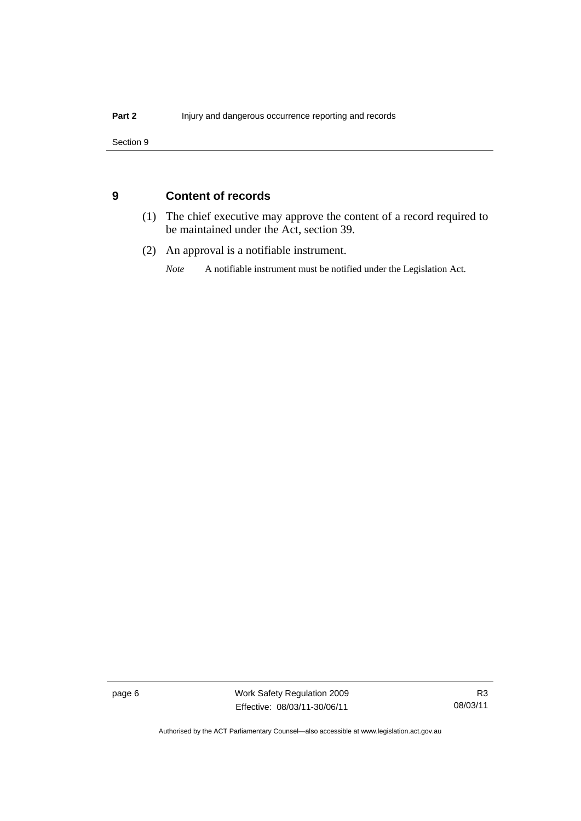# **9 Content of records**

- (1) The chief executive may approve the content of a record required to be maintained under the Act, section 39.
- (2) An approval is a notifiable instrument.

*Note* A notifiable instrument must be notified under the Legislation Act.

page 6 Work Safety Regulation 2009 Effective: 08/03/11-30/06/11

R3 08/03/11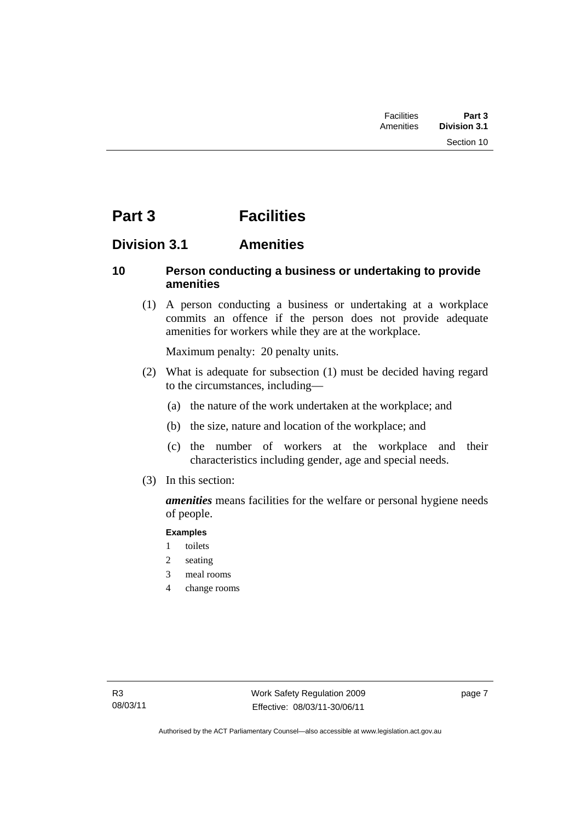# **Part 3 Facilities**

# **Division 3.1 Amenities**

# **10 Person conducting a business or undertaking to provide amenities**

 (1) A person conducting a business or undertaking at a workplace commits an offence if the person does not provide adequate amenities for workers while they are at the workplace.

Maximum penalty: 20 penalty units.

- (2) What is adequate for subsection (1) must be decided having regard to the circumstances, including—
	- (a) the nature of the work undertaken at the workplace; and
	- (b) the size, nature and location of the workplace; and
	- (c) the number of workers at the workplace and their characteristics including gender, age and special needs.
- (3) In this section:

*amenities* means facilities for the welfare or personal hygiene needs of people.

# **Examples**

- 1 toilets
- 2 seating
- 3 meal rooms
- 4 change rooms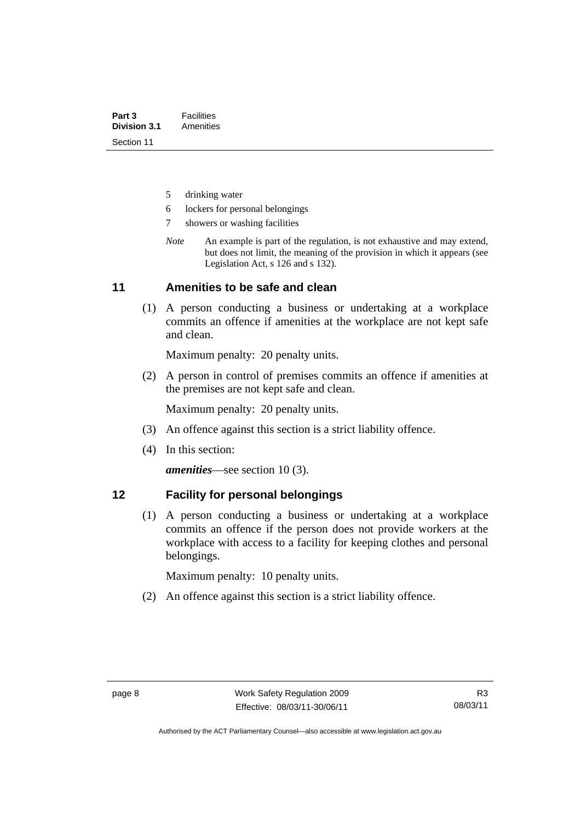- 5 drinking water
- 6 lockers for personal belongings
- 7 showers or washing facilities
- *Note* An example is part of the regulation, is not exhaustive and may extend, but does not limit, the meaning of the provision in which it appears (see Legislation Act, s 126 and s 132).

# **11 Amenities to be safe and clean**

 (1) A person conducting a business or undertaking at a workplace commits an offence if amenities at the workplace are not kept safe and clean.

Maximum penalty: 20 penalty units.

 (2) A person in control of premises commits an offence if amenities at the premises are not kept safe and clean.

Maximum penalty: 20 penalty units.

- (3) An offence against this section is a strict liability offence.
- (4) In this section:

*amenities*—see section 10 (3).

# **12 Facility for personal belongings**

(1) A person conducting a business or undertaking at a workplace commits an offence if the person does not provide workers at the workplace with access to a facility for keeping clothes and personal belongings.

Maximum penalty: 10 penalty units.

(2) An offence against this section is a strict liability offence.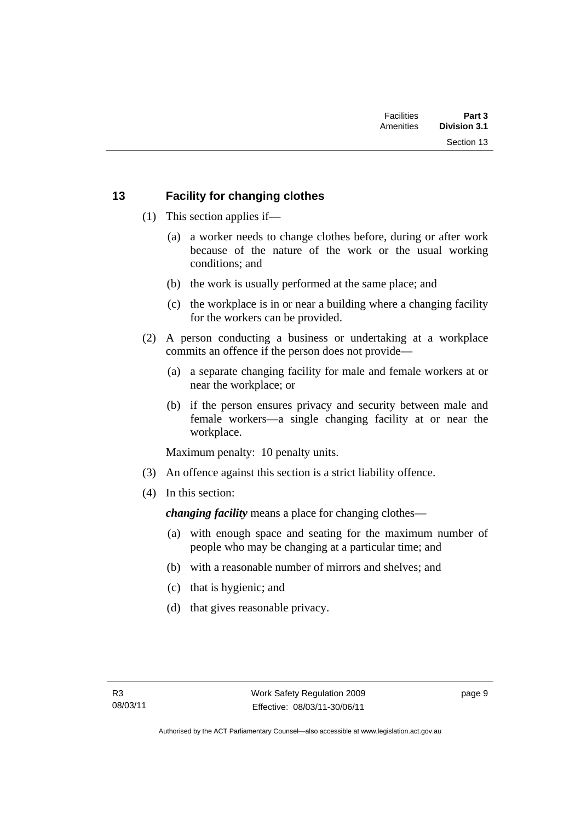Section 13

# **13 Facility for changing clothes**

- (1) This section applies if—
	- (a) a worker needs to change clothes before, during or after work because of the nature of the work or the usual working conditions; and
	- (b) the work is usually performed at the same place; and
	- (c) the workplace is in or near a building where a changing facility for the workers can be provided.
- (2) A person conducting a business or undertaking at a workplace commits an offence if the person does not provide—
	- (a) a separate changing facility for male and female workers at or near the workplace; or
	- (b) if the person ensures privacy and security between male and female workers—a single changing facility at or near the workplace.

Maximum penalty: 10 penalty units.

- (3) An offence against this section is a strict liability offence.
- (4) In this section:

*changing facility* means a place for changing clothes—

- (a) with enough space and seating for the maximum number of people who may be changing at a particular time; and
- (b) with a reasonable number of mirrors and shelves; and
- (c) that is hygienic; and
- (d) that gives reasonable privacy.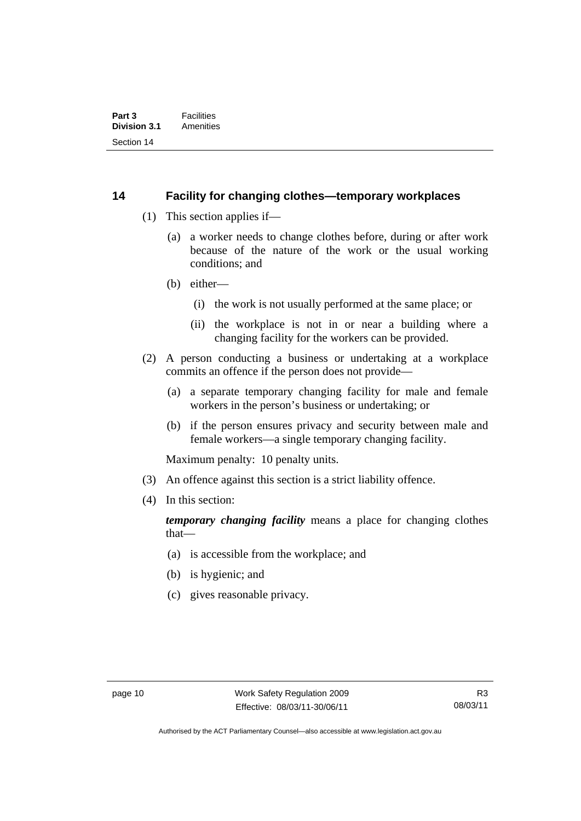# **14 Facility for changing clothes—temporary workplaces**

- (1) This section applies if—
	- (a) a worker needs to change clothes before, during or after work because of the nature of the work or the usual working conditions; and
	- (b) either—
		- (i) the work is not usually performed at the same place; or
		- (ii) the workplace is not in or near a building where a changing facility for the workers can be provided.
- (2) A person conducting a business or undertaking at a workplace commits an offence if the person does not provide—
	- (a) a separate temporary changing facility for male and female workers in the person's business or undertaking; or
	- (b) if the person ensures privacy and security between male and female workers—a single temporary changing facility.

Maximum penalty: 10 penalty units.

- (3) An offence against this section is a strict liability offence.
- (4) In this section:

*temporary changing facility* means a place for changing clothes that—

- (a) is accessible from the workplace; and
- (b) is hygienic; and
- (c) gives reasonable privacy.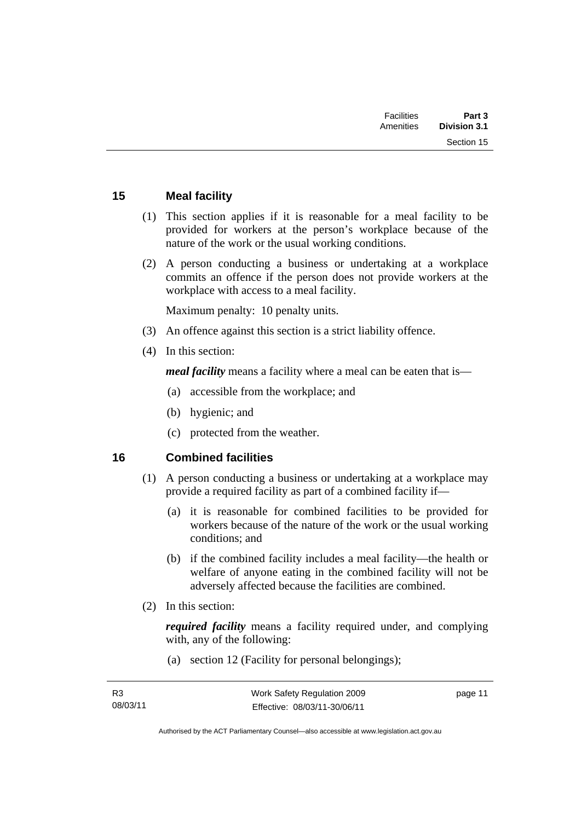| Part 3<br><b>Division 3.1</b> | <b>Facilities</b><br>Amenities |  |
|-------------------------------|--------------------------------|--|
| Section 15                    |                                |  |
|                               |                                |  |

# **15 Meal facility**

- (1) This section applies if it is reasonable for a meal facility to be provided for workers at the person's workplace because of the nature of the work or the usual working conditions.
- (2) A person conducting a business or undertaking at a workplace commits an offence if the person does not provide workers at the workplace with access to a meal facility.

Maximum penalty: 10 penalty units.

- (3) An offence against this section is a strict liability offence.
- (4) In this section:

*meal facility* means a facility where a meal can be eaten that is—

- (a) accessible from the workplace; and
- (b) hygienic; and
- (c) protected from the weather.

# **16 Combined facilities**

- (1) A person conducting a business or undertaking at a workplace may provide a required facility as part of a combined facility if—
	- (a) it is reasonable for combined facilities to be provided for workers because of the nature of the work or the usual working conditions; and
	- (b) if the combined facility includes a meal facility—the health or welfare of anyone eating in the combined facility will not be adversely affected because the facilities are combined.
- (2) In this section:

*required facility* means a facility required under, and complying with, any of the following:

(a) section 12 (Facility for personal belongings);

page 11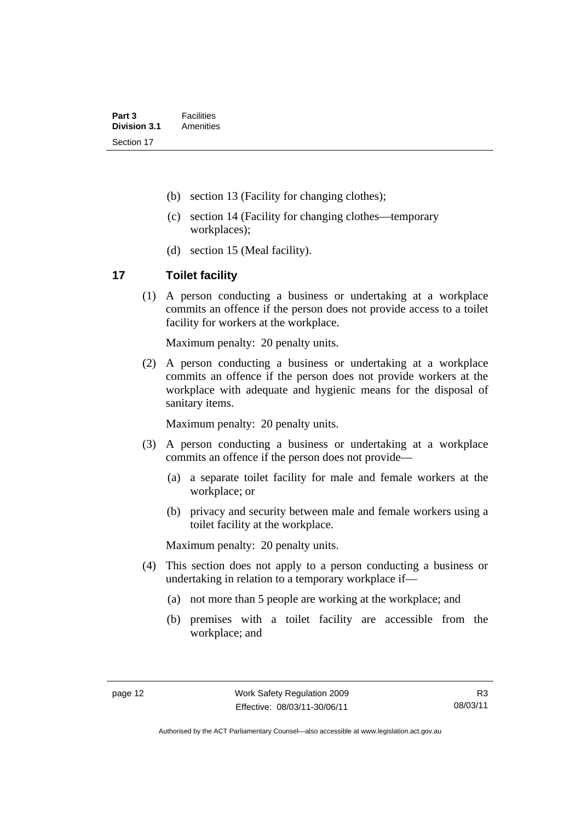- (b) section 13 (Facility for changing clothes);
- (c) section 14 (Facility for changing clothes—temporary workplaces);
- (d) section 15 (Meal facility).

# **17 Toilet facility**

(1) A person conducting a business or undertaking at a workplace commits an offence if the person does not provide access to a toilet facility for workers at the workplace.

Maximum penalty: 20 penalty units.

 (2) A person conducting a business or undertaking at a workplace commits an offence if the person does not provide workers at the workplace with adequate and hygienic means for the disposal of sanitary items.

Maximum penalty: 20 penalty units.

- (3) A person conducting a business or undertaking at a workplace commits an offence if the person does not provide—
	- (a) a separate toilet facility for male and female workers at the workplace; or
	- (b) privacy and security between male and female workers using a toilet facility at the workplace.

Maximum penalty: 20 penalty units.

- (4) This section does not apply to a person conducting a business or undertaking in relation to a temporary workplace if—
	- (a) not more than 5 people are working at the workplace; and
	- (b) premises with a toilet facility are accessible from the workplace; and

Authorised by the ACT Parliamentary Counsel—also accessible at www.legislation.act.gov.au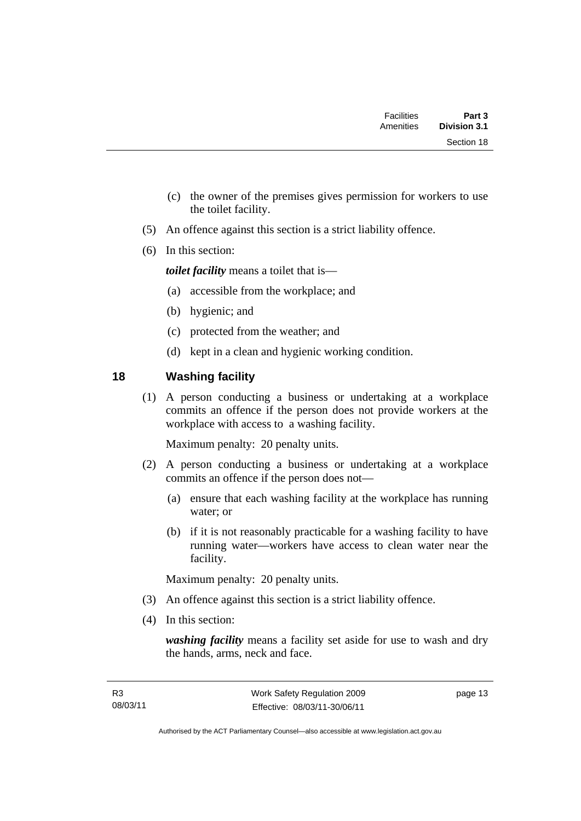| Part 3<br><b>Division 3.1</b> | Facilities<br>Amenities |  |
|-------------------------------|-------------------------|--|
| Section 18                    |                         |  |

- (c) the owner of the premises gives permission for workers to use the toilet facility.
- (5) An offence against this section is a strict liability offence.
- (6) In this section:

*toilet facility* means a toilet that is—

- (a) accessible from the workplace; and
- (b) hygienic; and
- (c) protected from the weather; and
- (d) kept in a clean and hygienic working condition.

# **18 Washing facility**

(1) A person conducting a business or undertaking at a workplace commits an offence if the person does not provide workers at the workplace with access to a washing facility.

Maximum penalty: 20 penalty units.

- (2) A person conducting a business or undertaking at a workplace commits an offence if the person does not—
	- (a) ensure that each washing facility at the workplace has running water; or
	- (b) if it is not reasonably practicable for a washing facility to have running water—workers have access to clean water near the facility.

Maximum penalty: 20 penalty units.

- (3) An offence against this section is a strict liability offence.
- (4) In this section:

*washing facility* means a facility set aside for use to wash and dry the hands, arms, neck and face.

page 13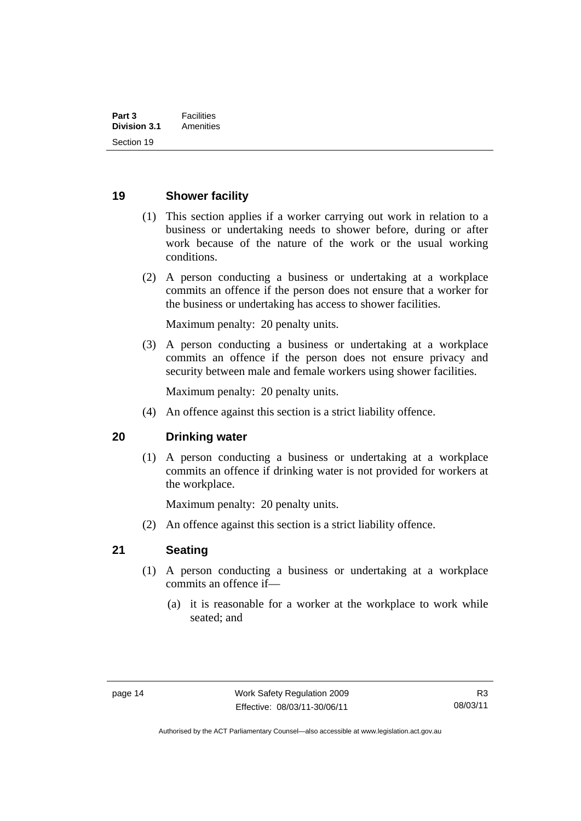# **19 Shower facility**

- (1) This section applies if a worker carrying out work in relation to a business or undertaking needs to shower before, during or after work because of the nature of the work or the usual working conditions.
- (2) A person conducting a business or undertaking at a workplace commits an offence if the person does not ensure that a worker for the business or undertaking has access to shower facilities.

Maximum penalty: 20 penalty units.

 (3) A person conducting a business or undertaking at a workplace commits an offence if the person does not ensure privacy and security between male and female workers using shower facilities.

Maximum penalty: 20 penalty units.

(4) An offence against this section is a strict liability offence.

# **20 Drinking water**

(1) A person conducting a business or undertaking at a workplace commits an offence if drinking water is not provided for workers at the workplace.

Maximum penalty: 20 penalty units.

(2) An offence against this section is a strict liability offence.

# **21 Seating**

- (1) A person conducting a business or undertaking at a workplace commits an offence if—
	- (a) it is reasonable for a worker at the workplace to work while seated; and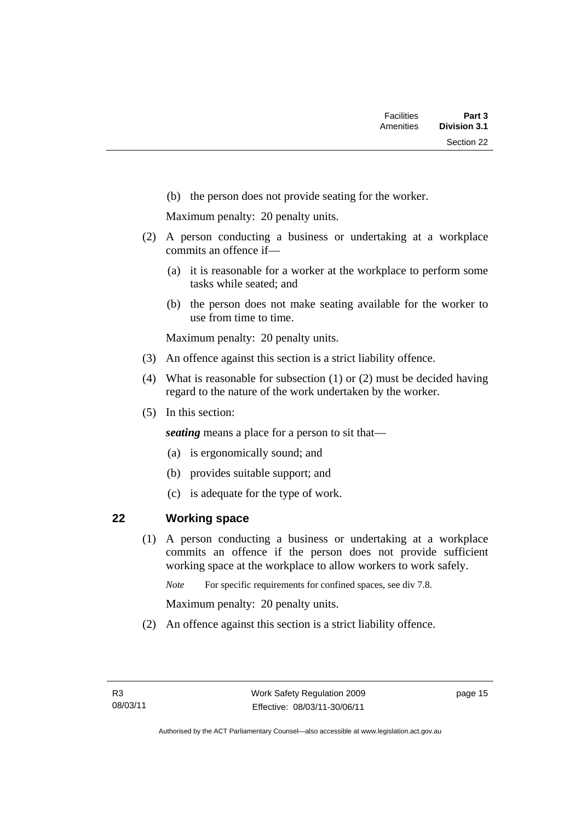(b) the person does not provide seating for the worker.

Maximum penalty: 20 penalty units.

- (2) A person conducting a business or undertaking at a workplace commits an offence if—
	- (a) it is reasonable for a worker at the workplace to perform some tasks while seated; and
	- (b) the person does not make seating available for the worker to use from time to time.

Maximum penalty: 20 penalty units.

- (3) An offence against this section is a strict liability offence.
- (4) What is reasonable for subsection (1) or (2) must be decided having regard to the nature of the work undertaken by the worker.
- (5) In this section:

*seating* means a place for a person to sit that—

- (a) is ergonomically sound; and
- (b) provides suitable support; and
- (c) is adequate for the type of work.

# **22 Working space**

(1) A person conducting a business or undertaking at a workplace commits an offence if the person does not provide sufficient working space at the workplace to allow workers to work safely.

*Note* For specific requirements for confined spaces, see div 7.8.

Maximum penalty: 20 penalty units.

(2) An offence against this section is a strict liability offence.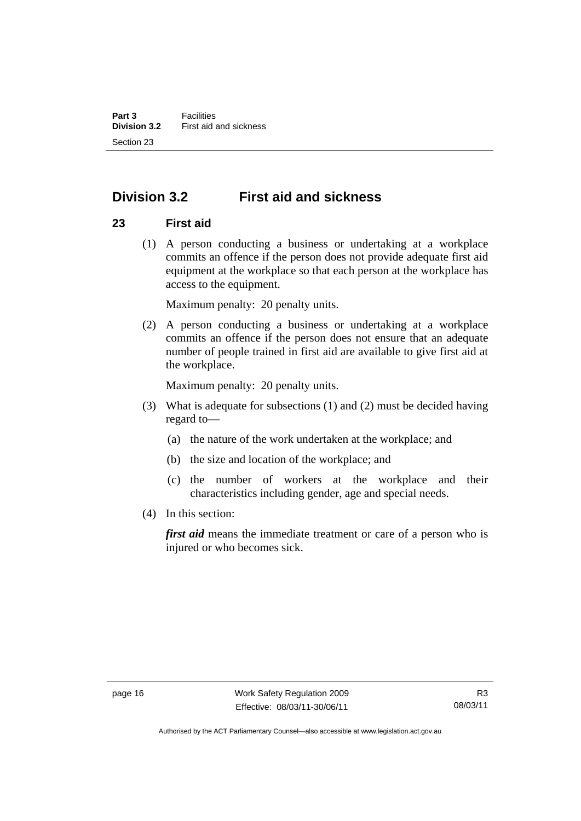# **Division 3.2 First aid and sickness**

# **23 First aid**

 (1) A person conducting a business or undertaking at a workplace commits an offence if the person does not provide adequate first aid equipment at the workplace so that each person at the workplace has access to the equipment.

Maximum penalty: 20 penalty units.

 (2) A person conducting a business or undertaking at a workplace commits an offence if the person does not ensure that an adequate number of people trained in first aid are available to give first aid at the workplace.

Maximum penalty: 20 penalty units.

- (3) What is adequate for subsections (1) and (2) must be decided having regard to—
	- (a) the nature of the work undertaken at the workplace; and
	- (b) the size and location of the workplace; and
	- (c) the number of workers at the workplace and their characteristics including gender, age and special needs.
- (4) In this section:

*first aid* means the immediate treatment or care of a person who is injured or who becomes sick.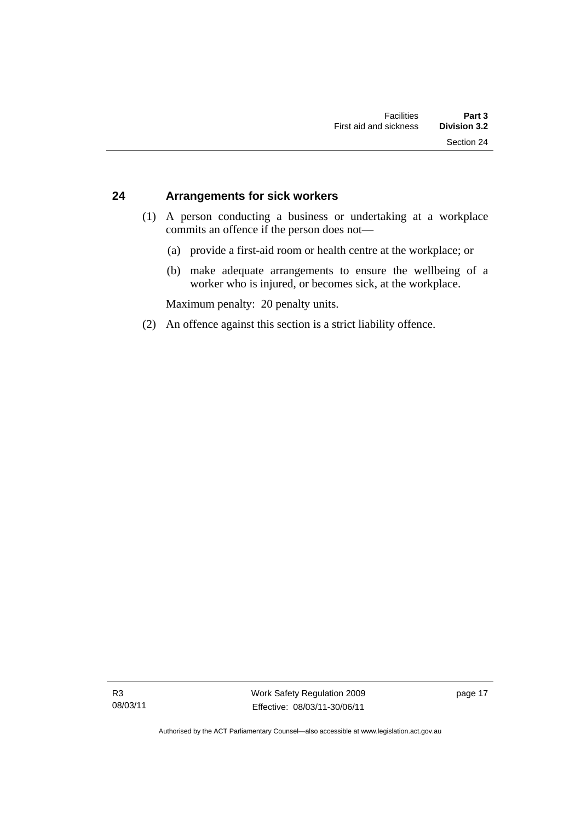# **24 Arrangements for sick workers**

- (1) A person conducting a business or undertaking at a workplace commits an offence if the person does not—
	- (a) provide a first-aid room or health centre at the workplace; or
	- (b) make adequate arrangements to ensure the wellbeing of a worker who is injured, or becomes sick, at the workplace.

Maximum penalty: 20 penalty units.

(2) An offence against this section is a strict liability offence.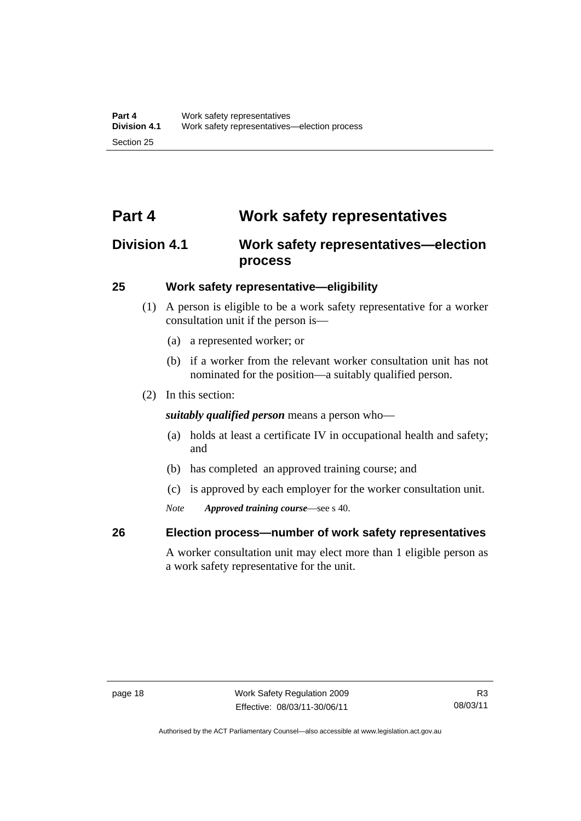# **Part 4 Work safety representatives**

# **Division 4.1 Work safety representatives—election process**

# **25 Work safety representative—eligibility**

- (1) A person is eligible to be a work safety representative for a worker consultation unit if the person is—
	- (a) a represented worker; or
	- (b) if a worker from the relevant worker consultation unit has not nominated for the position—a suitably qualified person.
- (2) In this section:

*suitably qualified person* means a person who—

- (a) holds at least a certificate IV in occupational health and safety; and
- (b) has completed an approved training course; and
- (c) is approved by each employer for the worker consultation unit.
- *Note Approved training course*—see s 40.

# **26 Election process—number of work safety representatives**

A worker consultation unit may elect more than 1 eligible person as a work safety representative for the unit.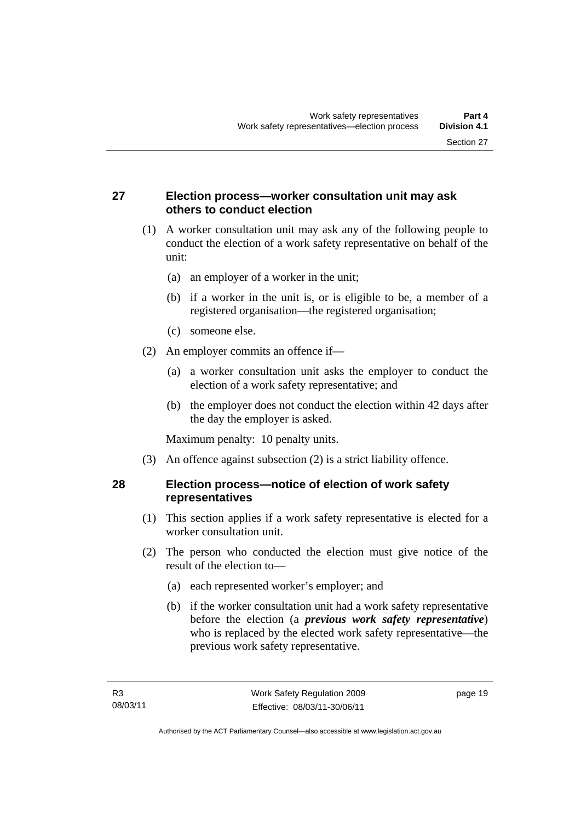# **27 Election process—worker consultation unit may ask others to conduct election**

- (1) A worker consultation unit may ask any of the following people to conduct the election of a work safety representative on behalf of the unit:
	- (a) an employer of a worker in the unit;
	- (b) if a worker in the unit is, or is eligible to be, a member of a registered organisation—the registered organisation;
	- (c) someone else.
- (2) An employer commits an offence if—
	- (a) a worker consultation unit asks the employer to conduct the election of a work safety representative; and
	- (b) the employer does not conduct the election within 42 days after the day the employer is asked.

Maximum penalty: 10 penalty units.

(3) An offence against subsection (2) is a strict liability offence.

# **28 Election process—notice of election of work safety representatives**

- (1) This section applies if a work safety representative is elected for a worker consultation unit.
- (2) The person who conducted the election must give notice of the result of the election to—
	- (a) each represented worker's employer; and
	- (b) if the worker consultation unit had a work safety representative before the election (a *previous work safety representative*) who is replaced by the elected work safety representative—the previous work safety representative.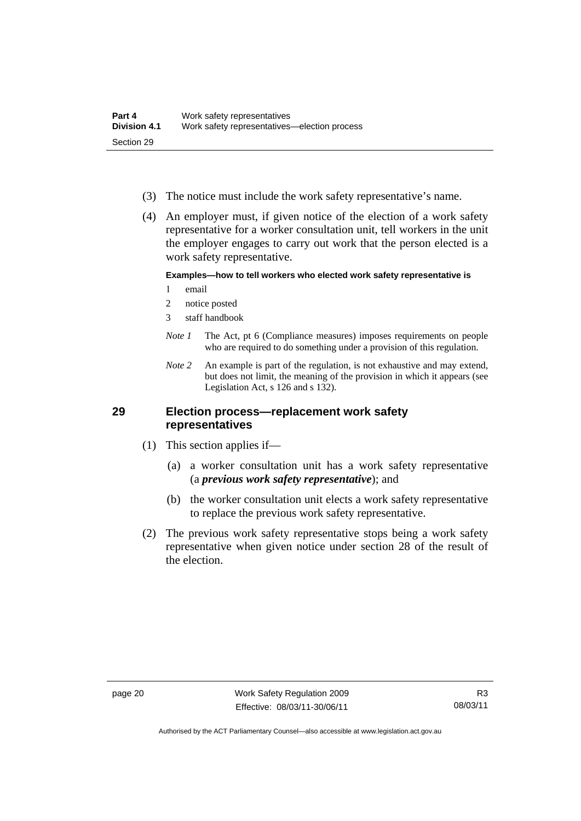- (3) The notice must include the work safety representative's name.
- (4) An employer must, if given notice of the election of a work safety representative for a worker consultation unit, tell workers in the unit the employer engages to carry out work that the person elected is a work safety representative.

### **Examples—how to tell workers who elected work safety representative is**

- 1 email
- 2 notice posted
- 3 staff handbook
- *Note 1* The Act, pt 6 (Compliance measures) imposes requirements on people who are required to do something under a provision of this regulation.
- *Note 2* An example is part of the regulation, is not exhaustive and may extend, but does not limit, the meaning of the provision in which it appears (see Legislation Act, s 126 and s 132).

# **29 Election process—replacement work safety representatives**

- (1) This section applies if—
	- (a) a worker consultation unit has a work safety representative (a *previous work safety representative*); and
	- (b) the worker consultation unit elects a work safety representative to replace the previous work safety representative.
- (2) The previous work safety representative stops being a work safety representative when given notice under section 28 of the result of the election.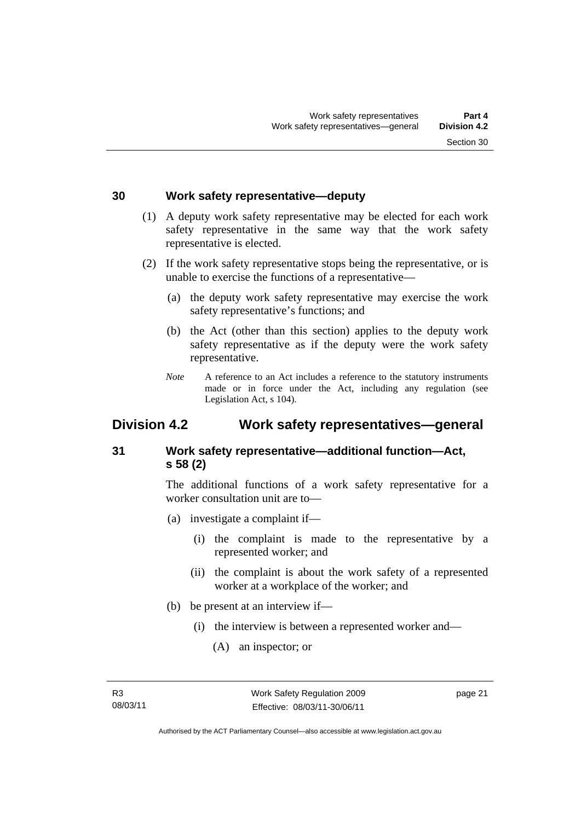# **30 Work safety representative—deputy**

- (1) A deputy work safety representative may be elected for each work safety representative in the same way that the work safety representative is elected.
- (2) If the work safety representative stops being the representative, or is unable to exercise the functions of a representative—
	- (a) the deputy work safety representative may exercise the work safety representative's functions; and
	- (b) the Act (other than this section) applies to the deputy work safety representative as if the deputy were the work safety representative.
	- *Note* A reference to an Act includes a reference to the statutory instruments made or in force under the Act, including any regulation (see Legislation Act, s 104).

# **Division 4.2 Work safety representatives—general**

# **31 Work safety representative—additional function—Act, s 58 (2)**

The additional functions of a work safety representative for a worker consultation unit are to—

- (a) investigate a complaint if—
	- (i) the complaint is made to the representative by a represented worker; and
	- (ii) the complaint is about the work safety of a represented worker at a workplace of the worker; and
- (b) be present at an interview if—
	- (i) the interview is between a represented worker and—
		- (A) an inspector; or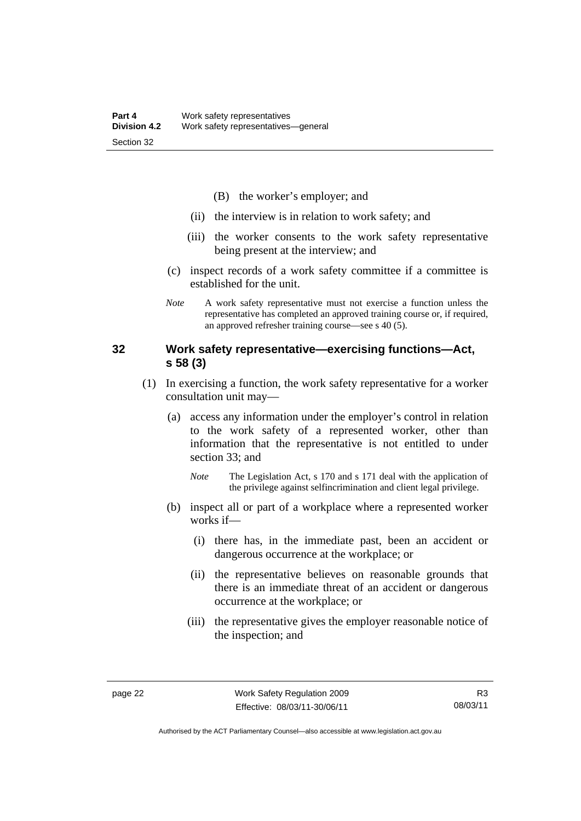- (B) the worker's employer; and
- (ii) the interview is in relation to work safety; and
- (iii) the worker consents to the work safety representative being present at the interview; and
- (c) inspect records of a work safety committee if a committee is established for the unit.
- *Note* A work safety representative must not exercise a function unless the representative has completed an approved training course or, if required, an approved refresher training course—see s 40 (5).

# **32 Work safety representative—exercising functions—Act, s 58 (3)**

- (1) In exercising a function, the work safety representative for a worker consultation unit may—
	- (a) access any information under the employer's control in relation to the work safety of a represented worker, other than information that the representative is not entitled to under section 33; and
		- *Note* The Legislation Act, s 170 and s 171 deal with the application of the privilege against selfincrimination and client legal privilege.
	- (b) inspect all or part of a workplace where a represented worker works if—
		- (i) there has, in the immediate past, been an accident or dangerous occurrence at the workplace; or
		- (ii) the representative believes on reasonable grounds that there is an immediate threat of an accident or dangerous occurrence at the workplace; or
		- (iii) the representative gives the employer reasonable notice of the inspection; and

Authorised by the ACT Parliamentary Counsel—also accessible at www.legislation.act.gov.au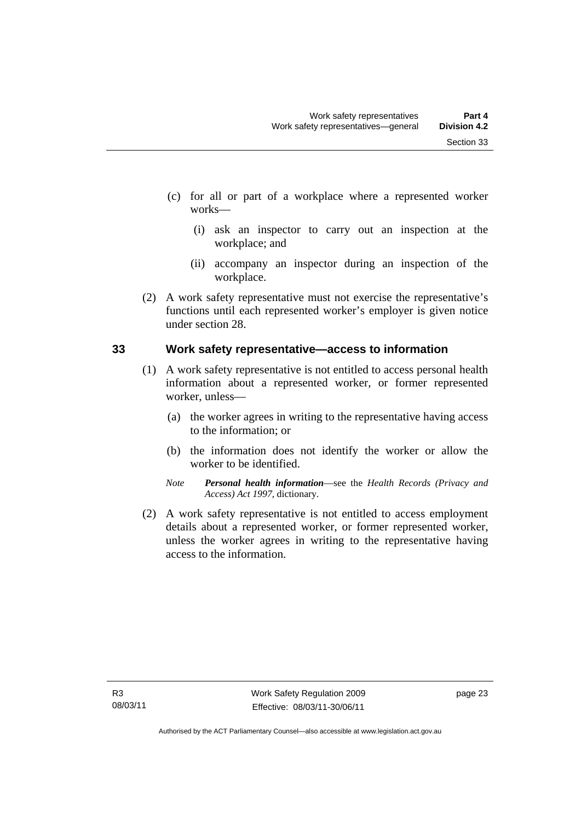- (c) for all or part of a workplace where a represented worker works—
	- (i) ask an inspector to carry out an inspection at the workplace; and
	- (ii) accompany an inspector during an inspection of the workplace.
- (2) A work safety representative must not exercise the representative's functions until each represented worker's employer is given notice under section 28.

## **33 Work safety representative—access to information**

- (1) A work safety representative is not entitled to access personal health information about a represented worker, or former represented worker, unless—
	- (a) the worker agrees in writing to the representative having access to the information; or
	- (b) the information does not identify the worker or allow the worker to be identified.
	- *Note Personal health information*—see the *Health Records (Privacy and Access) Act 1997*, dictionary.
- (2) A work safety representative is not entitled to access employment details about a represented worker, or former represented worker, unless the worker agrees in writing to the representative having access to the information.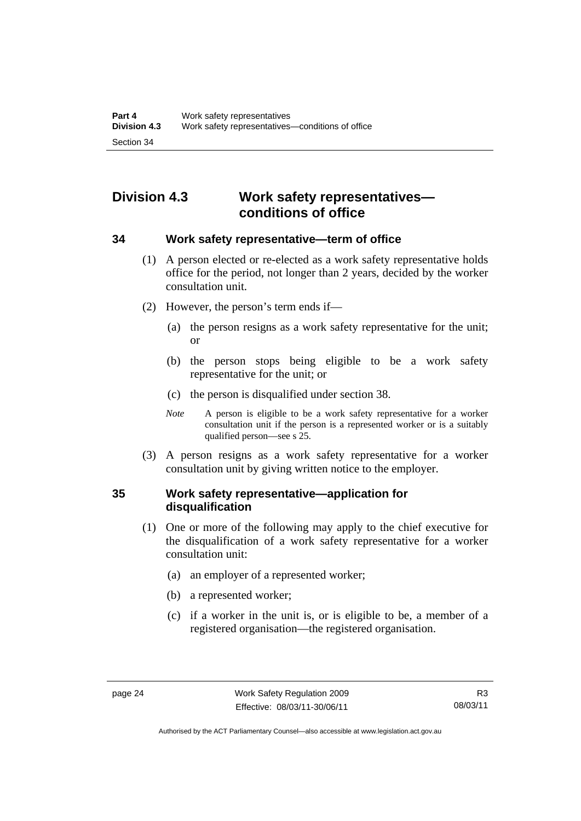# **Division 4.3 Work safety representatives conditions of office**

## **34 Work safety representative—term of office**

- (1) A person elected or re-elected as a work safety representative holds office for the period, not longer than 2 years, decided by the worker consultation unit.
- (2) However, the person's term ends if—
	- (a) the person resigns as a work safety representative for the unit; or
	- (b) the person stops being eligible to be a work safety representative for the unit; or
	- (c) the person is disqualified under section 38.
	- *Note* A person is eligible to be a work safety representative for a worker consultation unit if the person is a represented worker or is a suitably qualified person—see s 25.
- (3) A person resigns as a work safety representative for a worker consultation unit by giving written notice to the employer.

## **35 Work safety representative—application for disqualification**

- (1) One or more of the following may apply to the chief executive for the disqualification of a work safety representative for a worker consultation unit:
	- (a) an employer of a represented worker;
	- (b) a represented worker;
	- (c) if a worker in the unit is, or is eligible to be, a member of a registered organisation—the registered organisation.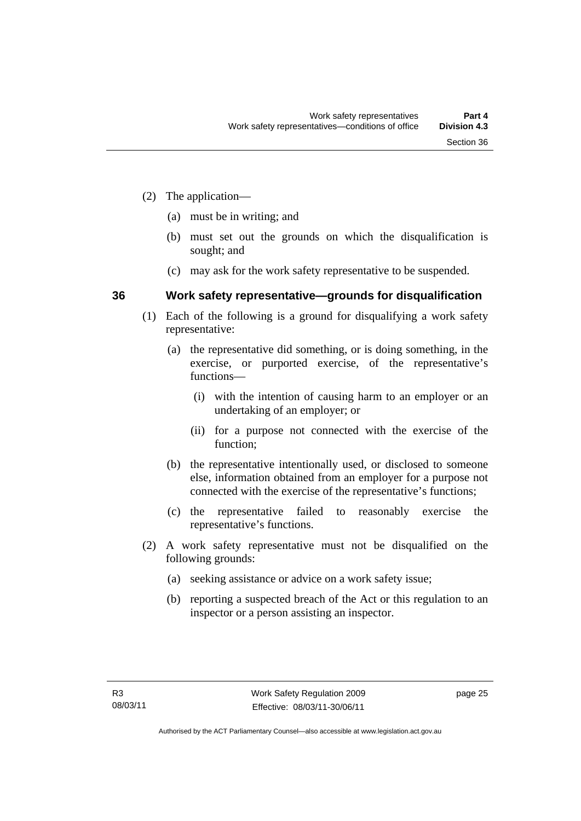- (2) The application—
	- (a) must be in writing; and
	- (b) must set out the grounds on which the disqualification is sought; and
	- (c) may ask for the work safety representative to be suspended.

## **36 Work safety representative—grounds for disqualification**

- (1) Each of the following is a ground for disqualifying a work safety representative:
	- (a) the representative did something, or is doing something, in the exercise, or purported exercise, of the representative's functions—
		- (i) with the intention of causing harm to an employer or an undertaking of an employer; or
		- (ii) for a purpose not connected with the exercise of the function;
	- (b) the representative intentionally used, or disclosed to someone else, information obtained from an employer for a purpose not connected with the exercise of the representative's functions;
	- (c) the representative failed to reasonably exercise the representative's functions.
- (2) A work safety representative must not be disqualified on the following grounds:
	- (a) seeking assistance or advice on a work safety issue;
	- (b) reporting a suspected breach of the Act or this regulation to an inspector or a person assisting an inspector.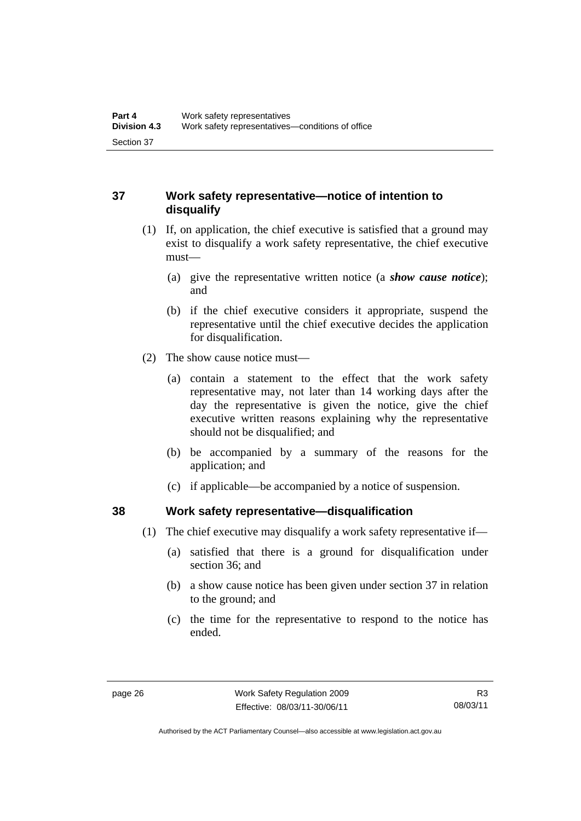## **37 Work safety representative—notice of intention to disqualify**

- (1) If, on application, the chief executive is satisfied that a ground may exist to disqualify a work safety representative, the chief executive must—
	- (a) give the representative written notice (a *show cause notice*); and
	- (b) if the chief executive considers it appropriate, suspend the representative until the chief executive decides the application for disqualification.
- (2) The show cause notice must—
	- (a) contain a statement to the effect that the work safety representative may, not later than 14 working days after the day the representative is given the notice, give the chief executive written reasons explaining why the representative should not be disqualified; and
	- (b) be accompanied by a summary of the reasons for the application; and
	- (c) if applicable—be accompanied by a notice of suspension.

## **38 Work safety representative—disqualification**

- (1) The chief executive may disqualify a work safety representative if—
	- (a) satisfied that there is a ground for disqualification under section 36; and
	- (b) a show cause notice has been given under section 37 in relation to the ground; and
	- (c) the time for the representative to respond to the notice has ended.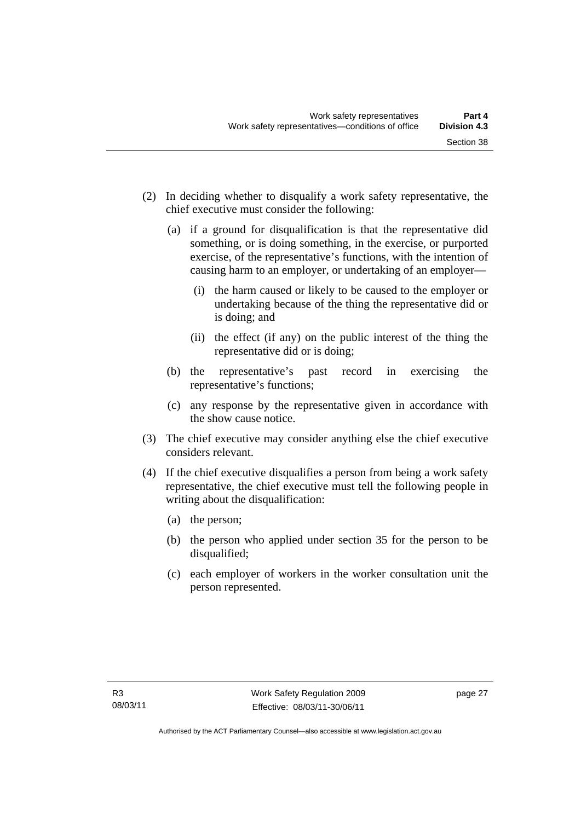- (2) In deciding whether to disqualify a work safety representative, the chief executive must consider the following:
	- (a) if a ground for disqualification is that the representative did something, or is doing something, in the exercise, or purported exercise, of the representative's functions, with the intention of causing harm to an employer, or undertaking of an employer—
		- (i) the harm caused or likely to be caused to the employer or undertaking because of the thing the representative did or is doing; and
		- (ii) the effect (if any) on the public interest of the thing the representative did or is doing;
	- (b) the representative's past record in exercising the representative's functions;
	- (c) any response by the representative given in accordance with the show cause notice.
- (3) The chief executive may consider anything else the chief executive considers relevant.
- (4) If the chief executive disqualifies a person from being a work safety representative, the chief executive must tell the following people in writing about the disqualification:
	- (a) the person;
	- (b) the person who applied under section 35 for the person to be disqualified;
	- (c) each employer of workers in the worker consultation unit the person represented.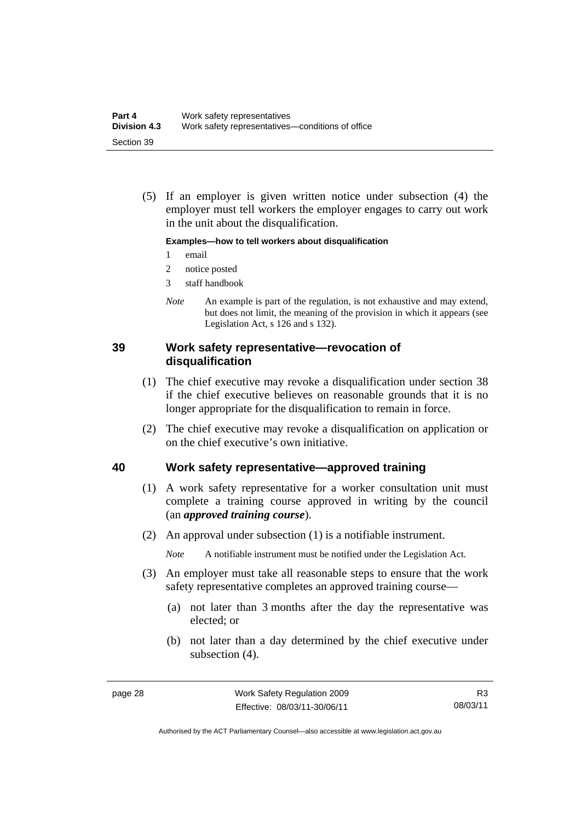(5) If an employer is given written notice under subsection (4) the employer must tell workers the employer engages to carry out work in the unit about the disqualification.

#### **Examples—how to tell workers about disqualification**

- 1 email
- 2 notice posted
- 3 staff handbook
- *Note* An example is part of the regulation, is not exhaustive and may extend, but does not limit, the meaning of the provision in which it appears (see Legislation Act, s 126 and s 132).

## **39 Work safety representative—revocation of disqualification**

- (1) The chief executive may revoke a disqualification under section 38 if the chief executive believes on reasonable grounds that it is no longer appropriate for the disqualification to remain in force.
- (2) The chief executive may revoke a disqualification on application or on the chief executive's own initiative.

#### **40 Work safety representative—approved training**

- (1) A work safety representative for a worker consultation unit must complete a training course approved in writing by the council (an *approved training course*).
- (2) An approval under subsection (1) is a notifiable instrument.

*Note* A notifiable instrument must be notified under the Legislation Act.

- (3) An employer must take all reasonable steps to ensure that the work safety representative completes an approved training course—
	- (a) not later than 3 months after the day the representative was elected; or
	- (b) not later than a day determined by the chief executive under subsection (4).

R3 08/03/11

Authorised by the ACT Parliamentary Counsel—also accessible at www.legislation.act.gov.au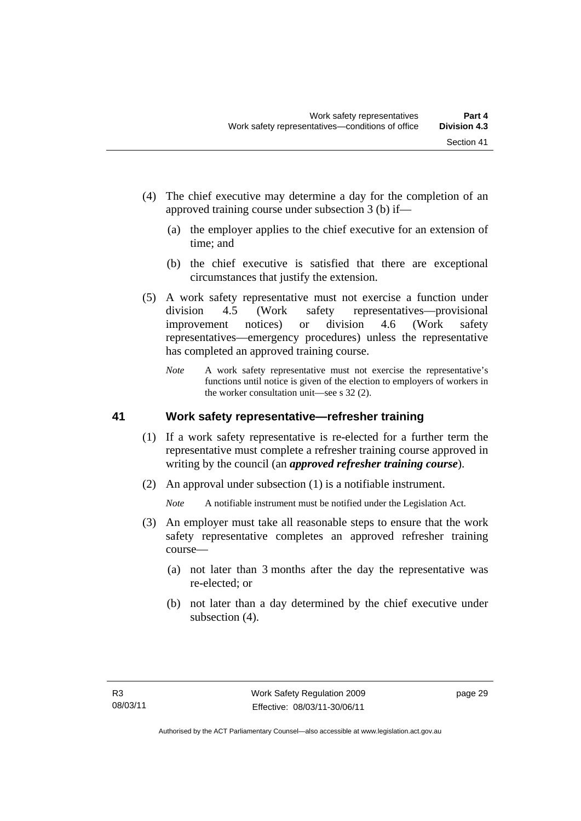- (4) The chief executive may determine a day for the completion of an approved training course under subsection 3 (b) if—
	- (a) the employer applies to the chief executive for an extension of time; and
	- (b) the chief executive is satisfied that there are exceptional circumstances that justify the extension.
- (5) A work safety representative must not exercise a function under division 4.5 (Work safety representatives—provisional improvement notices) or division 4.6 (Work safety representatives—emergency procedures) unless the representative has completed an approved training course.
	- *Note* A work safety representative must not exercise the representative's functions until notice is given of the election to employers of workers in the worker consultation unit—see s 32 (2).

## **41 Work safety representative—refresher training**

- (1) If a work safety representative is re-elected for a further term the representative must complete a refresher training course approved in writing by the council (an *approved refresher training course*).
- (2) An approval under subsection (1) is a notifiable instrument.

*Note* A notifiable instrument must be notified under the Legislation Act.

- (3) An employer must take all reasonable steps to ensure that the work safety representative completes an approved refresher training course—
	- (a) not later than 3 months after the day the representative was re-elected; or
	- (b) not later than a day determined by the chief executive under subsection (4).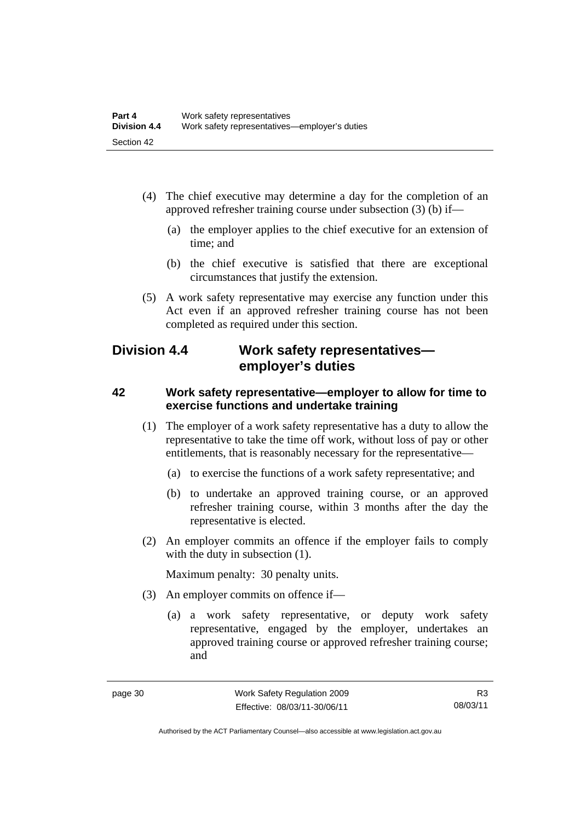- (4) The chief executive may determine a day for the completion of an approved refresher training course under subsection (3) (b) if—
	- (a) the employer applies to the chief executive for an extension of time; and
	- (b) the chief executive is satisfied that there are exceptional circumstances that justify the extension.
- (5) A work safety representative may exercise any function under this Act even if an approved refresher training course has not been completed as required under this section.

# **Division 4.4 Work safety representatives employer's duties**

## **42 Work safety representative—employer to allow for time to exercise functions and undertake training**

- (1) The employer of a work safety representative has a duty to allow the representative to take the time off work, without loss of pay or other entitlements, that is reasonably necessary for the representative—
	- (a) to exercise the functions of a work safety representative; and
	- (b) to undertake an approved training course, or an approved refresher training course, within 3 months after the day the representative is elected.
- (2) An employer commits an offence if the employer fails to comply with the duty in subsection  $(1)$ .

Maximum penalty: 30 penalty units.

- (3) An employer commits on offence if—
	- (a) a work safety representative, or deputy work safety representative, engaged by the employer, undertakes an approved training course or approved refresher training course; and

Authorised by the ACT Parliamentary Counsel—also accessible at www.legislation.act.gov.au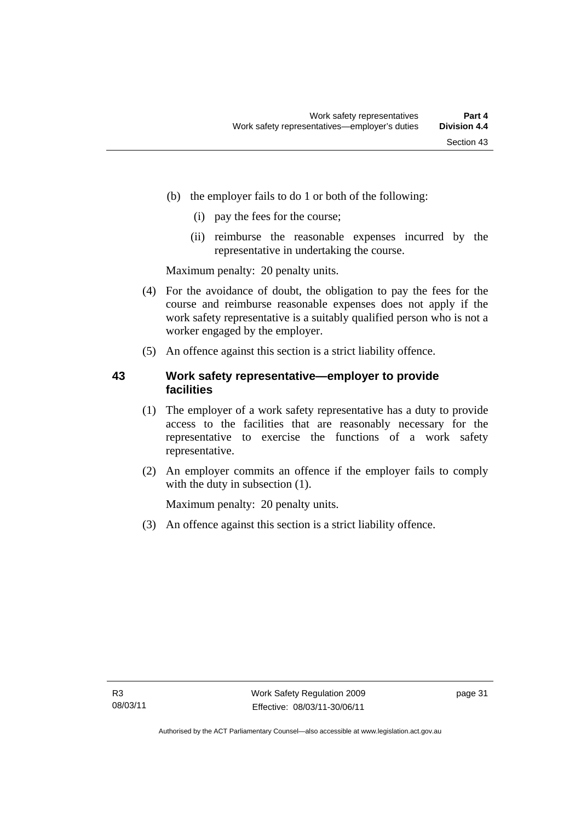- (b) the employer fails to do 1 or both of the following:
	- (i) pay the fees for the course;
	- (ii) reimburse the reasonable expenses incurred by the representative in undertaking the course.

Maximum penalty: 20 penalty units.

- (4) For the avoidance of doubt, the obligation to pay the fees for the course and reimburse reasonable expenses does not apply if the work safety representative is a suitably qualified person who is not a worker engaged by the employer.
- (5) An offence against this section is a strict liability offence.

## **43 Work safety representative—employer to provide facilities**

- (1) The employer of a work safety representative has a duty to provide access to the facilities that are reasonably necessary for the representative to exercise the functions of a work safety representative.
- (2) An employer commits an offence if the employer fails to comply with the duty in subsection  $(1)$ .

Maximum penalty: 20 penalty units.

(3) An offence against this section is a strict liability offence.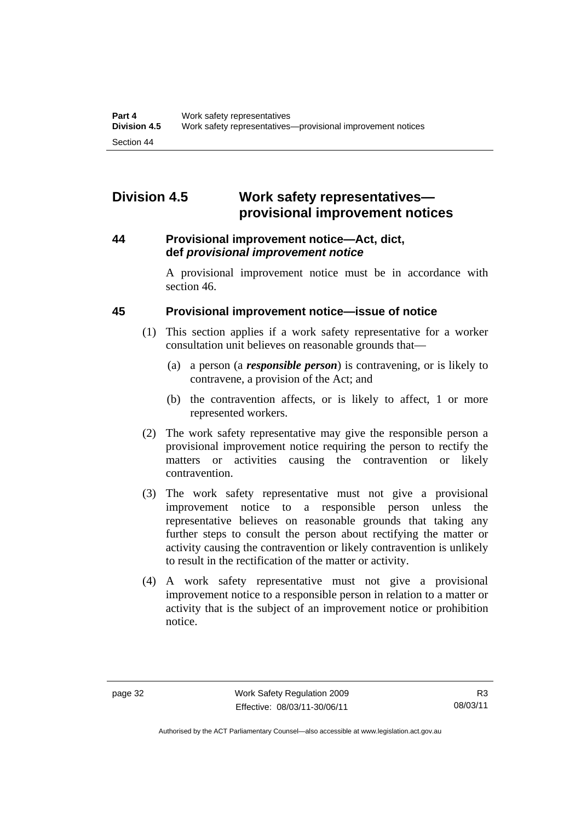# **Division 4.5 Work safety representatives provisional improvement notices**

## **44 Provisional improvement notice—Act, dict, def** *provisional improvement notice*

A provisional improvement notice must be in accordance with section 46.

## **45 Provisional improvement notice—issue of notice**

- (1) This section applies if a work safety representative for a worker consultation unit believes on reasonable grounds that—
	- (a) a person (a *responsible person*) is contravening, or is likely to contravene, a provision of the Act; and
	- (b) the contravention affects, or is likely to affect, 1 or more represented workers.
- (2) The work safety representative may give the responsible person a provisional improvement notice requiring the person to rectify the matters or activities causing the contravention or likely contravention.
- (3) The work safety representative must not give a provisional improvement notice to a responsible person unless the representative believes on reasonable grounds that taking any further steps to consult the person about rectifying the matter or activity causing the contravention or likely contravention is unlikely to result in the rectification of the matter or activity.
- (4) A work safety representative must not give a provisional improvement notice to a responsible person in relation to a matter or activity that is the subject of an improvement notice or prohibition notice.

Authorised by the ACT Parliamentary Counsel—also accessible at www.legislation.act.gov.au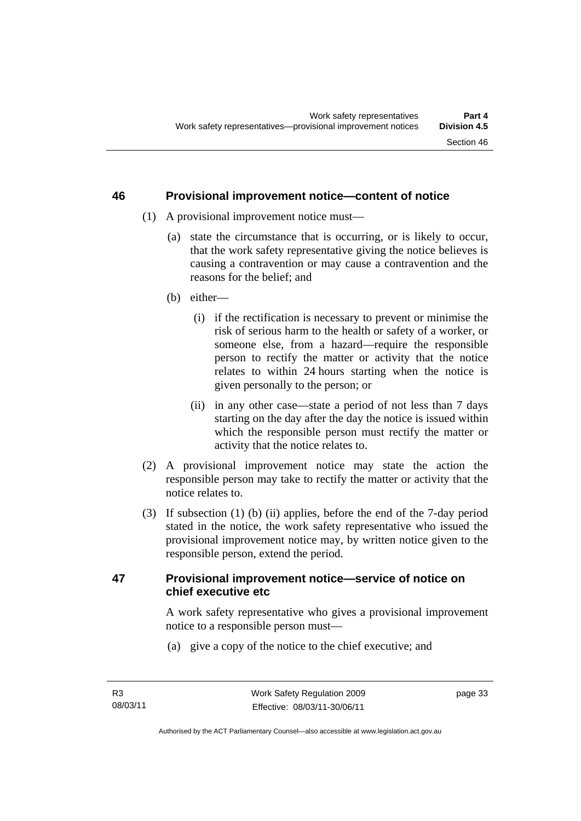#### **46 Provisional improvement notice—content of notice**

- (1) A provisional improvement notice must—
	- (a) state the circumstance that is occurring, or is likely to occur, that the work safety representative giving the notice believes is causing a contravention or may cause a contravention and the reasons for the belief; and
	- (b) either—
		- (i) if the rectification is necessary to prevent or minimise the risk of serious harm to the health or safety of a worker, or someone else, from a hazard—require the responsible person to rectify the matter or activity that the notice relates to within 24 hours starting when the notice is given personally to the person; or
		- (ii) in any other case—state a period of not less than 7 days starting on the day after the day the notice is issued within which the responsible person must rectify the matter or activity that the notice relates to.
- (2) A provisional improvement notice may state the action the responsible person may take to rectify the matter or activity that the notice relates to.
- (3) If subsection (1) (b) (ii) applies, before the end of the 7-day period stated in the notice, the work safety representative who issued the provisional improvement notice may, by written notice given to the responsible person, extend the period.

## **47 Provisional improvement notice—service of notice on chief executive etc**

A work safety representative who gives a provisional improvement notice to a responsible person must—

(a) give a copy of the notice to the chief executive; and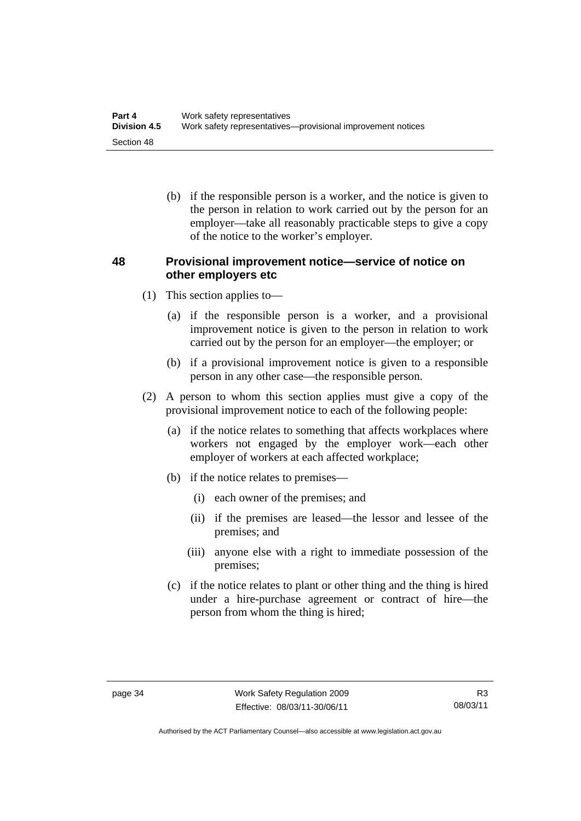(b) if the responsible person is a worker, and the notice is given to the person in relation to work carried out by the person for an employer—take all reasonably practicable steps to give a copy of the notice to the worker's employer.

## **48 Provisional improvement notice—service of notice on other employers etc**

- (1) This section applies to—
	- (a) if the responsible person is a worker, and a provisional improvement notice is given to the person in relation to work carried out by the person for an employer—the employer; or
	- (b) if a provisional improvement notice is given to a responsible person in any other case—the responsible person.
- (2) A person to whom this section applies must give a copy of the provisional improvement notice to each of the following people:
	- (a) if the notice relates to something that affects workplaces where workers not engaged by the employer work—each other employer of workers at each affected workplace;
	- (b) if the notice relates to premises—
		- (i) each owner of the premises; and
		- (ii) if the premises are leased—the lessor and lessee of the premises; and
		- (iii) anyone else with a right to immediate possession of the premises;
	- (c) if the notice relates to plant or other thing and the thing is hired under a hire-purchase agreement or contract of hire—the person from whom the thing is hired;

Authorised by the ACT Parliamentary Counsel—also accessible at www.legislation.act.gov.au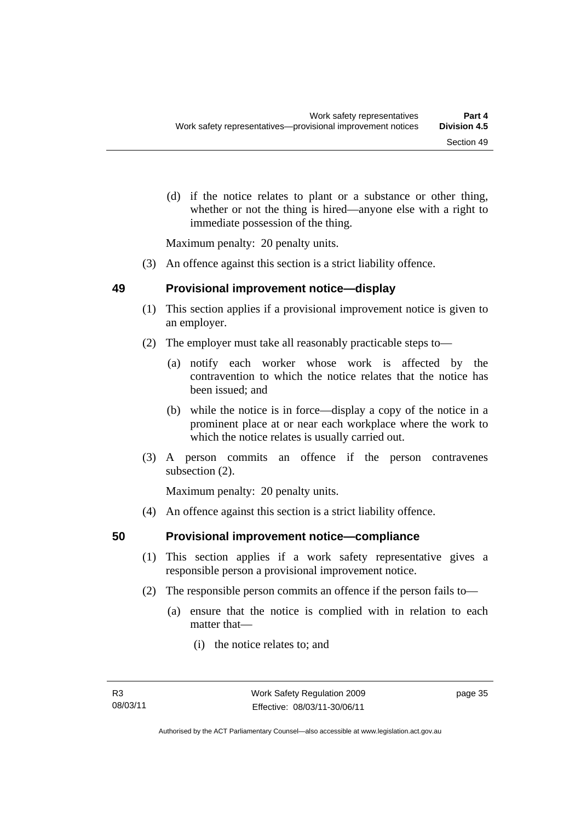(d) if the notice relates to plant or a substance or other thing, whether or not the thing is hired—anyone else with a right to immediate possession of the thing.

Maximum penalty: 20 penalty units.

(3) An offence against this section is a strict liability offence.

## **49 Provisional improvement notice—display**

- (1) This section applies if a provisional improvement notice is given to an employer.
- (2) The employer must take all reasonably practicable steps to—
	- (a) notify each worker whose work is affected by the contravention to which the notice relates that the notice has been issued; and
	- (b) while the notice is in force—display a copy of the notice in a prominent place at or near each workplace where the work to which the notice relates is usually carried out.
- (3) A person commits an offence if the person contravenes subsection (2).

Maximum penalty: 20 penalty units.

(4) An offence against this section is a strict liability offence.

## **50 Provisional improvement notice—compliance**

- (1) This section applies if a work safety representative gives a responsible person a provisional improvement notice.
- (2) The responsible person commits an offence if the person fails to—
	- (a) ensure that the notice is complied with in relation to each matter that—
		- (i) the notice relates to; and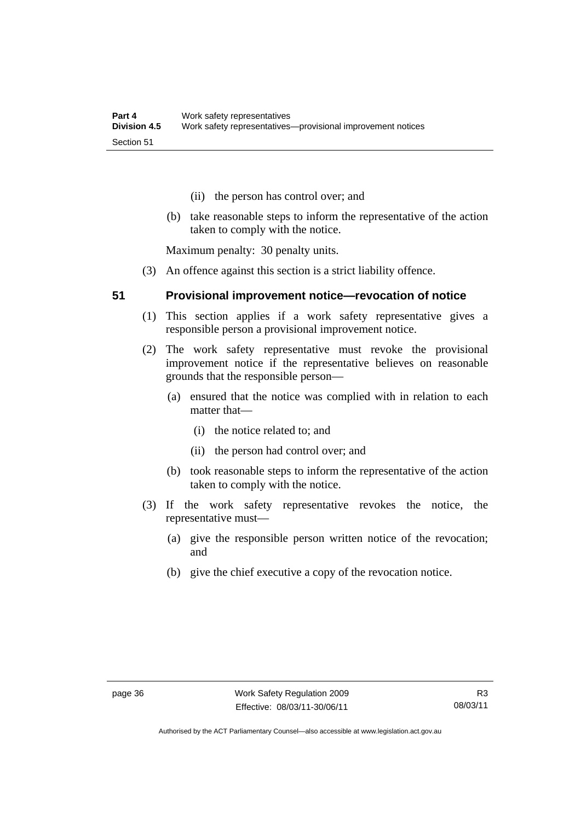- (ii) the person has control over; and
- (b) take reasonable steps to inform the representative of the action taken to comply with the notice.

Maximum penalty: 30 penalty units.

(3) An offence against this section is a strict liability offence.

#### **51 Provisional improvement notice—revocation of notice**

- (1) This section applies if a work safety representative gives a responsible person a provisional improvement notice.
- (2) The work safety representative must revoke the provisional improvement notice if the representative believes on reasonable grounds that the responsible person—
	- (a) ensured that the notice was complied with in relation to each matter that—
		- (i) the notice related to; and
		- (ii) the person had control over; and
	- (b) took reasonable steps to inform the representative of the action taken to comply with the notice.
- (3) If the work safety representative revokes the notice, the representative must—
	- (a) give the responsible person written notice of the revocation; and
	- (b) give the chief executive a copy of the revocation notice.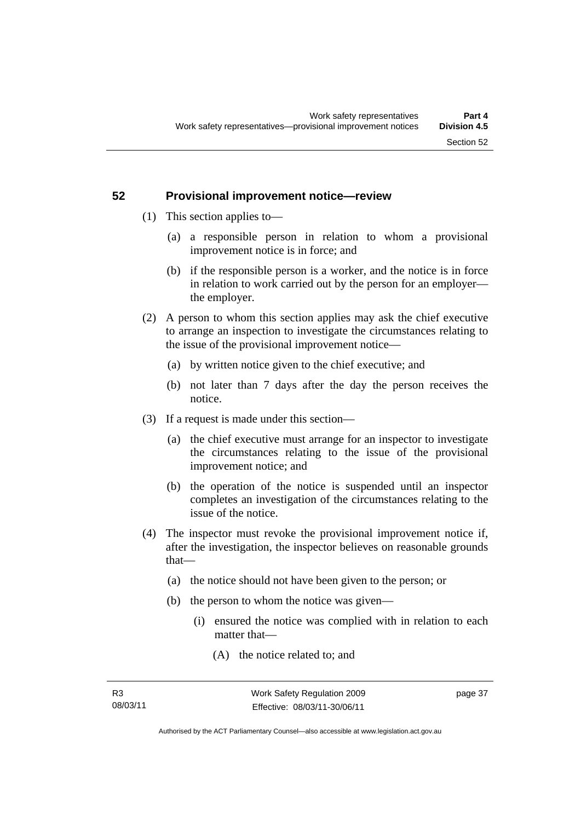## **52 Provisional improvement notice—review**

- (1) This section applies to—
	- (a) a responsible person in relation to whom a provisional improvement notice is in force; and
	- (b) if the responsible person is a worker, and the notice is in force in relation to work carried out by the person for an employer the employer.
- (2) A person to whom this section applies may ask the chief executive to arrange an inspection to investigate the circumstances relating to the issue of the provisional improvement notice—
	- (a) by written notice given to the chief executive; and
	- (b) not later than 7 days after the day the person receives the notice.
- (3) If a request is made under this section—
	- (a) the chief executive must arrange for an inspector to investigate the circumstances relating to the issue of the provisional improvement notice; and
	- (b) the operation of the notice is suspended until an inspector completes an investigation of the circumstances relating to the issue of the notice.
- (4) The inspector must revoke the provisional improvement notice if, after the investigation, the inspector believes on reasonable grounds that—
	- (a) the notice should not have been given to the person; or
	- (b) the person to whom the notice was given—
		- (i) ensured the notice was complied with in relation to each matter that—
			- (A) the notice related to; and

page 37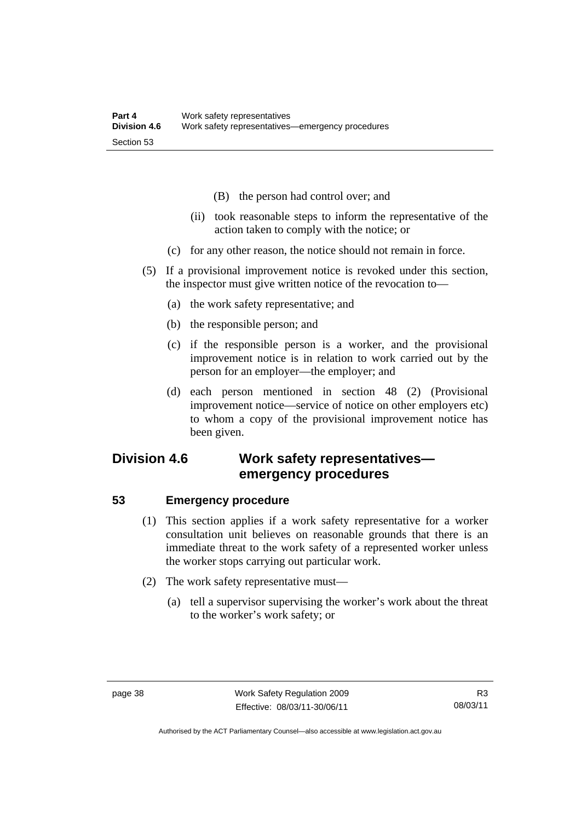- (B) the person had control over; and
- (ii) took reasonable steps to inform the representative of the action taken to comply with the notice; or
- (c) for any other reason, the notice should not remain in force.
- (5) If a provisional improvement notice is revoked under this section, the inspector must give written notice of the revocation to—
	- (a) the work safety representative; and
	- (b) the responsible person; and
	- (c) if the responsible person is a worker, and the provisional improvement notice is in relation to work carried out by the person for an employer—the employer; and
	- (d) each person mentioned in section 48 (2) (Provisional improvement notice—service of notice on other employers etc) to whom a copy of the provisional improvement notice has been given.

## **Division 4.6 Work safety representatives emergency procedures**

## **53 Emergency procedure**

- (1) This section applies if a work safety representative for a worker consultation unit believes on reasonable grounds that there is an immediate threat to the work safety of a represented worker unless the worker stops carrying out particular work.
- (2) The work safety representative must—
	- (a) tell a supervisor supervising the worker's work about the threat to the worker's work safety; or

Authorised by the ACT Parliamentary Counsel—also accessible at www.legislation.act.gov.au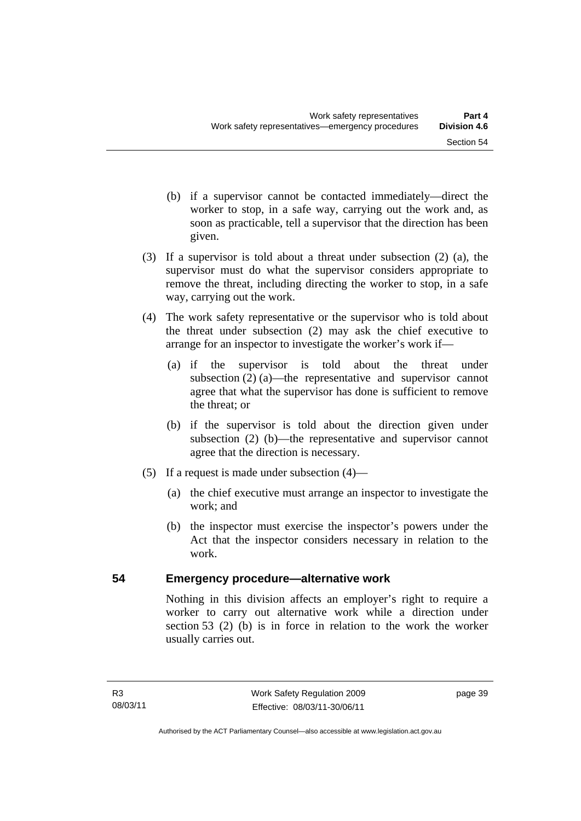- (b) if a supervisor cannot be contacted immediately—direct the worker to stop, in a safe way, carrying out the work and, as soon as practicable, tell a supervisor that the direction has been given.
- (3) If a supervisor is told about a threat under subsection (2) (a), the supervisor must do what the supervisor considers appropriate to remove the threat, including directing the worker to stop, in a safe way, carrying out the work.
- (4) The work safety representative or the supervisor who is told about the threat under subsection (2) may ask the chief executive to arrange for an inspector to investigate the worker's work if—
	- (a) if the supervisor is told about the threat under subsection (2) (a)—the representative and supervisor cannot agree that what the supervisor has done is sufficient to remove the threat; or
	- (b) if the supervisor is told about the direction given under subsection (2) (b)—the representative and supervisor cannot agree that the direction is necessary.
- (5) If a request is made under subsection (4)—
	- (a) the chief executive must arrange an inspector to investigate the work; and
	- (b) the inspector must exercise the inspector's powers under the Act that the inspector considers necessary in relation to the work.

## **54 Emergency procedure—alternative work**

Nothing in this division affects an employer's right to require a worker to carry out alternative work while a direction under section 53 (2) (b) is in force in relation to the work the worker usually carries out.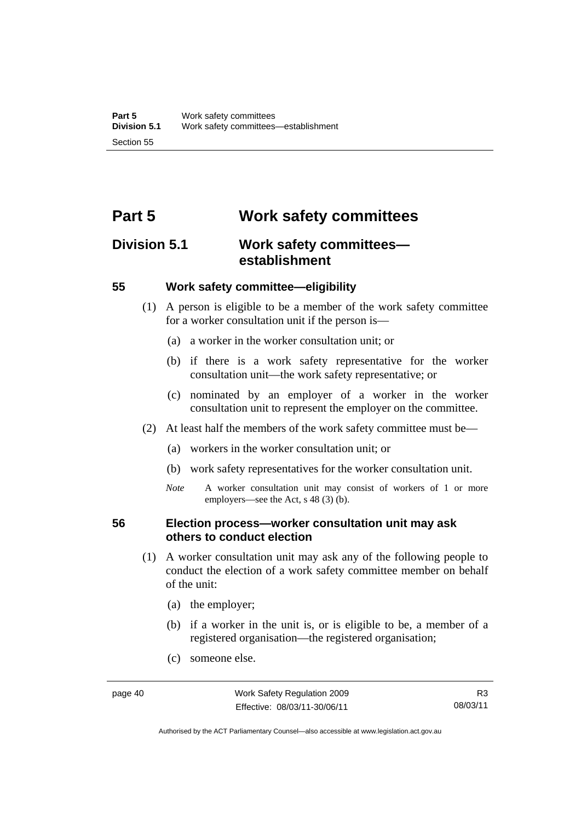# **Part 5 Work safety committees**

## **Division 5.1 Work safety committees establishment**

## **55 Work safety committee—eligibility**

- (1) A person is eligible to be a member of the work safety committee for a worker consultation unit if the person is—
	- (a) a worker in the worker consultation unit; or
	- (b) if there is a work safety representative for the worker consultation unit—the work safety representative; or
	- (c) nominated by an employer of a worker in the worker consultation unit to represent the employer on the committee.
- (2) At least half the members of the work safety committee must be—
	- (a) workers in the worker consultation unit; or
	- (b) work safety representatives for the worker consultation unit.
	- *Note* A worker consultation unit may consist of workers of 1 or more employers—see the Act, s 48 (3) (b).

## **56 Election process—worker consultation unit may ask others to conduct election**

- (1) A worker consultation unit may ask any of the following people to conduct the election of a work safety committee member on behalf of the unit:
	- (a) the employer;
	- (b) if a worker in the unit is, or is eligible to be, a member of a registered organisation—the registered organisation;
	- (c) someone else.

R3 08/03/11

Authorised by the ACT Parliamentary Counsel—also accessible at www.legislation.act.gov.au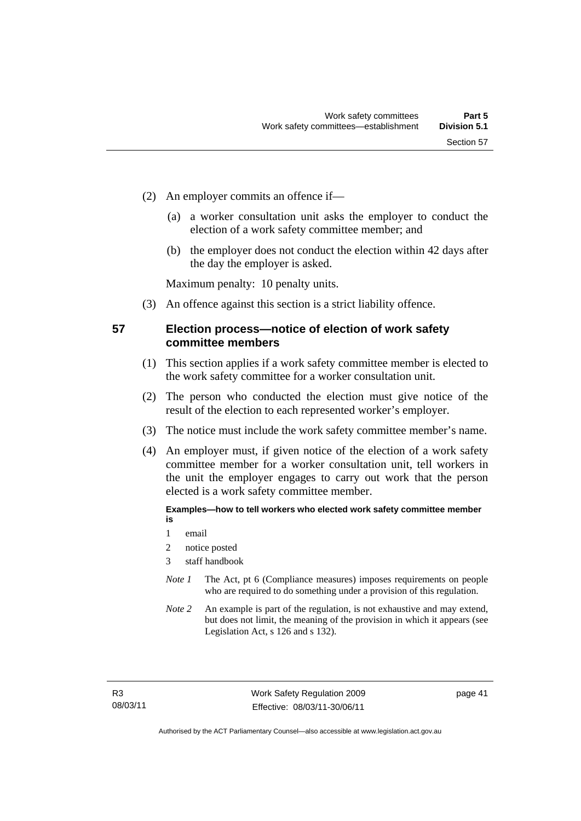- (2) An employer commits an offence if—
	- (a) a worker consultation unit asks the employer to conduct the election of a work safety committee member; and
	- (b) the employer does not conduct the election within 42 days after the day the employer is asked.

Maximum penalty: 10 penalty units.

(3) An offence against this section is a strict liability offence.

## **57 Election process—notice of election of work safety committee members**

- (1) This section applies if a work safety committee member is elected to the work safety committee for a worker consultation unit.
- (2) The person who conducted the election must give notice of the result of the election to each represented worker's employer.
- (3) The notice must include the work safety committee member's name.
- (4) An employer must, if given notice of the election of a work safety committee member for a worker consultation unit, tell workers in the unit the employer engages to carry out work that the person elected is a work safety committee member.

#### **Examples—how to tell workers who elected work safety committee member is**

- 1 email
- 2 notice posted
- 3 staff handbook
- *Note 1* The Act, pt 6 (Compliance measures) imposes requirements on people who are required to do something under a provision of this regulation.
- *Note 2* An example is part of the regulation, is not exhaustive and may extend, but does not limit, the meaning of the provision in which it appears (see Legislation Act, s 126 and s 132).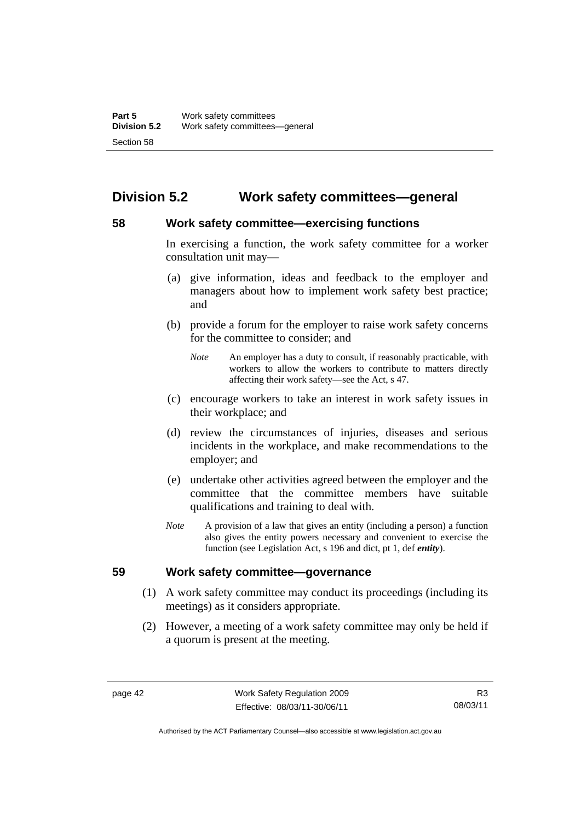# **Division 5.2 Work safety committees—general**

## **58 Work safety committee—exercising functions**

In exercising a function, the work safety committee for a worker consultation unit may—

- (a) give information, ideas and feedback to the employer and managers about how to implement work safety best practice; and
- (b) provide a forum for the employer to raise work safety concerns for the committee to consider; and
	- *Note* An employer has a duty to consult, if reasonably practicable, with workers to allow the workers to contribute to matters directly affecting their work safety—see the Act, s 47.
- (c) encourage workers to take an interest in work safety issues in their workplace; and
- (d) review the circumstances of injuries, diseases and serious incidents in the workplace, and make recommendations to the employer; and
- (e) undertake other activities agreed between the employer and the committee that the committee members have suitable qualifications and training to deal with.
- *Note* A provision of a law that gives an entity (including a person) a function also gives the entity powers necessary and convenient to exercise the function (see Legislation Act, s 196 and dict, pt 1, def *entity*).

#### **59 Work safety committee—governance**

- (1) A work safety committee may conduct its proceedings (including its meetings) as it considers appropriate.
- (2) However, a meeting of a work safety committee may only be held if a quorum is present at the meeting.

R3 08/03/11

Authorised by the ACT Parliamentary Counsel—also accessible at www.legislation.act.gov.au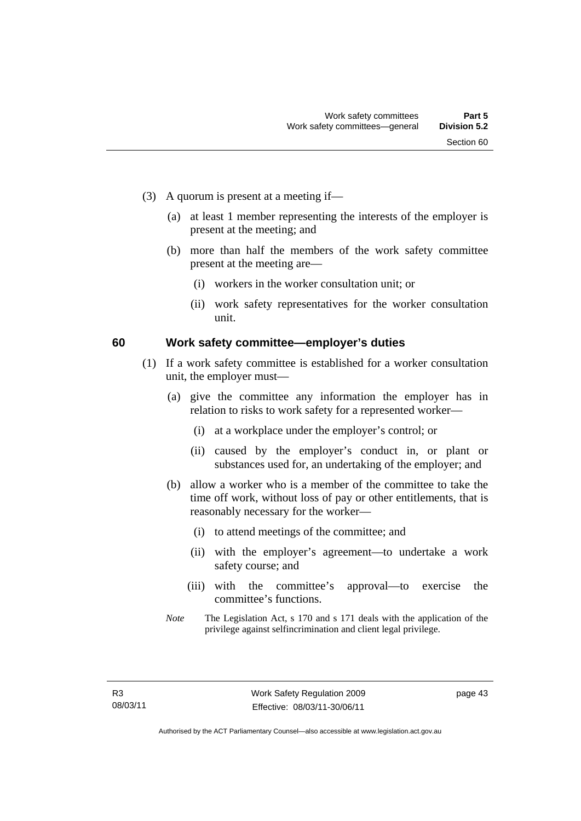- (3) A quorum is present at a meeting if—
	- (a) at least 1 member representing the interests of the employer is present at the meeting; and
	- (b) more than half the members of the work safety committee present at the meeting are—
		- (i) workers in the worker consultation unit; or
		- (ii) work safety representatives for the worker consultation unit.

## **60 Work safety committee—employer's duties**

- (1) If a work safety committee is established for a worker consultation unit, the employer must—
	- (a) give the committee any information the employer has in relation to risks to work safety for a represented worker—
		- (i) at a workplace under the employer's control; or
		- (ii) caused by the employer's conduct in, or plant or substances used for, an undertaking of the employer; and
	- (b) allow a worker who is a member of the committee to take the time off work, without loss of pay or other entitlements, that is reasonably necessary for the worker—
		- (i) to attend meetings of the committee; and
		- (ii) with the employer's agreement—to undertake a work safety course; and
		- (iii) with the committee's approval—to exercise the committee's functions.
	- *Note* The Legislation Act, s 170 and s 171 deals with the application of the privilege against selfincrimination and client legal privilege.

page 43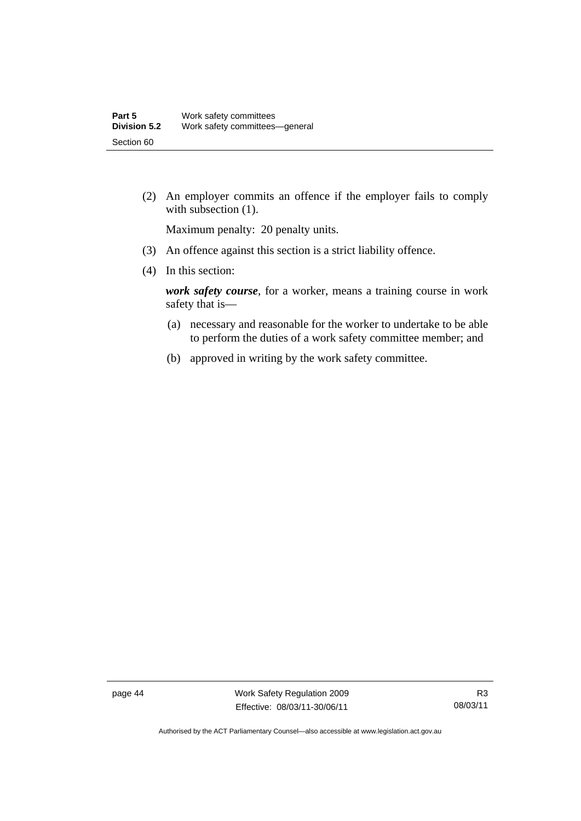(2) An employer commits an offence if the employer fails to comply with subsection  $(1)$ .

Maximum penalty: 20 penalty units.

- (3) An offence against this section is a strict liability offence.
- (4) In this section:

*work safety course*, for a worker, means a training course in work safety that is—

- (a) necessary and reasonable for the worker to undertake to be able to perform the duties of a work safety committee member; and
- (b) approved in writing by the work safety committee.

page 44 Work Safety Regulation 2009 Effective: 08/03/11-30/06/11

Authorised by the ACT Parliamentary Counsel—also accessible at www.legislation.act.gov.au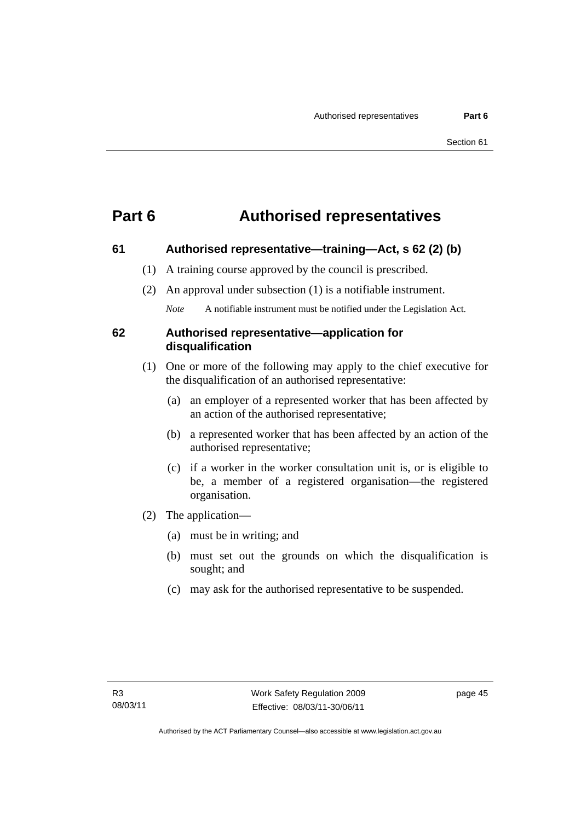# **Part 6 Authorised representatives**

**61 Authorised representative—training—Act, s 62 (2) (b)** 

- (1) A training course approved by the council is prescribed.
- (2) An approval under subsection (1) is a notifiable instrument.

*Note* A notifiable instrument must be notified under the Legislation Act.

## **62 Authorised representative—application for disqualification**

- (1) One or more of the following may apply to the chief executive for the disqualification of an authorised representative:
	- (a) an employer of a represented worker that has been affected by an action of the authorised representative;
	- (b) a represented worker that has been affected by an action of the authorised representative;
	- (c) if a worker in the worker consultation unit is, or is eligible to be, a member of a registered organisation—the registered organisation.
- (2) The application—
	- (a) must be in writing; and
	- (b) must set out the grounds on which the disqualification is sought; and
	- (c) may ask for the authorised representative to be suspended.

page 45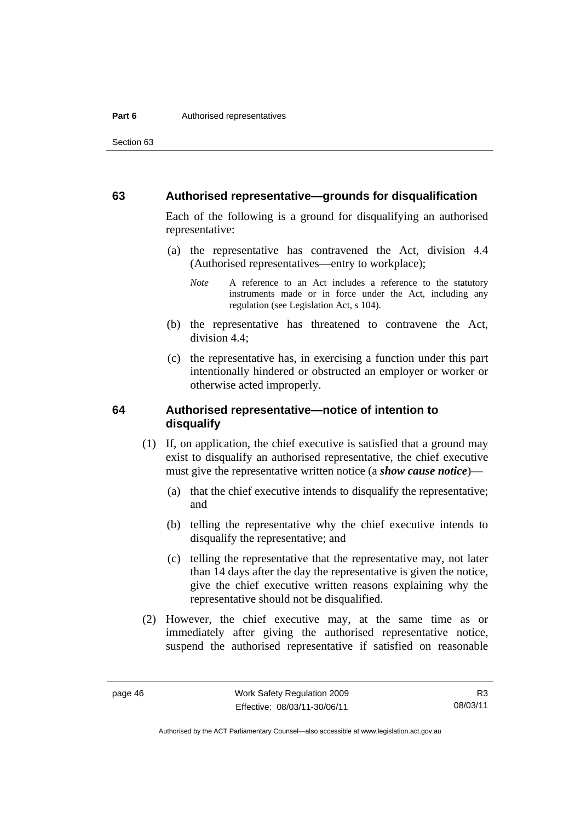Section 63

#### **63 Authorised representative—grounds for disqualification**

Each of the following is a ground for disqualifying an authorised representative:

 (a) the representative has contravened the Act, division 4.4 (Authorised representatives—entry to workplace);

- (b) the representative has threatened to contravene the Act, division 4.4;
- (c) the representative has, in exercising a function under this part intentionally hindered or obstructed an employer or worker or otherwise acted improperly.

## **64 Authorised representative—notice of intention to disqualify**

- (1) If, on application, the chief executive is satisfied that a ground may exist to disqualify an authorised representative, the chief executive must give the representative written notice (a *show cause notice*)—
	- (a) that the chief executive intends to disqualify the representative; and
	- (b) telling the representative why the chief executive intends to disqualify the representative; and
	- (c) telling the representative that the representative may, not later than 14 days after the day the representative is given the notice, give the chief executive written reasons explaining why the representative should not be disqualified.
- (2) However, the chief executive may, at the same time as or immediately after giving the authorised representative notice, suspend the authorised representative if satisfied on reasonable

*Note* A reference to an Act includes a reference to the statutory instruments made or in force under the Act, including any regulation (see Legislation Act, s 104).

R3 08/03/11

Authorised by the ACT Parliamentary Counsel—also accessible at www.legislation.act.gov.au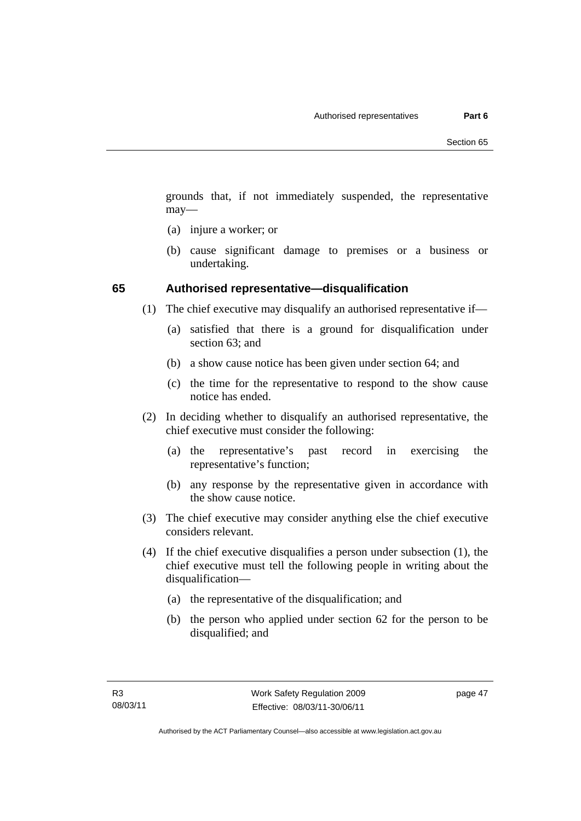grounds that, if not immediately suspended, the representative may—

- (a) injure a worker; or
- (b) cause significant damage to premises or a business or undertaking.

## **65 Authorised representative—disqualification**

- (1) The chief executive may disqualify an authorised representative if—
	- (a) satisfied that there is a ground for disqualification under section 63; and
	- (b) a show cause notice has been given under section 64; and
	- (c) the time for the representative to respond to the show cause notice has ended.
- (2) In deciding whether to disqualify an authorised representative, the chief executive must consider the following:
	- (a) the representative's past record in exercising the representative's function;
	- (b) any response by the representative given in accordance with the show cause notice.
- (3) The chief executive may consider anything else the chief executive considers relevant.
- (4) If the chief executive disqualifies a person under subsection (1), the chief executive must tell the following people in writing about the disqualification—
	- (a) the representative of the disqualification; and
	- (b) the person who applied under section 62 for the person to be disqualified; and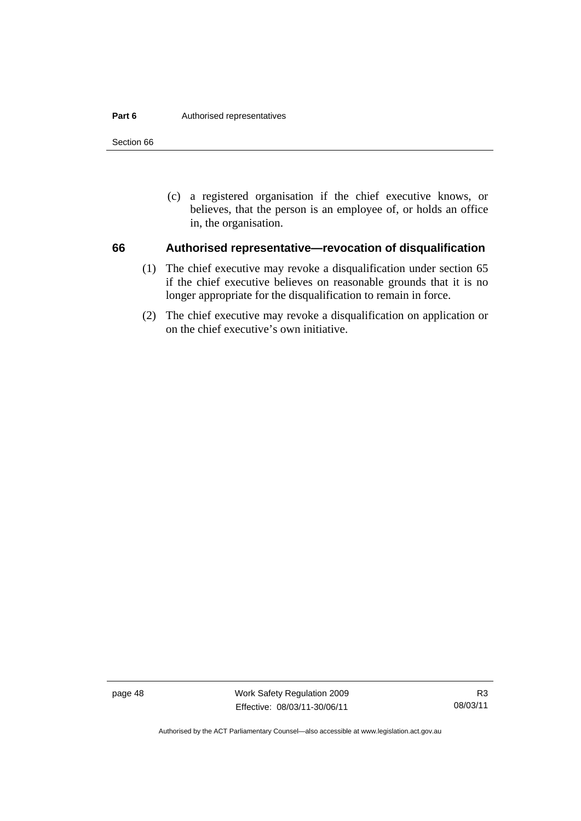#### **Part 6 Authorised representatives**

Section 66

 (c) a registered organisation if the chief executive knows, or believes, that the person is an employee of, or holds an office in, the organisation.

#### **66 Authorised representative—revocation of disqualification**

- (1) The chief executive may revoke a disqualification under section 65 if the chief executive believes on reasonable grounds that it is no longer appropriate for the disqualification to remain in force.
- (2) The chief executive may revoke a disqualification on application or on the chief executive's own initiative.

page 48 Work Safety Regulation 2009 Effective: 08/03/11-30/06/11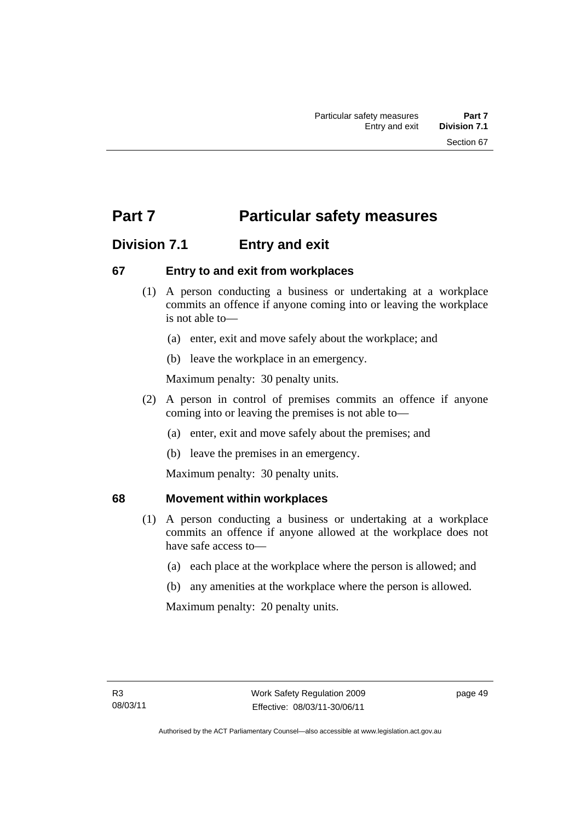# **Part 7** Particular safety measures

## **Division 7.1 Entry and exit**

## **67 Entry to and exit from workplaces**

- (1) A person conducting a business or undertaking at a workplace commits an offence if anyone coming into or leaving the workplace is not able to—
	- (a) enter, exit and move safely about the workplace; and
	- (b) leave the workplace in an emergency.

Maximum penalty: 30 penalty units.

- (2) A person in control of premises commits an offence if anyone coming into or leaving the premises is not able to—
	- (a) enter, exit and move safely about the premises; and
	- (b) leave the premises in an emergency.

Maximum penalty: 30 penalty units.

## **68 Movement within workplaces**

- (1) A person conducting a business or undertaking at a workplace commits an offence if anyone allowed at the workplace does not have safe access to—
	- (a) each place at the workplace where the person is allowed; and
	- (b) any amenities at the workplace where the person is allowed.

Maximum penalty: 20 penalty units.

page 49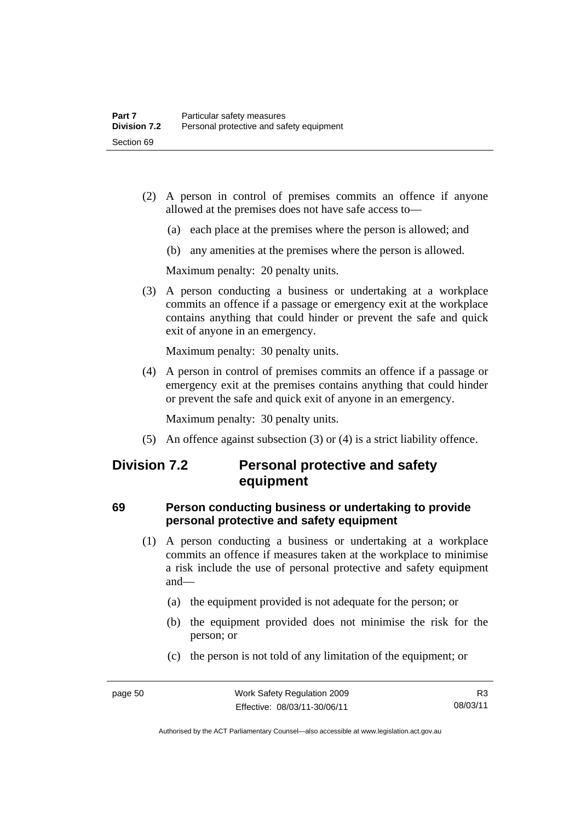- (2) A person in control of premises commits an offence if anyone allowed at the premises does not have safe access to—
	- (a) each place at the premises where the person is allowed; and
	- (b) any amenities at the premises where the person is allowed.

Maximum penalty: 20 penalty units.

 (3) A person conducting a business or undertaking at a workplace commits an offence if a passage or emergency exit at the workplace contains anything that could hinder or prevent the safe and quick exit of anyone in an emergency.

Maximum penalty: 30 penalty units.

 (4) A person in control of premises commits an offence if a passage or emergency exit at the premises contains anything that could hinder or prevent the safe and quick exit of anyone in an emergency.

Maximum penalty: 30 penalty units.

(5) An offence against subsection (3) or (4) is a strict liability offence.

## **Division 7.2 Personal protective and safety equipment**

## **69 Person conducting business or undertaking to provide personal protective and safety equipment**

- (1) A person conducting a business or undertaking at a workplace commits an offence if measures taken at the workplace to minimise a risk include the use of personal protective and safety equipment and—
	- (a) the equipment provided is not adequate for the person; or
	- (b) the equipment provided does not minimise the risk for the person; or
	- (c) the person is not told of any limitation of the equipment; or

Authorised by the ACT Parliamentary Counsel—also accessible at www.legislation.act.gov.au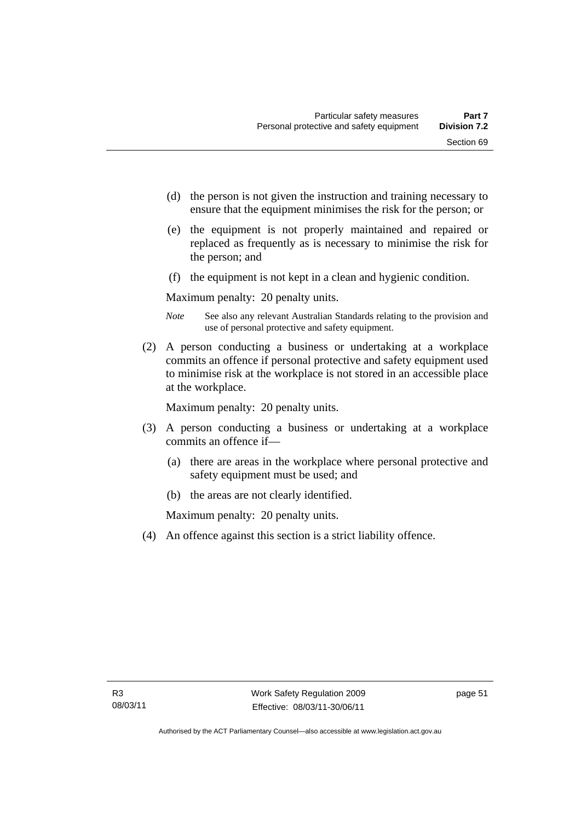- (d) the person is not given the instruction and training necessary to ensure that the equipment minimises the risk for the person; or
- (e) the equipment is not properly maintained and repaired or replaced as frequently as is necessary to minimise the risk for the person; and
- (f) the equipment is not kept in a clean and hygienic condition.

Maximum penalty: 20 penalty units.

- *Note* See also any relevant Australian Standards relating to the provision and use of personal protective and safety equipment.
- (2) A person conducting a business or undertaking at a workplace commits an offence if personal protective and safety equipment used to minimise risk at the workplace is not stored in an accessible place at the workplace.

Maximum penalty: 20 penalty units.

- (3) A person conducting a business or undertaking at a workplace commits an offence if—
	- (a) there are areas in the workplace where personal protective and safety equipment must be used; and
	- (b) the areas are not clearly identified.

Maximum penalty: 20 penalty units.

(4) An offence against this section is a strict liability offence.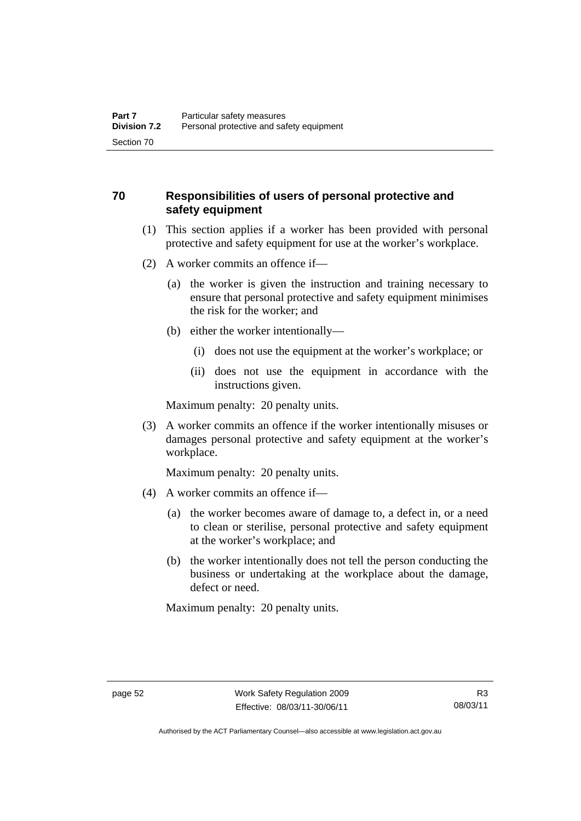## **70 Responsibilities of users of personal protective and safety equipment**

- (1) This section applies if a worker has been provided with personal protective and safety equipment for use at the worker's workplace.
- (2) A worker commits an offence if—
	- (a) the worker is given the instruction and training necessary to ensure that personal protective and safety equipment minimises the risk for the worker; and
	- (b) either the worker intentionally—
		- (i) does not use the equipment at the worker's workplace; or
		- (ii) does not use the equipment in accordance with the instructions given.

Maximum penalty: 20 penalty units.

 (3) A worker commits an offence if the worker intentionally misuses or damages personal protective and safety equipment at the worker's workplace.

Maximum penalty: 20 penalty units.

- (4) A worker commits an offence if—
	- (a) the worker becomes aware of damage to, a defect in, or a need to clean or sterilise, personal protective and safety equipment at the worker's workplace; and
	- (b) the worker intentionally does not tell the person conducting the business or undertaking at the workplace about the damage, defect or need.

Maximum penalty: 20 penalty units.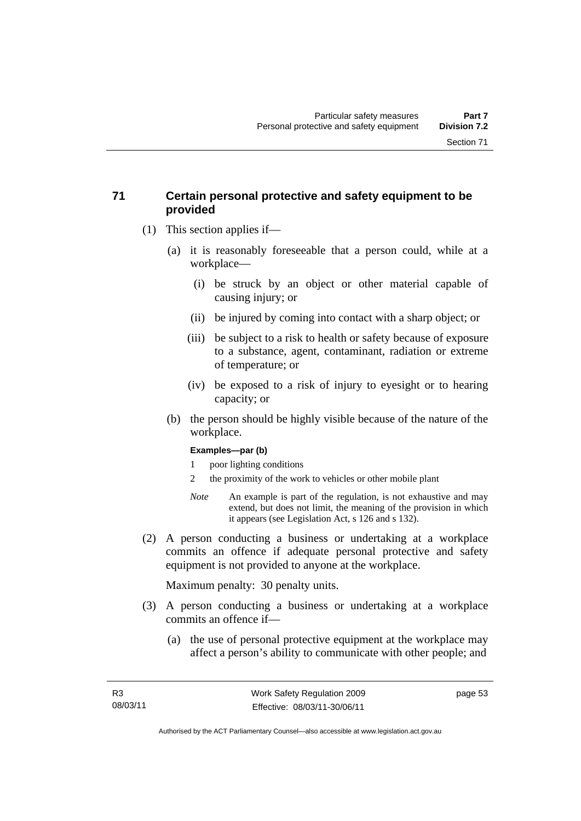## **71 Certain personal protective and safety equipment to be provided**

- (1) This section applies if—
	- (a) it is reasonably foreseeable that a person could, while at a workplace—
		- (i) be struck by an object or other material capable of causing injury; or
		- (ii) be injured by coming into contact with a sharp object; or
		- (iii) be subject to a risk to health or safety because of exposure to a substance, agent, contaminant, radiation or extreme of temperature; or
		- (iv) be exposed to a risk of injury to eyesight or to hearing capacity; or
	- (b) the person should be highly visible because of the nature of the workplace.

#### **Examples—par (b)**

- 1 poor lighting conditions
- 2 the proximity of the work to vehicles or other mobile plant
- *Note* An example is part of the regulation, is not exhaustive and may extend, but does not limit, the meaning of the provision in which it appears (see Legislation Act, s 126 and s 132).
- (2) A person conducting a business or undertaking at a workplace commits an offence if adequate personal protective and safety equipment is not provided to anyone at the workplace.

Maximum penalty: 30 penalty units.

- (3) A person conducting a business or undertaking at a workplace commits an offence if—
	- (a) the use of personal protective equipment at the workplace may affect a person's ability to communicate with other people; and

page 53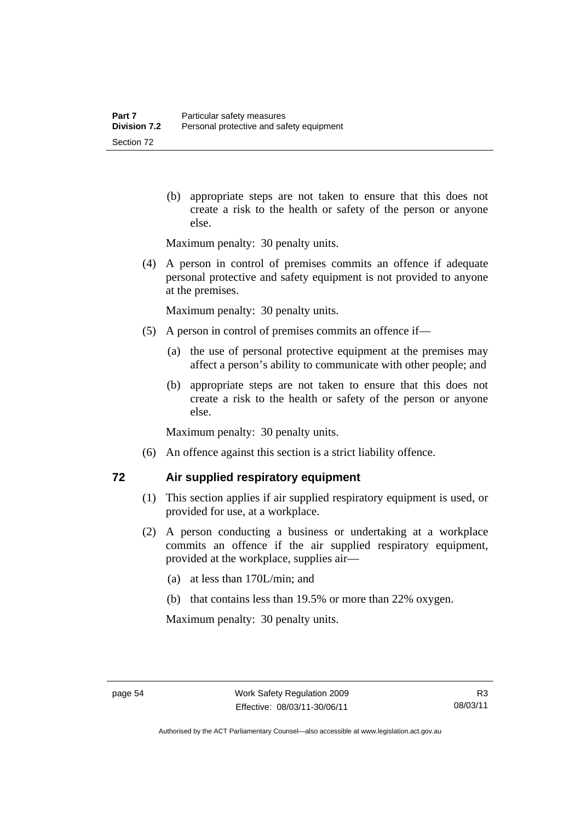(b) appropriate steps are not taken to ensure that this does not create a risk to the health or safety of the person or anyone else.

Maximum penalty: 30 penalty units.

 (4) A person in control of premises commits an offence if adequate personal protective and safety equipment is not provided to anyone at the premises.

Maximum penalty: 30 penalty units.

- (5) A person in control of premises commits an offence if—
	- (a) the use of personal protective equipment at the premises may affect a person's ability to communicate with other people; and
	- (b) appropriate steps are not taken to ensure that this does not create a risk to the health or safety of the person or anyone else.

Maximum penalty: 30 penalty units.

(6) An offence against this section is a strict liability offence.

## **72 Air supplied respiratory equipment**

- (1) This section applies if air supplied respiratory equipment is used, or provided for use, at a workplace.
- (2) A person conducting a business or undertaking at a workplace commits an offence if the air supplied respiratory equipment, provided at the workplace, supplies air—
	- (a) at less than 170L/min; and
	- (b) that contains less than 19.5% or more than 22% oxygen.

Maximum penalty: 30 penalty units.

Authorised by the ACT Parliamentary Counsel—also accessible at www.legislation.act.gov.au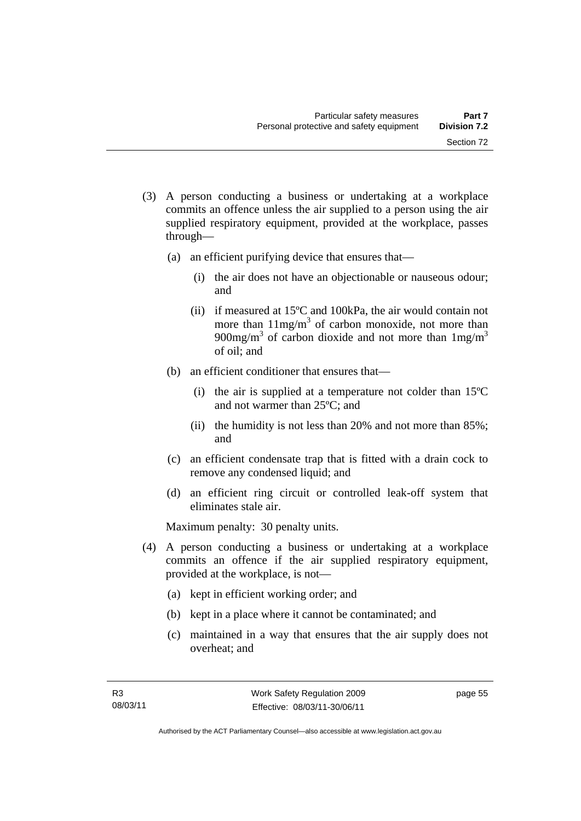- (3) A person conducting a business or undertaking at a workplace commits an offence unless the air supplied to a person using the air supplied respiratory equipment, provided at the workplace, passes through—
	- (a) an efficient purifying device that ensures that—
		- (i) the air does not have an objectionable or nauseous odour; and
		- (ii) if measured at 15ºC and 100kPa, the air would contain not more than  $11mg/m<sup>3</sup>$  of carbon monoxide, not more than 900mg/m<sup>3</sup> of carbon dioxide and not more than  $1 \text{mg/m}^3$ of oil; and
	- (b) an efficient conditioner that ensures that—
		- (i) the air is supplied at a temperature not colder than 15ºC and not warmer than 25ºC; and
		- (ii) the humidity is not less than 20% and not more than 85%; and
	- (c) an efficient condensate trap that is fitted with a drain cock to remove any condensed liquid; and
	- (d) an efficient ring circuit or controlled leak-off system that eliminates stale air.

Maximum penalty: 30 penalty units.

- (4) A person conducting a business or undertaking at a workplace commits an offence if the air supplied respiratory equipment, provided at the workplace, is not—
	- (a) kept in efficient working order; and
	- (b) kept in a place where it cannot be contaminated; and
	- (c) maintained in a way that ensures that the air supply does not overheat; and

page 55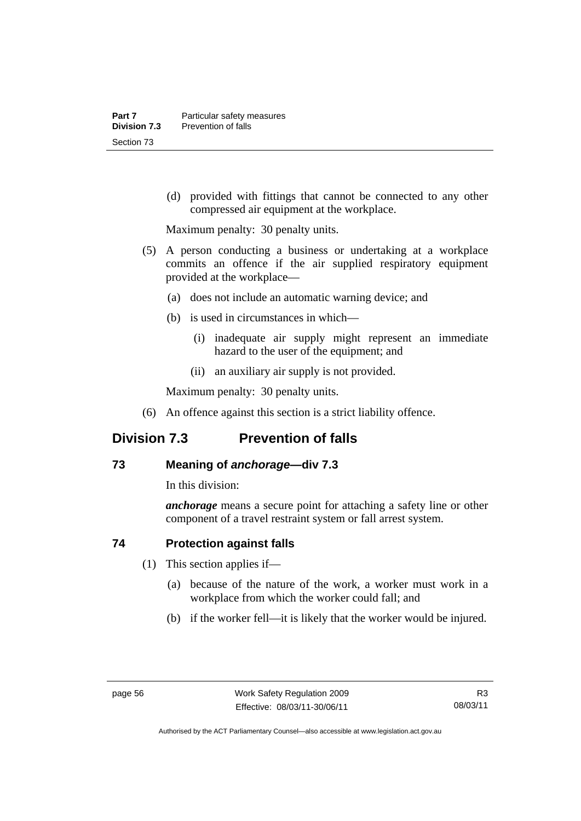(d) provided with fittings that cannot be connected to any other compressed air equipment at the workplace.

Maximum penalty: 30 penalty units.

- (5) A person conducting a business or undertaking at a workplace commits an offence if the air supplied respiratory equipment provided at the workplace—
	- (a) does not include an automatic warning device; and
	- (b) is used in circumstances in which—
		- (i) inadequate air supply might represent an immediate hazard to the user of the equipment; and
		- (ii) an auxiliary air supply is not provided.

Maximum penalty: 30 penalty units.

(6) An offence against this section is a strict liability offence.

# **Division 7.3 Prevention of falls**

## **73 Meaning of** *anchorage—***div 7.3**

In this division:

*anchorage* means a secure point for attaching a safety line or other component of a travel restraint system or fall arrest system.

## **74 Protection against falls**

- (1) This section applies if—
	- (a) because of the nature of the work, a worker must work in a workplace from which the worker could fall; and
	- (b) if the worker fell—it is likely that the worker would be injured.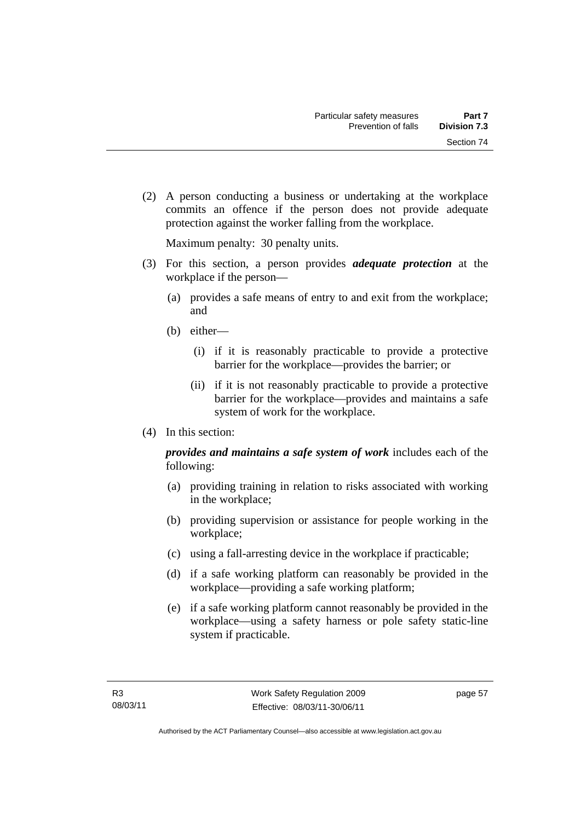(2) A person conducting a business or undertaking at the workplace commits an offence if the person does not provide adequate protection against the worker falling from the workplace.

Maximum penalty: 30 penalty units.

- (3) For this section, a person provides *adequate protection* at the workplace if the person—
	- (a) provides a safe means of entry to and exit from the workplace; and
	- (b) either—
		- (i) if it is reasonably practicable to provide a protective barrier for the workplace—provides the barrier; or
		- (ii) if it is not reasonably practicable to provide a protective barrier for the workplace—provides and maintains a safe system of work for the workplace.
- (4) In this section:

*provides and maintains a safe system of work* includes each of the following:

- (a) providing training in relation to risks associated with working in the workplace;
- (b) providing supervision or assistance for people working in the workplace;
- (c) using a fall-arresting device in the workplace if practicable;
- (d) if a safe working platform can reasonably be provided in the workplace—providing a safe working platform;
- (e) if a safe working platform cannot reasonably be provided in the workplace—using a safety harness or pole safety static-line system if practicable.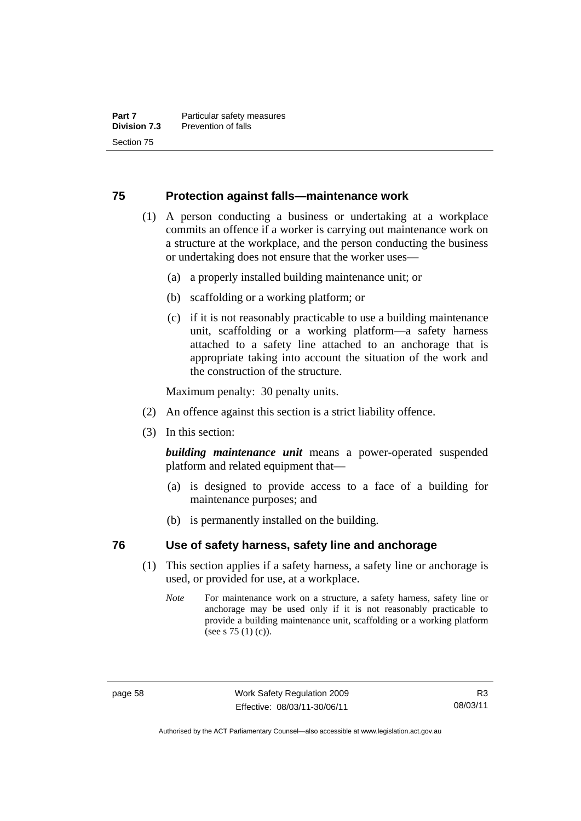## **75 Protection against falls—maintenance work**

- (1) A person conducting a business or undertaking at a workplace commits an offence if a worker is carrying out maintenance work on a structure at the workplace, and the person conducting the business or undertaking does not ensure that the worker uses—
	- (a) a properly installed building maintenance unit; or
	- (b) scaffolding or a working platform; or
	- (c) if it is not reasonably practicable to use a building maintenance unit, scaffolding or a working platform—a safety harness attached to a safety line attached to an anchorage that is appropriate taking into account the situation of the work and the construction of the structure.

Maximum penalty: 30 penalty units.

- (2) An offence against this section is a strict liability offence.
- (3) In this section:

*building maintenance unit* means a power-operated suspended platform and related equipment that—

- (a) is designed to provide access to a face of a building for maintenance purposes; and
- (b) is permanently installed on the building.

## **76 Use of safety harness, safety line and anchorage**

- (1) This section applies if a safety harness, a safety line or anchorage is used, or provided for use, at a workplace.
	- *Note* For maintenance work on a structure, a safety harness, safety line or anchorage may be used only if it is not reasonably practicable to provide a building maintenance unit, scaffolding or a working platform (see s 75 (1) (c)).

Authorised by the ACT Parliamentary Counsel—also accessible at www.legislation.act.gov.au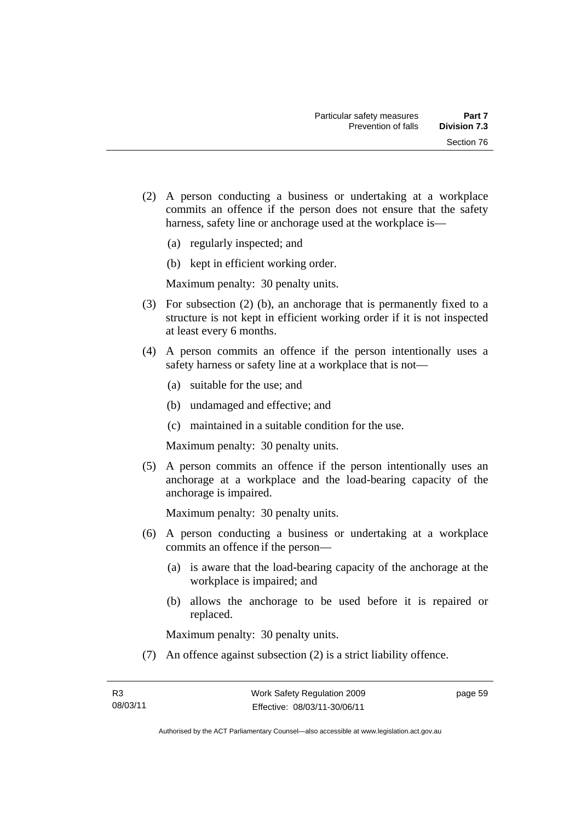- (2) A person conducting a business or undertaking at a workplace commits an offence if the person does not ensure that the safety harness, safety line or anchorage used at the workplace is—
	- (a) regularly inspected; and
	- (b) kept in efficient working order.

- (3) For subsection (2) (b), an anchorage that is permanently fixed to a structure is not kept in efficient working order if it is not inspected at least every 6 months.
- (4) A person commits an offence if the person intentionally uses a safety harness or safety line at a workplace that is not—
	- (a) suitable for the use; and
	- (b) undamaged and effective; and
	- (c) maintained in a suitable condition for the use.

Maximum penalty: 30 penalty units.

 (5) A person commits an offence if the person intentionally uses an anchorage at a workplace and the load-bearing capacity of the anchorage is impaired.

Maximum penalty: 30 penalty units.

- (6) A person conducting a business or undertaking at a workplace commits an offence if the person—
	- (a) is aware that the load-bearing capacity of the anchorage at the workplace is impaired; and
	- (b) allows the anchorage to be used before it is repaired or replaced.

Maximum penalty: 30 penalty units.

(7) An offence against subsection (2) is a strict liability offence.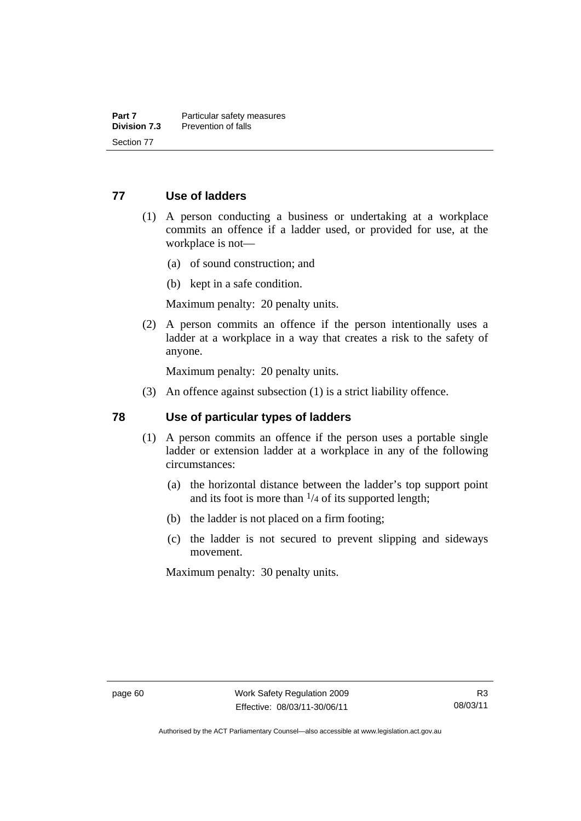#### **77 Use of ladders**

- (1) A person conducting a business or undertaking at a workplace commits an offence if a ladder used, or provided for use, at the workplace is not—
	- (a) of sound construction; and
	- (b) kept in a safe condition.

Maximum penalty: 20 penalty units.

 (2) A person commits an offence if the person intentionally uses a ladder at a workplace in a way that creates a risk to the safety of anyone.

Maximum penalty: 20 penalty units.

(3) An offence against subsection (1) is a strict liability offence.

#### **78 Use of particular types of ladders**

- (1) A person commits an offence if the person uses a portable single ladder or extension ladder at a workplace in any of the following circumstances:
	- (a) the horizontal distance between the ladder's top support point and its foot is more than  $\frac{1}{4}$  of its supported length;
	- (b) the ladder is not placed on a firm footing;
	- (c) the ladder is not secured to prevent slipping and sideways movement.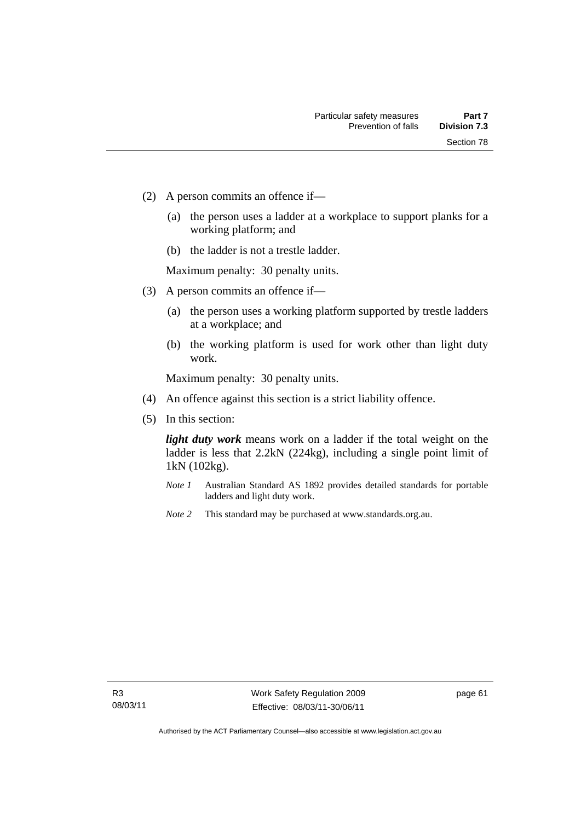- (2) A person commits an offence if—
	- (a) the person uses a ladder at a workplace to support planks for a working platform; and
	- (b) the ladder is not a trestle ladder.

- (3) A person commits an offence if—
	- (a) the person uses a working platform supported by trestle ladders at a workplace; and
	- (b) the working platform is used for work other than light duty work.

Maximum penalty: 30 penalty units.

- (4) An offence against this section is a strict liability offence.
- (5) In this section:

*light duty work* means work on a ladder if the total weight on the ladder is less that 2.2kN (224kg), including a single point limit of 1kN (102kg).

- *Note 1* Australian Standard AS 1892 provides detailed standards for portable ladders and light duty work.
- *Note 2* This standard may be purchased at www.standards.org.au.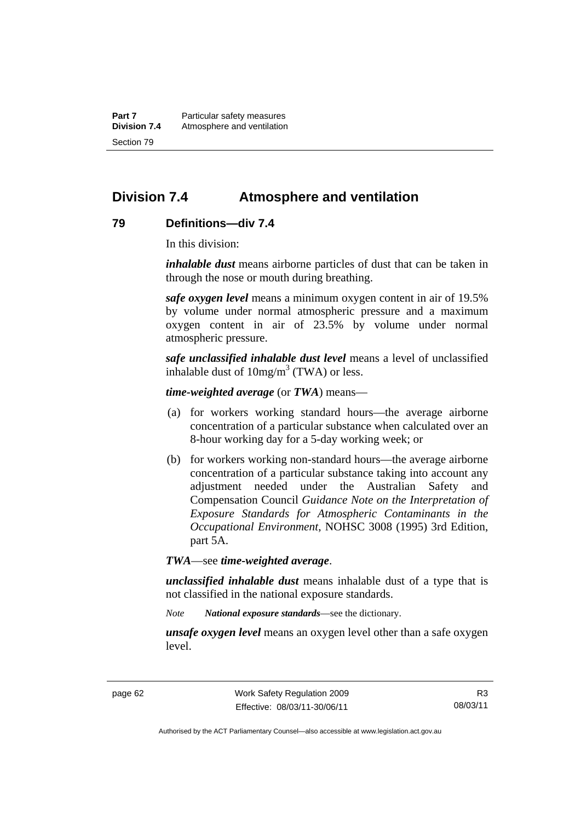**Part 7** Particular safety measures **Division 7.4** Atmosphere and ventilation Section 79

# **Division 7.4 Atmosphere and ventilation**

#### **79 Definitions—div 7.4**

In this division:

*inhalable dust* means airborne particles of dust that can be taken in through the nose or mouth during breathing.

*safe oxygen level* means a minimum oxygen content in air of 19.5% by volume under normal atmospheric pressure and a maximum oxygen content in air of 23.5% by volume under normal atmospheric pressure.

*safe unclassified inhalable dust level* means a level of unclassified inhalable dust of  $10mg/m<sup>3</sup>$  (TWA) or less.

*time-weighted average* (or *TWA*) means—

- (a) for workers working standard hours—the average airborne concentration of a particular substance when calculated over an 8-hour working day for a 5-day working week; or
- (b) for workers working non-standard hours—the average airborne concentration of a particular substance taking into account any adjustment needed under the Australian Safety and Compensation Council *Guidance Note on the Interpretation of Exposure Standards for Atmospheric Contaminants in the Occupational Environment*, NOHSC 3008 (1995) 3rd Edition, part 5A.

*TWA*—see *time-weighted average*.

*unclassified inhalable dust* means inhalable dust of a type that is not classified in the national exposure standards.

*Note National exposure standards*—see the dictionary.

*unsafe oxygen level* means an oxygen level other than a safe oxygen level.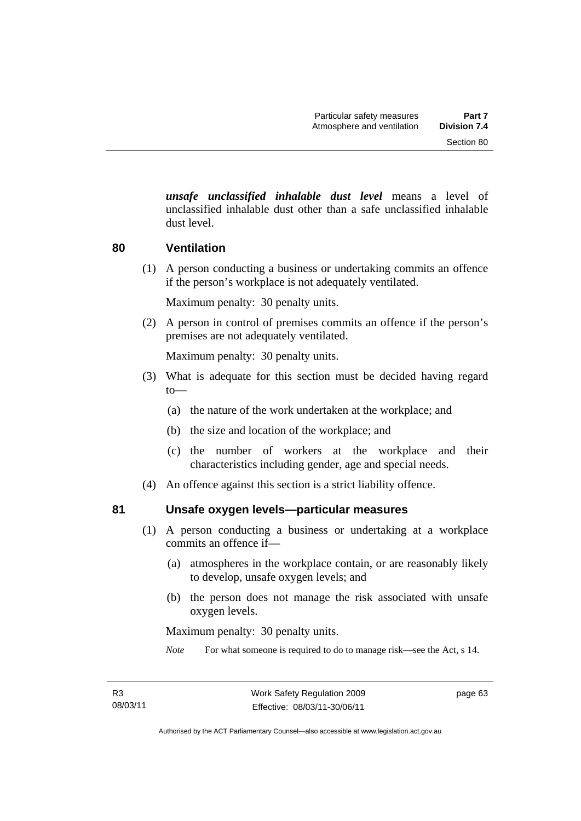*unsafe unclassified inhalable dust level* means a level of unclassified inhalable dust other than a safe unclassified inhalable dust level.

#### **80 Ventilation**

(1) A person conducting a business or undertaking commits an offence if the person's workplace is not adequately ventilated.

Maximum penalty: 30 penalty units.

 (2) A person in control of premises commits an offence if the person's premises are not adequately ventilated.

Maximum penalty: 30 penalty units.

- (3) What is adequate for this section must be decided having regard to—
	- (a) the nature of the work undertaken at the workplace; and
	- (b) the size and location of the workplace; and
	- (c) the number of workers at the workplace and their characteristics including gender, age and special needs.
- (4) An offence against this section is a strict liability offence.

#### **81 Unsafe oxygen levels—particular measures**

- (1) A person conducting a business or undertaking at a workplace commits an offence if—
	- (a) atmospheres in the workplace contain, or are reasonably likely to develop, unsafe oxygen levels; and
	- (b) the person does not manage the risk associated with unsafe oxygen levels.

Maximum penalty: 30 penalty units.

*Note* For what someone is required to do to manage risk—see the Act, s 14.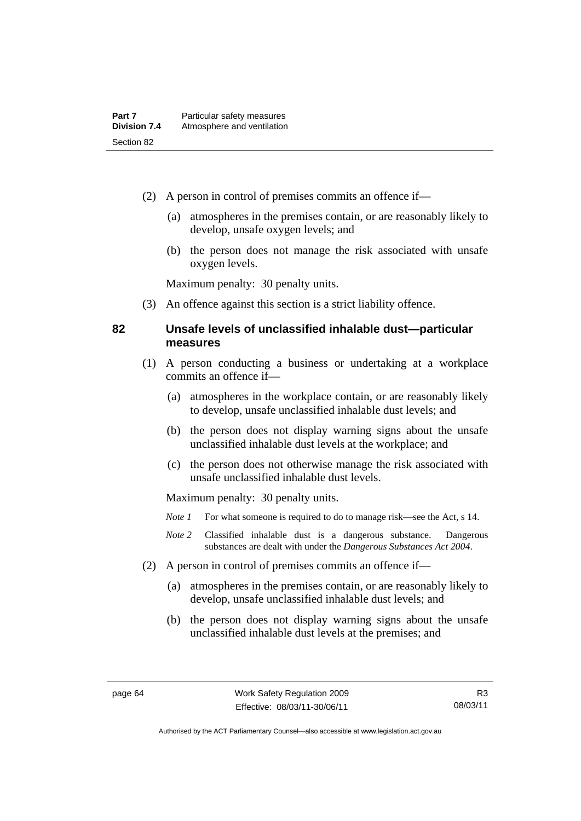- (2) A person in control of premises commits an offence if—
	- (a) atmospheres in the premises contain, or are reasonably likely to develop, unsafe oxygen levels; and
	- (b) the person does not manage the risk associated with unsafe oxygen levels.

(3) An offence against this section is a strict liability offence.

#### **82 Unsafe levels of unclassified inhalable dust—particular measures**

- (1) A person conducting a business or undertaking at a workplace commits an offence if—
	- (a) atmospheres in the workplace contain, or are reasonably likely to develop, unsafe unclassified inhalable dust levels; and
	- (b) the person does not display warning signs about the unsafe unclassified inhalable dust levels at the workplace; and
	- (c) the person does not otherwise manage the risk associated with unsafe unclassified inhalable dust levels.

- *Note 1* For what someone is required to do to manage risk—see the Act, s 14.
- *Note 2* Classified inhalable dust is a dangerous substance. Dangerous substances are dealt with under the *Dangerous Substances Act 2004*.
- (2) A person in control of premises commits an offence if—
	- (a) atmospheres in the premises contain, or are reasonably likely to develop, unsafe unclassified inhalable dust levels; and
	- (b) the person does not display warning signs about the unsafe unclassified inhalable dust levels at the premises; and

Authorised by the ACT Parliamentary Counsel—also accessible at www.legislation.act.gov.au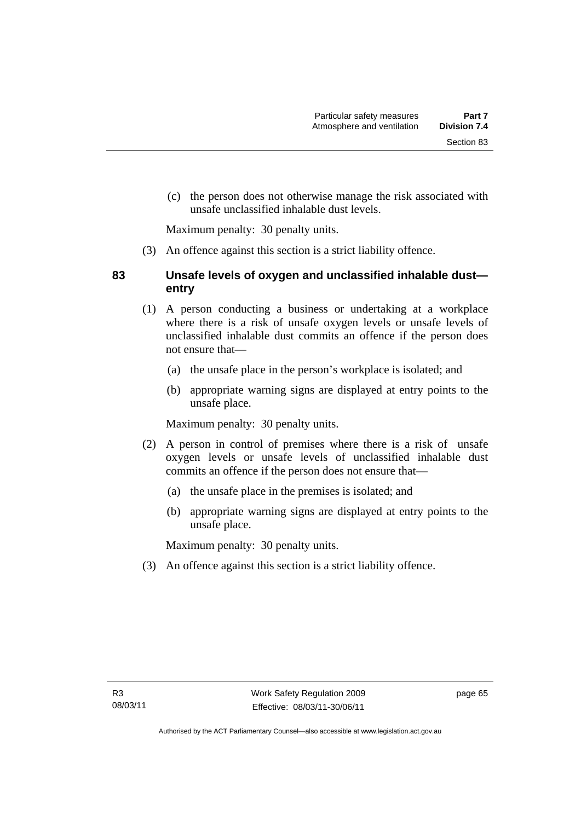(c) the person does not otherwise manage the risk associated with

Maximum penalty: 30 penalty units.

(3) An offence against this section is a strict liability offence.

unsafe unclassified inhalable dust levels.

#### **83 Unsafe levels of oxygen and unclassified inhalable dust entry**

- (1) A person conducting a business or undertaking at a workplace where there is a risk of unsafe oxygen levels or unsafe levels of unclassified inhalable dust commits an offence if the person does not ensure that—
	- (a) the unsafe place in the person's workplace is isolated; and
	- (b) appropriate warning signs are displayed at entry points to the unsafe place.

Maximum penalty: 30 penalty units.

- (2) A person in control of premises where there is a risk of unsafe oxygen levels or unsafe levels of unclassified inhalable dust commits an offence if the person does not ensure that—
	- (a) the unsafe place in the premises is isolated; and
	- (b) appropriate warning signs are displayed at entry points to the unsafe place.

Maximum penalty: 30 penalty units.

(3) An offence against this section is a strict liability offence.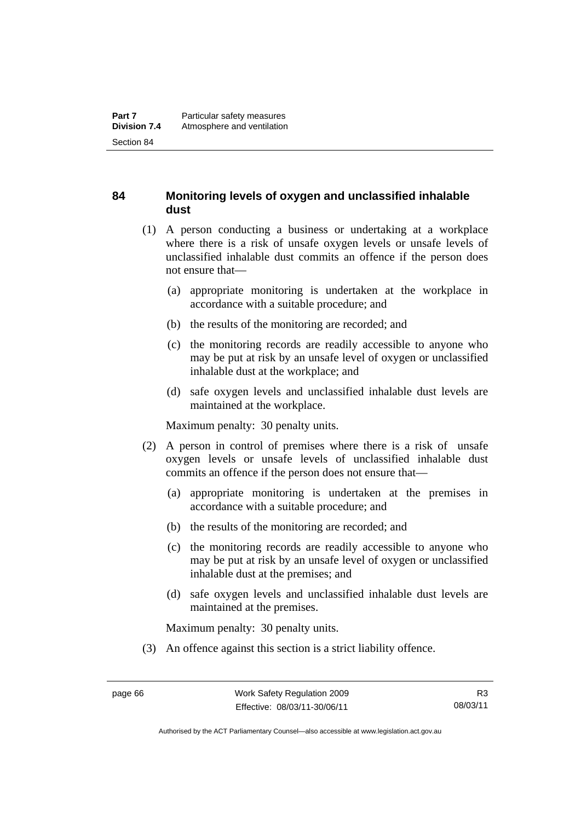#### **84 Monitoring levels of oxygen and unclassified inhalable dust**

- (1) A person conducting a business or undertaking at a workplace where there is a risk of unsafe oxygen levels or unsafe levels of unclassified inhalable dust commits an offence if the person does not ensure that—
	- (a) appropriate monitoring is undertaken at the workplace in accordance with a suitable procedure; and
	- (b) the results of the monitoring are recorded; and
	- (c) the monitoring records are readily accessible to anyone who may be put at risk by an unsafe level of oxygen or unclassified inhalable dust at the workplace; and
	- (d) safe oxygen levels and unclassified inhalable dust levels are maintained at the workplace.

Maximum penalty: 30 penalty units.

- (2) A person in control of premises where there is a risk of unsafe oxygen levels or unsafe levels of unclassified inhalable dust commits an offence if the person does not ensure that—
	- (a) appropriate monitoring is undertaken at the premises in accordance with a suitable procedure; and
	- (b) the results of the monitoring are recorded; and
	- (c) the monitoring records are readily accessible to anyone who may be put at risk by an unsafe level of oxygen or unclassified inhalable dust at the premises; and
	- (d) safe oxygen levels and unclassified inhalable dust levels are maintained at the premises.

Maximum penalty: 30 penalty units.

(3) An offence against this section is a strict liability offence.

Authorised by the ACT Parliamentary Counsel—also accessible at www.legislation.act.gov.au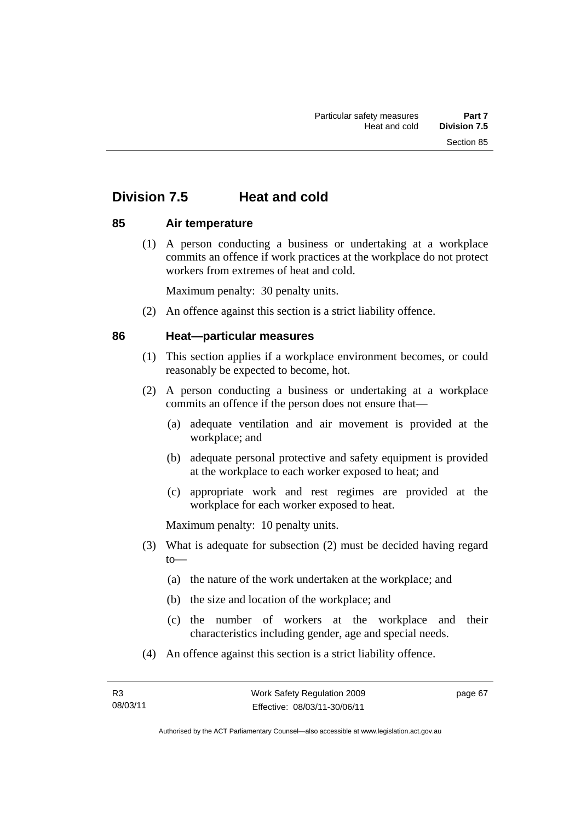# **Division 7.5 Heat and cold**

#### **85 Air temperature**

 (1) A person conducting a business or undertaking at a workplace commits an offence if work practices at the workplace do not protect workers from extremes of heat and cold.

Maximum penalty: 30 penalty units.

(2) An offence against this section is a strict liability offence.

#### **86 Heat—particular measures**

- (1) This section applies if a workplace environment becomes, or could reasonably be expected to become, hot.
- (2) A person conducting a business or undertaking at a workplace commits an offence if the person does not ensure that—
	- (a) adequate ventilation and air movement is provided at the workplace; and
	- (b) adequate personal protective and safety equipment is provided at the workplace to each worker exposed to heat; and
	- (c) appropriate work and rest regimes are provided at the workplace for each worker exposed to heat.

- (3) What is adequate for subsection (2) must be decided having regard to—
	- (a) the nature of the work undertaken at the workplace; and
	- (b) the size and location of the workplace; and
	- (c) the number of workers at the workplace and their characteristics including gender, age and special needs.
- (4) An offence against this section is a strict liability offence.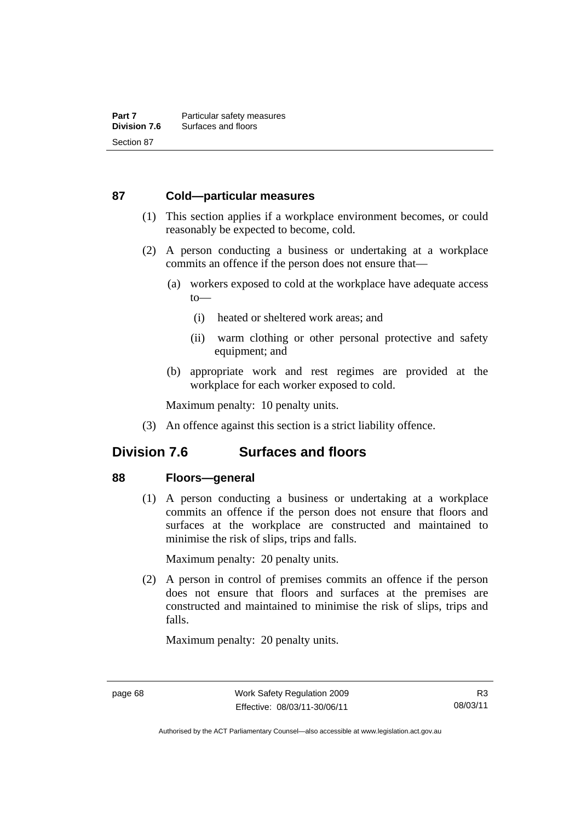#### **87 Cold—particular measures**

- (1) This section applies if a workplace environment becomes, or could reasonably be expected to become, cold.
- (2) A person conducting a business or undertaking at a workplace commits an offence if the person does not ensure that—
	- (a) workers exposed to cold at the workplace have adequate access to—
		- (i) heated or sheltered work areas; and
		- (ii) warm clothing or other personal protective and safety equipment; and
	- (b) appropriate work and rest regimes are provided at the workplace for each worker exposed to cold.

Maximum penalty: 10 penalty units.

(3) An offence against this section is a strict liability offence.

## **Division 7.6 Surfaces and floors**

#### **88 Floors—general**

 (1) A person conducting a business or undertaking at a workplace commits an offence if the person does not ensure that floors and surfaces at the workplace are constructed and maintained to minimise the risk of slips, trips and falls.

Maximum penalty: 20 penalty units.

 (2) A person in control of premises commits an offence if the person does not ensure that floors and surfaces at the premises are constructed and maintained to minimise the risk of slips, trips and falls.

Authorised by the ACT Parliamentary Counsel—also accessible at www.legislation.act.gov.au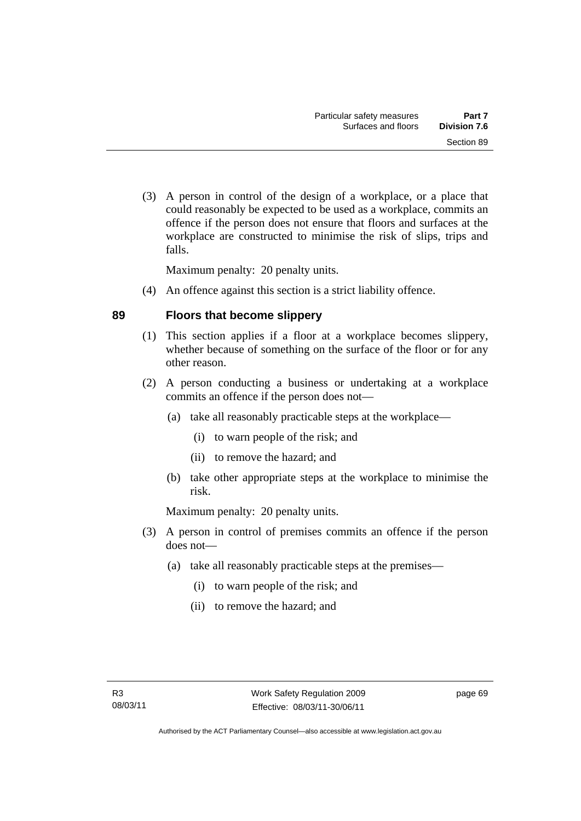(3) A person in control of the design of a workplace, or a place that could reasonably be expected to be used as a workplace, commits an offence if the person does not ensure that floors and surfaces at the workplace are constructed to minimise the risk of slips, trips and falls.

Maximum penalty: 20 penalty units.

(4) An offence against this section is a strict liability offence.

#### **89 Floors that become slippery**

- (1) This section applies if a floor at a workplace becomes slippery, whether because of something on the surface of the floor or for any other reason.
- (2) A person conducting a business or undertaking at a workplace commits an offence if the person does not—
	- (a) take all reasonably practicable steps at the workplace—
		- (i) to warn people of the risk; and
		- (ii) to remove the hazard; and
	- (b) take other appropriate steps at the workplace to minimise the risk.

Maximum penalty: 20 penalty units.

- (3) A person in control of premises commits an offence if the person does not—
	- (a) take all reasonably practicable steps at the premises—
		- (i) to warn people of the risk; and
		- (ii) to remove the hazard; and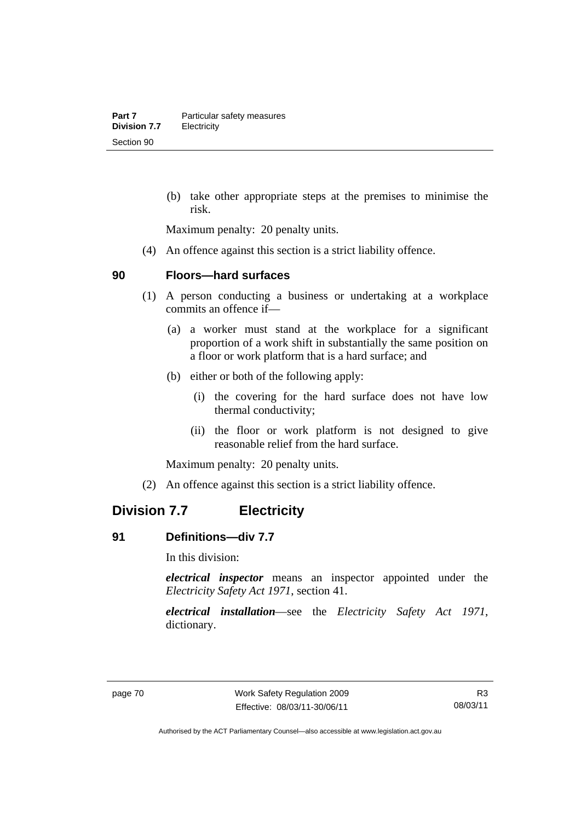(b) take other appropriate steps at the premises to minimise the risk.

Maximum penalty: 20 penalty units.

(4) An offence against this section is a strict liability offence.

#### **90 Floors—hard surfaces**

- (1) A person conducting a business or undertaking at a workplace commits an offence if—
	- (a) a worker must stand at the workplace for a significant proportion of a work shift in substantially the same position on a floor or work platform that is a hard surface; and
	- (b) either or both of the following apply:
		- (i) the covering for the hard surface does not have low thermal conductivity;
		- (ii) the floor or work platform is not designed to give reasonable relief from the hard surface.

Maximum penalty: 20 penalty units.

(2) An offence against this section is a strict liability offence.

# **Division 7.7 Electricity**

#### **91 Definitions—div 7.7**

In this division:

*electrical inspector* means an inspector appointed under the *Electricity Safety Act 1971*, section 41.

*electrical installation*—see the *Electricity Safety Act 1971*, dictionary.

Authorised by the ACT Parliamentary Counsel—also accessible at www.legislation.act.gov.au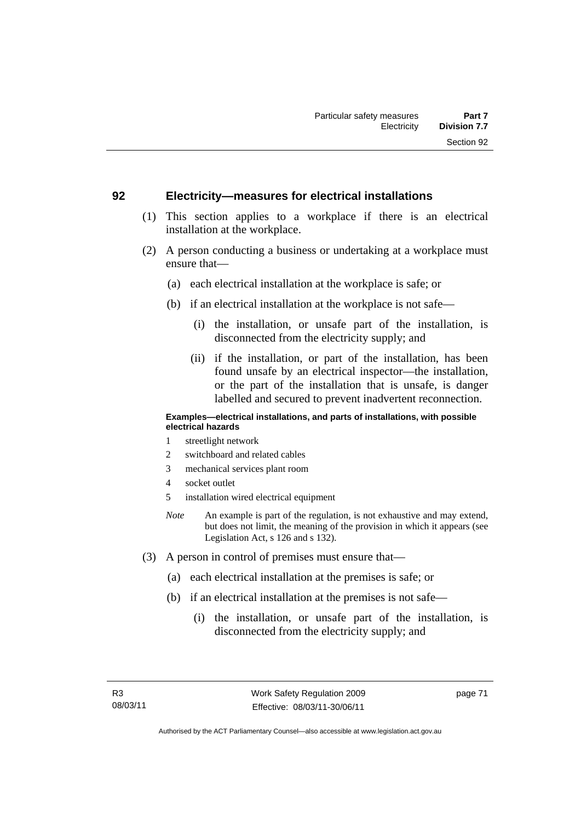#### **92 Electricity—measures for electrical installations**

- (1) This section applies to a workplace if there is an electrical installation at the workplace.
- (2) A person conducting a business or undertaking at a workplace must ensure that—
	- (a) each electrical installation at the workplace is safe; or
	- (b) if an electrical installation at the workplace is not safe—
		- (i) the installation, or unsafe part of the installation, is disconnected from the electricity supply; and
		- (ii) if the installation, or part of the installation, has been found unsafe by an electrical inspector—the installation, or the part of the installation that is unsafe, is danger labelled and secured to prevent inadvertent reconnection.

#### **Examples—electrical installations, and parts of installations, with possible electrical hazards**

- 1 streetlight network
- 2 switchboard and related cables
- 3 mechanical services plant room
- 4 socket outlet
- 5 installation wired electrical equipment
- *Note* An example is part of the regulation, is not exhaustive and may extend, but does not limit, the meaning of the provision in which it appears (see Legislation Act, s 126 and s 132).
- (3) A person in control of premises must ensure that—
	- (a) each electrical installation at the premises is safe; or
	- (b) if an electrical installation at the premises is not safe—
		- (i) the installation, or unsafe part of the installation, is disconnected from the electricity supply; and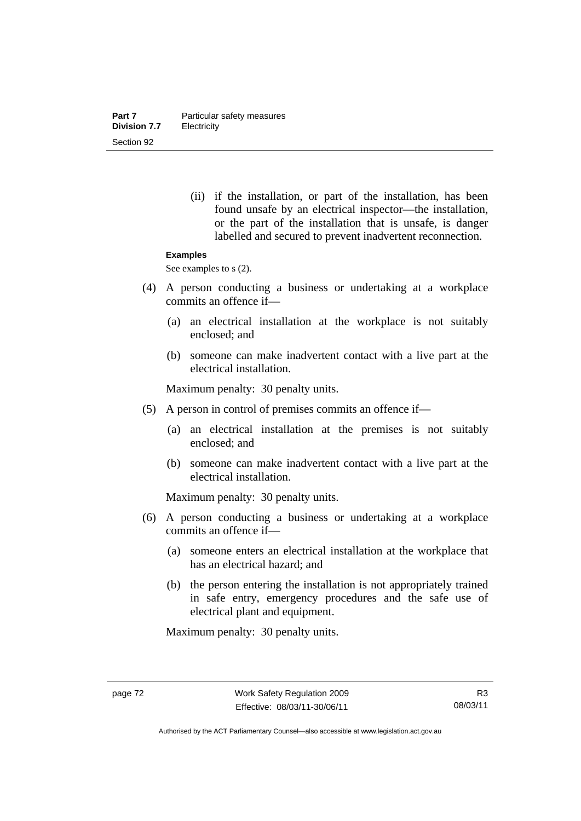(ii) if the installation, or part of the installation, has been found unsafe by an electrical inspector—the installation, or the part of the installation that is unsafe, is danger labelled and secured to prevent inadvertent reconnection.

#### **Examples**

See examples to s  $(2)$ .

- (4) A person conducting a business or undertaking at a workplace commits an offence if—
	- (a) an electrical installation at the workplace is not suitably enclosed; and
	- (b) someone can make inadvertent contact with a live part at the electrical installation.

Maximum penalty: 30 penalty units.

- (5) A person in control of premises commits an offence if—
	- (a) an electrical installation at the premises is not suitably enclosed; and
	- (b) someone can make inadvertent contact with a live part at the electrical installation.

Maximum penalty: 30 penalty units.

- (6) A person conducting a business or undertaking at a workplace commits an offence if—
	- (a) someone enters an electrical installation at the workplace that has an electrical hazard; and
	- (b) the person entering the installation is not appropriately trained in safe entry, emergency procedures and the safe use of electrical plant and equipment.

Authorised by the ACT Parliamentary Counsel—also accessible at www.legislation.act.gov.au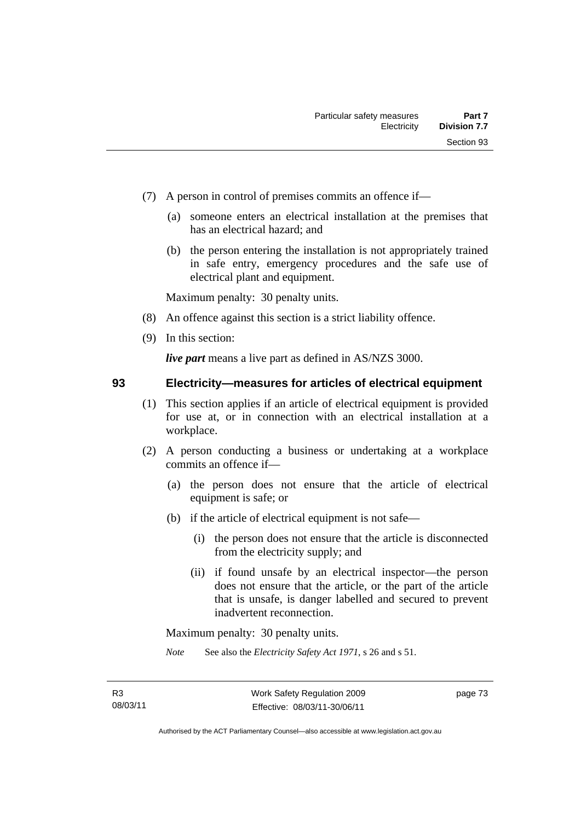- (7) A person in control of premises commits an offence if—
	- (a) someone enters an electrical installation at the premises that has an electrical hazard; and
	- (b) the person entering the installation is not appropriately trained in safe entry, emergency procedures and the safe use of electrical plant and equipment.

- (8) An offence against this section is a strict liability offence.
- (9) In this section:

*live part* means a live part as defined in AS/NZS 3000.

#### **93 Electricity—measures for articles of electrical equipment**

- (1) This section applies if an article of electrical equipment is provided for use at, or in connection with an electrical installation at a workplace.
- (2) A person conducting a business or undertaking at a workplace commits an offence if—
	- (a) the person does not ensure that the article of electrical equipment is safe; or
	- (b) if the article of electrical equipment is not safe—
		- (i) the person does not ensure that the article is disconnected from the electricity supply; and
		- (ii) if found unsafe by an electrical inspector—the person does not ensure that the article, or the part of the article that is unsafe, is danger labelled and secured to prevent inadvertent reconnection.

Maximum penalty: 30 penalty units.

*Note* See also the *Electricity Safety Act 1971*, s 26 and s 51.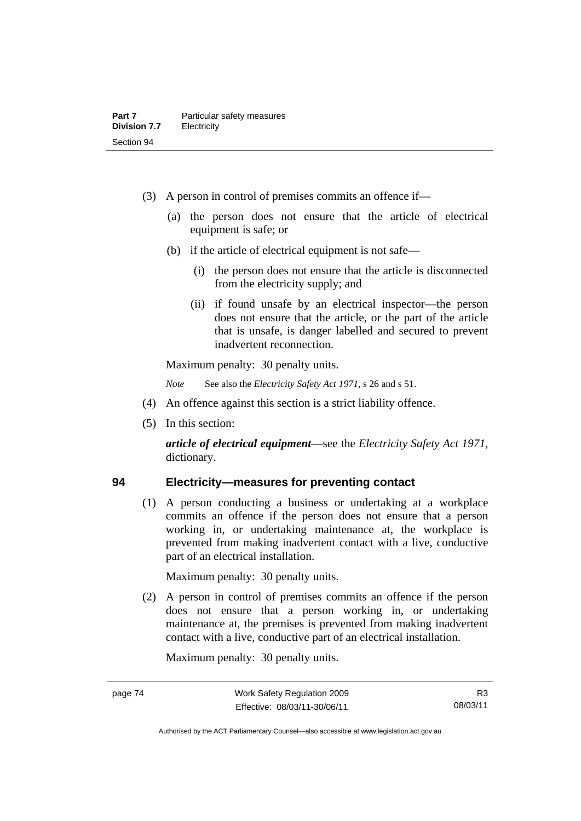- (3) A person in control of premises commits an offence if—
	- (a) the person does not ensure that the article of electrical equipment is safe; or
	- (b) if the article of electrical equipment is not safe—
		- (i) the person does not ensure that the article is disconnected from the electricity supply; and
		- (ii) if found unsafe by an electrical inspector—the person does not ensure that the article, or the part of the article that is unsafe, is danger labelled and secured to prevent inadvertent reconnection.

*Note* See also the *Electricity Safety Act 1971*, s 26 and s 51.

- (4) An offence against this section is a strict liability offence.
- (5) In this section:

*article of electrical equipment*—see the *Electricity Safety Act 1971*, dictionary.

#### **94 Electricity—measures for preventing contact**

(1) A person conducting a business or undertaking at a workplace commits an offence if the person does not ensure that a person working in, or undertaking maintenance at, the workplace is prevented from making inadvertent contact with a live, conductive part of an electrical installation.

Maximum penalty: 30 penalty units.

 (2) A person in control of premises commits an offence if the person does not ensure that a person working in, or undertaking maintenance at, the premises is prevented from making inadvertent contact with a live, conductive part of an electrical installation.

Authorised by the ACT Parliamentary Counsel—also accessible at www.legislation.act.gov.au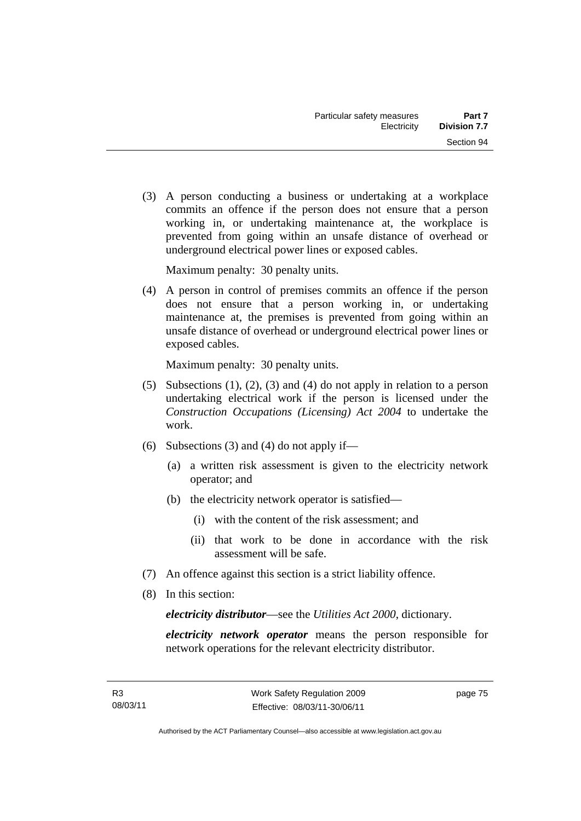(3) A person conducting a business or undertaking at a workplace commits an offence if the person does not ensure that a person working in, or undertaking maintenance at, the workplace is prevented from going within an unsafe distance of overhead or underground electrical power lines or exposed cables.

Maximum penalty: 30 penalty units.

 (4) A person in control of premises commits an offence if the person does not ensure that a person working in, or undertaking maintenance at, the premises is prevented from going within an unsafe distance of overhead or underground electrical power lines or exposed cables.

Maximum penalty: 30 penalty units.

- (5) Subsections (1), (2), (3) and (4) do not apply in relation to a person undertaking electrical work if the person is licensed under the *Construction Occupations (Licensing) Act 2004* to undertake the work.
- (6) Subsections (3) and (4) do not apply if—
	- (a) a written risk assessment is given to the electricity network operator; and
	- (b) the electricity network operator is satisfied—
		- (i) with the content of the risk assessment; and
		- (ii) that work to be done in accordance with the risk assessment will be safe.
- (7) An offence against this section is a strict liability offence.
- (8) In this section:

*electricity distributor*—see the *Utilities Act 2000*, dictionary.

*electricity network operator* means the person responsible for network operations for the relevant electricity distributor.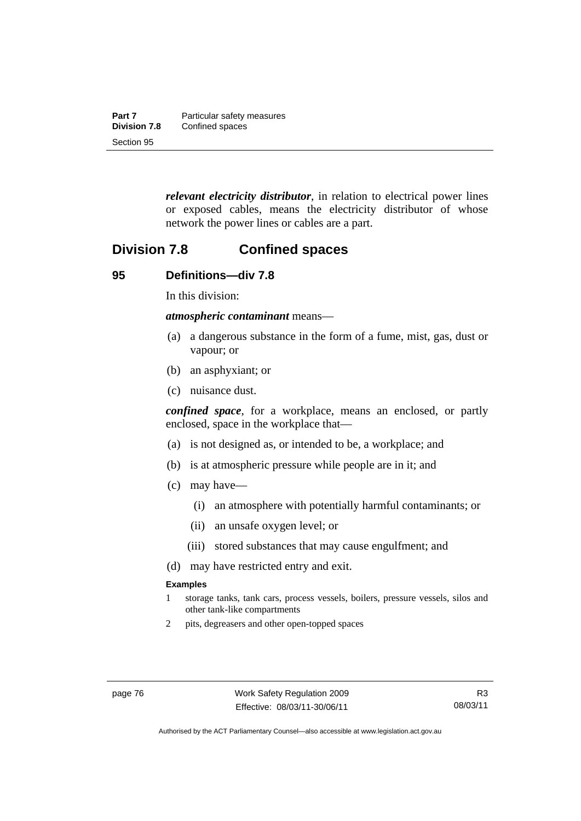| Part 7              | Particular safety measures |
|---------------------|----------------------------|
| <b>Division 7.8</b> | Confined spaces            |
| Section 95          |                            |

*relevant electricity distributor*, in relation to electrical power lines or exposed cables, means the electricity distributor of whose network the power lines or cables are a part.

## **Division 7.8 Confined spaces**

#### **95 Definitions—div 7.8**

In this division:

*atmospheric contaminant* means—

- (a) a dangerous substance in the form of a fume, mist, gas, dust or vapour; or
- (b) an asphyxiant; or
- (c) nuisance dust.

*confined space*, for a workplace, means an enclosed, or partly enclosed, space in the workplace that—

- (a) is not designed as, or intended to be, a workplace; and
- (b) is at atmospheric pressure while people are in it; and
- (c) may have—
	- (i) an atmosphere with potentially harmful contaminants; or
	- (ii) an unsafe oxygen level; or
	- (iii) stored substances that may cause engulfment; and
- (d) may have restricted entry and exit.

#### **Examples**

- 1 storage tanks, tank cars, process vessels, boilers, pressure vessels, silos and other tank-like compartments
- 2 pits, degreasers and other open-topped spaces

R3 08/03/11

Authorised by the ACT Parliamentary Counsel—also accessible at www.legislation.act.gov.au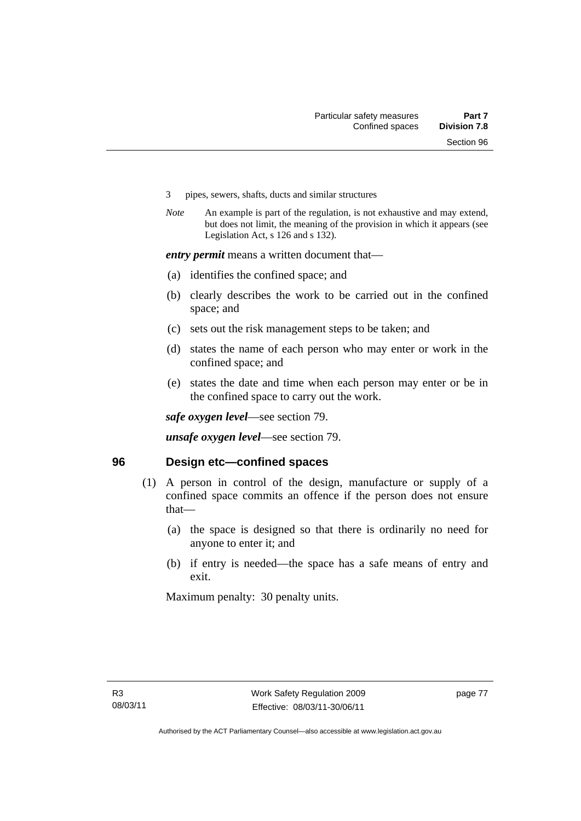- 3 pipes, sewers, shafts, ducts and similar structures
- *Note* An example is part of the regulation, is not exhaustive and may extend, but does not limit, the meaning of the provision in which it appears (see Legislation Act, s 126 and s 132).

*entry permit* means a written document that—

- (a) identifies the confined space; and
- (b) clearly describes the work to be carried out in the confined space; and
- (c) sets out the risk management steps to be taken; and
- (d) states the name of each person who may enter or work in the confined space; and
- (e) states the date and time when each person may enter or be in the confined space to carry out the work.

*safe oxygen level*—see section 79.

*unsafe oxygen level*—see section 79.

#### **96 Design etc—confined spaces**

- (1) A person in control of the design, manufacture or supply of a confined space commits an offence if the person does not ensure that—
	- (a) the space is designed so that there is ordinarily no need for anyone to enter it; and
	- (b) if entry is needed—the space has a safe means of entry and exit.

Maximum penalty: 30 penalty units.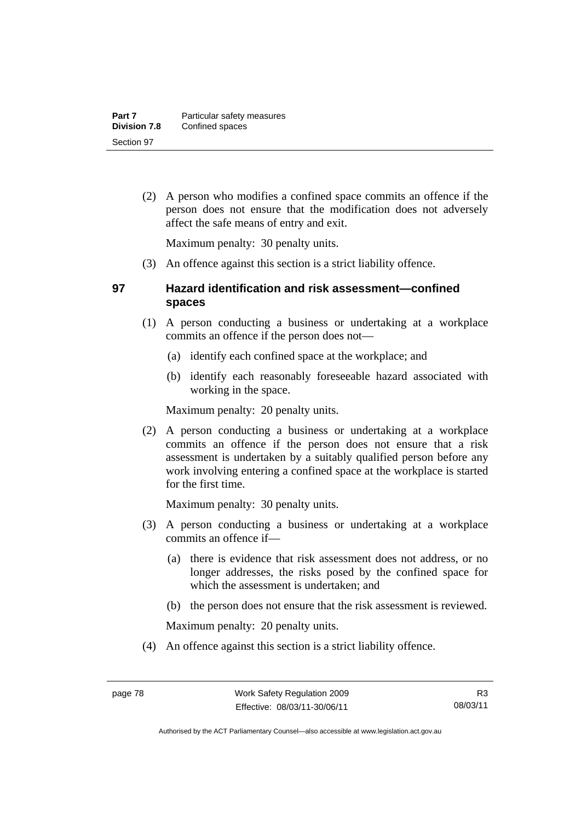(2) A person who modifies a confined space commits an offence if the person does not ensure that the modification does not adversely affect the safe means of entry and exit.

Maximum penalty: 30 penalty units.

(3) An offence against this section is a strict liability offence.

## **97 Hazard identification and risk assessment—confined spaces**

- (1) A person conducting a business or undertaking at a workplace commits an offence if the person does not—
	- (a) identify each confined space at the workplace; and
	- (b) identify each reasonably foreseeable hazard associated with working in the space.

Maximum penalty: 20 penalty units.

 (2) A person conducting a business or undertaking at a workplace commits an offence if the person does not ensure that a risk assessment is undertaken by a suitably qualified person before any work involving entering a confined space at the workplace is started for the first time.

Maximum penalty: 30 penalty units.

- (3) A person conducting a business or undertaking at a workplace commits an offence if—
	- (a) there is evidence that risk assessment does not address, or no longer addresses, the risks posed by the confined space for which the assessment is undertaken; and
	- (b) the person does not ensure that the risk assessment is reviewed.

Maximum penalty: 20 penalty units.

(4) An offence against this section is a strict liability offence.

Authorised by the ACT Parliamentary Counsel—also accessible at www.legislation.act.gov.au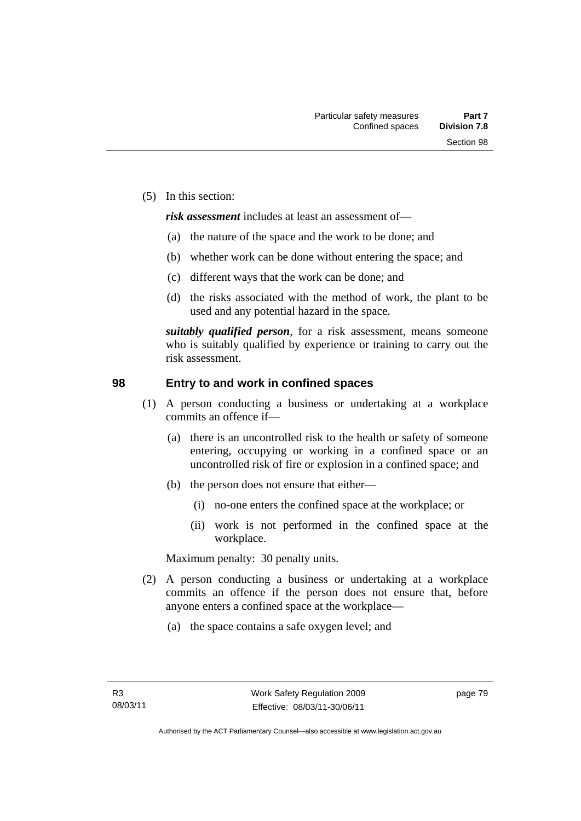(5) In this section:

*risk assessment* includes at least an assessment of—

- (a) the nature of the space and the work to be done; and
- (b) whether work can be done without entering the space; and
- (c) different ways that the work can be done; and
- (d) the risks associated with the method of work, the plant to be used and any potential hazard in the space.

*suitably qualified person*, for a risk assessment, means someone who is suitably qualified by experience or training to carry out the risk assessment.

#### **98 Entry to and work in confined spaces**

- (1) A person conducting a business or undertaking at a workplace commits an offence if—
	- (a) there is an uncontrolled risk to the health or safety of someone entering, occupying or working in a confined space or an uncontrolled risk of fire or explosion in a confined space; and
	- (b) the person does not ensure that either—
		- (i) no-one enters the confined space at the workplace; or
		- (ii) work is not performed in the confined space at the workplace.

- (2) A person conducting a business or undertaking at a workplace commits an offence if the person does not ensure that, before anyone enters a confined space at the workplace—
	- (a) the space contains a safe oxygen level; and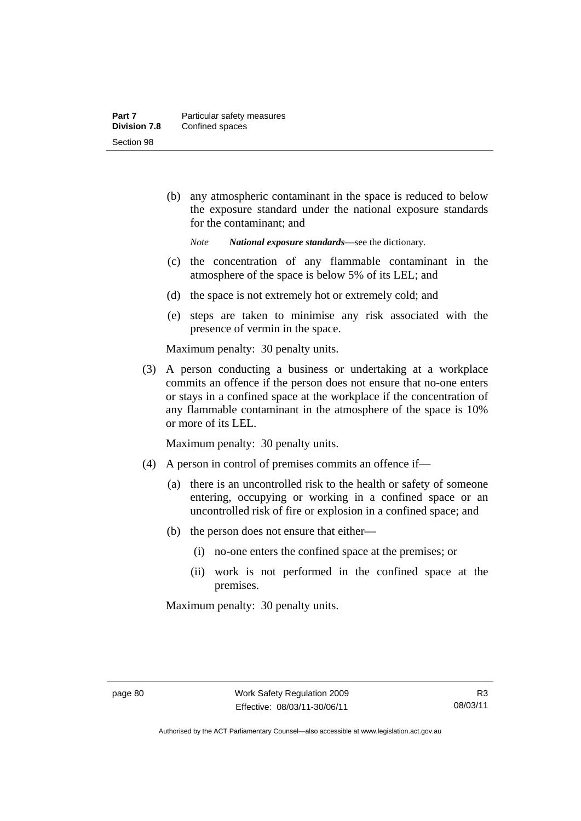(b) any atmospheric contaminant in the space is reduced to below the exposure standard under the national exposure standards for the contaminant; and

*Note National exposure standards*—see the dictionary.

- (c) the concentration of any flammable contaminant in the atmosphere of the space is below 5% of its LEL; and
- (d) the space is not extremely hot or extremely cold; and
- (e) steps are taken to minimise any risk associated with the presence of vermin in the space.

Maximum penalty: 30 penalty units.

 (3) A person conducting a business or undertaking at a workplace commits an offence if the person does not ensure that no-one enters or stays in a confined space at the workplace if the concentration of any flammable contaminant in the atmosphere of the space is 10% or more of its LEL.

Maximum penalty: 30 penalty units.

- (4) A person in control of premises commits an offence if—
	- (a) there is an uncontrolled risk to the health or safety of someone entering, occupying or working in a confined space or an uncontrolled risk of fire or explosion in a confined space; and
	- (b) the person does not ensure that either—
		- (i) no-one enters the confined space at the premises; or
		- (ii) work is not performed in the confined space at the premises.

Authorised by the ACT Parliamentary Counsel—also accessible at www.legislation.act.gov.au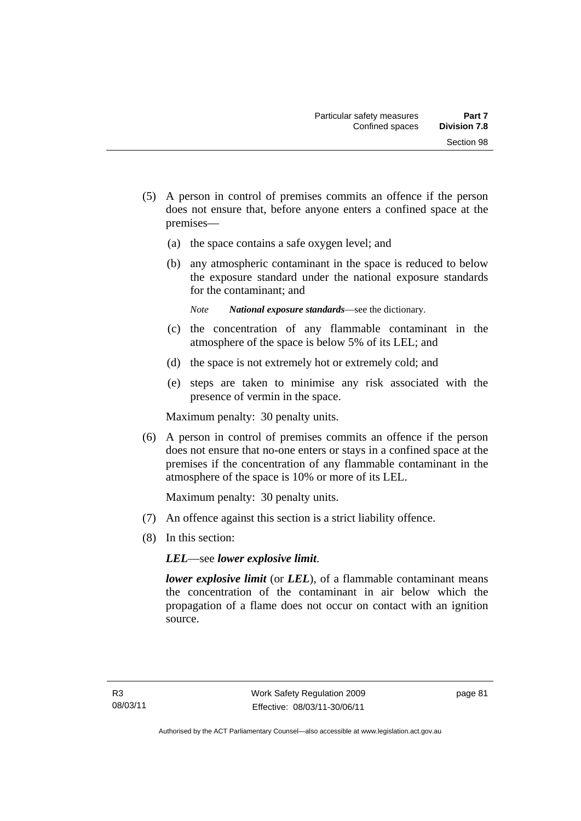- (5) A person in control of premises commits an offence if the person does not ensure that, before anyone enters a confined space at the premises—
	- (a) the space contains a safe oxygen level; and
	- (b) any atmospheric contaminant in the space is reduced to below the exposure standard under the national exposure standards for the contaminant; and
		- *Note National exposure standards*—see the dictionary.
	- (c) the concentration of any flammable contaminant in the atmosphere of the space is below 5% of its LEL; and
	- (d) the space is not extremely hot or extremely cold; and
	- (e) steps are taken to minimise any risk associated with the presence of vermin in the space.

 (6) A person in control of premises commits an offence if the person does not ensure that no-one enters or stays in a confined space at the premises if the concentration of any flammable contaminant in the atmosphere of the space is 10% or more of its LEL.

Maximum penalty: 30 penalty units.

- (7) An offence against this section is a strict liability offence.
- (8) In this section:

*LEL*—see *lower explosive limit*.

*lower explosive limit* (or *LEL*), of a flammable contaminant means the concentration of the contaminant in air below which the propagation of a flame does not occur on contact with an ignition source.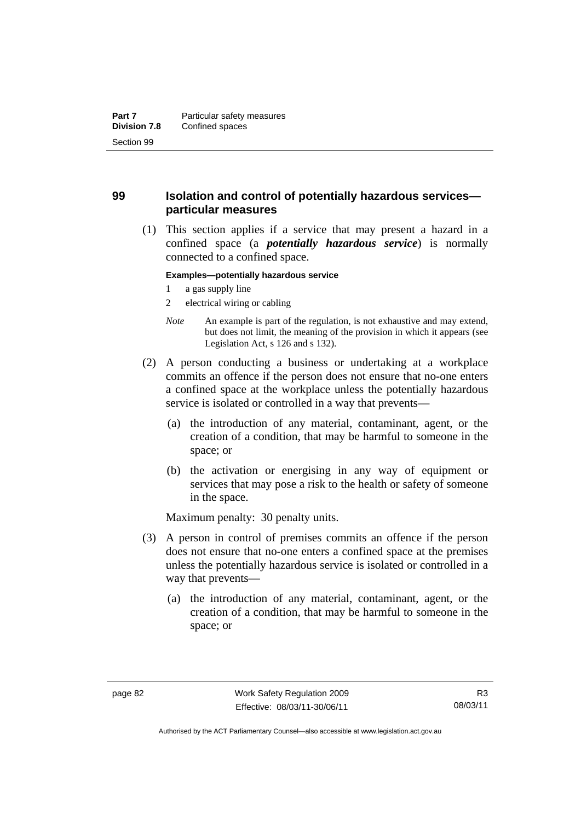## **99 Isolation and control of potentially hazardous services particular measures**

 (1) This section applies if a service that may present a hazard in a confined space (a *potentially hazardous service*) is normally connected to a confined space.

#### **Examples—potentially hazardous service**

- 1 a gas supply line
- 2 electrical wiring or cabling
- *Note* An example is part of the regulation, is not exhaustive and may extend, but does not limit, the meaning of the provision in which it appears (see Legislation Act, s 126 and s 132).
- (2) A person conducting a business or undertaking at a workplace commits an offence if the person does not ensure that no-one enters a confined space at the workplace unless the potentially hazardous service is isolated or controlled in a way that prevents—
	- (a) the introduction of any material, contaminant, agent, or the creation of a condition, that may be harmful to someone in the space; or
	- (b) the activation or energising in any way of equipment or services that may pose a risk to the health or safety of someone in the space.

- (3) A person in control of premises commits an offence if the person does not ensure that no-one enters a confined space at the premises unless the potentially hazardous service is isolated or controlled in a way that prevents—
	- (a) the introduction of any material, contaminant, agent, or the creation of a condition, that may be harmful to someone in the space; or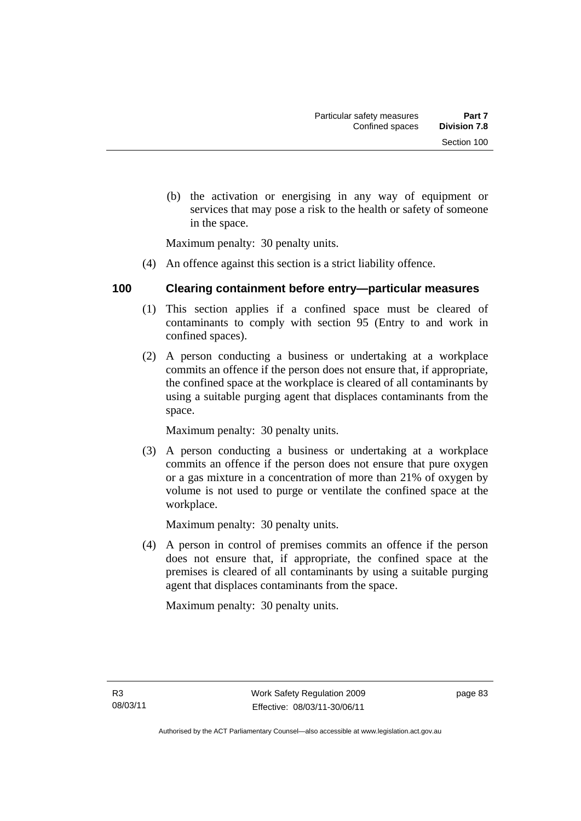(b) the activation or energising in any way of equipment or services that may pose a risk to the health or safety of someone in the space.

Maximum penalty: 30 penalty units.

(4) An offence against this section is a strict liability offence.

## **100 Clearing containment before entry—particular measures**

- (1) This section applies if a confined space must be cleared of contaminants to comply with section 95 (Entry to and work in confined spaces).
- (2) A person conducting a business or undertaking at a workplace commits an offence if the person does not ensure that, if appropriate, the confined space at the workplace is cleared of all contaminants by using a suitable purging agent that displaces contaminants from the space.

Maximum penalty: 30 penalty units.

 (3) A person conducting a business or undertaking at a workplace commits an offence if the person does not ensure that pure oxygen or a gas mixture in a concentration of more than 21% of oxygen by volume is not used to purge or ventilate the confined space at the workplace.

Maximum penalty: 30 penalty units.

 (4) A person in control of premises commits an offence if the person does not ensure that, if appropriate, the confined space at the premises is cleared of all contaminants by using a suitable purging agent that displaces contaminants from the space.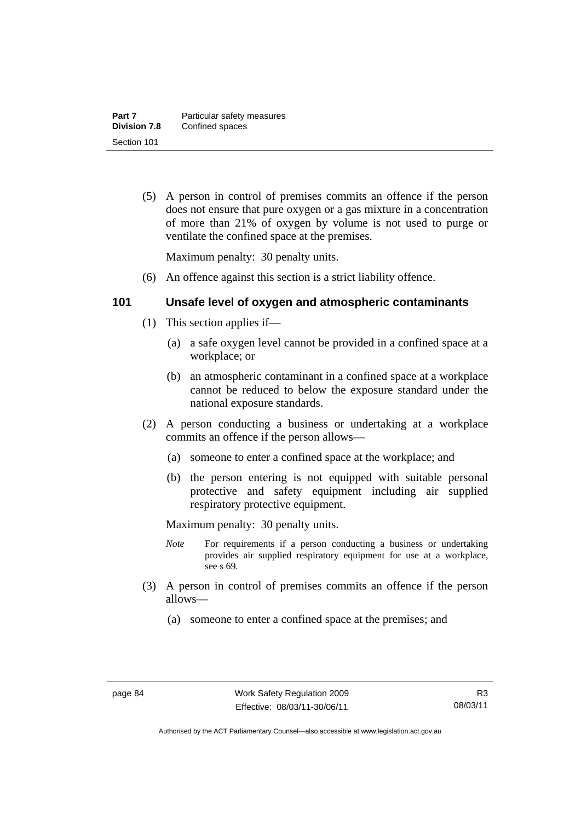(5) A person in control of premises commits an offence if the person does not ensure that pure oxygen or a gas mixture in a concentration of more than 21% of oxygen by volume is not used to purge or ventilate the confined space at the premises.

Maximum penalty: 30 penalty units.

(6) An offence against this section is a strict liability offence.

## **101 Unsafe level of oxygen and atmospheric contaminants**

- (1) This section applies if—
	- (a) a safe oxygen level cannot be provided in a confined space at a workplace; or
	- (b) an atmospheric contaminant in a confined space at a workplace cannot be reduced to below the exposure standard under the national exposure standards.
- (2) A person conducting a business or undertaking at a workplace commits an offence if the person allows—
	- (a) someone to enter a confined space at the workplace; and
	- (b) the person entering is not equipped with suitable personal protective and safety equipment including air supplied respiratory protective equipment.

- *Note* For requirements if a person conducting a business or undertaking provides air supplied respiratory equipment for use at a workplace, see s 69.
- (3) A person in control of premises commits an offence if the person allows—
	- (a) someone to enter a confined space at the premises; and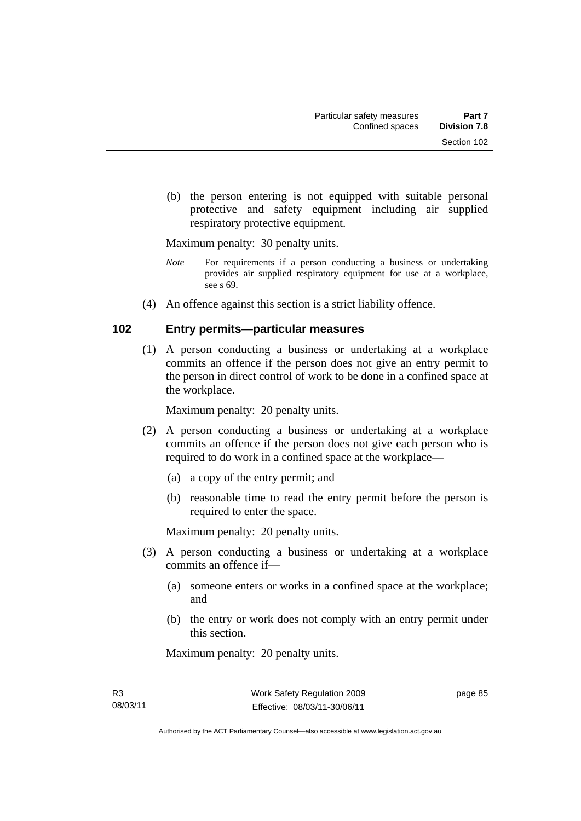(b) the person entering is not equipped with suitable personal protective and safety equipment including air supplied respiratory protective equipment.

Maximum penalty: 30 penalty units.

- *Note* For requirements if a person conducting a business or undertaking provides air supplied respiratory equipment for use at a workplace, see s 69.
- (4) An offence against this section is a strict liability offence.

#### **102 Entry permits—particular measures**

(1) A person conducting a business or undertaking at a workplace commits an offence if the person does not give an entry permit to the person in direct control of work to be done in a confined space at the workplace.

Maximum penalty: 20 penalty units.

- (2) A person conducting a business or undertaking at a workplace commits an offence if the person does not give each person who is required to do work in a confined space at the workplace—
	- (a) a copy of the entry permit; and
	- (b) reasonable time to read the entry permit before the person is required to enter the space.

Maximum penalty: 20 penalty units.

- (3) A person conducting a business or undertaking at a workplace commits an offence if—
	- (a) someone enters or works in a confined space at the workplace; and
	- (b) the entry or work does not comply with an entry permit under this section.

Maximum penalty: 20 penalty units.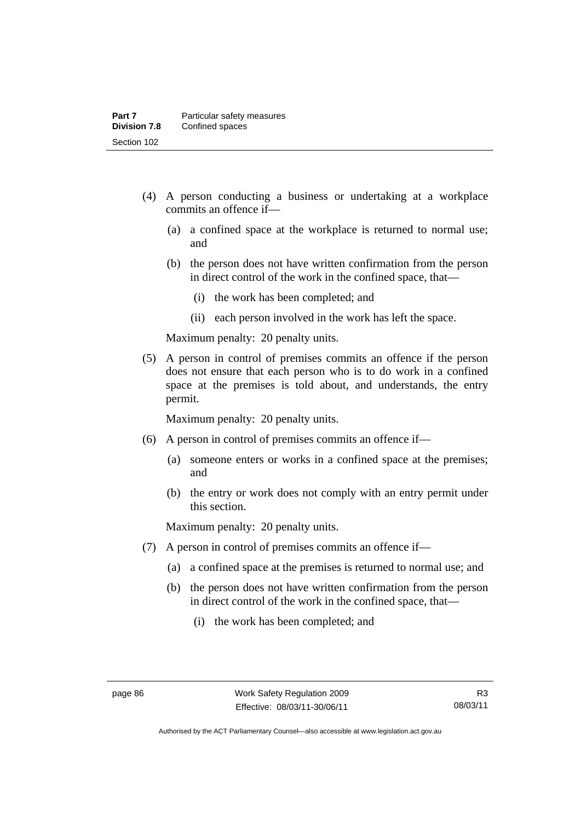- (4) A person conducting a business or undertaking at a workplace commits an offence if—
	- (a) a confined space at the workplace is returned to normal use; and
	- (b) the person does not have written confirmation from the person in direct control of the work in the confined space, that—
		- (i) the work has been completed; and
		- (ii) each person involved in the work has left the space.

 (5) A person in control of premises commits an offence if the person does not ensure that each person who is to do work in a confined space at the premises is told about, and understands, the entry permit.

Maximum penalty: 20 penalty units.

- (6) A person in control of premises commits an offence if—
	- (a) someone enters or works in a confined space at the premises; and
	- (b) the entry or work does not comply with an entry permit under this section.

- (7) A person in control of premises commits an offence if—
	- (a) a confined space at the premises is returned to normal use; and
	- (b) the person does not have written confirmation from the person in direct control of the work in the confined space, that—
		- (i) the work has been completed; and

Authorised by the ACT Parliamentary Counsel—also accessible at www.legislation.act.gov.au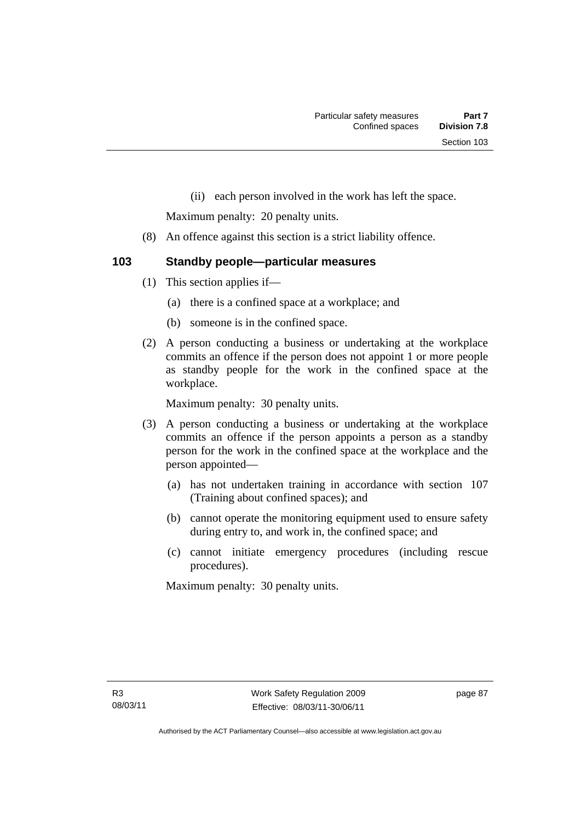(ii) each person involved in the work has left the space.

Maximum penalty: 20 penalty units.

- (8) An offence against this section is a strict liability offence.
- **103 Standby people—particular measures** 
	- (1) This section applies if—
		- (a) there is a confined space at a workplace; and
		- (b) someone is in the confined space.
	- (2) A person conducting a business or undertaking at the workplace commits an offence if the person does not appoint 1 or more people as standby people for the work in the confined space at the workplace.

Maximum penalty: 30 penalty units.

- (3) A person conducting a business or undertaking at the workplace commits an offence if the person appoints a person as a standby person for the work in the confined space at the workplace and the person appointed—
	- (a) has not undertaken training in accordance with section 107 (Training about confined spaces); and
	- (b) cannot operate the monitoring equipment used to ensure safety during entry to, and work in, the confined space; and
	- (c) cannot initiate emergency procedures (including rescue procedures).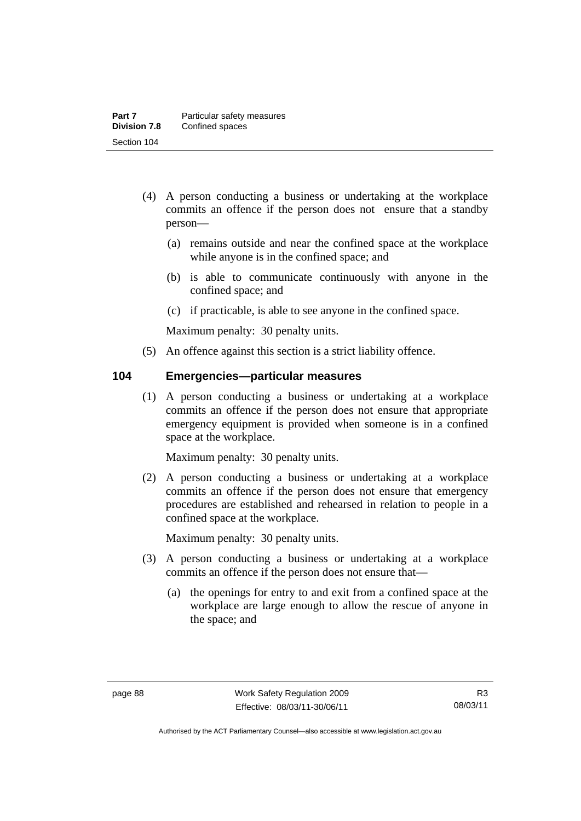- (4) A person conducting a business or undertaking at the workplace commits an offence if the person does not ensure that a standby person—
	- (a) remains outside and near the confined space at the workplace while anyone is in the confined space; and
	- (b) is able to communicate continuously with anyone in the confined space; and
	- (c) if practicable, is able to see anyone in the confined space.

(5) An offence against this section is a strict liability offence.

#### **104 Emergencies—particular measures**

(1) A person conducting a business or undertaking at a workplace commits an offence if the person does not ensure that appropriate emergency equipment is provided when someone is in a confined space at the workplace.

Maximum penalty: 30 penalty units.

 (2) A person conducting a business or undertaking at a workplace commits an offence if the person does not ensure that emergency procedures are established and rehearsed in relation to people in a confined space at the workplace.

- (3) A person conducting a business or undertaking at a workplace commits an offence if the person does not ensure that—
	- (a) the openings for entry to and exit from a confined space at the workplace are large enough to allow the rescue of anyone in the space; and

Authorised by the ACT Parliamentary Counsel—also accessible at www.legislation.act.gov.au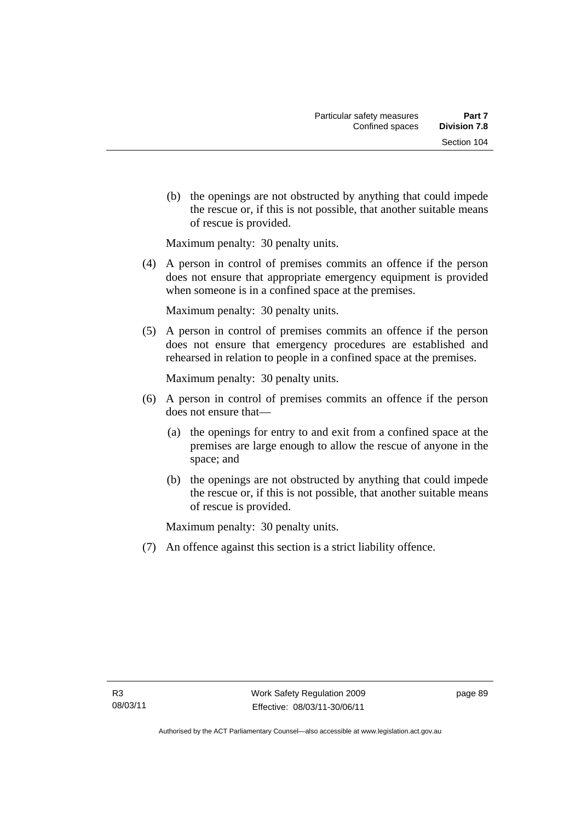(b) the openings are not obstructed by anything that could impede the rescue or, if this is not possible, that another suitable means of rescue is provided.

Maximum penalty: 30 penalty units.

 (4) A person in control of premises commits an offence if the person does not ensure that appropriate emergency equipment is provided when someone is in a confined space at the premises.

Maximum penalty: 30 penalty units.

 (5) A person in control of premises commits an offence if the person does not ensure that emergency procedures are established and rehearsed in relation to people in a confined space at the premises.

Maximum penalty: 30 penalty units.

- (6) A person in control of premises commits an offence if the person does not ensure that—
	- (a) the openings for entry to and exit from a confined space at the premises are large enough to allow the rescue of anyone in the space; and
	- (b) the openings are not obstructed by anything that could impede the rescue or, if this is not possible, that another suitable means of rescue is provided.

Maximum penalty: 30 penalty units.

(7) An offence against this section is a strict liability offence.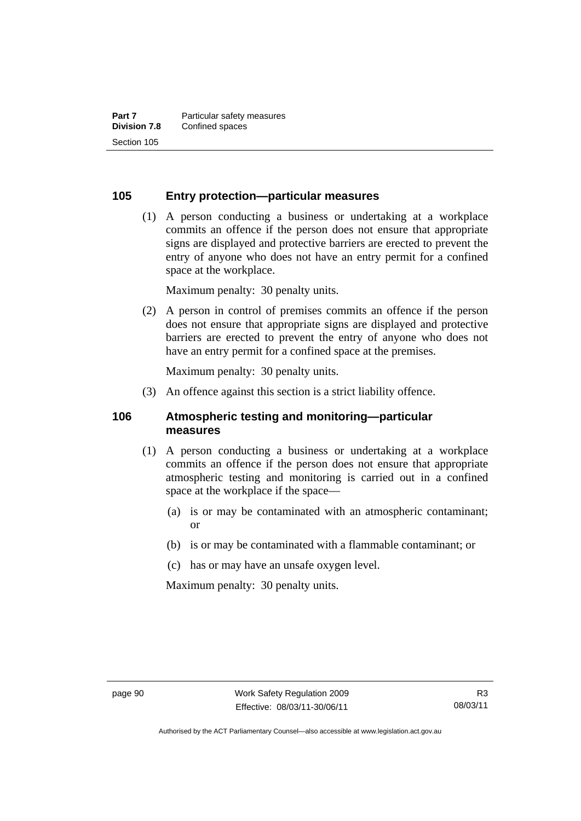## **105 Entry protection—particular measures**

 (1) A person conducting a business or undertaking at a workplace commits an offence if the person does not ensure that appropriate signs are displayed and protective barriers are erected to prevent the entry of anyone who does not have an entry permit for a confined space at the workplace.

Maximum penalty: 30 penalty units.

 (2) A person in control of premises commits an offence if the person does not ensure that appropriate signs are displayed and protective barriers are erected to prevent the entry of anyone who does not have an entry permit for a confined space at the premises.

Maximum penalty: 30 penalty units.

(3) An offence against this section is a strict liability offence.

#### **106 Atmospheric testing and monitoring—particular measures**

- (1) A person conducting a business or undertaking at a workplace commits an offence if the person does not ensure that appropriate atmospheric testing and monitoring is carried out in a confined space at the workplace if the space—
	- (a) is or may be contaminated with an atmospheric contaminant; or
	- (b) is or may be contaminated with a flammable contaminant; or
	- (c) has or may have an unsafe oxygen level.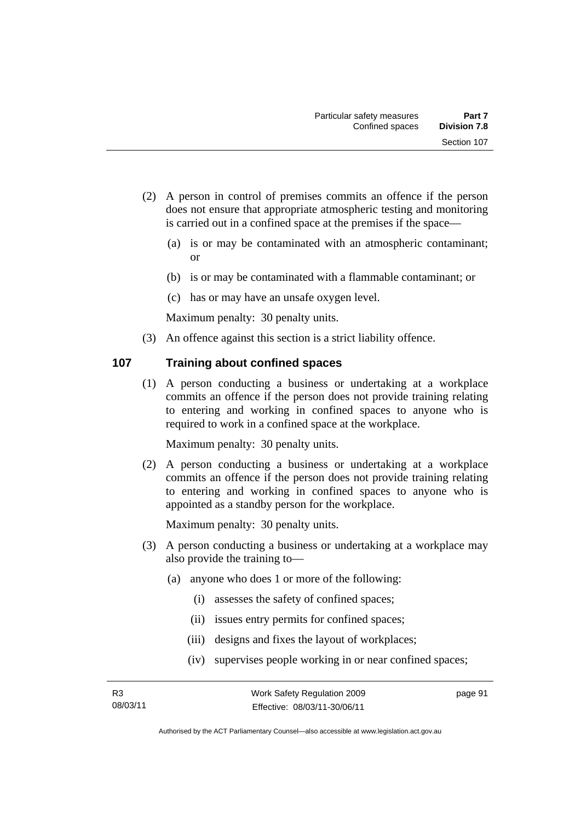- (2) A person in control of premises commits an offence if the person does not ensure that appropriate atmospheric testing and monitoring is carried out in a confined space at the premises if the space—
	- (a) is or may be contaminated with an atmospheric contaminant; or
	- (b) is or may be contaminated with a flammable contaminant; or
	- (c) has or may have an unsafe oxygen level.

(3) An offence against this section is a strict liability offence.

#### **107 Training about confined spaces**

(1) A person conducting a business or undertaking at a workplace commits an offence if the person does not provide training relating to entering and working in confined spaces to anyone who is required to work in a confined space at the workplace.

Maximum penalty: 30 penalty units.

 (2) A person conducting a business or undertaking at a workplace commits an offence if the person does not provide training relating to entering and working in confined spaces to anyone who is appointed as a standby person for the workplace.

Maximum penalty: 30 penalty units.

- (3) A person conducting a business or undertaking at a workplace may also provide the training to—
	- (a) anyone who does 1 or more of the following:
		- (i) assesses the safety of confined spaces;
		- (ii) issues entry permits for confined spaces;
		- (iii) designs and fixes the layout of workplaces;
		- (iv) supervises people working in or near confined spaces;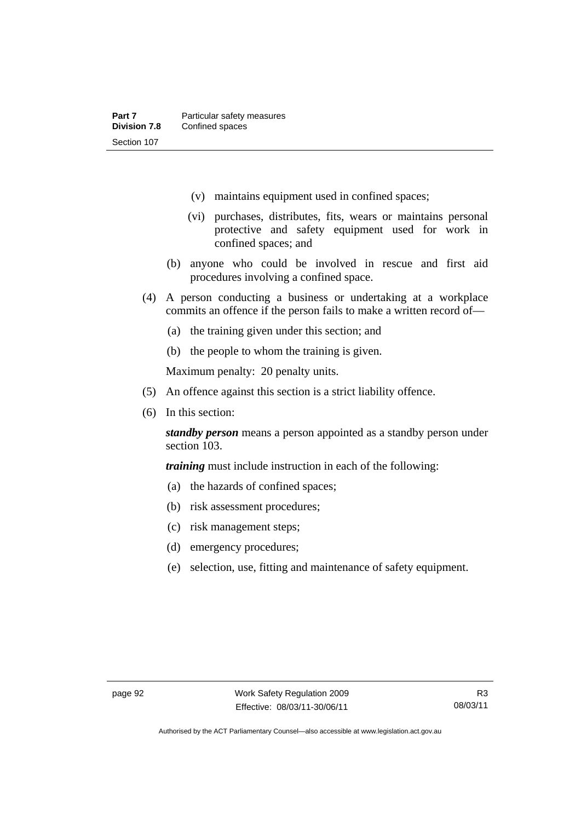- (v) maintains equipment used in confined spaces;
- (vi) purchases, distributes, fits, wears or maintains personal protective and safety equipment used for work in confined spaces; and
- (b) anyone who could be involved in rescue and first aid procedures involving a confined space.
- (4) A person conducting a business or undertaking at a workplace commits an offence if the person fails to make a written record of—
	- (a) the training given under this section; and
	- (b) the people to whom the training is given.

- (5) An offence against this section is a strict liability offence.
- (6) In this section:

*standby person* means a person appointed as a standby person under section 103.

*training* must include instruction in each of the following:

- (a) the hazards of confined spaces;
- (b) risk assessment procedures;
- (c) risk management steps;
- (d) emergency procedures;
- (e) selection, use, fitting and maintenance of safety equipment.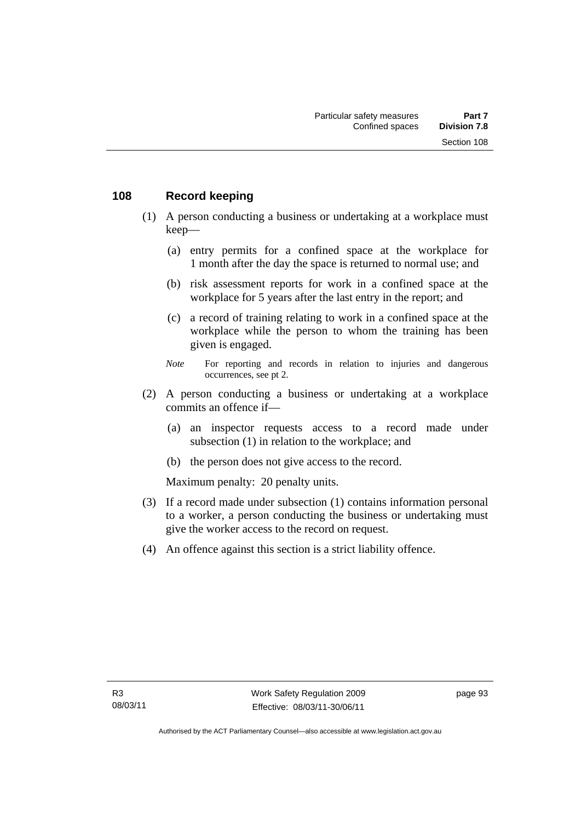#### **108 Record keeping**

- (1) A person conducting a business or undertaking at a workplace must keep—
	- (a) entry permits for a confined space at the workplace for 1 month after the day the space is returned to normal use; and
	- (b) risk assessment reports for work in a confined space at the workplace for 5 years after the last entry in the report; and
	- (c) a record of training relating to work in a confined space at the workplace while the person to whom the training has been given is engaged.
	- *Note* For reporting and records in relation to injuries and dangerous occurrences, see pt 2.
- (2) A person conducting a business or undertaking at a workplace commits an offence if—
	- (a) an inspector requests access to a record made under subsection (1) in relation to the workplace; and
	- (b) the person does not give access to the record.

- (3) If a record made under subsection (1) contains information personal to a worker, a person conducting the business or undertaking must give the worker access to the record on request.
- (4) An offence against this section is a strict liability offence.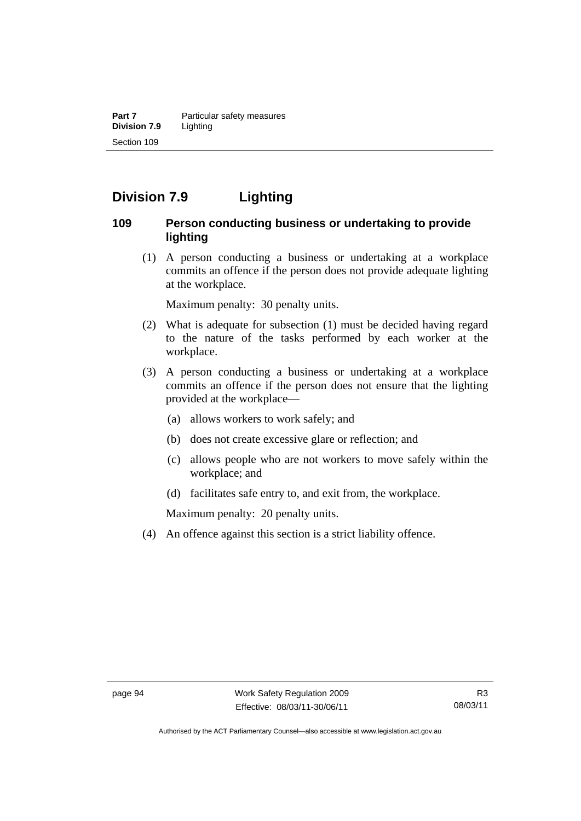**Part 7 Particular safety measures Division 7.9** Lighting Section 109

# **Division 7.9 Lighting**

#### **109 Person conducting business or undertaking to provide lighting**

 (1) A person conducting a business or undertaking at a workplace commits an offence if the person does not provide adequate lighting at the workplace.

Maximum penalty: 30 penalty units.

- (2) What is adequate for subsection (1) must be decided having regard to the nature of the tasks performed by each worker at the workplace.
- (3) A person conducting a business or undertaking at a workplace commits an offence if the person does not ensure that the lighting provided at the workplace—
	- (a) allows workers to work safely; and
	- (b) does not create excessive glare or reflection; and
	- (c) allows people who are not workers to move safely within the workplace; and
	- (d) facilitates safe entry to, and exit from, the workplace.

Maximum penalty: 20 penalty units.

(4) An offence against this section is a strict liability offence.

Authorised by the ACT Parliamentary Counsel—also accessible at www.legislation.act.gov.au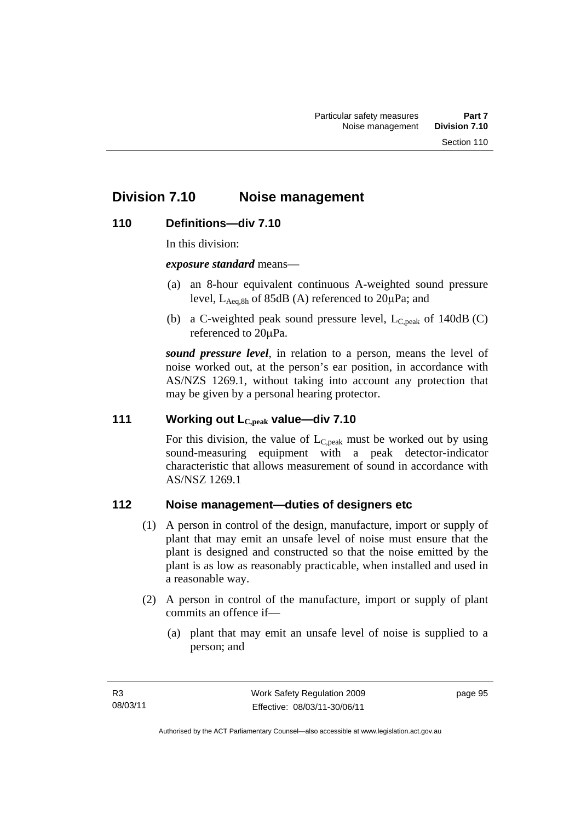# **Division 7.10 Noise management**

## **110 Definitions—div 7.10**

In this division:

*exposure standard* means—

- (a) an 8-hour equivalent continuous A-weighted sound pressure level,  $L_{\text{Aea,8h}}$  of 85dB (A) referenced to  $20\mu\text{Pa}$ ; and
- (b) a C-weighted peak sound pressure level,  $L_{C,peak}$  of 140dB (C) referenced to 20µPa.

*sound pressure level*, in relation to a person, means the level of noise worked out, at the person's ear position, in accordance with AS/NZS 1269.1, without taking into account any protection that may be given by a personal hearing protector.

#### **111 Working out LC,peak value—div 7.10**

For this division, the value of  $L_{C,peak}$  must be worked out by using sound-measuring equipment with a peak detector-indicator characteristic that allows measurement of sound in accordance with AS/NSZ 1269.1

## **112 Noise management—duties of designers etc**

- (1) A person in control of the design, manufacture, import or supply of plant that may emit an unsafe level of noise must ensure that the plant is designed and constructed so that the noise emitted by the plant is as low as reasonably practicable, when installed and used in a reasonable way.
- (2) A person in control of the manufacture, import or supply of plant commits an offence if—
	- (a) plant that may emit an unsafe level of noise is supplied to a person; and

page 95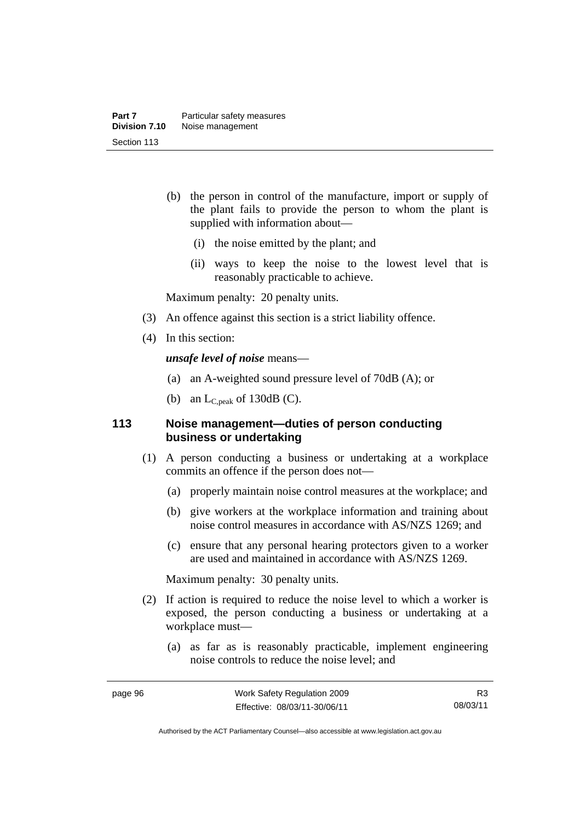- (b) the person in control of the manufacture, import or supply of the plant fails to provide the person to whom the plant is supplied with information about—
	- (i) the noise emitted by the plant; and
	- (ii) ways to keep the noise to the lowest level that is reasonably practicable to achieve.

Maximum penalty: 20 penalty units.

- (3) An offence against this section is a strict liability offence.
- (4) In this section:

*unsafe level of noise* means—

- (a) an A-weighted sound pressure level of 70dB (A); or
- (b) an  $L_{C,peak}$  of 130dB (C).

## **113 Noise management—duties of person conducting business or undertaking**

- (1) A person conducting a business or undertaking at a workplace commits an offence if the person does not—
	- (a) properly maintain noise control measures at the workplace; and
	- (b) give workers at the workplace information and training about noise control measures in accordance with AS/NZS 1269; and
	- (c) ensure that any personal hearing protectors given to a worker are used and maintained in accordance with AS/NZS 1269.

Maximum penalty: 30 penalty units.

- (2) If action is required to reduce the noise level to which a worker is exposed, the person conducting a business or undertaking at a workplace must—
	- (a) as far as is reasonably practicable, implement engineering noise controls to reduce the noise level; and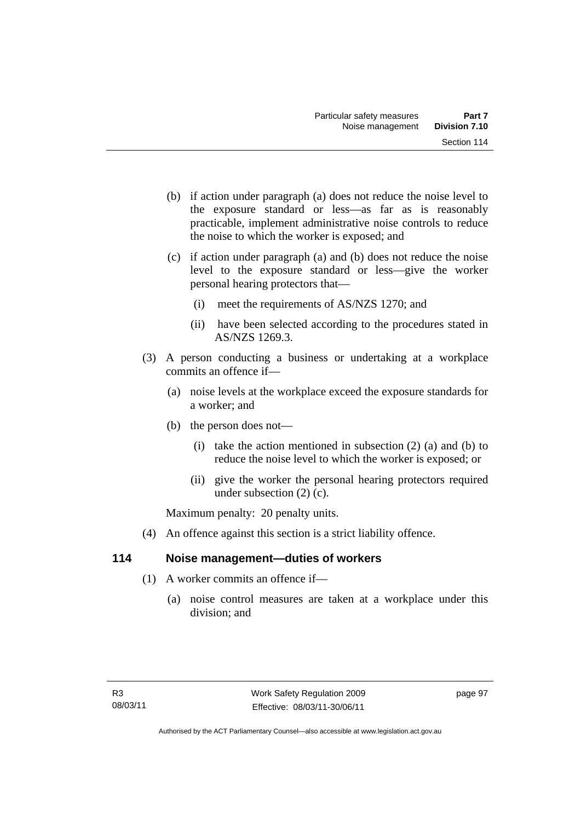- (b) if action under paragraph (a) does not reduce the noise level to the exposure standard or less—as far as is reasonably practicable, implement administrative noise controls to reduce the noise to which the worker is exposed; and
- (c) if action under paragraph (a) and (b) does not reduce the noise level to the exposure standard or less—give the worker personal hearing protectors that—
	- (i) meet the requirements of AS/NZS 1270; and
	- (ii) have been selected according to the procedures stated in AS/NZS 1269.3.
- (3) A person conducting a business or undertaking at a workplace commits an offence if—
	- (a) noise levels at the workplace exceed the exposure standards for a worker; and
	- (b) the person does not—
		- (i) take the action mentioned in subsection  $(2)$  (a) and (b) to reduce the noise level to which the worker is exposed; or
		- (ii) give the worker the personal hearing protectors required under subsection (2) (c).

Maximum penalty: 20 penalty units.

(4) An offence against this section is a strict liability offence.

## **114 Noise management—duties of workers**

- (1) A worker commits an offence if—
	- (a) noise control measures are taken at a workplace under this division; and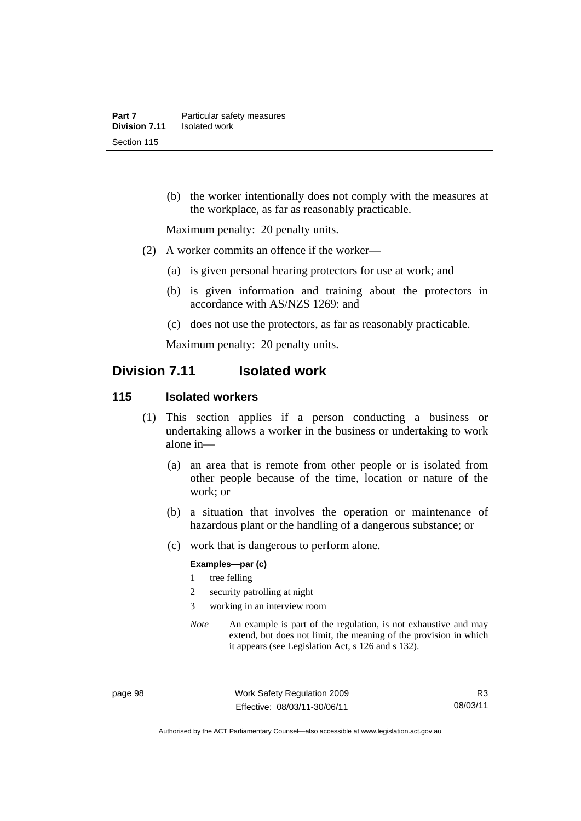(b) the worker intentionally does not comply with the measures at the workplace, as far as reasonably practicable.

Maximum penalty: 20 penalty units.

- (2) A worker commits an offence if the worker—
	- (a) is given personal hearing protectors for use at work; and
	- (b) is given information and training about the protectors in accordance with AS/NZS 1269: and
	- (c) does not use the protectors, as far as reasonably practicable.

Maximum penalty: 20 penalty units.

# **Division 7.11 Isolated work**

#### **115 Isolated workers**

- (1) This section applies if a person conducting a business or undertaking allows a worker in the business or undertaking to work alone in—
	- (a) an area that is remote from other people or is isolated from other people because of the time, location or nature of the work; or
	- (b) a situation that involves the operation or maintenance of hazardous plant or the handling of a dangerous substance; or
	- (c) work that is dangerous to perform alone.

#### **Examples—par (c)**

- 1 tree felling
- 2 security patrolling at night
- 3 working in an interview room
- *Note* An example is part of the regulation, is not exhaustive and may extend, but does not limit, the meaning of the provision in which it appears (see Legislation Act, s 126 and s 132).

page 98 Work Safety Regulation 2009 Effective: 08/03/11-30/06/11

R3 08/03/11

Authorised by the ACT Parliamentary Counsel—also accessible at www.legislation.act.gov.au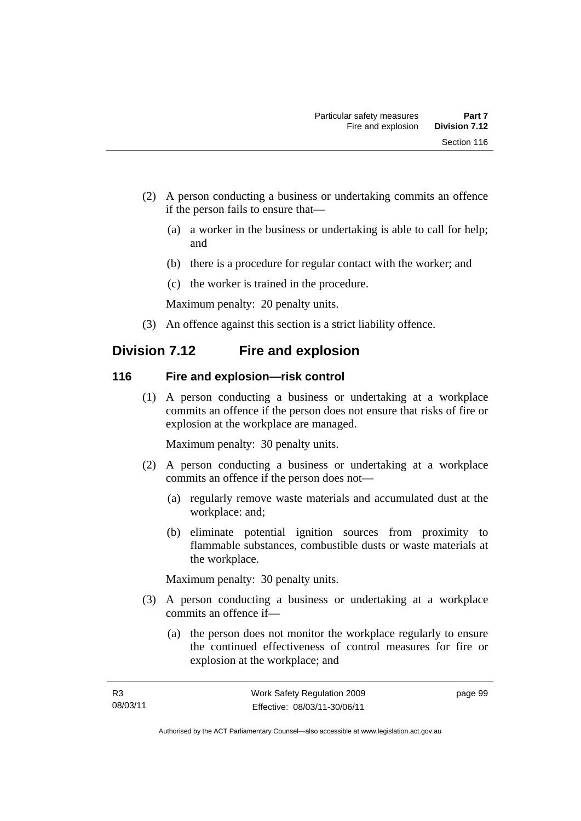- (2) A person conducting a business or undertaking commits an offence if the person fails to ensure that—
	- (a) a worker in the business or undertaking is able to call for help; and
	- (b) there is a procedure for regular contact with the worker; and
	- (c) the worker is trained in the procedure.

Maximum penalty: 20 penalty units.

(3) An offence against this section is a strict liability offence.

# **Division 7.12 Fire and explosion**

## **116 Fire and explosion—risk control**

 (1) A person conducting a business or undertaking at a workplace commits an offence if the person does not ensure that risks of fire or explosion at the workplace are managed.

Maximum penalty: 30 penalty units.

- (2) A person conducting a business or undertaking at a workplace commits an offence if the person does not—
	- (a) regularly remove waste materials and accumulated dust at the workplace: and;
	- (b) eliminate potential ignition sources from proximity to flammable substances, combustible dusts or waste materials at the workplace.

Maximum penalty: 30 penalty units.

- (3) A person conducting a business or undertaking at a workplace commits an offence if—
	- (a) the person does not monitor the workplace regularly to ensure the continued effectiveness of control measures for fire or explosion at the workplace; and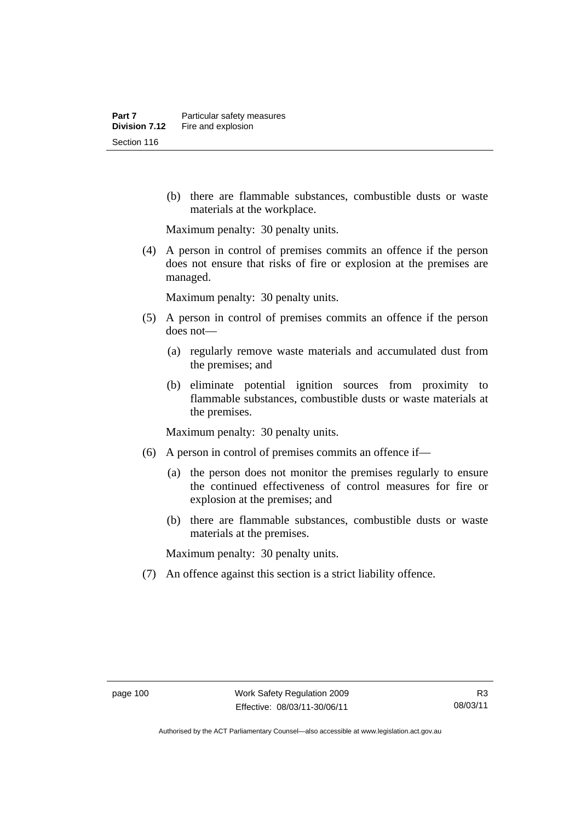(b) there are flammable substances, combustible dusts or waste materials at the workplace.

Maximum penalty: 30 penalty units.

 (4) A person in control of premises commits an offence if the person does not ensure that risks of fire or explosion at the premises are managed.

Maximum penalty: 30 penalty units.

- (5) A person in control of premises commits an offence if the person does not—
	- (a) regularly remove waste materials and accumulated dust from the premises; and
	- (b) eliminate potential ignition sources from proximity to flammable substances, combustible dusts or waste materials at the premises.

Maximum penalty: 30 penalty units.

- (6) A person in control of premises commits an offence if—
	- (a) the person does not monitor the premises regularly to ensure the continued effectiveness of control measures for fire or explosion at the premises; and
	- (b) there are flammable substances, combustible dusts or waste materials at the premises.

Maximum penalty: 30 penalty units.

(7) An offence against this section is a strict liability offence.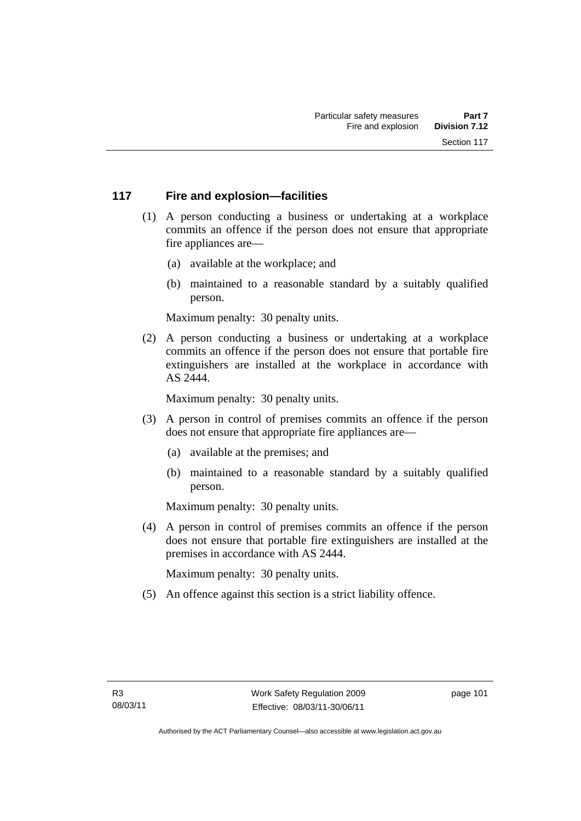## **117 Fire and explosion—facilities**

- (1) A person conducting a business or undertaking at a workplace commits an offence if the person does not ensure that appropriate fire appliances are—
	- (a) available at the workplace; and
	- (b) maintained to a reasonable standard by a suitably qualified person.

Maximum penalty: 30 penalty units.

 (2) A person conducting a business or undertaking at a workplace commits an offence if the person does not ensure that portable fire extinguishers are installed at the workplace in accordance with AS 2444.

Maximum penalty: 30 penalty units.

- (3) A person in control of premises commits an offence if the person does not ensure that appropriate fire appliances are—
	- (a) available at the premises; and
	- (b) maintained to a reasonable standard by a suitably qualified person.

Maximum penalty: 30 penalty units.

 (4) A person in control of premises commits an offence if the person does not ensure that portable fire extinguishers are installed at the premises in accordance with AS 2444.

Maximum penalty: 30 penalty units.

(5) An offence against this section is a strict liability offence.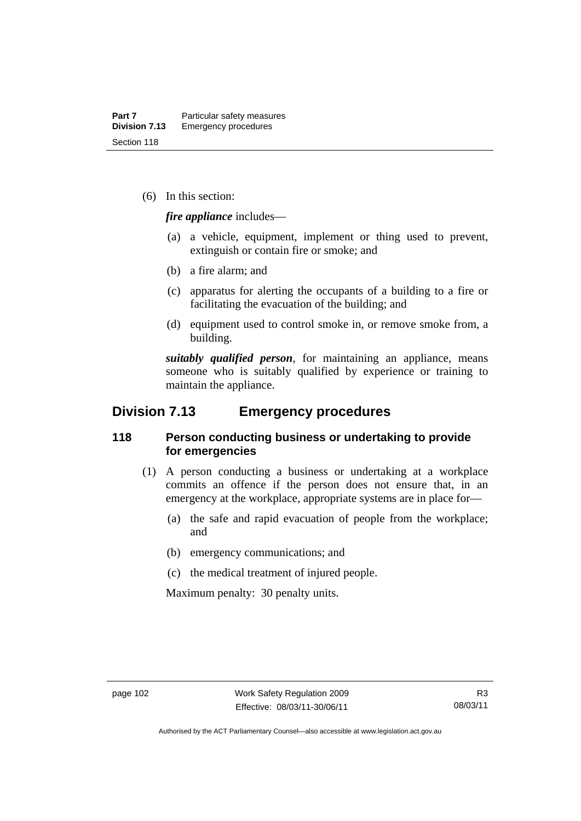(6) In this section:

*fire appliance* includes—

- (a) a vehicle, equipment, implement or thing used to prevent, extinguish or contain fire or smoke; and
- (b) a fire alarm; and
- (c) apparatus for alerting the occupants of a building to a fire or facilitating the evacuation of the building; and
- (d) equipment used to control smoke in, or remove smoke from, a building.

*suitably qualified person*, for maintaining an appliance, means someone who is suitably qualified by experience or training to maintain the appliance.

# **Division 7.13 Emergency procedures**

## **118 Person conducting business or undertaking to provide for emergencies**

- (1) A person conducting a business or undertaking at a workplace commits an offence if the person does not ensure that, in an emergency at the workplace, appropriate systems are in place for—
	- (a) the safe and rapid evacuation of people from the workplace; and
	- (b) emergency communications; and
	- (c) the medical treatment of injured people.

Maximum penalty: 30 penalty units.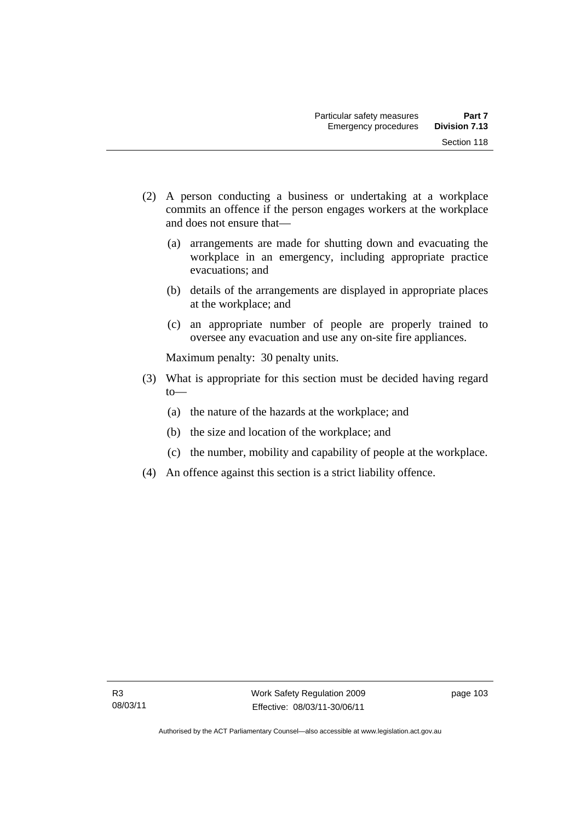- (2) A person conducting a business or undertaking at a workplace commits an offence if the person engages workers at the workplace and does not ensure that—
	- (a) arrangements are made for shutting down and evacuating the workplace in an emergency, including appropriate practice evacuations; and
	- (b) details of the arrangements are displayed in appropriate places at the workplace; and
	- (c) an appropriate number of people are properly trained to oversee any evacuation and use any on-site fire appliances.

Maximum penalty: 30 penalty units.

- (3) What is appropriate for this section must be decided having regard  $to$ —
	- (a) the nature of the hazards at the workplace; and
	- (b) the size and location of the workplace; and
	- (c) the number, mobility and capability of people at the workplace.
- (4) An offence against this section is a strict liability offence.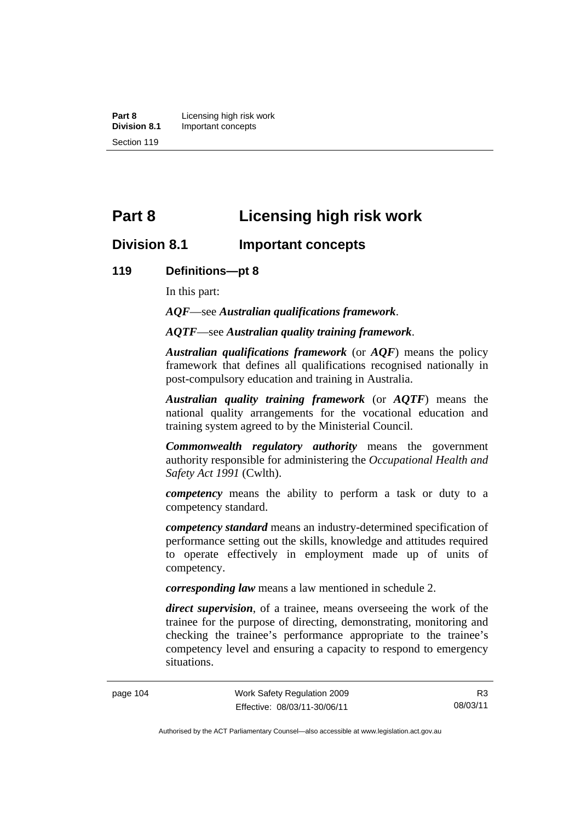**Part 8 Licensing high risk work**<br>**Division 8.1 Important concepts Division 8.1** Important concepts Section 119

# **Part 8 Licensing high risk work**

## **Division 8.1 Important concepts**

#### **119 Definitions—pt 8**

In this part:

*AQF*—see *Australian qualifications framework*.

*AQTF*—see *Australian quality training framework*.

*Australian qualifications framework* (or *AQF*) means the policy framework that defines all qualifications recognised nationally in post-compulsory education and training in Australia.

*Australian quality training framework* (or *AQTF*) means the national quality arrangements for the vocational education and training system agreed to by the Ministerial Council.

*Commonwealth regulatory authority* means the government authority responsible for administering the *Occupational Health and Safety Act 1991* (Cwlth).

*competency* means the ability to perform a task or duty to a competency standard.

*competency standard* means an industry-determined specification of performance setting out the skills, knowledge and attitudes required to operate effectively in employment made up of units of competency.

*corresponding law* means a law mentioned in schedule 2.

*direct supervision*, of a trainee, means overseeing the work of the trainee for the purpose of directing, demonstrating, monitoring and checking the trainee's performance appropriate to the trainee's competency level and ensuring a capacity to respond to emergency situations.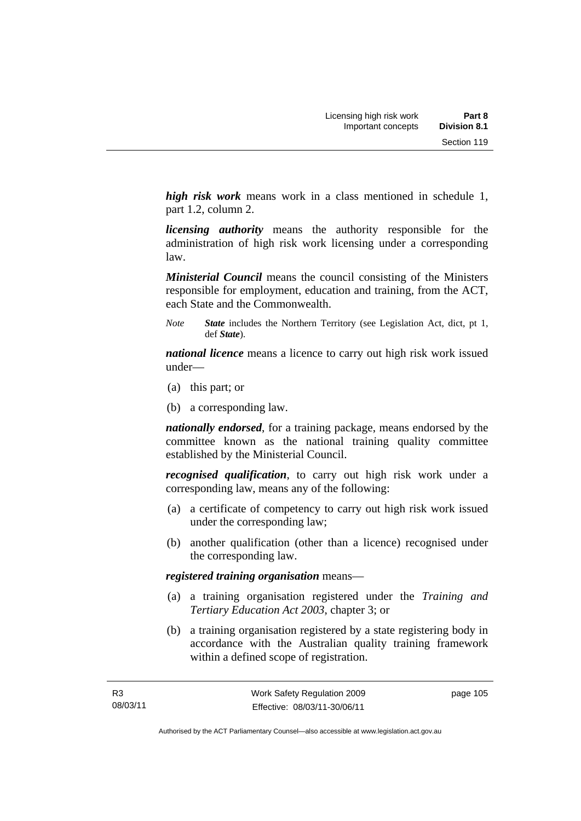*high risk work* means work in a class mentioned in schedule 1, part 1.2, column 2.

*licensing authority* means the authority responsible for the administration of high risk work licensing under a corresponding law.

*Ministerial Council* means the council consisting of the Ministers responsible for employment, education and training, from the ACT, each State and the Commonwealth.

*Note State* includes the Northern Territory (see Legislation Act, dict, pt 1, def *State*).

*national licence* means a licence to carry out high risk work issued under—

- (a) this part; or
- (b) a corresponding law.

*nationally endorsed*, for a training package, means endorsed by the committee known as the national training quality committee established by the Ministerial Council.

*recognised qualification*, to carry out high risk work under a corresponding law, means any of the following:

- (a) a certificate of competency to carry out high risk work issued under the corresponding law;
- (b) another qualification (other than a licence) recognised under the corresponding law.

#### *registered training organisation* means—

- (a) a training organisation registered under the *Training and Tertiary Education Act 2003*, chapter 3; or
- (b) a training organisation registered by a state registering body in accordance with the Australian quality training framework within a defined scope of registration.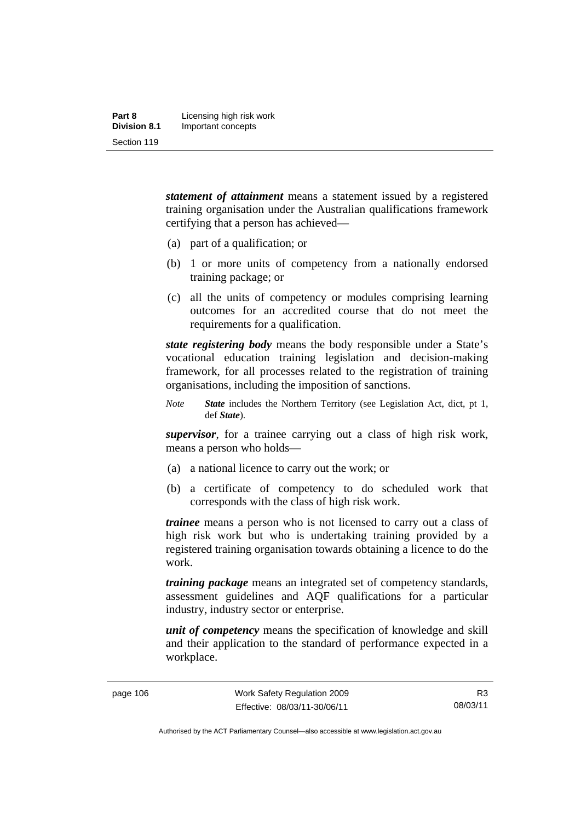| Part 8              | Licensing high risk work |
|---------------------|--------------------------|
| <b>Division 8.1</b> | Important concepts       |
| Section 119         |                          |

*statement of attainment* means a statement issued by a registered training organisation under the Australian qualifications framework certifying that a person has achieved—

- (a) part of a qualification; or
- (b) 1 or more units of competency from a nationally endorsed training package; or
- (c) all the units of competency or modules comprising learning outcomes for an accredited course that do not meet the requirements for a qualification.

*state registering body* means the body responsible under a State's vocational education training legislation and decision-making framework, for all processes related to the registration of training organisations, including the imposition of sanctions.

*Note State* includes the Northern Territory (see Legislation Act, dict, pt 1, def *State*).

*supervisor*, for a trainee carrying out a class of high risk work, means a person who holds—

- (a) a national licence to carry out the work; or
- (b) a certificate of competency to do scheduled work that corresponds with the class of high risk work.

*trainee* means a person who is not licensed to carry out a class of high risk work but who is undertaking training provided by a registered training organisation towards obtaining a licence to do the work.

*training package* means an integrated set of competency standards, assessment guidelines and AQF qualifications for a particular industry, industry sector or enterprise.

*unit of competency* means the specification of knowledge and skill and their application to the standard of performance expected in a workplace.

Authorised by the ACT Parliamentary Counsel—also accessible at www.legislation.act.gov.au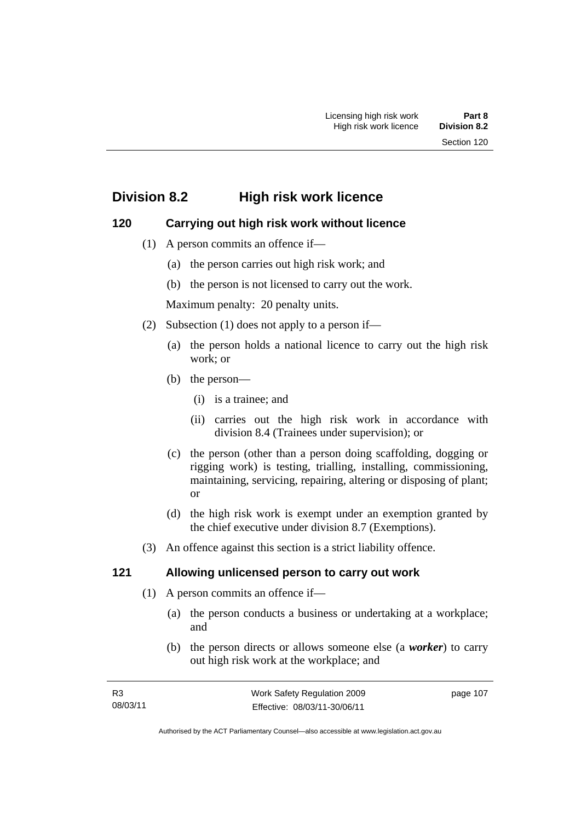# **Division 8.2 High risk work licence**

## **120 Carrying out high risk work without licence**

- (1) A person commits an offence if—
	- (a) the person carries out high risk work; and
	- (b) the person is not licensed to carry out the work.

Maximum penalty: 20 penalty units.

- (2) Subsection (1) does not apply to a person if—
	- (a) the person holds a national licence to carry out the high risk work; or
	- (b) the person—
		- (i) is a trainee; and
		- (ii) carries out the high risk work in accordance with division 8.4 (Trainees under supervision); or
	- (c) the person (other than a person doing scaffolding, dogging or rigging work) is testing, trialling, installing, commissioning, maintaining, servicing, repairing, altering or disposing of plant; or
	- (d) the high risk work is exempt under an exemption granted by the chief executive under division 8.7 (Exemptions).
- (3) An offence against this section is a strict liability offence.

## **121 Allowing unlicensed person to carry out work**

- (1) A person commits an offence if—
	- (a) the person conducts a business or undertaking at a workplace; and
	- (b) the person directs or allows someone else (a *worker*) to carry out high risk work at the workplace; and

page 107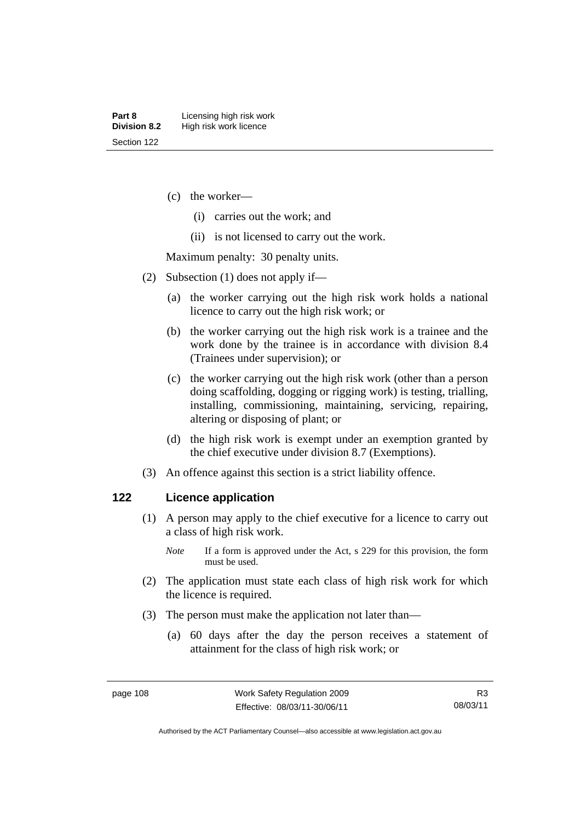- (c) the worker—
	- (i) carries out the work; and
	- (ii) is not licensed to carry out the work.

Maximum penalty: 30 penalty units.

- (2) Subsection (1) does not apply if—
	- (a) the worker carrying out the high risk work holds a national licence to carry out the high risk work; or
	- (b) the worker carrying out the high risk work is a trainee and the work done by the trainee is in accordance with division 8.4 (Trainees under supervision); or
	- (c) the worker carrying out the high risk work (other than a person doing scaffolding, dogging or rigging work) is testing, trialling, installing, commissioning, maintaining, servicing, repairing, altering or disposing of plant; or
	- (d) the high risk work is exempt under an exemption granted by the chief executive under division 8.7 (Exemptions).
- (3) An offence against this section is a strict liability offence.

#### **122 Licence application**

- (1) A person may apply to the chief executive for a licence to carry out a class of high risk work.
	- *Note* If a form is approved under the Act, s 229 for this provision, the form must be used.
- (2) The application must state each class of high risk work for which the licence is required.
- (3) The person must make the application not later than—
	- (a) 60 days after the day the person receives a statement of attainment for the class of high risk work; or

Authorised by the ACT Parliamentary Counsel—also accessible at www.legislation.act.gov.au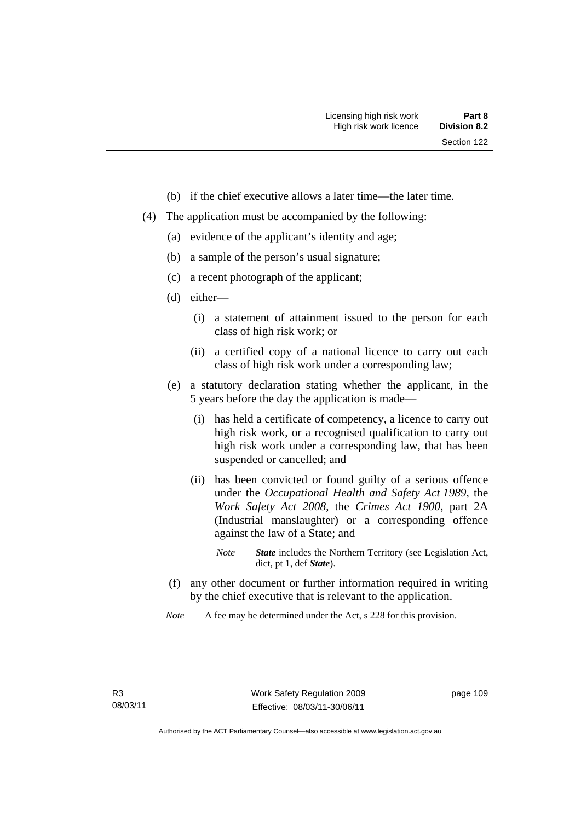- (b) if the chief executive allows a later time—the later time.
- (4) The application must be accompanied by the following:
	- (a) evidence of the applicant's identity and age;
	- (b) a sample of the person's usual signature;
	- (c) a recent photograph of the applicant;
	- (d) either—
		- (i) a statement of attainment issued to the person for each class of high risk work; or
		- (ii) a certified copy of a national licence to carry out each class of high risk work under a corresponding law;
	- (e) a statutory declaration stating whether the applicant, in the 5 years before the day the application is made—
		- (i) has held a certificate of competency, a licence to carry out high risk work, or a recognised qualification to carry out high risk work under a corresponding law, that has been suspended or cancelled; and
		- (ii) has been convicted or found guilty of a serious offence under the *Occupational Health and Safety Act 1989*, the *Work Safety Act 2008*, the *Crimes Act 1900*, part 2A (Industrial manslaughter) or a corresponding offence against the law of a State; and
			- *Note State* includes the Northern Territory (see Legislation Act, dict, pt 1, def *State*).
	- (f) any other document or further information required in writing by the chief executive that is relevant to the application.
	- *Note* A fee may be determined under the Act, s 228 for this provision.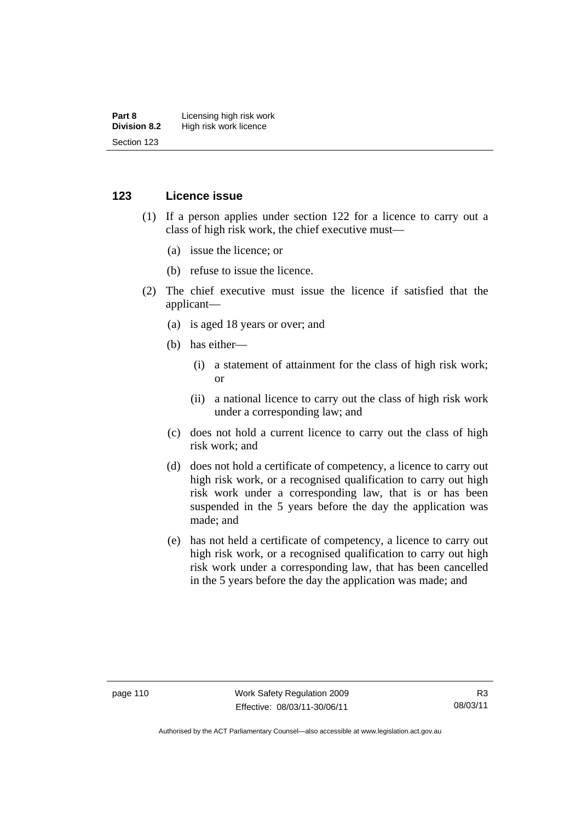#### **Part 8 Licensing high risk work**<br>**Division 8.2** High risk work licence **High risk work licence** Section 123

#### **123 Licence issue**

- (1) If a person applies under section 122 for a licence to carry out a class of high risk work, the chief executive must—
	- (a) issue the licence; or
	- (b) refuse to issue the licence.
- (2) The chief executive must issue the licence if satisfied that the applicant—
	- (a) is aged 18 years or over; and
	- (b) has either—
		- (i) a statement of attainment for the class of high risk work; or
		- (ii) a national licence to carry out the class of high risk work under a corresponding law; and
	- (c) does not hold a current licence to carry out the class of high risk work; and
	- (d) does not hold a certificate of competency, a licence to carry out high risk work, or a recognised qualification to carry out high risk work under a corresponding law, that is or has been suspended in the 5 years before the day the application was made; and
	- (e) has not held a certificate of competency, a licence to carry out high risk work, or a recognised qualification to carry out high risk work under a corresponding law, that has been cancelled in the 5 years before the day the application was made; and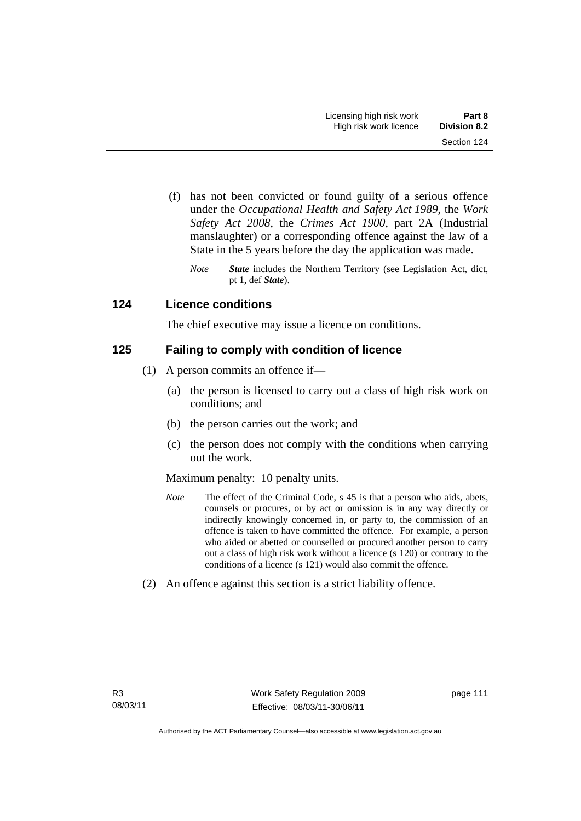- (f) has not been convicted or found guilty of a serious offence under the *Occupational Health and Safety Act 1989*, the *Work Safety Act 2008*, the *Crimes Act 1900*, part 2A (Industrial manslaughter) or a corresponding offence against the law of a State in the 5 years before the day the application was made.
	- *Note State* includes the Northern Territory (see Legislation Act, dict, pt 1, def *State*).

## **124 Licence conditions**

The chief executive may issue a licence on conditions.

## **125 Failing to comply with condition of licence**

- (1) A person commits an offence if—
	- (a) the person is licensed to carry out a class of high risk work on conditions; and
	- (b) the person carries out the work; and
	- (c) the person does not comply with the conditions when carrying out the work.

#### Maximum penalty: 10 penalty units.

- *Note* The effect of the Criminal Code, s 45 is that a person who aids, abets, counsels or procures, or by act or omission is in any way directly or indirectly knowingly concerned in, or party to, the commission of an offence is taken to have committed the offence. For example, a person who aided or abetted or counselled or procured another person to carry out a class of high risk work without a licence (s 120) or contrary to the conditions of a licence (s 121) would also commit the offence.
- (2) An offence against this section is a strict liability offence.

page 111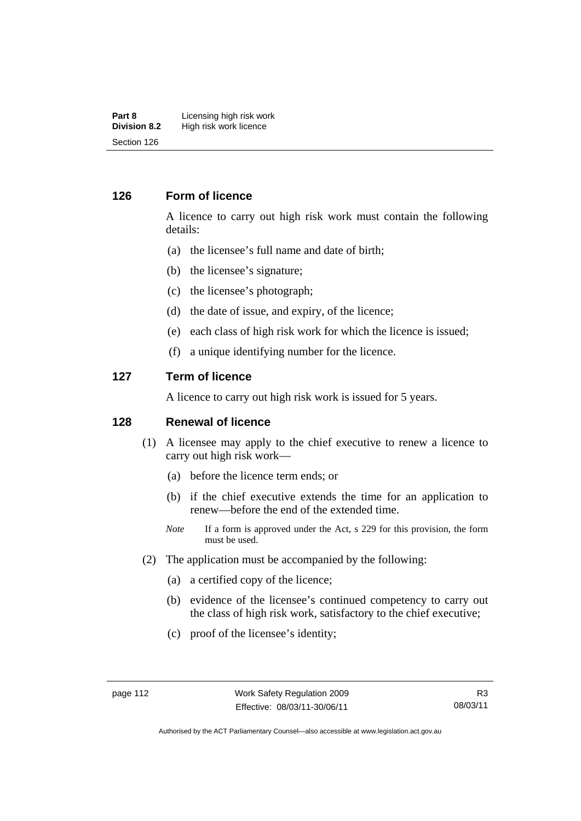#### **Part 8 Licensing high risk work**<br>**Division 8.2** High risk work licence **High risk work licence** Section 126

#### **126 Form of licence**

A licence to carry out high risk work must contain the following details:

- (a) the licensee's full name and date of birth;
- (b) the licensee's signature;
- (c) the licensee's photograph;
- (d) the date of issue, and expiry, of the licence;
- (e) each class of high risk work for which the licence is issued;
- (f) a unique identifying number for the licence.

#### **127 Term of licence**

A licence to carry out high risk work is issued for 5 years.

#### **128 Renewal of licence**

- (1) A licensee may apply to the chief executive to renew a licence to carry out high risk work—
	- (a) before the licence term ends; or
	- (b) if the chief executive extends the time for an application to renew—before the end of the extended time.
	- *Note* If a form is approved under the Act, s 229 for this provision, the form must be used.
- (2) The application must be accompanied by the following:
	- (a) a certified copy of the licence;
	- (b) evidence of the licensee's continued competency to carry out the class of high risk work, satisfactory to the chief executive;
	- (c) proof of the licensee's identity;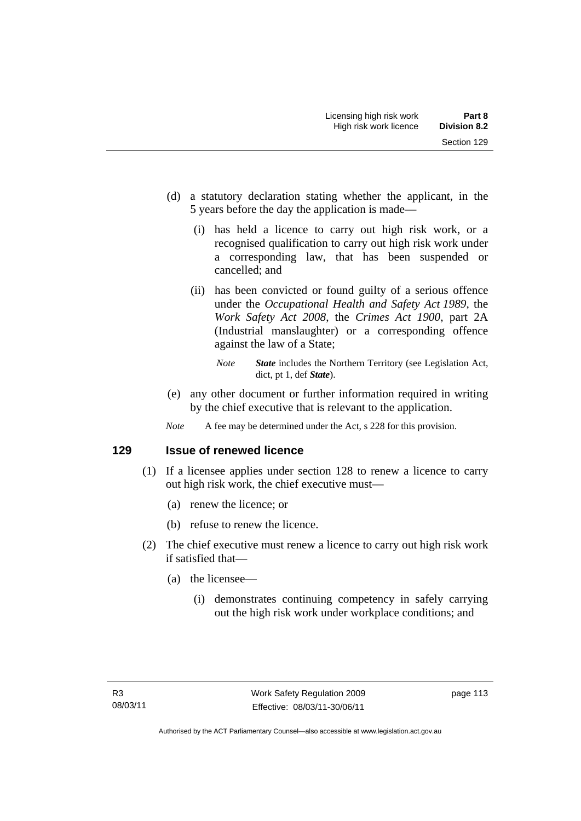- (d) a statutory declaration stating whether the applicant, in the 5 years before the day the application is made—
	- (i) has held a licence to carry out high risk work, or a recognised qualification to carry out high risk work under a corresponding law, that has been suspended or cancelled; and
	- (ii) has been convicted or found guilty of a serious offence under the *Occupational Health and Safety Act 1989*, the *Work Safety Act 2008*, the *Crimes Act 1900*, part 2A (Industrial manslaughter) or a corresponding offence against the law of a State;
		- *Note State* includes the Northern Territory (see Legislation Act, dict, pt 1, def *State*).
- (e) any other document or further information required in writing by the chief executive that is relevant to the application.
- *Note* A fee may be determined under the Act, s 228 for this provision.

#### **129 Issue of renewed licence**

- (1) If a licensee applies under section 128 to renew a licence to carry out high risk work, the chief executive must—
	- (a) renew the licence; or
	- (b) refuse to renew the licence.
- (2) The chief executive must renew a licence to carry out high risk work if satisfied that—
	- (a) the licensee—
		- (i) demonstrates continuing competency in safely carrying out the high risk work under workplace conditions; and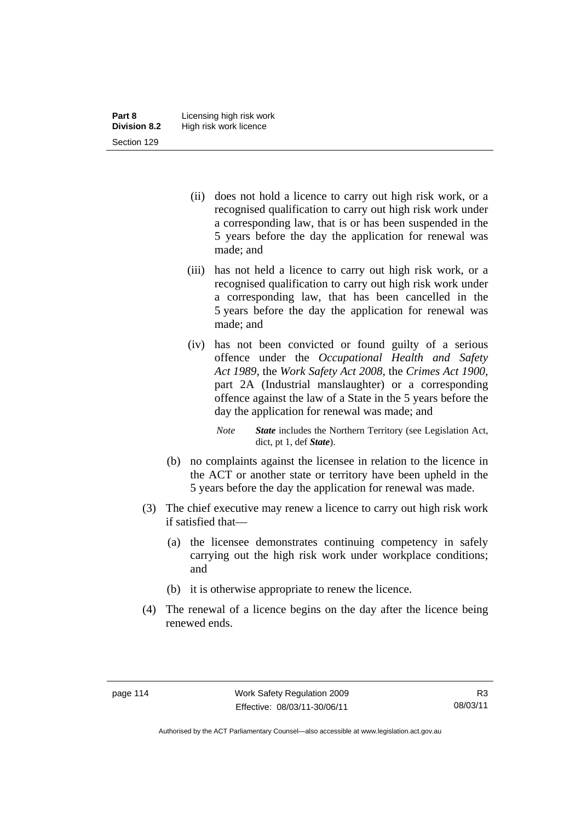- (ii) does not hold a licence to carry out high risk work, or a recognised qualification to carry out high risk work under a corresponding law, that is or has been suspended in the 5 years before the day the application for renewal was made; and
- (iii) has not held a licence to carry out high risk work, or a recognised qualification to carry out high risk work under a corresponding law, that has been cancelled in the 5 years before the day the application for renewal was made; and
- (iv) has not been convicted or found guilty of a serious offence under the *Occupational Health and Safety Act 1989*, the *Work Safety Act 2008*, the *Crimes Act 1900*, part 2A (Industrial manslaughter) or a corresponding offence against the law of a State in the 5 years before the day the application for renewal was made; and
	- *Note State* includes the Northern Territory (see Legislation Act, dict, pt 1, def *State*).
- (b) no complaints against the licensee in relation to the licence in the ACT or another state or territory have been upheld in the 5 years before the day the application for renewal was made.
- (3) The chief executive may renew a licence to carry out high risk work if satisfied that—
	- (a) the licensee demonstrates continuing competency in safely carrying out the high risk work under workplace conditions; and
	- (b) it is otherwise appropriate to renew the licence.
- (4) The renewal of a licence begins on the day after the licence being renewed ends.

Authorised by the ACT Parliamentary Counsel—also accessible at www.legislation.act.gov.au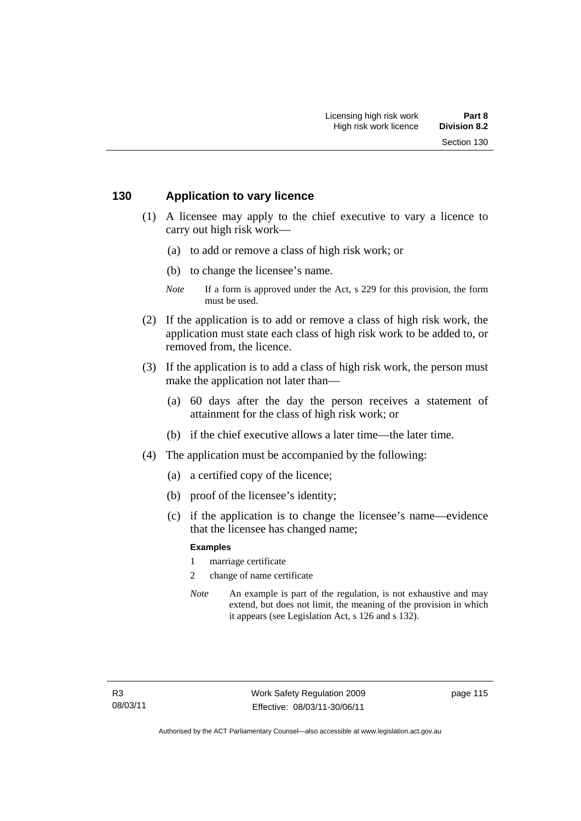#### **130 Application to vary licence**

- (1) A licensee may apply to the chief executive to vary a licence to carry out high risk work—
	- (a) to add or remove a class of high risk work; or
	- (b) to change the licensee's name.
	- *Note* If a form is approved under the Act, s 229 for this provision, the form must be used.
- (2) If the application is to add or remove a class of high risk work, the application must state each class of high risk work to be added to, or removed from, the licence.
- (3) If the application is to add a class of high risk work, the person must make the application not later than—
	- (a) 60 days after the day the person receives a statement of attainment for the class of high risk work; or
	- (b) if the chief executive allows a later time—the later time.
- (4) The application must be accompanied by the following:
	- (a) a certified copy of the licence;
	- (b) proof of the licensee's identity;
	- (c) if the application is to change the licensee's name—evidence that the licensee has changed name;

#### **Examples**

- 1 marriage certificate
- 2 change of name certificate
- *Note* An example is part of the regulation, is not exhaustive and may extend, but does not limit, the meaning of the provision in which it appears (see Legislation Act, s 126 and s 132).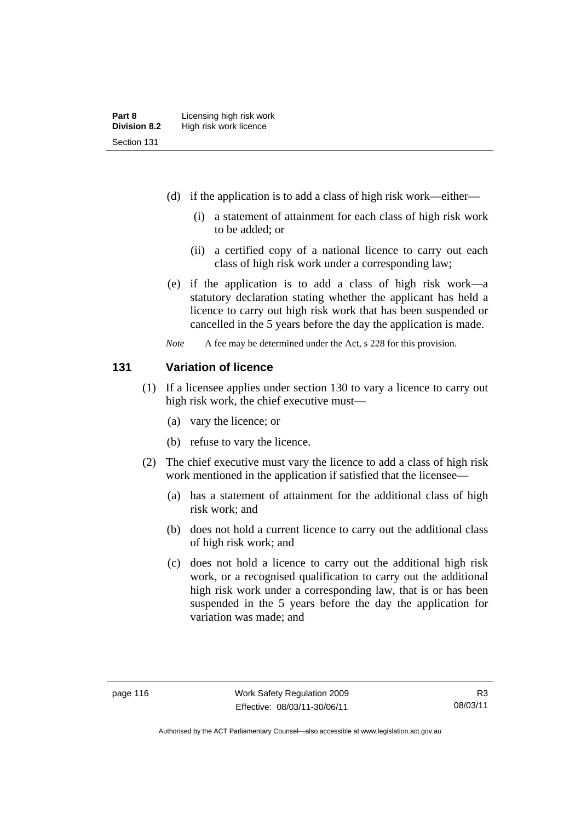- (d) if the application is to add a class of high risk work—either—
	- (i) a statement of attainment for each class of high risk work to be added; or
	- (ii) a certified copy of a national licence to carry out each class of high risk work under a corresponding law;
- (e) if the application is to add a class of high risk work—a statutory declaration stating whether the applicant has held a licence to carry out high risk work that has been suspended or cancelled in the 5 years before the day the application is made.
- *Note* A fee may be determined under the Act, s 228 for this provision.

#### **131 Variation of licence**

- (1) If a licensee applies under section 130 to vary a licence to carry out high risk work, the chief executive must—
	- (a) vary the licence; or
	- (b) refuse to vary the licence.
- (2) The chief executive must vary the licence to add a class of high risk work mentioned in the application if satisfied that the licensee—
	- (a) has a statement of attainment for the additional class of high risk work; and
	- (b) does not hold a current licence to carry out the additional class of high risk work; and
	- (c) does not hold a licence to carry out the additional high risk work, or a recognised qualification to carry out the additional high risk work under a corresponding law, that is or has been suspended in the 5 years before the day the application for variation was made; and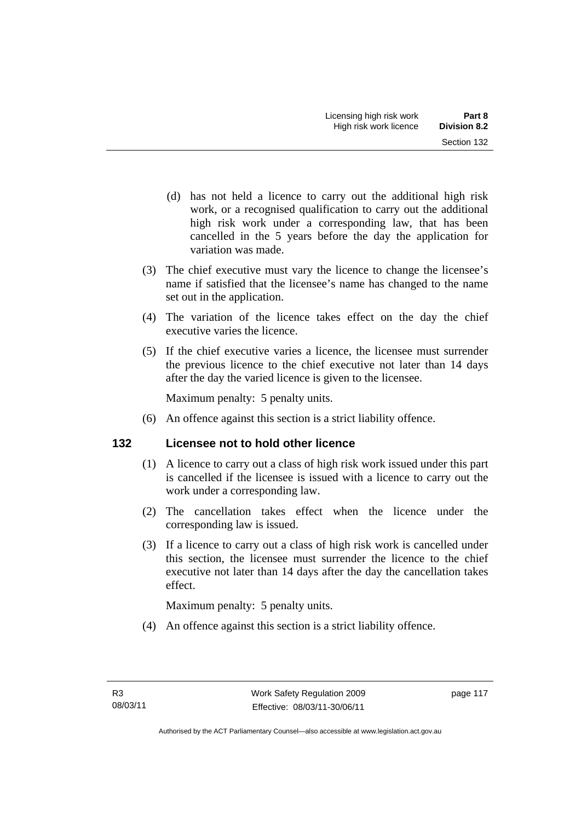- (d) has not held a licence to carry out the additional high risk work, or a recognised qualification to carry out the additional high risk work under a corresponding law, that has been cancelled in the 5 years before the day the application for variation was made.
- (3) The chief executive must vary the licence to change the licensee's name if satisfied that the licensee's name has changed to the name set out in the application.
- (4) The variation of the licence takes effect on the day the chief executive varies the licence.
- (5) If the chief executive varies a licence, the licensee must surrender the previous licence to the chief executive not later than 14 days after the day the varied licence is given to the licensee.

Maximum penalty: 5 penalty units.

(6) An offence against this section is a strict liability offence.

## **132 Licensee not to hold other licence**

- (1) A licence to carry out a class of high risk work issued under this part is cancelled if the licensee is issued with a licence to carry out the work under a corresponding law.
- (2) The cancellation takes effect when the licence under the corresponding law is issued.
- (3) If a licence to carry out a class of high risk work is cancelled under this section, the licensee must surrender the licence to the chief executive not later than 14 days after the day the cancellation takes effect.

Maximum penalty: 5 penalty units.

(4) An offence against this section is a strict liability offence.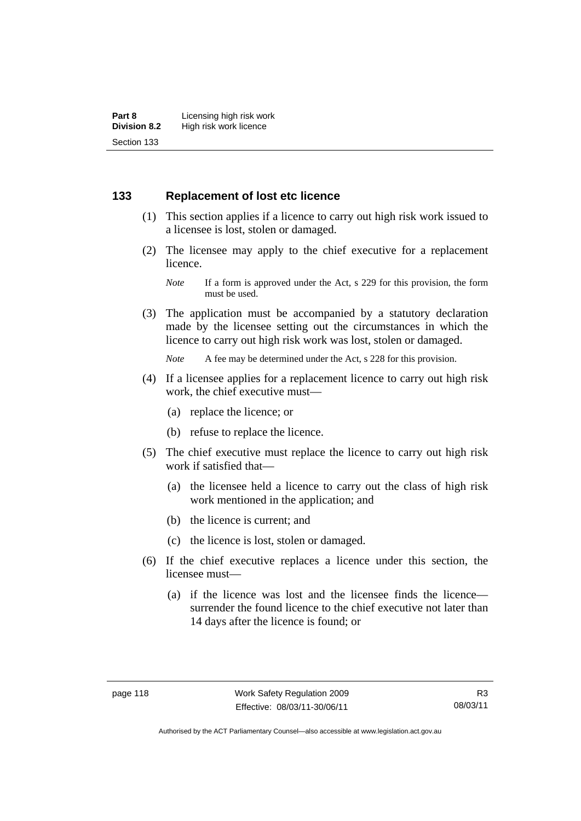#### **133 Replacement of lost etc licence**

- (1) This section applies if a licence to carry out high risk work issued to a licensee is lost, stolen or damaged.
- (2) The licensee may apply to the chief executive for a replacement licence.

 (3) The application must be accompanied by a statutory declaration made by the licensee setting out the circumstances in which the licence to carry out high risk work was lost, stolen or damaged.

*Note* A fee may be determined under the Act, s 228 for this provision.

- (4) If a licensee applies for a replacement licence to carry out high risk work, the chief executive must—
	- (a) replace the licence; or
	- (b) refuse to replace the licence.
- (5) The chief executive must replace the licence to carry out high risk work if satisfied that—
	- (a) the licensee held a licence to carry out the class of high risk work mentioned in the application; and
	- (b) the licence is current; and
	- (c) the licence is lost, stolen or damaged.
- (6) If the chief executive replaces a licence under this section, the licensee must—
	- (a) if the licence was lost and the licensee finds the licence surrender the found licence to the chief executive not later than 14 days after the licence is found; or

*Note* If a form is approved under the Act, s 229 for this provision, the form must be used.

R3 08/03/11

Authorised by the ACT Parliamentary Counsel—also accessible at www.legislation.act.gov.au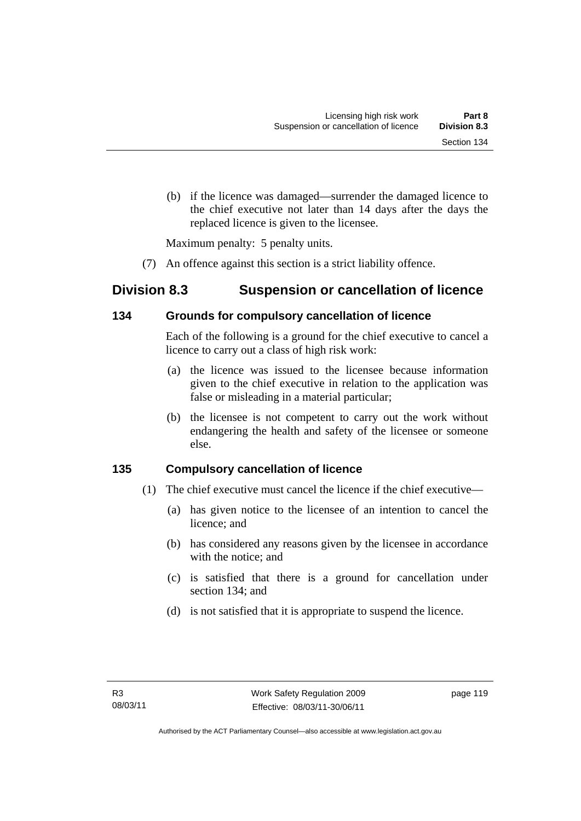(b) if the licence was damaged—surrender the damaged licence to the chief executive not later than 14 days after the days the replaced licence is given to the licensee.

Maximum penalty: 5 penalty units.

(7) An offence against this section is a strict liability offence.

# **Division 8.3 Suspension or cancellation of licence**

## **134 Grounds for compulsory cancellation of licence**

Each of the following is a ground for the chief executive to cancel a licence to carry out a class of high risk work:

- (a) the licence was issued to the licensee because information given to the chief executive in relation to the application was false or misleading in a material particular;
- (b) the licensee is not competent to carry out the work without endangering the health and safety of the licensee or someone else.

# **135 Compulsory cancellation of licence**

- (1) The chief executive must cancel the licence if the chief executive—
	- (a) has given notice to the licensee of an intention to cancel the licence; and
	- (b) has considered any reasons given by the licensee in accordance with the notice; and
	- (c) is satisfied that there is a ground for cancellation under section 134; and
	- (d) is not satisfied that it is appropriate to suspend the licence.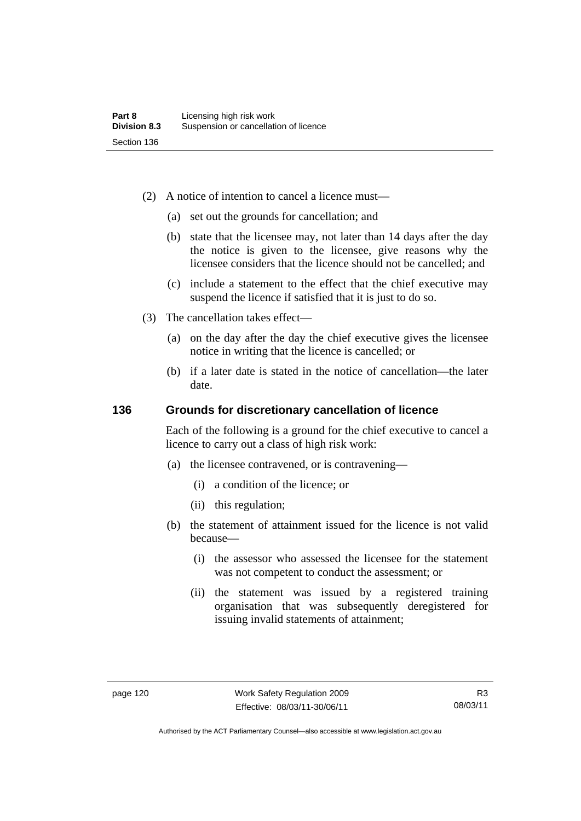- (2) A notice of intention to cancel a licence must—
	- (a) set out the grounds for cancellation; and
	- (b) state that the licensee may, not later than 14 days after the day the notice is given to the licensee, give reasons why the licensee considers that the licence should not be cancelled; and
	- (c) include a statement to the effect that the chief executive may suspend the licence if satisfied that it is just to do so.
- (3) The cancellation takes effect—
	- (a) on the day after the day the chief executive gives the licensee notice in writing that the licence is cancelled; or
	- (b) if a later date is stated in the notice of cancellation—the later date.

#### **136 Grounds for discretionary cancellation of licence**

Each of the following is a ground for the chief executive to cancel a licence to carry out a class of high risk work:

- (a) the licensee contravened, or is contravening—
	- (i) a condition of the licence; or
	- (ii) this regulation;
- (b) the statement of attainment issued for the licence is not valid because—
	- (i) the assessor who assessed the licensee for the statement was not competent to conduct the assessment; or
	- (ii) the statement was issued by a registered training organisation that was subsequently deregistered for issuing invalid statements of attainment;

Authorised by the ACT Parliamentary Counsel—also accessible at www.legislation.act.gov.au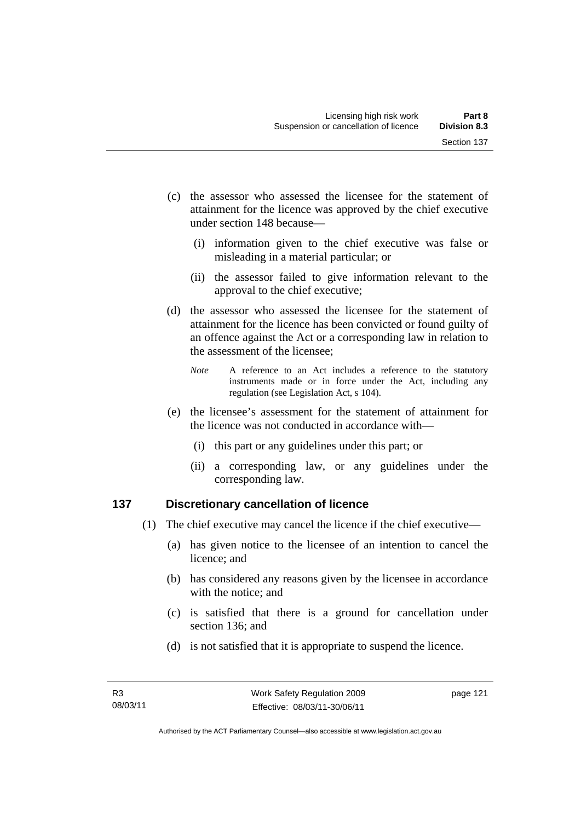- (c) the assessor who assessed the licensee for the statement of attainment for the licence was approved by the chief executive under section 148 because—
	- (i) information given to the chief executive was false or misleading in a material particular; or
	- (ii) the assessor failed to give information relevant to the approval to the chief executive;
- (d) the assessor who assessed the licensee for the statement of attainment for the licence has been convicted or found guilty of an offence against the Act or a corresponding law in relation to the assessment of the licensee;
	- *Note* A reference to an Act includes a reference to the statutory instruments made or in force under the Act, including any regulation (see Legislation Act, s 104).
- (e) the licensee's assessment for the statement of attainment for the licence was not conducted in accordance with—
	- (i) this part or any guidelines under this part; or
	- (ii) a corresponding law, or any guidelines under the corresponding law.

## **137 Discretionary cancellation of licence**

- (1) The chief executive may cancel the licence if the chief executive—
	- (a) has given notice to the licensee of an intention to cancel the licence; and
	- (b) has considered any reasons given by the licensee in accordance with the notice; and
	- (c) is satisfied that there is a ground for cancellation under section 136; and
	- (d) is not satisfied that it is appropriate to suspend the licence.

page 121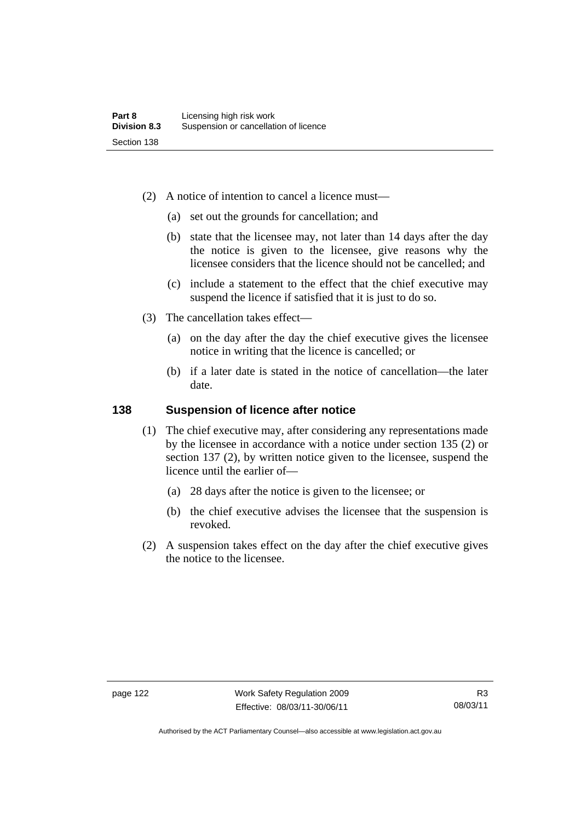- (2) A notice of intention to cancel a licence must—
	- (a) set out the grounds for cancellation; and
	- (b) state that the licensee may, not later than 14 days after the day the notice is given to the licensee, give reasons why the licensee considers that the licence should not be cancelled; and
	- (c) include a statement to the effect that the chief executive may suspend the licence if satisfied that it is just to do so.
- (3) The cancellation takes effect—
	- (a) on the day after the day the chief executive gives the licensee notice in writing that the licence is cancelled; or
	- (b) if a later date is stated in the notice of cancellation—the later date.

#### **138 Suspension of licence after notice**

- (1) The chief executive may, after considering any representations made by the licensee in accordance with a notice under section 135 (2) or section 137 (2), by written notice given to the licensee, suspend the licence until the earlier of—
	- (a) 28 days after the notice is given to the licensee; or
	- (b) the chief executive advises the licensee that the suspension is revoked.
- (2) A suspension takes effect on the day after the chief executive gives the notice to the licensee.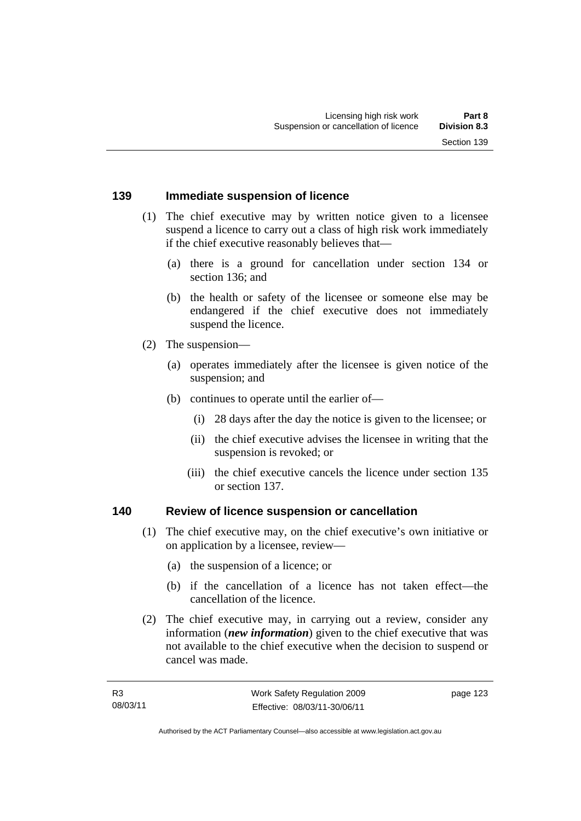#### **139 Immediate suspension of licence**

- (1) The chief executive may by written notice given to a licensee suspend a licence to carry out a class of high risk work immediately if the chief executive reasonably believes that—
	- (a) there is a ground for cancellation under section 134 or section 136; and
	- (b) the health or safety of the licensee or someone else may be endangered if the chief executive does not immediately suspend the licence.
- (2) The suspension—
	- (a) operates immediately after the licensee is given notice of the suspension; and
	- (b) continues to operate until the earlier of—
		- (i) 28 days after the day the notice is given to the licensee; or
		- (ii) the chief executive advises the licensee in writing that the suspension is revoked; or
		- (iii) the chief executive cancels the licence under section 135 or section 137.

#### **140 Review of licence suspension or cancellation**

- (1) The chief executive may, on the chief executive's own initiative or on application by a licensee, review—
	- (a) the suspension of a licence; or
	- (b) if the cancellation of a licence has not taken effect—the cancellation of the licence.
- (2) The chief executive may, in carrying out a review, consider any information (*new information*) given to the chief executive that was not available to the chief executive when the decision to suspend or cancel was made.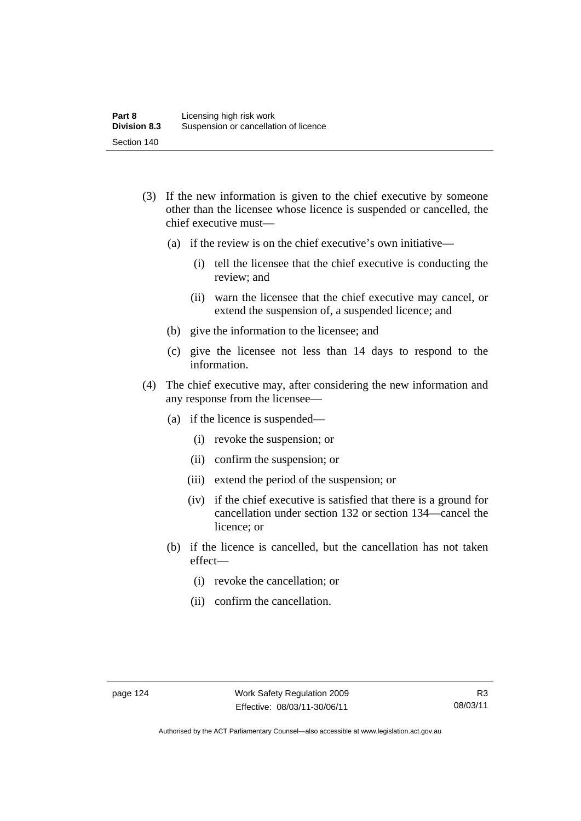- (3) If the new information is given to the chief executive by someone other than the licensee whose licence is suspended or cancelled, the chief executive must—
	- (a) if the review is on the chief executive's own initiative—
		- (i) tell the licensee that the chief executive is conducting the review; and
		- (ii) warn the licensee that the chief executive may cancel, or extend the suspension of, a suspended licence; and
	- (b) give the information to the licensee; and
	- (c) give the licensee not less than 14 days to respond to the information.
- (4) The chief executive may, after considering the new information and any response from the licensee—
	- (a) if the licence is suspended—
		- (i) revoke the suspension; or
		- (ii) confirm the suspension; or
		- (iii) extend the period of the suspension; or
		- (iv) if the chief executive is satisfied that there is a ground for cancellation under section 132 or section 134—cancel the licence; or
	- (b) if the licence is cancelled, but the cancellation has not taken effect—
		- (i) revoke the cancellation; or
		- (ii) confirm the cancellation.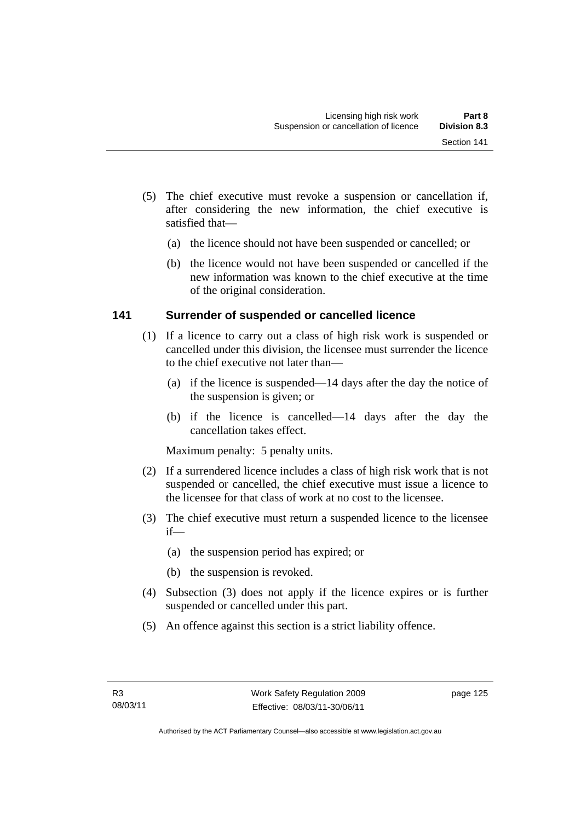- (5) The chief executive must revoke a suspension or cancellation if, after considering the new information, the chief executive is satisfied that—
	- (a) the licence should not have been suspended or cancelled; or
	- (b) the licence would not have been suspended or cancelled if the new information was known to the chief executive at the time of the original consideration.

## **141 Surrender of suspended or cancelled licence**

- (1) If a licence to carry out a class of high risk work is suspended or cancelled under this division, the licensee must surrender the licence to the chief executive not later than—
	- (a) if the licence is suspended—14 days after the day the notice of the suspension is given; or
	- (b) if the licence is cancelled—14 days after the day the cancellation takes effect.

Maximum penalty: 5 penalty units.

- (2) If a surrendered licence includes a class of high risk work that is not suspended or cancelled, the chief executive must issue a licence to the licensee for that class of work at no cost to the licensee.
- (3) The chief executive must return a suspended licence to the licensee if—
	- (a) the suspension period has expired; or
	- (b) the suspension is revoked.
- (4) Subsection (3) does not apply if the licence expires or is further suspended or cancelled under this part.
- (5) An offence against this section is a strict liability offence.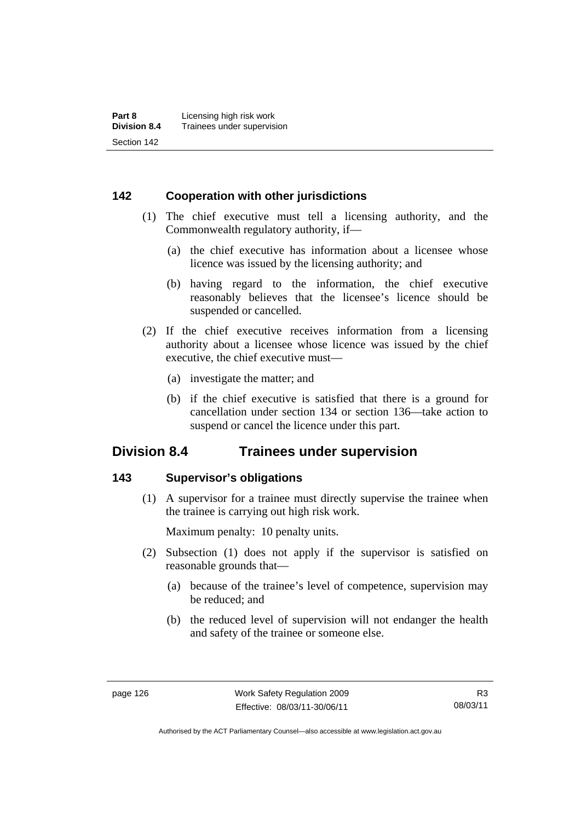## **142 Cooperation with other jurisdictions**

- (1) The chief executive must tell a licensing authority, and the Commonwealth regulatory authority, if—
	- (a) the chief executive has information about a licensee whose licence was issued by the licensing authority; and
	- (b) having regard to the information, the chief executive reasonably believes that the licensee's licence should be suspended or cancelled.
- (2) If the chief executive receives information from a licensing authority about a licensee whose licence was issued by the chief executive, the chief executive must—
	- (a) investigate the matter; and
	- (b) if the chief executive is satisfied that there is a ground for cancellation under section 134 or section 136—take action to suspend or cancel the licence under this part.

# **Division 8.4 Trainees under supervision**

#### **143 Supervisor's obligations**

 (1) A supervisor for a trainee must directly supervise the trainee when the trainee is carrying out high risk work.

Maximum penalty: 10 penalty units.

- (2) Subsection (1) does not apply if the supervisor is satisfied on reasonable grounds that—
	- (a) because of the trainee's level of competence, supervision may be reduced; and
	- (b) the reduced level of supervision will not endanger the health and safety of the trainee or someone else.

Authorised by the ACT Parliamentary Counsel—also accessible at www.legislation.act.gov.au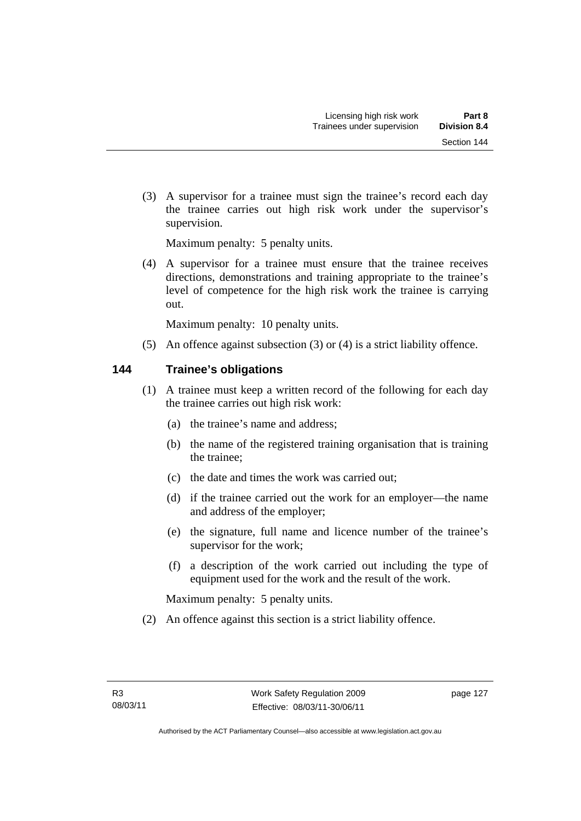(3) A supervisor for a trainee must sign the trainee's record each day the trainee carries out high risk work under the supervisor's supervision.

Maximum penalty: 5 penalty units.

 (4) A supervisor for a trainee must ensure that the trainee receives directions, demonstrations and training appropriate to the trainee's level of competence for the high risk work the trainee is carrying out.

Maximum penalty: 10 penalty units.

(5) An offence against subsection (3) or (4) is a strict liability offence.

## **144 Trainee's obligations**

- (1) A trainee must keep a written record of the following for each day the trainee carries out high risk work:
	- (a) the trainee's name and address;
	- (b) the name of the registered training organisation that is training the trainee;
	- (c) the date and times the work was carried out;
	- (d) if the trainee carried out the work for an employer—the name and address of the employer;
	- (e) the signature, full name and licence number of the trainee's supervisor for the work;
	- (f) a description of the work carried out including the type of equipment used for the work and the result of the work.

Maximum penalty: 5 penalty units.

(2) An offence against this section is a strict liability offence.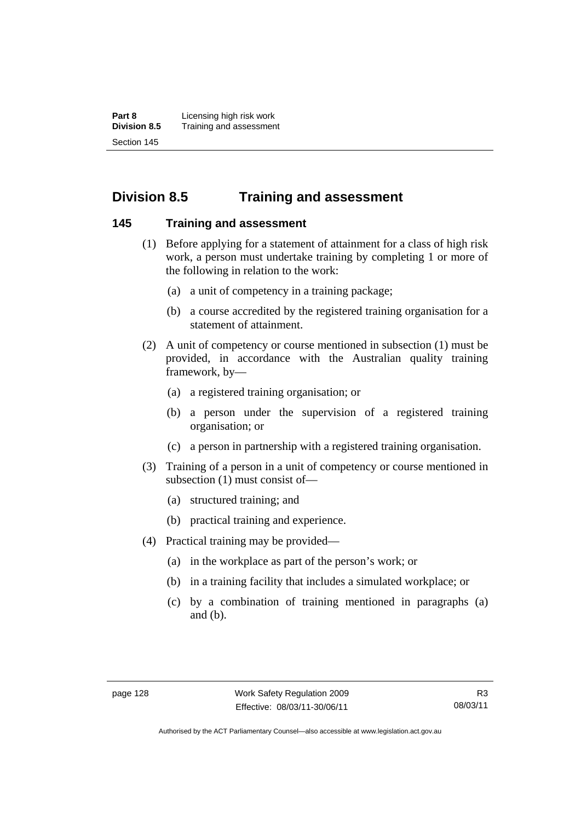**Part 8 Licensing high risk work**<br>**Division 8.5** Training and assessmen **Division 8.5** Training and assessment Section 145

# **Division 8.5 Training and assessment**

#### **145 Training and assessment**

- (1) Before applying for a statement of attainment for a class of high risk work, a person must undertake training by completing 1 or more of the following in relation to the work:
	- (a) a unit of competency in a training package;
	- (b) a course accredited by the registered training organisation for a statement of attainment.
- (2) A unit of competency or course mentioned in subsection (1) must be provided, in accordance with the Australian quality training framework, by—
	- (a) a registered training organisation; or
	- (b) a person under the supervision of a registered training organisation; or
	- (c) a person in partnership with a registered training organisation.
- (3) Training of a person in a unit of competency or course mentioned in subsection (1) must consist of—
	- (a) structured training; and
	- (b) practical training and experience.
- (4) Practical training may be provided—
	- (a) in the workplace as part of the person's work; or
	- (b) in a training facility that includes a simulated workplace; or
	- (c) by a combination of training mentioned in paragraphs (a) and (b).

Authorised by the ACT Parliamentary Counsel—also accessible at www.legislation.act.gov.au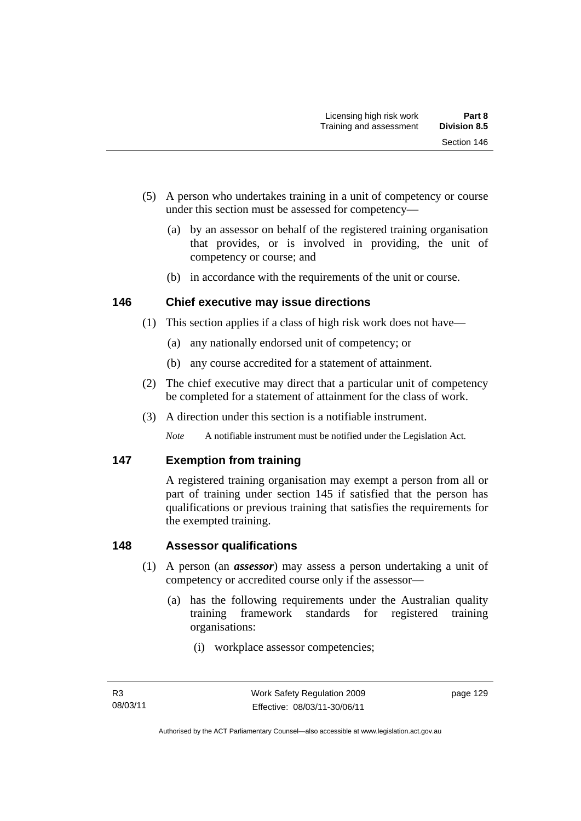- (5) A person who undertakes training in a unit of competency or course under this section must be assessed for competency—
	- (a) by an assessor on behalf of the registered training organisation that provides, or is involved in providing, the unit of competency or course; and
	- (b) in accordance with the requirements of the unit or course.

## **146 Chief executive may issue directions**

- (1) This section applies if a class of high risk work does not have—
	- (a) any nationally endorsed unit of competency; or
	- (b) any course accredited for a statement of attainment.
- (2) The chief executive may direct that a particular unit of competency be completed for a statement of attainment for the class of work.
- (3) A direction under this section is a notifiable instrument.

*Note* A notifiable instrument must be notified under the Legislation Act.

## **147 Exemption from training**

A registered training organisation may exempt a person from all or part of training under section 145 if satisfied that the person has qualifications or previous training that satisfies the requirements for the exempted training.

## **148 Assessor qualifications**

- (1) A person (an *assessor*) may assess a person undertaking a unit of competency or accredited course only if the assessor—
	- (a) has the following requirements under the Australian quality training framework standards for registered training organisations:
		- (i) workplace assessor competencies;

page 129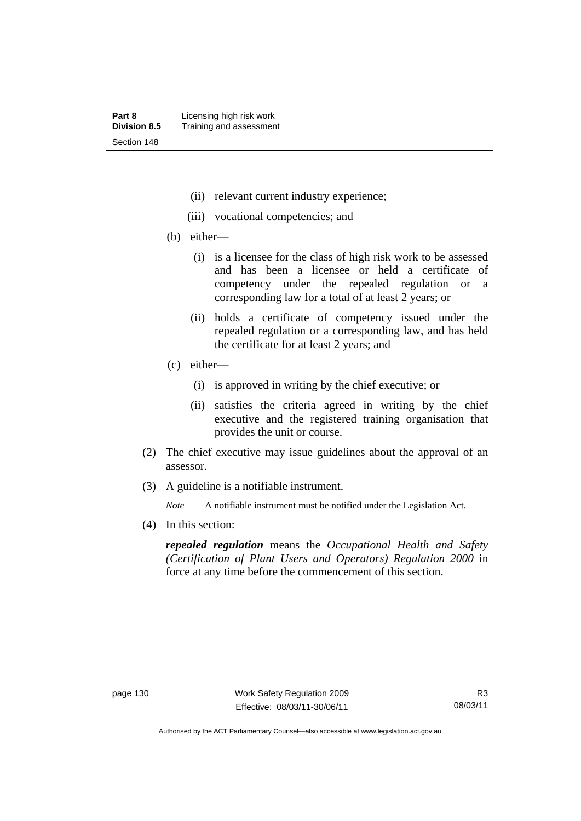- (ii) relevant current industry experience;
- (iii) vocational competencies; and
- (b) either—
	- (i) is a licensee for the class of high risk work to be assessed and has been a licensee or held a certificate of competency under the repealed regulation or a corresponding law for a total of at least 2 years; or
	- (ii) holds a certificate of competency issued under the repealed regulation or a corresponding law, and has held the certificate for at least 2 years; and
- (c) either—
	- (i) is approved in writing by the chief executive; or
	- (ii) satisfies the criteria agreed in writing by the chief executive and the registered training organisation that provides the unit or course.
- (2) The chief executive may issue guidelines about the approval of an assessor.
- (3) A guideline is a notifiable instrument.

*Note* A notifiable instrument must be notified under the Legislation Act.

(4) In this section:

*repealed regulation* means the *Occupational Health and Safety (Certification of Plant Users and Operators) Regulation 2000* in force at any time before the commencement of this section.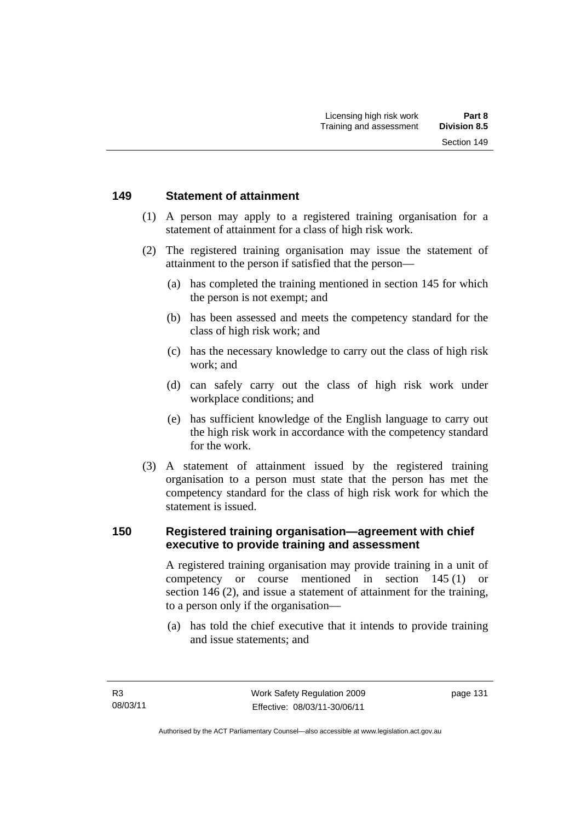#### **149 Statement of attainment**

- (1) A person may apply to a registered training organisation for a statement of attainment for a class of high risk work.
- (2) The registered training organisation may issue the statement of attainment to the person if satisfied that the person—
	- (a) has completed the training mentioned in section 145 for which the person is not exempt; and
	- (b) has been assessed and meets the competency standard for the class of high risk work; and
	- (c) has the necessary knowledge to carry out the class of high risk work; and
	- (d) can safely carry out the class of high risk work under workplace conditions; and
	- (e) has sufficient knowledge of the English language to carry out the high risk work in accordance with the competency standard for the work.
- (3) A statement of attainment issued by the registered training organisation to a person must state that the person has met the competency standard for the class of high risk work for which the statement is issued.

### **150 Registered training organisation—agreement with chief executive to provide training and assessment**

A registered training organisation may provide training in a unit of competency or course mentioned in section 145 (1) or section 146 (2), and issue a statement of attainment for the training, to a person only if the organisation—

 (a) has told the chief executive that it intends to provide training and issue statements; and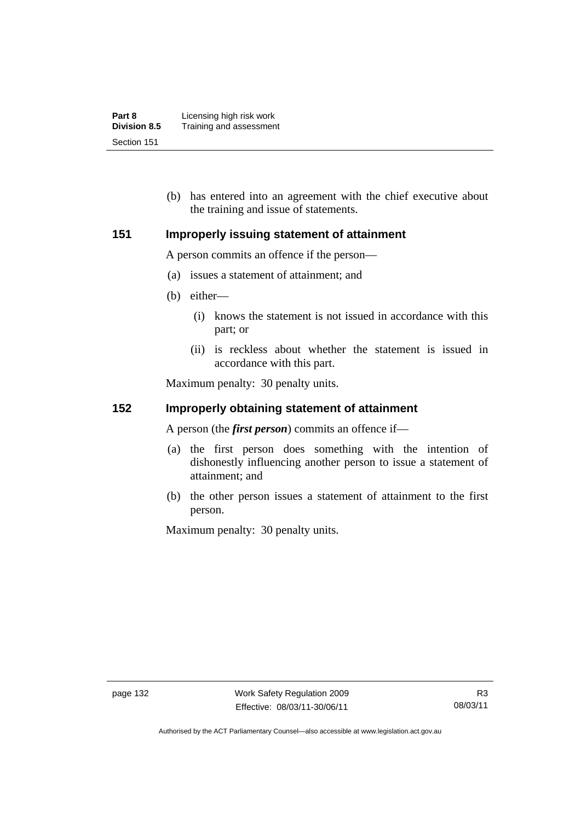| Part 8       | Licensing high risk work |
|--------------|--------------------------|
| Division 8.5 | Training and assessment  |
| Section 151  |                          |

 (b) has entered into an agreement with the chief executive about the training and issue of statements.

#### **151 Improperly issuing statement of attainment**

A person commits an offence if the person—

- (a) issues a statement of attainment; and
- (b) either—
	- (i) knows the statement is not issued in accordance with this part; or
	- (ii) is reckless about whether the statement is issued in accordance with this part.

Maximum penalty: 30 penalty units.

#### **152 Improperly obtaining statement of attainment**

A person (the *first person*) commits an offence if—

- (a) the first person does something with the intention of dishonestly influencing another person to issue a statement of attainment; and
- (b) the other person issues a statement of attainment to the first person.

Maximum penalty: 30 penalty units.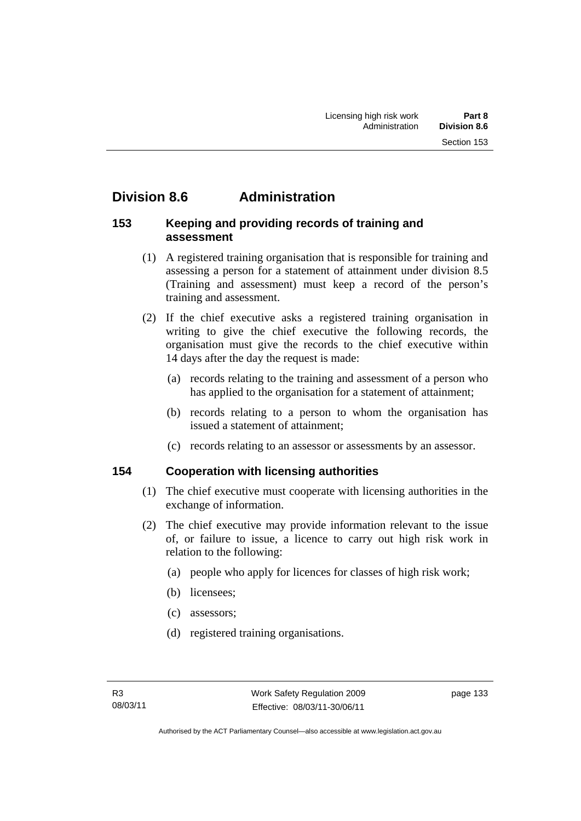# **Division 8.6 Administration**

### **153 Keeping and providing records of training and assessment**

- (1) A registered training organisation that is responsible for training and assessing a person for a statement of attainment under division 8.5 (Training and assessment) must keep a record of the person's training and assessment.
- (2) If the chief executive asks a registered training organisation in writing to give the chief executive the following records, the organisation must give the records to the chief executive within 14 days after the day the request is made:
	- (a) records relating to the training and assessment of a person who has applied to the organisation for a statement of attainment:
	- (b) records relating to a person to whom the organisation has issued a statement of attainment;
	- (c) records relating to an assessor or assessments by an assessor.

## **154 Cooperation with licensing authorities**

- (1) The chief executive must cooperate with licensing authorities in the exchange of information.
- (2) The chief executive may provide information relevant to the issue of, or failure to issue, a licence to carry out high risk work in relation to the following:
	- (a) people who apply for licences for classes of high risk work;
	- (b) licensees;
	- (c) assessors;
	- (d) registered training organisations.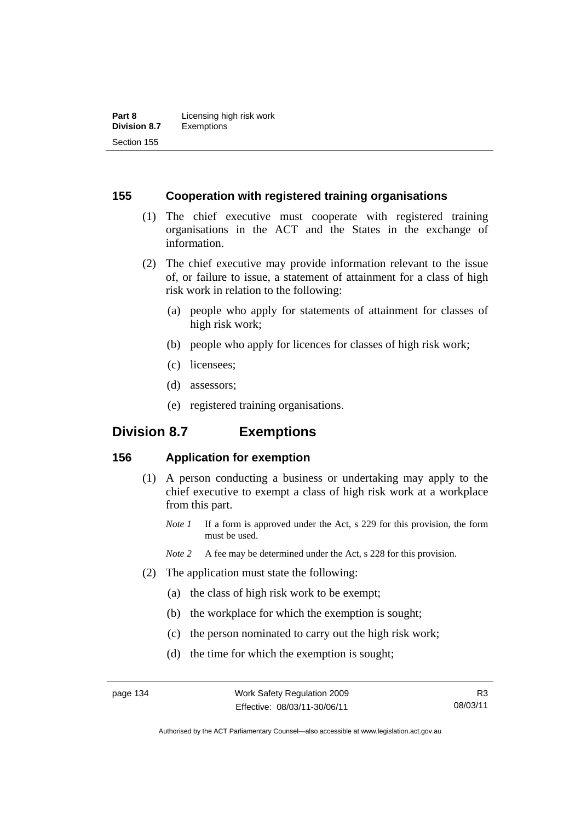#### **155 Cooperation with registered training organisations**

- (1) The chief executive must cooperate with registered training organisations in the ACT and the States in the exchange of information.
- (2) The chief executive may provide information relevant to the issue of, or failure to issue, a statement of attainment for a class of high risk work in relation to the following:
	- (a) people who apply for statements of attainment for classes of high risk work;
	- (b) people who apply for licences for classes of high risk work;
	- (c) licensees;
	- (d) assessors;
	- (e) registered training organisations.

## **Division 8.7 Exemptions**

#### **156 Application for exemption**

- (1) A person conducting a business or undertaking may apply to the chief executive to exempt a class of high risk work at a workplace from this part.
	- *Note 1* If a form is approved under the Act, s 229 for this provision, the form must be used.
	- *Note 2* A fee may be determined under the Act, s 228 for this provision.
- (2) The application must state the following:
	- (a) the class of high risk work to be exempt;
	- (b) the workplace for which the exemption is sought;
	- (c) the person nominated to carry out the high risk work;
	- (d) the time for which the exemption is sought;

R3 08/03/11

Authorised by the ACT Parliamentary Counsel—also accessible at www.legislation.act.gov.au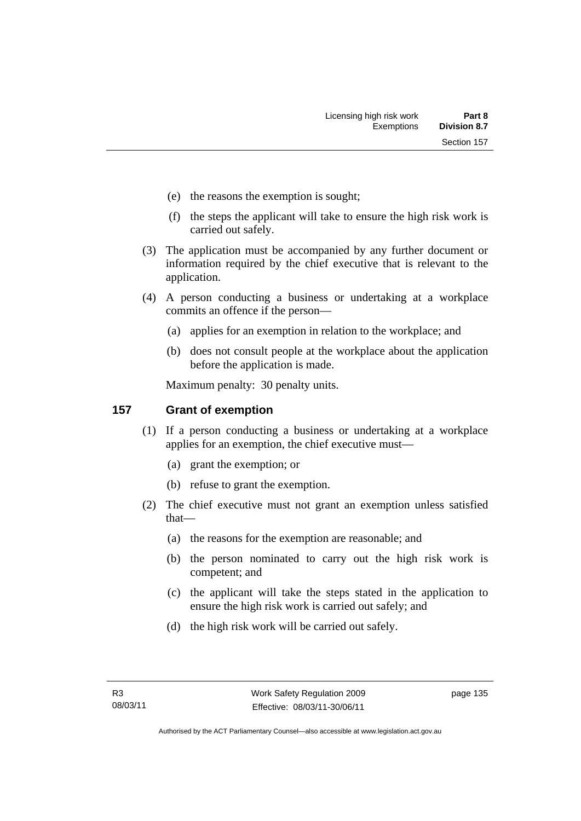- (e) the reasons the exemption is sought;
- (f) the steps the applicant will take to ensure the high risk work is carried out safely.
- (3) The application must be accompanied by any further document or information required by the chief executive that is relevant to the application.
- (4) A person conducting a business or undertaking at a workplace commits an offence if the person—
	- (a) applies for an exemption in relation to the workplace; and
	- (b) does not consult people at the workplace about the application before the application is made.

Maximum penalty: 30 penalty units.

## **157 Grant of exemption**

- (1) If a person conducting a business or undertaking at a workplace applies for an exemption, the chief executive must—
	- (a) grant the exemption; or
	- (b) refuse to grant the exemption.
- (2) The chief executive must not grant an exemption unless satisfied that—
	- (a) the reasons for the exemption are reasonable; and
	- (b) the person nominated to carry out the high risk work is competent; and
	- (c) the applicant will take the steps stated in the application to ensure the high risk work is carried out safely; and
	- (d) the high risk work will be carried out safely.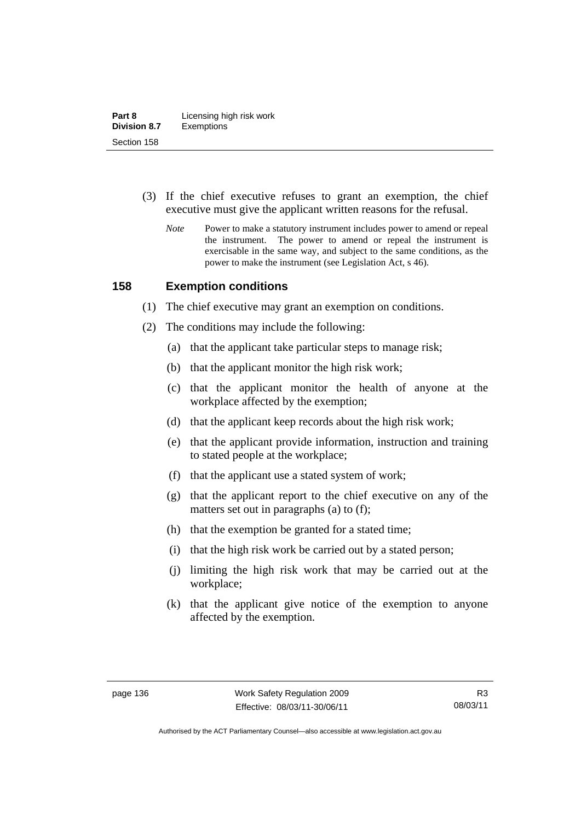- (3) If the chief executive refuses to grant an exemption, the chief executive must give the applicant written reasons for the refusal.
	- *Note* Power to make a statutory instrument includes power to amend or repeal the instrument. The power to amend or repeal the instrument is exercisable in the same way, and subject to the same conditions, as the power to make the instrument (see Legislation Act, s 46).

#### **158 Exemption conditions**

- (1) The chief executive may grant an exemption on conditions.
- (2) The conditions may include the following:
	- (a) that the applicant take particular steps to manage risk;
	- (b) that the applicant monitor the high risk work;
	- (c) that the applicant monitor the health of anyone at the workplace affected by the exemption;
	- (d) that the applicant keep records about the high risk work;
	- (e) that the applicant provide information, instruction and training to stated people at the workplace;
	- (f) that the applicant use a stated system of work;
	- (g) that the applicant report to the chief executive on any of the matters set out in paragraphs (a) to (f);
	- (h) that the exemption be granted for a stated time;
	- (i) that the high risk work be carried out by a stated person;
	- (j) limiting the high risk work that may be carried out at the workplace;
	- (k) that the applicant give notice of the exemption to anyone affected by the exemption.

Authorised by the ACT Parliamentary Counsel—also accessible at www.legislation.act.gov.au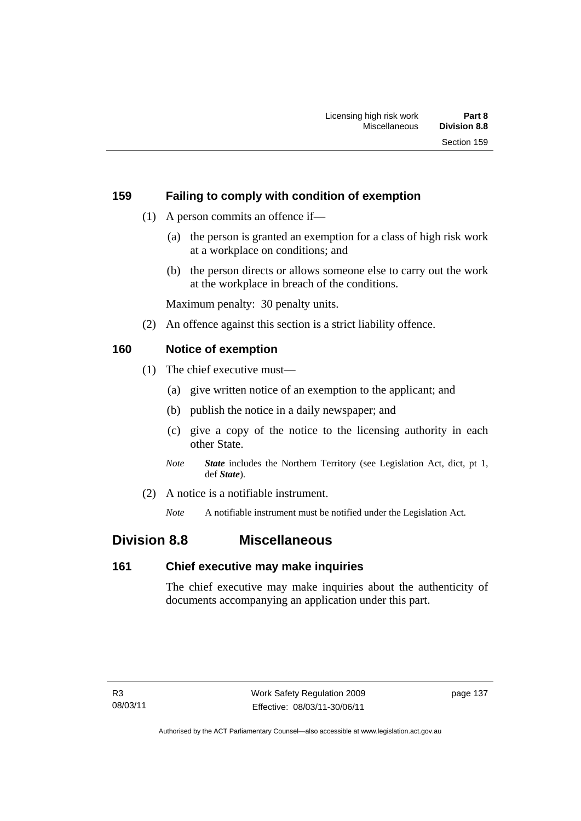## **159 Failing to comply with condition of exemption**

- (1) A person commits an offence if—
	- (a) the person is granted an exemption for a class of high risk work at a workplace on conditions; and
	- (b) the person directs or allows someone else to carry out the work at the workplace in breach of the conditions.

Maximum penalty: 30 penalty units.

(2) An offence against this section is a strict liability offence.

## **160 Notice of exemption**

- (1) The chief executive must—
	- (a) give written notice of an exemption to the applicant; and
	- (b) publish the notice in a daily newspaper; and
	- (c) give a copy of the notice to the licensing authority in each other State.
	- *Note State* includes the Northern Territory (see Legislation Act, dict, pt 1, def *State*).
- (2) A notice is a notifiable instrument.

*Note* A notifiable instrument must be notified under the Legislation Act.

## **Division 8.8 Miscellaneous**

#### **161 Chief executive may make inquiries**

The chief executive may make inquiries about the authenticity of documents accompanying an application under this part.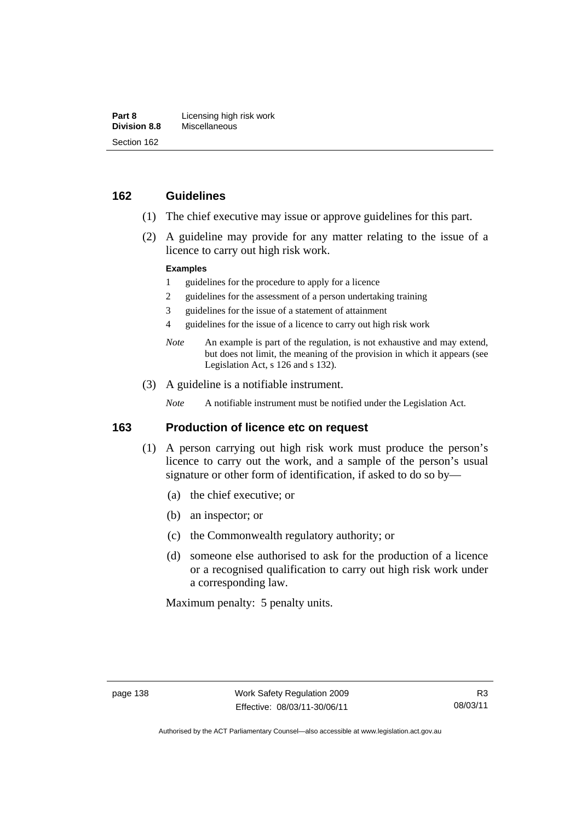#### **162 Guidelines**

- (1) The chief executive may issue or approve guidelines for this part.
- (2) A guideline may provide for any matter relating to the issue of a licence to carry out high risk work.

#### **Examples**

- 1 guidelines for the procedure to apply for a licence
- 2 guidelines for the assessment of a person undertaking training
- 3 guidelines for the issue of a statement of attainment
- 4 guidelines for the issue of a licence to carry out high risk work
- *Note* An example is part of the regulation, is not exhaustive and may extend, but does not limit, the meaning of the provision in which it appears (see Legislation Act, s 126 and s 132).
- (3) A guideline is a notifiable instrument.

*Note* A notifiable instrument must be notified under the Legislation Act.

#### **163 Production of licence etc on request**

- (1) A person carrying out high risk work must produce the person's licence to carry out the work, and a sample of the person's usual signature or other form of identification, if asked to do so by—
	- (a) the chief executive; or
	- (b) an inspector; or
	- (c) the Commonwealth regulatory authority; or
	- (d) someone else authorised to ask for the production of a licence or a recognised qualification to carry out high risk work under a corresponding law.

Maximum penalty: 5 penalty units.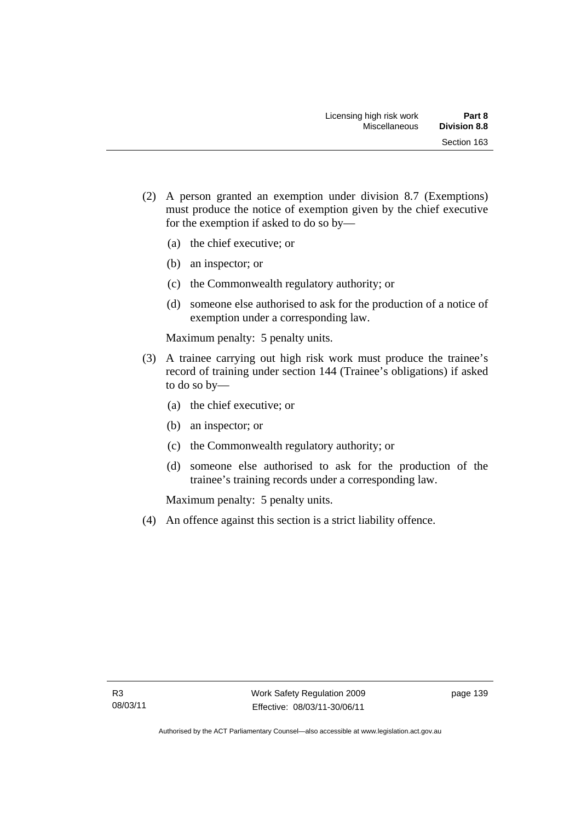- (2) A person granted an exemption under division 8.7 (Exemptions) must produce the notice of exemption given by the chief executive for the exemption if asked to do so by—
	- (a) the chief executive; or
	- (b) an inspector; or
	- (c) the Commonwealth regulatory authority; or
	- (d) someone else authorised to ask for the production of a notice of exemption under a corresponding law.

Maximum penalty: 5 penalty units.

- (3) A trainee carrying out high risk work must produce the trainee's record of training under section 144 (Trainee's obligations) if asked to do so by—
	- (a) the chief executive; or
	- (b) an inspector; or
	- (c) the Commonwealth regulatory authority; or
	- (d) someone else authorised to ask for the production of the trainee's training records under a corresponding law.

Maximum penalty: 5 penalty units.

(4) An offence against this section is a strict liability offence.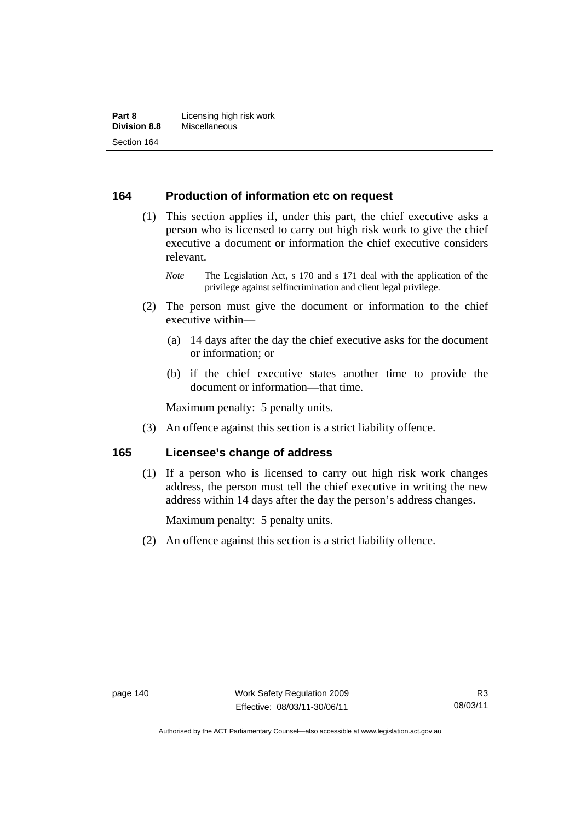#### **164 Production of information etc on request**

 (1) This section applies if, under this part, the chief executive asks a person who is licensed to carry out high risk work to give the chief executive a document or information the chief executive considers relevant.

*Note* The Legislation Act, s 170 and s 171 deal with the application of the privilege against selfincrimination and client legal privilege.

- (2) The person must give the document or information to the chief executive within—
	- (a) 14 days after the day the chief executive asks for the document or information; or
	- (b) if the chief executive states another time to provide the document or information—that time.

Maximum penalty: 5 penalty units.

(3) An offence against this section is a strict liability offence.

#### **165 Licensee's change of address**

(1) If a person who is licensed to carry out high risk work changes address, the person must tell the chief executive in writing the new address within 14 days after the day the person's address changes.

Maximum penalty: 5 penalty units.

(2) An offence against this section is a strict liability offence.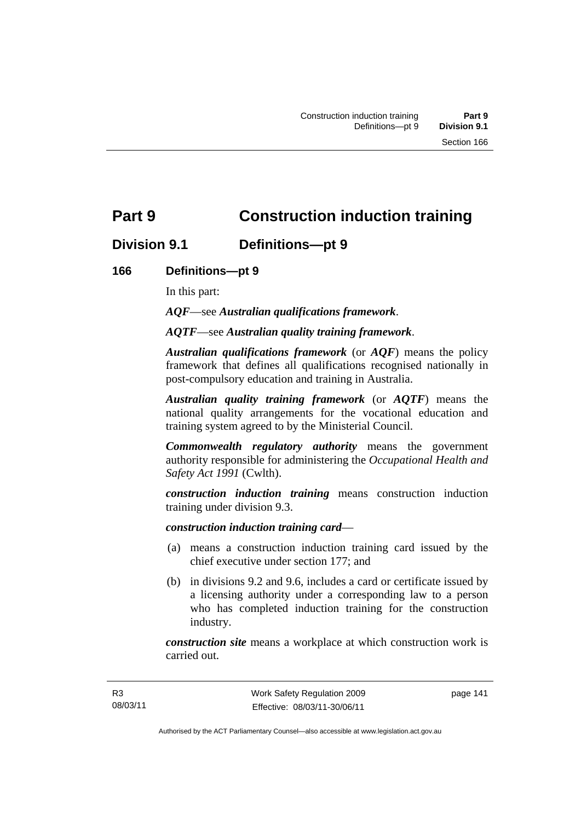# **Part 9 Construction induction training**

# **Division 9.1 Definitions—pt 9**

## **166 Definitions—pt 9**

In this part:

*AQF*—see *Australian qualifications framework*.

*AQTF*—see *Australian quality training framework*.

*Australian qualifications framework* (or *AQF*) means the policy framework that defines all qualifications recognised nationally in post-compulsory education and training in Australia.

*Australian quality training framework* (or *AQTF*) means the national quality arrangements for the vocational education and training system agreed to by the Ministerial Council.

*Commonwealth regulatory authority* means the government authority responsible for administering the *Occupational Health and Safety Act 1991* (Cwlth).

*construction induction training* means construction induction training under division 9.3.

*construction induction training card*—

- (a) means a construction induction training card issued by the chief executive under section 177; and
- (b) in divisions 9.2 and 9.6, includes a card or certificate issued by a licensing authority under a corresponding law to a person who has completed induction training for the construction industry.

*construction site* means a workplace at which construction work is carried out.

page 141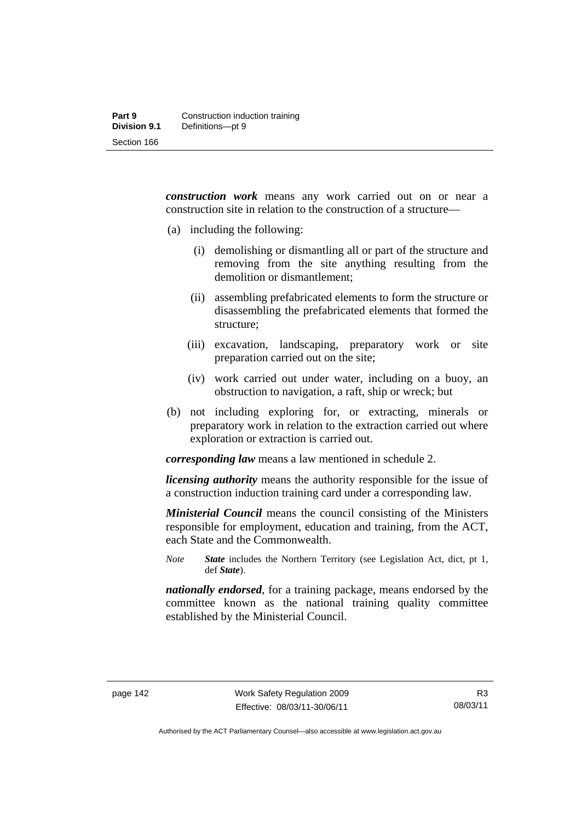*construction work* means any work carried out on or near a construction site in relation to the construction of a structure—

- (a) including the following:
	- (i) demolishing or dismantling all or part of the structure and removing from the site anything resulting from the demolition or dismantlement;
	- (ii) assembling prefabricated elements to form the structure or disassembling the prefabricated elements that formed the structure;
	- (iii) excavation, landscaping, preparatory work or site preparation carried out on the site;
	- (iv) work carried out under water, including on a buoy, an obstruction to navigation, a raft, ship or wreck; but
- (b) not including exploring for, or extracting, minerals or preparatory work in relation to the extraction carried out where exploration or extraction is carried out.

*corresponding law* means a law mentioned in schedule 2.

*licensing authority* means the authority responsible for the issue of a construction induction training card under a corresponding law.

*Ministerial Council* means the council consisting of the Ministers responsible for employment, education and training, from the ACT, each State and the Commonwealth.

*Note State* includes the Northern Territory (see Legislation Act, dict, pt 1, def *State*).

*nationally endorsed*, for a training package, means endorsed by the committee known as the national training quality committee established by the Ministerial Council.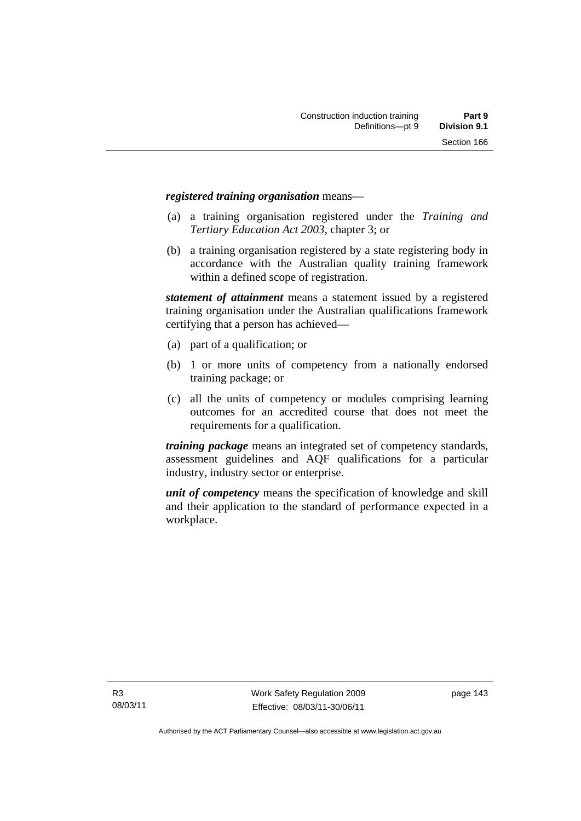#### *registered training organisation* means—

- (a) a training organisation registered under the *Training and Tertiary Education Act 2003*, chapter 3; or
- (b) a training organisation registered by a state registering body in accordance with the Australian quality training framework within a defined scope of registration.

*statement of attainment* means a statement issued by a registered training organisation under the Australian qualifications framework certifying that a person has achieved—

- (a) part of a qualification; or
- (b) 1 or more units of competency from a nationally endorsed training package; or
- (c) all the units of competency or modules comprising learning outcomes for an accredited course that does not meet the requirements for a qualification.

*training package* means an integrated set of competency standards, assessment guidelines and AQF qualifications for a particular industry, industry sector or enterprise.

*unit of competency* means the specification of knowledge and skill and their application to the standard of performance expected in a workplace.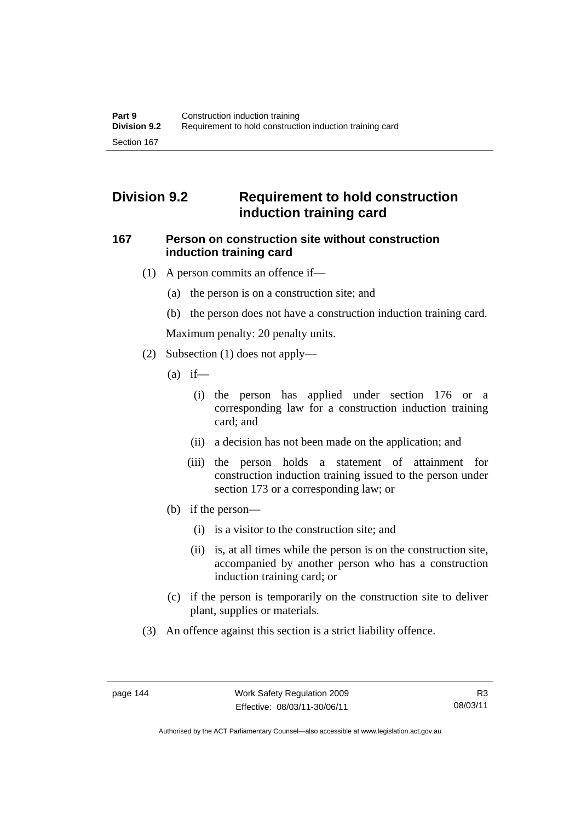# **Division 9.2 Requirement to hold construction induction training card**

#### **167 Person on construction site without construction induction training card**

- (1) A person commits an offence if—
	- (a) the person is on a construction site; and
	- (b) the person does not have a construction induction training card.

Maximum penalty: 20 penalty units.

- (2) Subsection (1) does not apply—
	- $(a)$  if—
		- (i) the person has applied under section 176 or a corresponding law for a construction induction training card; and
		- (ii) a decision has not been made on the application; and
		- (iii) the person holds a statement of attainment for construction induction training issued to the person under section 173 or a corresponding law; or
	- (b) if the person—
		- (i) is a visitor to the construction site; and
		- (ii) is, at all times while the person is on the construction site, accompanied by another person who has a construction induction training card; or
	- (c) if the person is temporarily on the construction site to deliver plant, supplies or materials.
- (3) An offence against this section is a strict liability offence.

Authorised by the ACT Parliamentary Counsel—also accessible at www.legislation.act.gov.au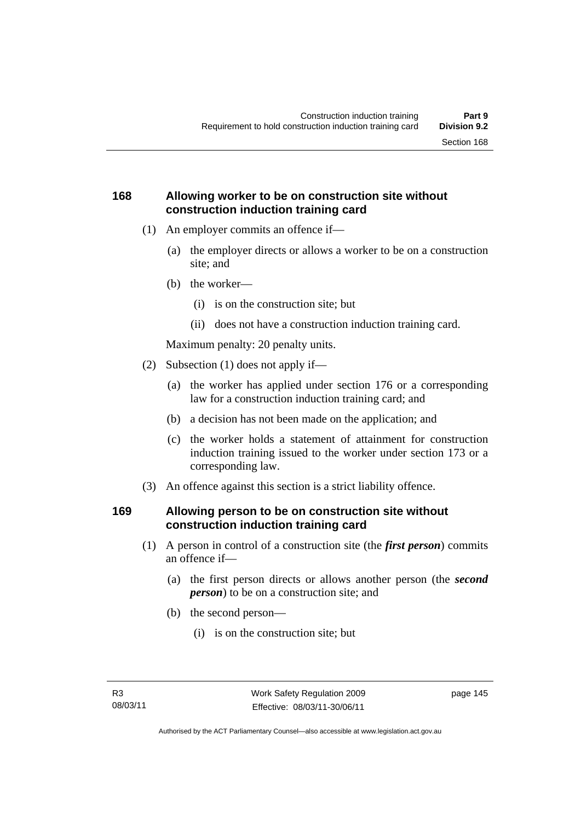## **168 Allowing worker to be on construction site without construction induction training card**

- (1) An employer commits an offence if—
	- (a) the employer directs or allows a worker to be on a construction site; and
	- (b) the worker—
		- (i) is on the construction site; but
		- (ii) does not have a construction induction training card.

Maximum penalty: 20 penalty units.

- (2) Subsection (1) does not apply if—
	- (a) the worker has applied under section 176 or a corresponding law for a construction induction training card; and
	- (b) a decision has not been made on the application; and
	- (c) the worker holds a statement of attainment for construction induction training issued to the worker under section 173 or a corresponding law.
- (3) An offence against this section is a strict liability offence.

## **169 Allowing person to be on construction site without construction induction training card**

- (1) A person in control of a construction site (the *first person*) commits an offence if—
	- (a) the first person directs or allows another person (the *second person*) to be on a construction site; and
	- (b) the second person—
		- (i) is on the construction site; but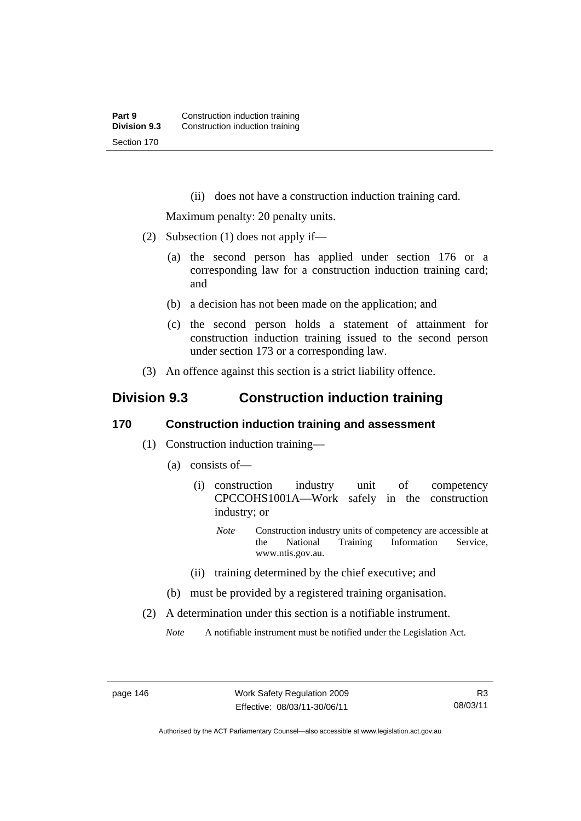(ii) does not have a construction induction training card.

Maximum penalty: 20 penalty units.

- (2) Subsection (1) does not apply if—
	- (a) the second person has applied under section 176 or a corresponding law for a construction induction training card; and
	- (b) a decision has not been made on the application; and
	- (c) the second person holds a statement of attainment for construction induction training issued to the second person under section 173 or a corresponding law.
- (3) An offence against this section is a strict liability offence.

# **Division 9.3 Construction induction training**

#### **170 Construction induction training and assessment**

- (1) Construction induction training—
	- (a) consists of—
		- (i) construction industry unit of competency CPCCOHS1001A—Work safely in the construction industry; or
			- *Note* Construction industry units of competency are accessible at the National Training Information Service, www.ntis.gov.au.
		- (ii) training determined by the chief executive; and
	- (b) must be provided by a registered training organisation.
- (2) A determination under this section is a notifiable instrument.

*Note* A notifiable instrument must be notified under the Legislation Act.

page 146 Work Safety Regulation 2009 Effective: 08/03/11-30/06/11

Authorised by the ACT Parliamentary Counsel—also accessible at www.legislation.act.gov.au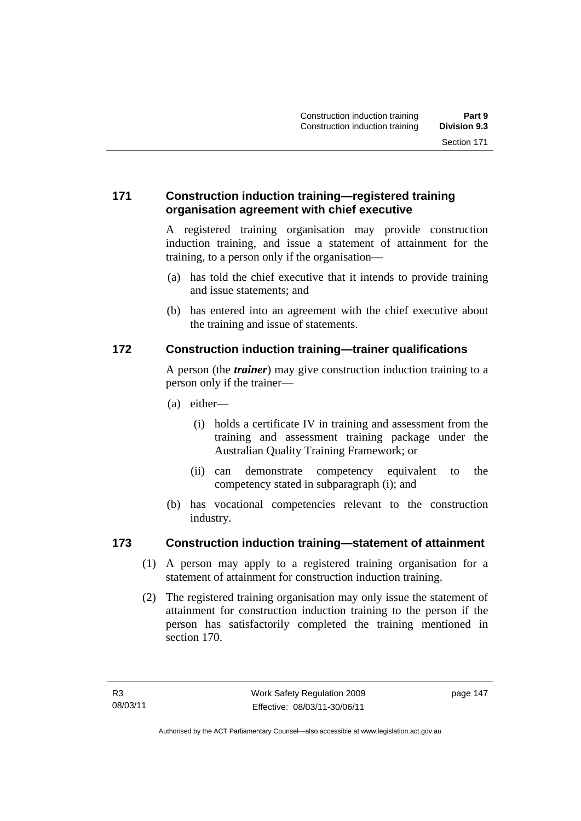## **171 Construction induction training—registered training organisation agreement with chief executive**

A registered training organisation may provide construction induction training, and issue a statement of attainment for the training, to a person only if the organisation—

- (a) has told the chief executive that it intends to provide training and issue statements; and
- (b) has entered into an agreement with the chief executive about the training and issue of statements.

## **172 Construction induction training—trainer qualifications**

A person (the *trainer*) may give construction induction training to a person only if the trainer—

- (a) either—
	- (i) holds a certificate IV in training and assessment from the training and assessment training package under the Australian Quality Training Framework; or
	- (ii) can demonstrate competency equivalent to the competency stated in subparagraph (i); and
- (b) has vocational competencies relevant to the construction industry.

#### **173 Construction induction training—statement of attainment**

- (1) A person may apply to a registered training organisation for a statement of attainment for construction induction training.
- (2) The registered training organisation may only issue the statement of attainment for construction induction training to the person if the person has satisfactorily completed the training mentioned in section 170.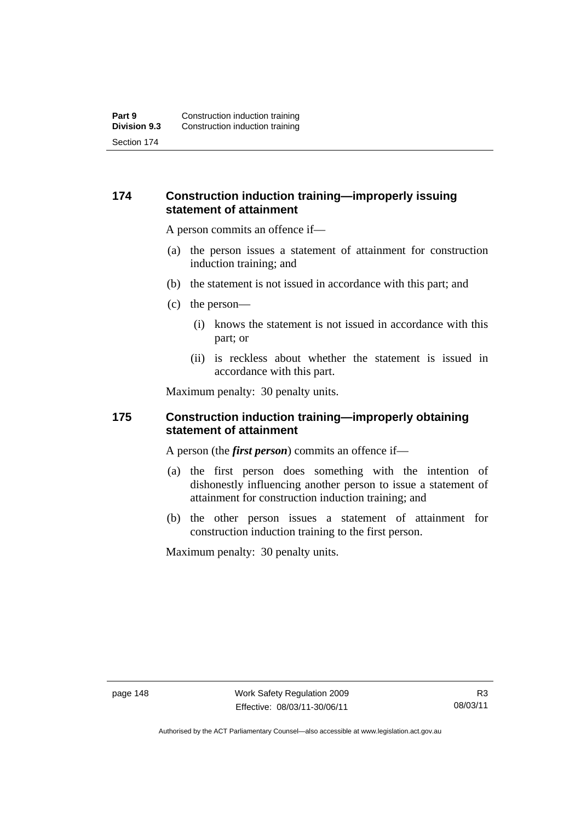### **174 Construction induction training—improperly issuing statement of attainment**

A person commits an offence if—

- (a) the person issues a statement of attainment for construction induction training; and
- (b) the statement is not issued in accordance with this part; and
- (c) the person—
	- (i) knows the statement is not issued in accordance with this part; or
	- (ii) is reckless about whether the statement is issued in accordance with this part.

Maximum penalty: 30 penalty units.

#### **175 Construction induction training—improperly obtaining statement of attainment**

A person (the *first person*) commits an offence if—

- (a) the first person does something with the intention of dishonestly influencing another person to issue a statement of attainment for construction induction training; and
- (b) the other person issues a statement of attainment for construction induction training to the first person.

Maximum penalty: 30 penalty units.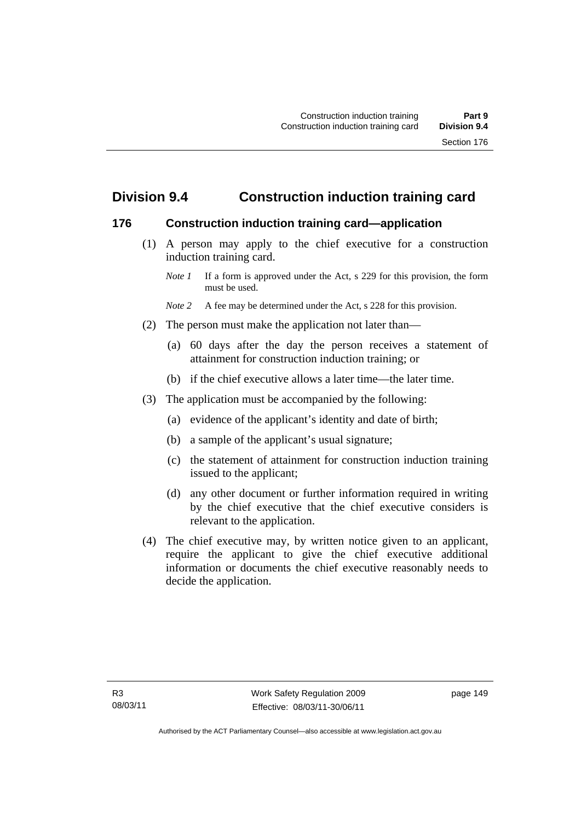# **Division 9.4 Construction induction training card**

#### **176 Construction induction training card—application**

 (1) A person may apply to the chief executive for a construction induction training card.

- *Note* 2 A fee may be determined under the Act, s 228 for this provision.
- (2) The person must make the application not later than—
	- (a) 60 days after the day the person receives a statement of attainment for construction induction training; or
	- (b) if the chief executive allows a later time—the later time.
- (3) The application must be accompanied by the following:
	- (a) evidence of the applicant's identity and date of birth;
	- (b) a sample of the applicant's usual signature;
	- (c) the statement of attainment for construction induction training issued to the applicant;
	- (d) any other document or further information required in writing by the chief executive that the chief executive considers is relevant to the application.
- (4) The chief executive may, by written notice given to an applicant, require the applicant to give the chief executive additional information or documents the chief executive reasonably needs to decide the application.

page 149

*Note 1* If a form is approved under the Act, s 229 for this provision, the form must be used.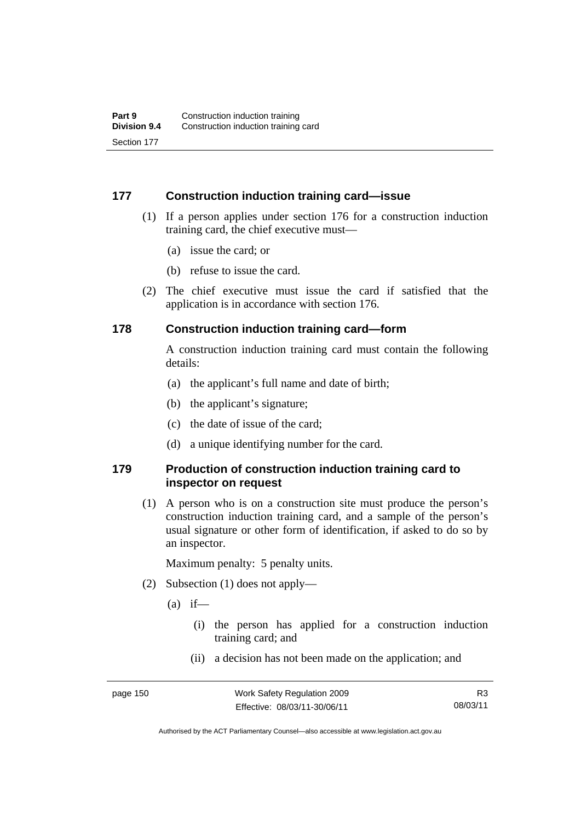#### **177 Construction induction training card—issue**

- (1) If a person applies under section 176 for a construction induction training card, the chief executive must—
	- (a) issue the card; or
	- (b) refuse to issue the card.
- (2) The chief executive must issue the card if satisfied that the application is in accordance with section 176.

#### **178 Construction induction training card—form**

A construction induction training card must contain the following details:

- (a) the applicant's full name and date of birth;
- (b) the applicant's signature;
- (c) the date of issue of the card;
- (d) a unique identifying number for the card.

#### **179 Production of construction induction training card to inspector on request**

(1) A person who is on a construction site must produce the person's construction induction training card, and a sample of the person's usual signature or other form of identification, if asked to do so by an inspector.

Maximum penalty: 5 penalty units.

- (2) Subsection (1) does not apply—
	- $(a)$  if—
		- (i) the person has applied for a construction induction training card; and
		- (ii) a decision has not been made on the application; and

R3 08/03/11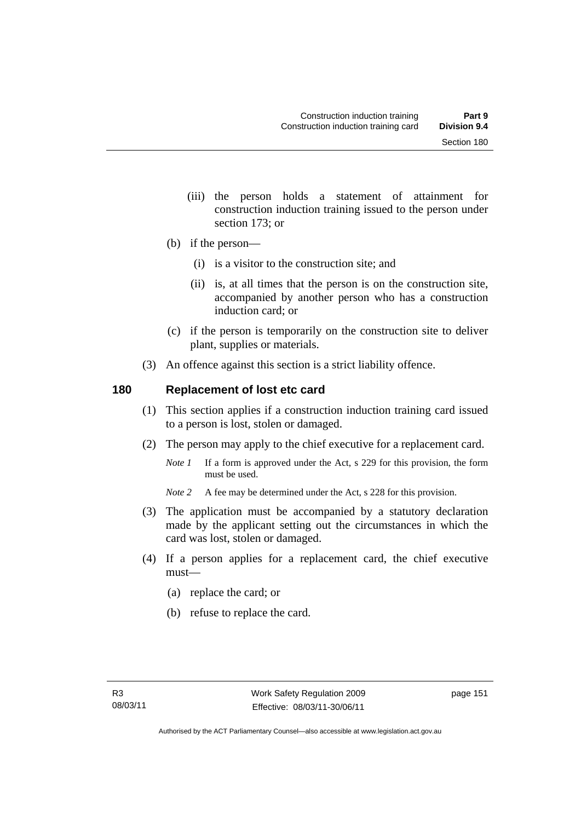- (iii) the person holds a statement of attainment for construction induction training issued to the person under section 173; or
- (b) if the person—
	- (i) is a visitor to the construction site; and
	- (ii) is, at all times that the person is on the construction site, accompanied by another person who has a construction induction card; or
- (c) if the person is temporarily on the construction site to deliver plant, supplies or materials.
- (3) An offence against this section is a strict liability offence.

#### **180 Replacement of lost etc card**

- (1) This section applies if a construction induction training card issued to a person is lost, stolen or damaged.
- (2) The person may apply to the chief executive for a replacement card.
	- *Note 1* If a form is approved under the Act, s 229 for this provision, the form must be used.
	- *Note* 2 A fee may be determined under the Act, s 228 for this provision.
- (3) The application must be accompanied by a statutory declaration made by the applicant setting out the circumstances in which the card was lost, stolen or damaged.
- (4) If a person applies for a replacement card, the chief executive must—
	- (a) replace the card; or
	- (b) refuse to replace the card.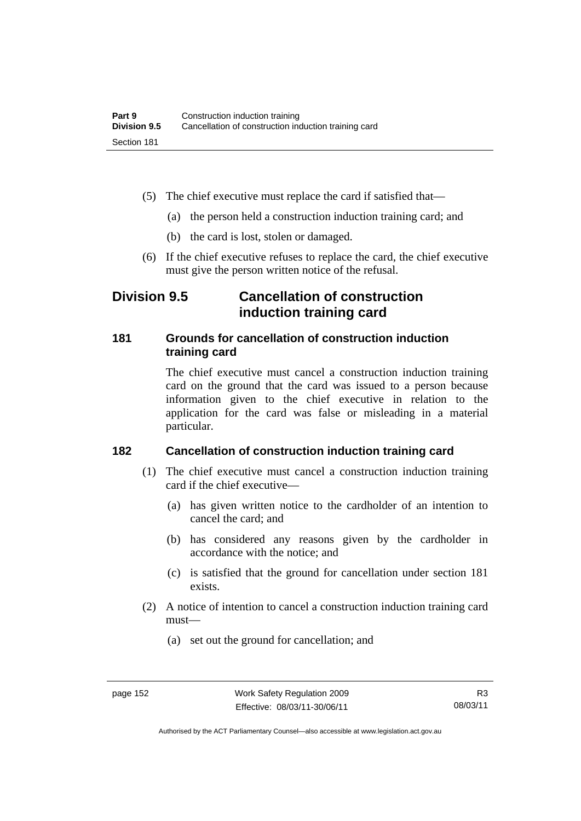- (5) The chief executive must replace the card if satisfied that—
	- (a) the person held a construction induction training card; and
	- (b) the card is lost, stolen or damaged.
- (6) If the chief executive refuses to replace the card, the chief executive must give the person written notice of the refusal.

# **Division 9.5 Cancellation of construction induction training card**

### **181 Grounds for cancellation of construction induction training card**

The chief executive must cancel a construction induction training card on the ground that the card was issued to a person because information given to the chief executive in relation to the application for the card was false or misleading in a material particular.

## **182 Cancellation of construction induction training card**

- (1) The chief executive must cancel a construction induction training card if the chief executive—
	- (a) has given written notice to the cardholder of an intention to cancel the card; and
	- (b) has considered any reasons given by the cardholder in accordance with the notice; and
	- (c) is satisfied that the ground for cancellation under section 181 exists.
- (2) A notice of intention to cancel a construction induction training card must—
	- (a) set out the ground for cancellation; and

Authorised by the ACT Parliamentary Counsel—also accessible at www.legislation.act.gov.au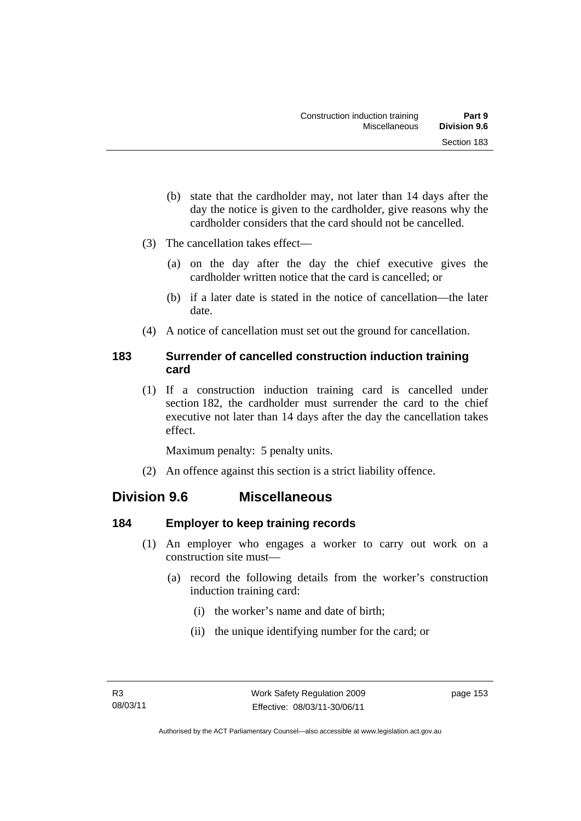- (b) state that the cardholder may, not later than 14 days after the day the notice is given to the cardholder, give reasons why the cardholder considers that the card should not be cancelled.
- (3) The cancellation takes effect—
	- (a) on the day after the day the chief executive gives the cardholder written notice that the card is cancelled; or
	- (b) if a later date is stated in the notice of cancellation—the later date.
- (4) A notice of cancellation must set out the ground for cancellation.

## **183 Surrender of cancelled construction induction training card**

(1) If a construction induction training card is cancelled under section 182, the cardholder must surrender the card to the chief executive not later than 14 days after the day the cancellation takes effect.

Maximum penalty: 5 penalty units.

(2) An offence against this section is a strict liability offence.

## **Division 9.6 Miscellaneous**

## **184 Employer to keep training records**

- (1) An employer who engages a worker to carry out work on a construction site must—
	- (a) record the following details from the worker's construction induction training card:
		- (i) the worker's name and date of birth;
		- (ii) the unique identifying number for the card; or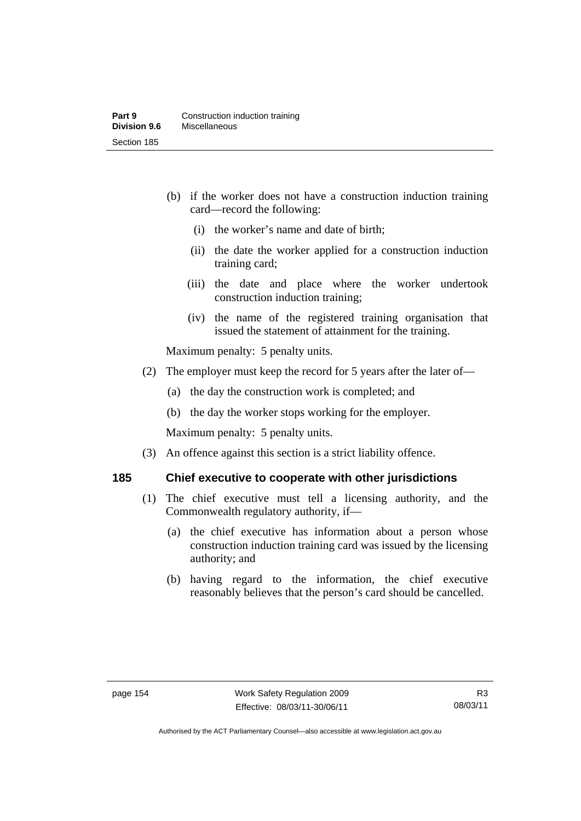- (b) if the worker does not have a construction induction training card—record the following:
	- (i) the worker's name and date of birth;
	- (ii) the date the worker applied for a construction induction training card;
	- (iii) the date and place where the worker undertook construction induction training;
	- (iv) the name of the registered training organisation that issued the statement of attainment for the training.

Maximum penalty: 5 penalty units.

- (2) The employer must keep the record for 5 years after the later of—
	- (a) the day the construction work is completed; and
	- (b) the day the worker stops working for the employer.

Maximum penalty: 5 penalty units.

(3) An offence against this section is a strict liability offence.

## **185 Chief executive to cooperate with other jurisdictions**

- (1) The chief executive must tell a licensing authority, and the Commonwealth regulatory authority, if—
	- (a) the chief executive has information about a person whose construction induction training card was issued by the licensing authority; and
	- (b) having regard to the information, the chief executive reasonably believes that the person's card should be cancelled.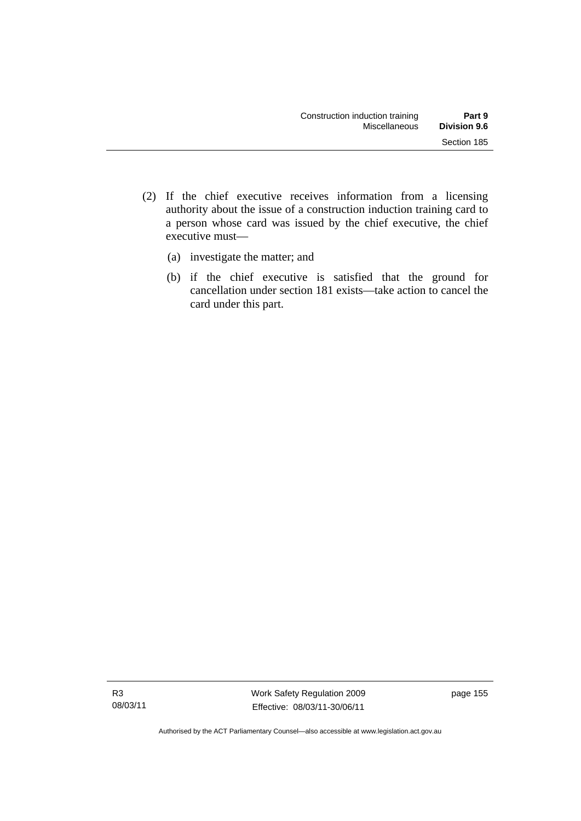- (2) If the chief executive receives information from a licensing authority about the issue of a construction induction training card to a person whose card was issued by the chief executive, the chief executive must—
	- (a) investigate the matter; and
	- (b) if the chief executive is satisfied that the ground for cancellation under section 181 exists—take action to cancel the card under this part.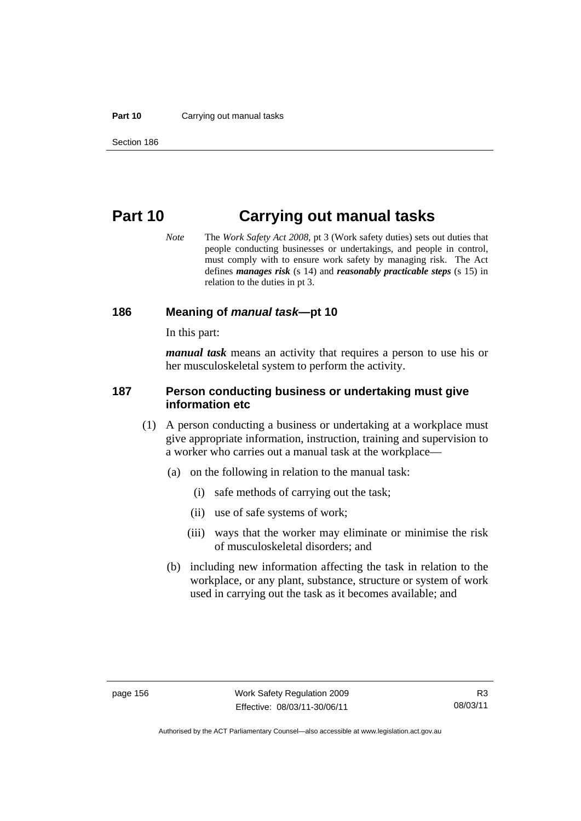#### **Part 10** Carrying out manual tasks

# **Part 10 Carrying out manual tasks**

*Note* The *Work Safety Act 2008*, pt 3 (Work safety duties) sets out duties that people conducting businesses or undertakings, and people in control, must comply with to ensure work safety by managing risk. The Act defines *manages risk* (s 14) and *reasonably practicable steps* (s 15) in relation to the duties in pt 3.

#### **186 Meaning of** *manual task***—pt 10**

In this part:

*manual task* means an activity that requires a person to use his or her musculoskeletal system to perform the activity.

#### **187 Person conducting business or undertaking must give information etc**

- (1) A person conducting a business or undertaking at a workplace must give appropriate information, instruction, training and supervision to a worker who carries out a manual task at the workplace—
	- (a) on the following in relation to the manual task:
		- (i) safe methods of carrying out the task;
		- (ii) use of safe systems of work;
		- (iii) ways that the worker may eliminate or minimise the risk of musculoskeletal disorders; and
	- (b) including new information affecting the task in relation to the workplace, or any plant, substance, structure or system of work used in carrying out the task as it becomes available; and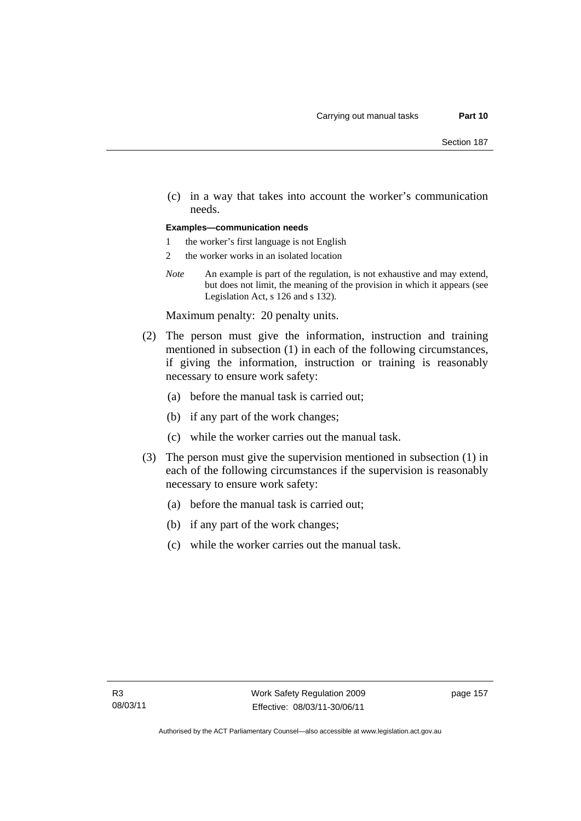(c) in a way that takes into account the worker's communication needs.

#### **Examples—communication needs**

- 1 the worker's first language is not English
- 2 the worker works in an isolated location
- *Note* An example is part of the regulation, is not exhaustive and may extend, but does not limit, the meaning of the provision in which it appears (see Legislation Act, s 126 and s 132).

Maximum penalty: 20 penalty units.

- (2) The person must give the information, instruction and training mentioned in subsection (1) in each of the following circumstances, if giving the information, instruction or training is reasonably necessary to ensure work safety:
	- (a) before the manual task is carried out;
	- (b) if any part of the work changes;
	- (c) while the worker carries out the manual task.
- (3) The person must give the supervision mentioned in subsection (1) in each of the following circumstances if the supervision is reasonably necessary to ensure work safety:
	- (a) before the manual task is carried out;
	- (b) if any part of the work changes;
	- (c) while the worker carries out the manual task.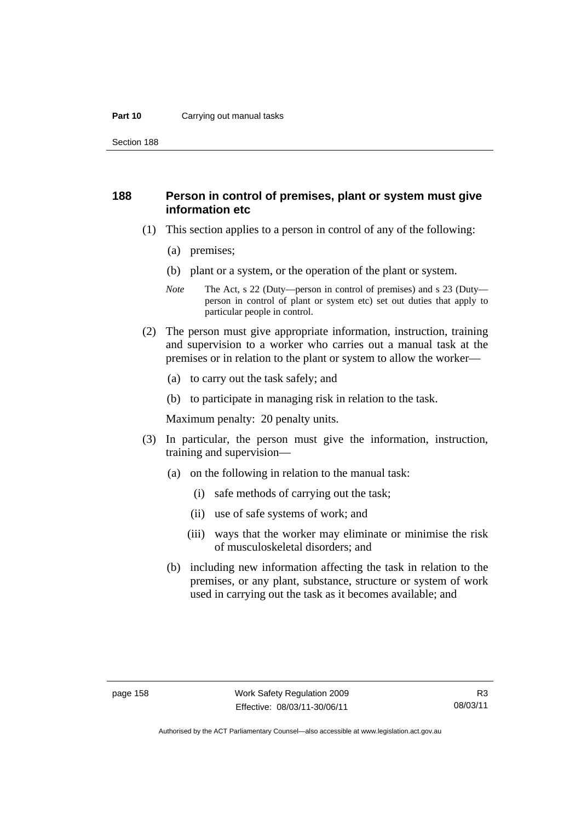#### **Part 10** Carrying out manual tasks

Section 188

#### **188 Person in control of premises, plant or system must give information etc**

- (1) This section applies to a person in control of any of the following:
	- (a) premises;
	- (b) plant or a system, or the operation of the plant or system.
	- *Note* The Act, s 22 (Duty—person in control of premises) and s 23 (Duty person in control of plant or system etc) set out duties that apply to particular people in control.
- (2) The person must give appropriate information, instruction, training and supervision to a worker who carries out a manual task at the premises or in relation to the plant or system to allow the worker—
	- (a) to carry out the task safely; and
	- (b) to participate in managing risk in relation to the task.

Maximum penalty: 20 penalty units.

- (3) In particular, the person must give the information, instruction, training and supervision—
	- (a) on the following in relation to the manual task:
		- (i) safe methods of carrying out the task;
		- (ii) use of safe systems of work; and
		- (iii) ways that the worker may eliminate or minimise the risk of musculoskeletal disorders; and
	- (b) including new information affecting the task in relation to the premises, or any plant, substance, structure or system of work used in carrying out the task as it becomes available; and

R3 08/03/11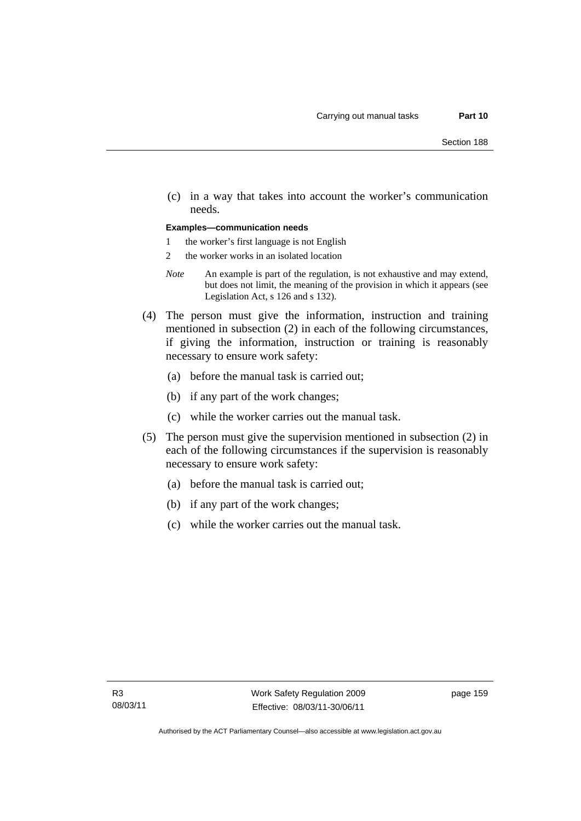(c) in a way that takes into account the worker's communication needs.

#### **Examples—communication needs**

- 1 the worker's first language is not English
- 2 the worker works in an isolated location
- *Note* An example is part of the regulation, is not exhaustive and may extend, but does not limit, the meaning of the provision in which it appears (see Legislation Act, s 126 and s 132).
- (4) The person must give the information, instruction and training mentioned in subsection (2) in each of the following circumstances, if giving the information, instruction or training is reasonably necessary to ensure work safety:
	- (a) before the manual task is carried out;
	- (b) if any part of the work changes;
	- (c) while the worker carries out the manual task.
- (5) The person must give the supervision mentioned in subsection (2) in each of the following circumstances if the supervision is reasonably necessary to ensure work safety:
	- (a) before the manual task is carried out;
	- (b) if any part of the work changes;
	- (c) while the worker carries out the manual task.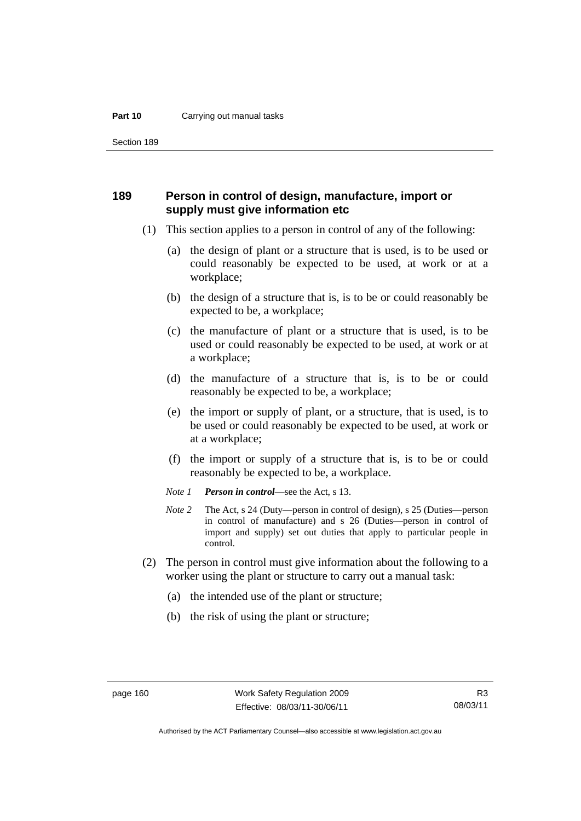#### **Part 10** Carrying out manual tasks

Section 189

#### **189 Person in control of design, manufacture, import or supply must give information etc**

- (1) This section applies to a person in control of any of the following:
	- (a) the design of plant or a structure that is used, is to be used or could reasonably be expected to be used, at work or at a workplace;
	- (b) the design of a structure that is, is to be or could reasonably be expected to be, a workplace;
	- (c) the manufacture of plant or a structure that is used, is to be used or could reasonably be expected to be used, at work or at a workplace;
	- (d) the manufacture of a structure that is, is to be or could reasonably be expected to be, a workplace;
	- (e) the import or supply of plant, or a structure, that is used, is to be used or could reasonably be expected to be used, at work or at a workplace;
	- (f) the import or supply of a structure that is, is to be or could reasonably be expected to be, a workplace.
	- *Note 1 Person in control*—see the Act, s 13.
	- *Note 2* The Act, s 24 (Duty—person in control of design), s 25 (Duties—person in control of manufacture) and s 26 (Duties—person in control of import and supply) set out duties that apply to particular people in control.
- (2) The person in control must give information about the following to a worker using the plant or structure to carry out a manual task:
	- (a) the intended use of the plant or structure;
	- (b) the risk of using the plant or structure;

Authorised by the ACT Parliamentary Counsel—also accessible at www.legislation.act.gov.au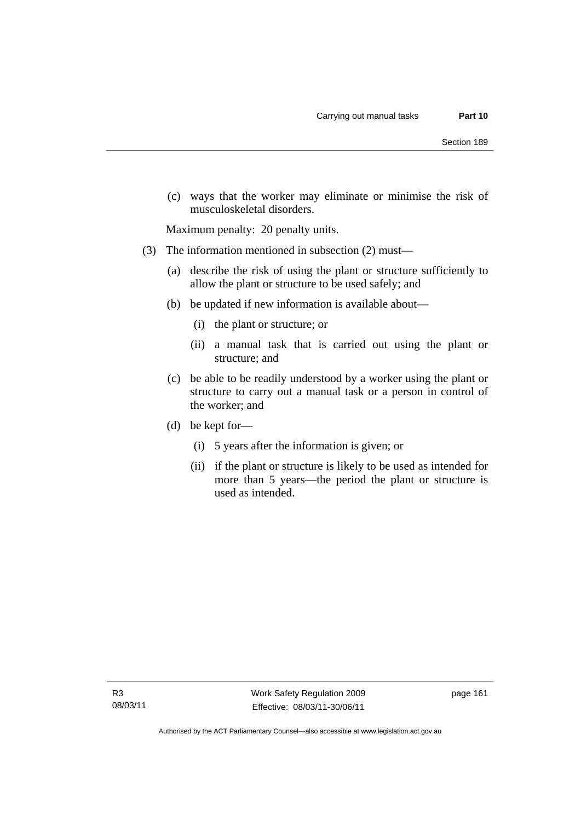(c) ways that the worker may eliminate or minimise the risk of musculoskeletal disorders.

Maximum penalty: 20 penalty units.

- (3) The information mentioned in subsection (2) must—
	- (a) describe the risk of using the plant or structure sufficiently to allow the plant or structure to be used safely; and
	- (b) be updated if new information is available about—
		- (i) the plant or structure; or
		- (ii) a manual task that is carried out using the plant or structure; and
	- (c) be able to be readily understood by a worker using the plant or structure to carry out a manual task or a person in control of the worker; and
	- (d) be kept for—
		- (i) 5 years after the information is given; or
		- (ii) if the plant or structure is likely to be used as intended for more than 5 years—the period the plant or structure is used as intended.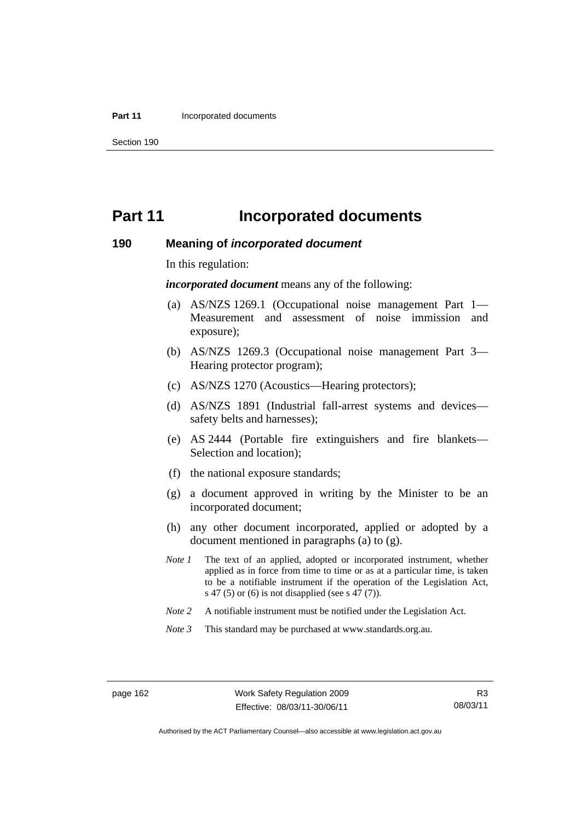#### **Part 11 Incorporated documents**

Section 190

## **Part 11** Incorporated documents

#### **190 Meaning of** *incorporated document*

In this regulation:

*incorporated document* means any of the following:

- (a) AS/NZS 1269.1 (Occupational noise management Part 1— Measurement and assessment of noise immission and exposure);
- (b) AS/NZS 1269.3 (Occupational noise management Part 3— Hearing protector program);
- (c) AS/NZS 1270 (Acoustics—Hearing protectors);
- (d) AS/NZS 1891 (Industrial fall-arrest systems and devices safety belts and harnesses);
- (e) AS 2444 (Portable fire extinguishers and fire blankets— Selection and location);
- (f) the national exposure standards;
- (g) a document approved in writing by the Minister to be an incorporated document;
- (h) any other document incorporated, applied or adopted by a document mentioned in paragraphs (a) to (g).
- *Note 1* The text of an applied, adopted or incorporated instrument, whether applied as in force from time to time or as at a particular time, is taken to be a notifiable instrument if the operation of the Legislation Act, s 47 (5) or (6) is not disapplied (see s 47 (7)).
- *Note 2* A notifiable instrument must be notified under the Legislation Act.
- *Note 3* This standard may be purchased at www.standards.org.au.

Authorised by the ACT Parliamentary Counsel—also accessible at www.legislation.act.gov.au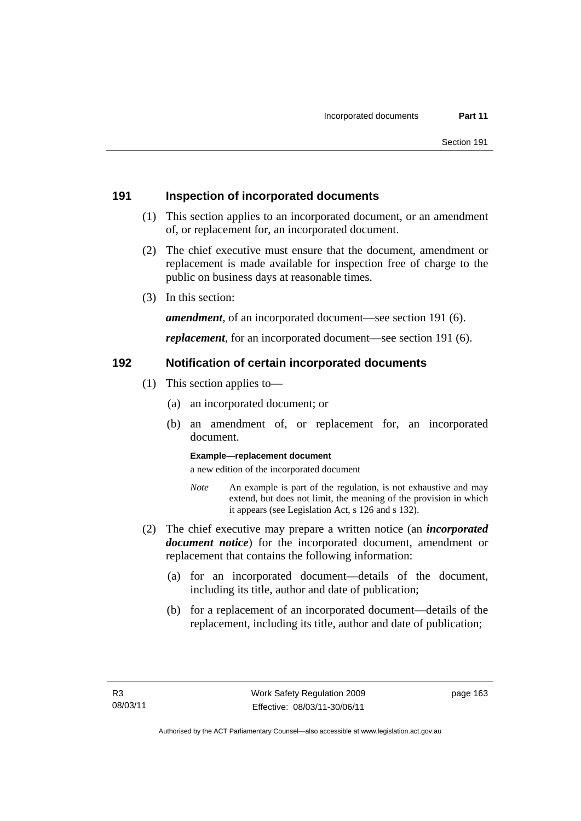#### **191 Inspection of incorporated documents**

- (1) This section applies to an incorporated document, or an amendment of, or replacement for, an incorporated document.
- (2) The chief executive must ensure that the document, amendment or replacement is made available for inspection free of charge to the public on business days at reasonable times.
- (3) In this section:

*amendment*, of an incorporated document—see section 191 (6).

*replacement*, for an incorporated document—see section 191 (6).

#### **192 Notification of certain incorporated documents**

- (1) This section applies to—
	- (a) an incorporated document; or
	- (b) an amendment of, or replacement for, an incorporated document.

#### **Example—replacement document**

a new edition of the incorporated document

- *Note* An example is part of the regulation, is not exhaustive and may extend, but does not limit, the meaning of the provision in which it appears (see Legislation Act, s 126 and s 132).
- (2) The chief executive may prepare a written notice (an *incorporated document notice*) for the incorporated document, amendment or replacement that contains the following information:
	- (a) for an incorporated document—details of the document, including its title, author and date of publication;
	- (b) for a replacement of an incorporated document—details of the replacement, including its title, author and date of publication;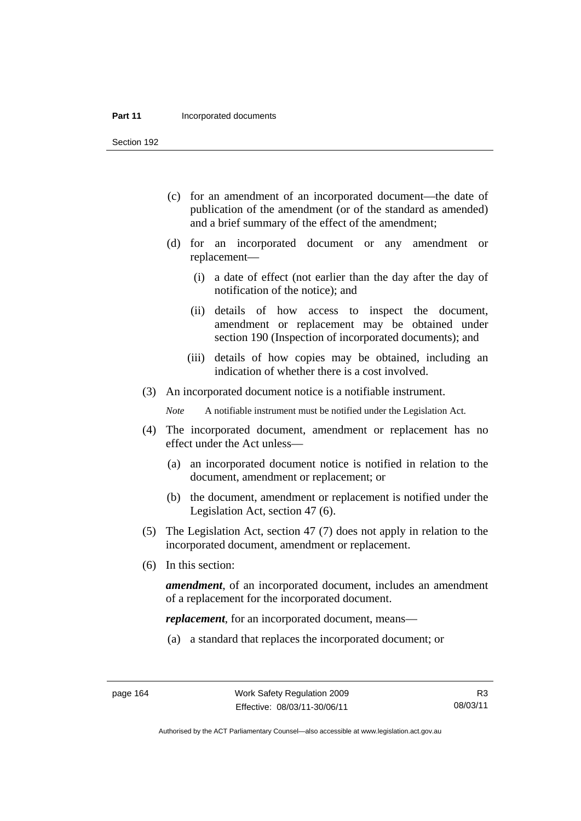#### **Part 11 Incorporated documents**

Section 192

- (c) for an amendment of an incorporated document—the date of publication of the amendment (or of the standard as amended) and a brief summary of the effect of the amendment;
- (d) for an incorporated document or any amendment or replacement—
	- (i) a date of effect (not earlier than the day after the day of notification of the notice); and
	- (ii) details of how access to inspect the document, amendment or replacement may be obtained under section 190 (Inspection of incorporated documents); and
	- (iii) details of how copies may be obtained, including an indication of whether there is a cost involved.
- (3) An incorporated document notice is a notifiable instrument.

*Note* A notifiable instrument must be notified under the Legislation Act.

- (4) The incorporated document, amendment or replacement has no effect under the Act unless—
	- (a) an incorporated document notice is notified in relation to the document, amendment or replacement; or
	- (b) the document, amendment or replacement is notified under the Legislation Act, section 47 (6).
- (5) The Legislation Act, section 47 (7) does not apply in relation to the incorporated document, amendment or replacement.
- (6) In this section:

*amendment*, of an incorporated document, includes an amendment of a replacement for the incorporated document.

*replacement*, for an incorporated document, means—

(a) a standard that replaces the incorporated document; or

R3 08/03/11

Authorised by the ACT Parliamentary Counsel—also accessible at www.legislation.act.gov.au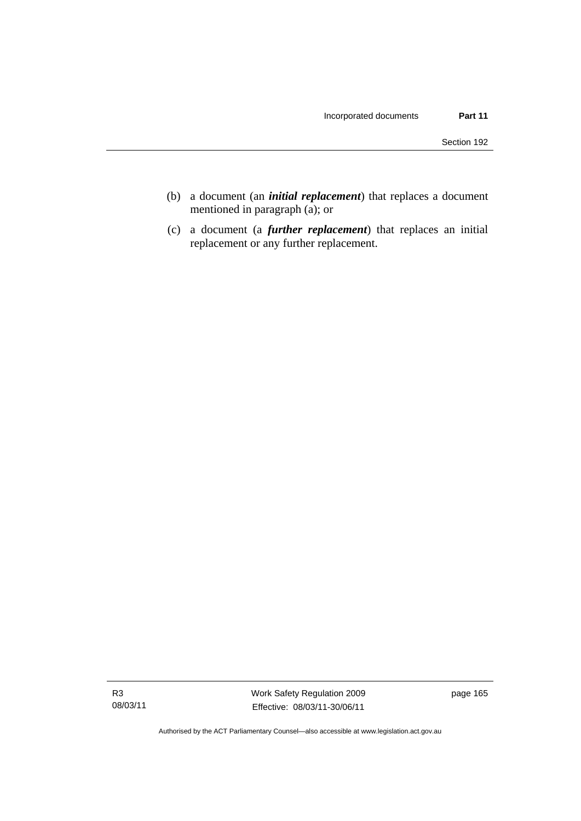- (b) a document (an *initial replacement*) that replaces a document mentioned in paragraph (a); or
- (c) a document (a *further replacement*) that replaces an initial replacement or any further replacement.

Authorised by the ACT Parliamentary Counsel—also accessible at www.legislation.act.gov.au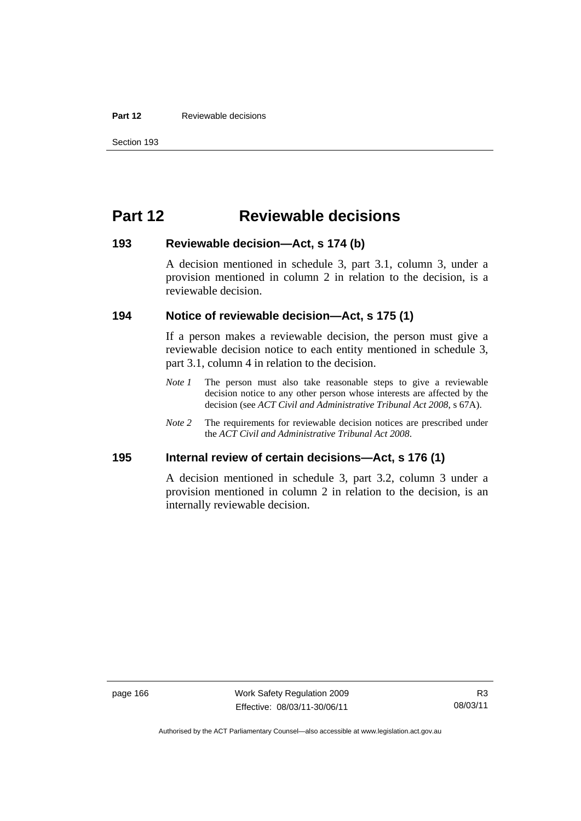#### **Part 12 Reviewable decisions**

Section 193

# **Part 12 Reviewable decisions**

#### **193 Reviewable decision—Act, s 174 (b)**

A decision mentioned in schedule 3, part 3.1, column 3, under a provision mentioned in column 2 in relation to the decision, is a reviewable decision.

#### **194 Notice of reviewable decision—Act, s 175 (1)**

If a person makes a reviewable decision, the person must give a reviewable decision notice to each entity mentioned in schedule 3, part 3.1, column 4 in relation to the decision.

- *Note 1* The person must also take reasonable steps to give a reviewable decision notice to any other person whose interests are affected by the decision (see *ACT Civil and Administrative Tribunal Act 2008*, s 67A).
- *Note* 2 The requirements for reviewable decision notices are prescribed under the *ACT Civil and Administrative Tribunal Act 2008*.

#### **195 Internal review of certain decisions—Act, s 176 (1)**

A decision mentioned in schedule 3, part 3.2, column 3 under a provision mentioned in column 2 in relation to the decision, is an internally reviewable decision.

Authorised by the ACT Parliamentary Counsel—also accessible at www.legislation.act.gov.au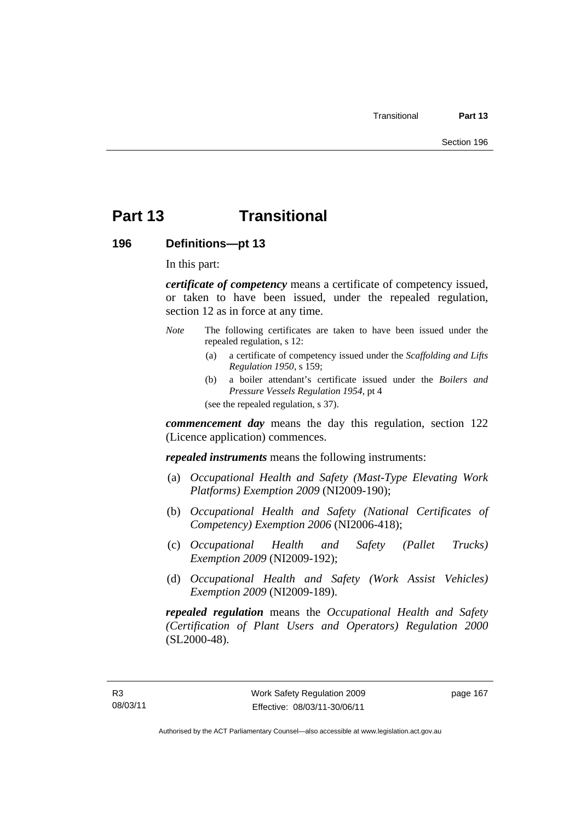## **Part 13 Transitional**

#### **196 Definitions—pt 13**

In this part:

*certificate of competency* means a certificate of competency issued, or taken to have been issued, under the repealed regulation, section 12 as in force at any time.

- *Note* The following certificates are taken to have been issued under the repealed regulation, s 12:
	- (a) a certificate of competency issued under the *Scaffolding and Lifts Regulation 1950*, s 159;
	- (b) a boiler attendant's certificate issued under the *Boilers and Pressure Vessels Regulation 1954*, pt 4

(see the repealed regulation, s 37).

*commencement day* means the day this regulation, section 122 (Licence application) commences.

*repealed instruments* means the following instruments:

- (a) *Occupational Health and Safety (Mast-Type Elevating Work Platforms) Exemption 2009* (NI2009-190);
- (b) *Occupational Health and Safety (National Certificates of Competency) Exemption 2006* (NI2006-418);
- (c) *Occupational Health and Safety (Pallet Trucks) Exemption 2009* (NI2009-192);
- (d) *Occupational Health and Safety (Work Assist Vehicles) Exemption 2009* (NI2009-189).

*repealed regulation* means the *Occupational Health and Safety (Certification of Plant Users and Operators) Regulation 2000* (SL2000-48).

page 167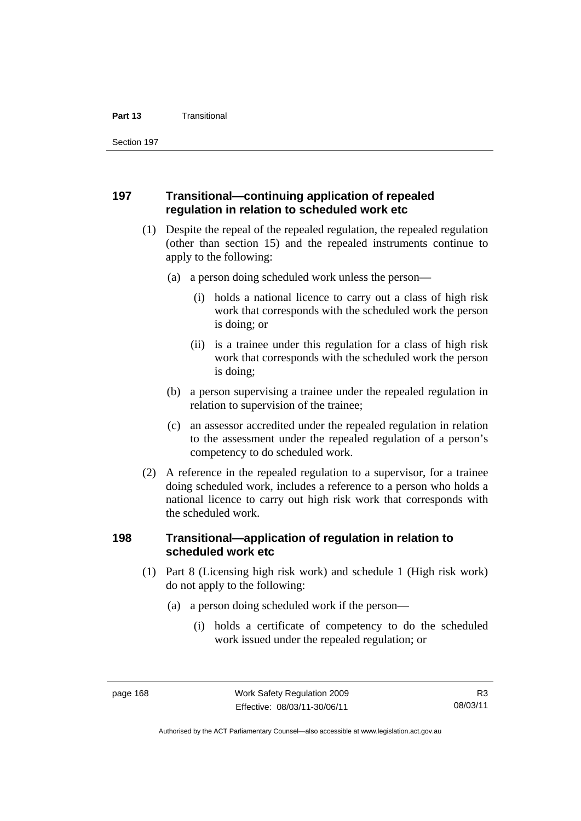Section 197

#### **197 Transitional—continuing application of repealed regulation in relation to scheduled work etc**

- (1) Despite the repeal of the repealed regulation, the repealed regulation (other than section 15) and the repealed instruments continue to apply to the following:
	- (a) a person doing scheduled work unless the person—
		- (i) holds a national licence to carry out a class of high risk work that corresponds with the scheduled work the person is doing; or
		- (ii) is a trainee under this regulation for a class of high risk work that corresponds with the scheduled work the person is doing;
	- (b) a person supervising a trainee under the repealed regulation in relation to supervision of the trainee;
	- (c) an assessor accredited under the repealed regulation in relation to the assessment under the repealed regulation of a person's competency to do scheduled work.
- (2) A reference in the repealed regulation to a supervisor, for a trainee doing scheduled work, includes a reference to a person who holds a national licence to carry out high risk work that corresponds with the scheduled work.

#### **198 Transitional—application of regulation in relation to scheduled work etc**

- (1) Part 8 (Licensing high risk work) and schedule 1 (High risk work) do not apply to the following:
	- (a) a person doing scheduled work if the person—
		- (i) holds a certificate of competency to do the scheduled work issued under the repealed regulation; or

Authorised by the ACT Parliamentary Counsel—also accessible at www.legislation.act.gov.au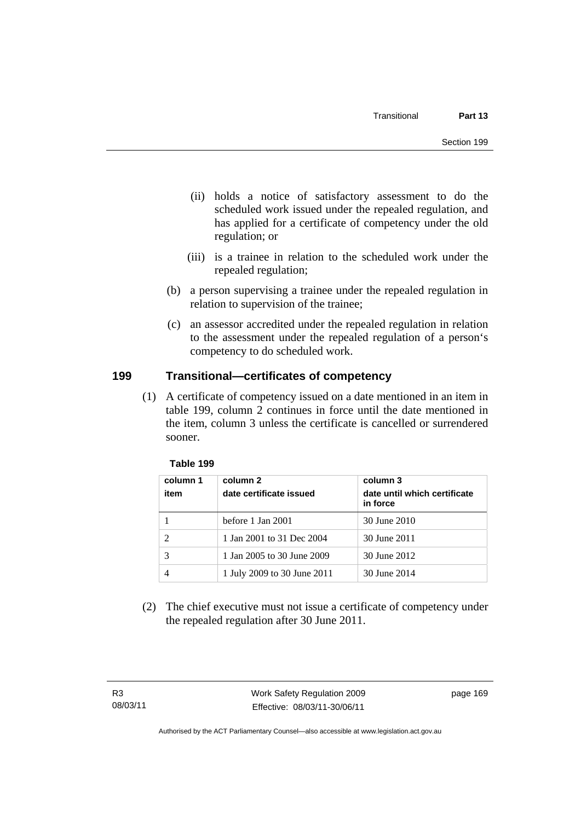- (ii) holds a notice of satisfactory assessment to do the scheduled work issued under the repealed regulation, and has applied for a certificate of competency under the old regulation; or
- (iii) is a trainee in relation to the scheduled work under the repealed regulation;
- (b) a person supervising a trainee under the repealed regulation in relation to supervision of the trainee;
- (c) an assessor accredited under the repealed regulation in relation to the assessment under the repealed regulation of a person's competency to do scheduled work.

## **199 Transitional—certificates of competency**

(1) A certificate of competency issued on a date mentioned in an item in table 199, column 2 continues in force until the date mentioned in the item, column 3 unless the certificate is cancelled or surrendered sooner.

| column 1<br>item | column 2<br>date certificate issued | column 3<br>date until which certificate<br>in force |
|------------------|-------------------------------------|------------------------------------------------------|
|                  | before 1 Jan 2001                   | 30 June 2010                                         |
|                  | 1 Jan 2001 to 31 Dec 2004           | 30 June 2011                                         |
|                  | 1 Jan 2005 to 30 June 2009          | 30 June 2012                                         |
|                  | 1 July 2009 to 30 June 2011         | 30 June 2014                                         |

#### **Table 199**

 (2) The chief executive must not issue a certificate of competency under the repealed regulation after 30 June 2011.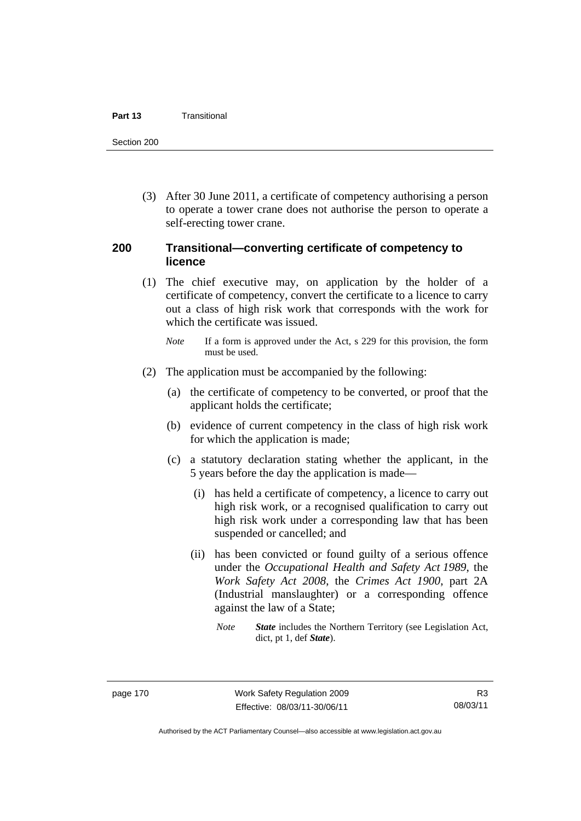#### **Part 13** Transitional

Section 200

 (3) After 30 June 2011, a certificate of competency authorising a person to operate a tower crane does not authorise the person to operate a self-erecting tower crane.

#### **200 Transitional—converting certificate of competency to licence**

- (1) The chief executive may, on application by the holder of a certificate of competency, convert the certificate to a licence to carry out a class of high risk work that corresponds with the work for which the certificate was issued.
	- *Note* If a form is approved under the Act, s 229 for this provision, the form must be used.
- (2) The application must be accompanied by the following:
	- (a) the certificate of competency to be converted, or proof that the applicant holds the certificate;
	- (b) evidence of current competency in the class of high risk work for which the application is made;
	- (c) a statutory declaration stating whether the applicant, in the 5 years before the day the application is made—
		- (i) has held a certificate of competency, a licence to carry out high risk work, or a recognised qualification to carry out high risk work under a corresponding law that has been suspended or cancelled; and
		- (ii) has been convicted or found guilty of a serious offence under the *Occupational Health and Safety Act 1989*, the *Work Safety Act 2008*, the *Crimes Act 1900*, part 2A (Industrial manslaughter) or a corresponding offence against the law of a State;
			- *Note State* includes the Northern Territory (see Legislation Act, dict, pt 1, def *State*).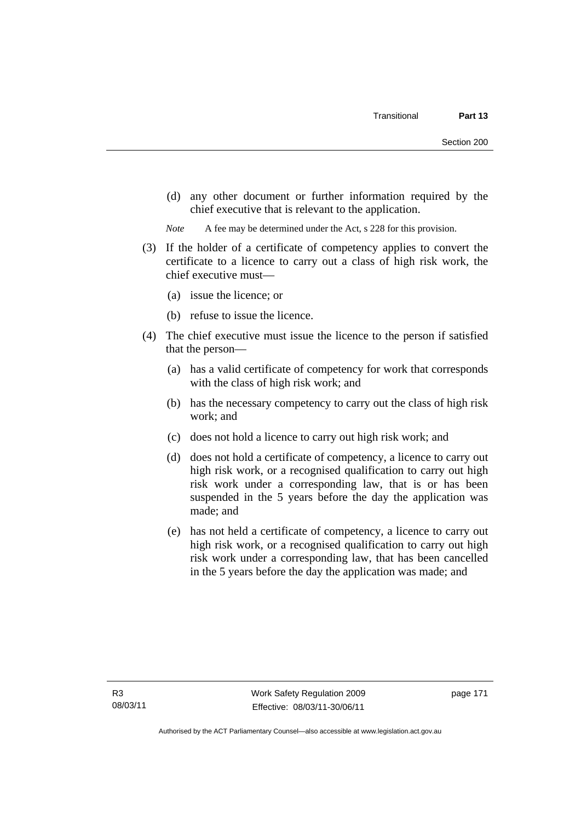(d) any other document or further information required by the chief executive that is relevant to the application.

*Note* A fee may be determined under the Act, s 228 for this provision.

- (3) If the holder of a certificate of competency applies to convert the certificate to a licence to carry out a class of high risk work, the chief executive must—
	- (a) issue the licence; or
	- (b) refuse to issue the licence.
- (4) The chief executive must issue the licence to the person if satisfied that the person—
	- (a) has a valid certificate of competency for work that corresponds with the class of high risk work; and
	- (b) has the necessary competency to carry out the class of high risk work; and
	- (c) does not hold a licence to carry out high risk work; and
	- (d) does not hold a certificate of competency, a licence to carry out high risk work, or a recognised qualification to carry out high risk work under a corresponding law, that is or has been suspended in the 5 years before the day the application was made; and
	- (e) has not held a certificate of competency, a licence to carry out high risk work, or a recognised qualification to carry out high risk work under a corresponding law, that has been cancelled in the 5 years before the day the application was made; and

page 171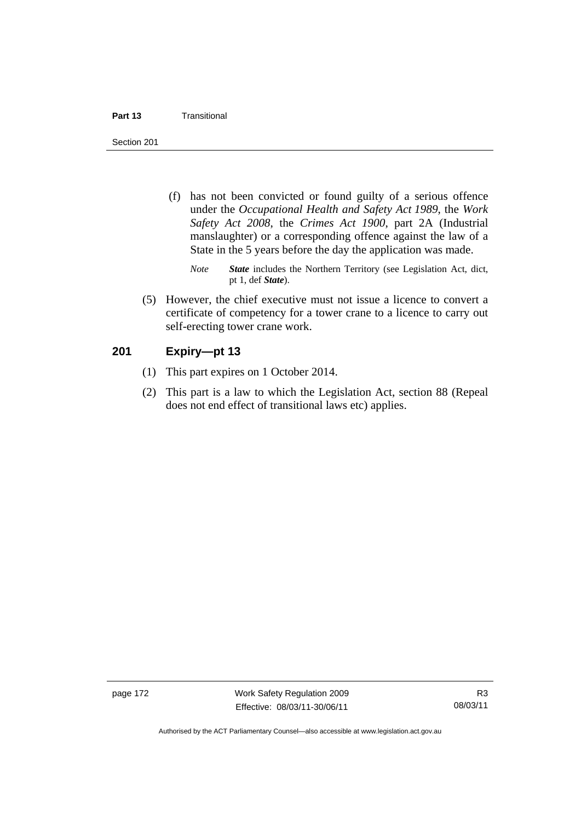#### **Part 13** Transitional

Section 201

- (f) has not been convicted or found guilty of a serious offence under the *Occupational Health and Safety Act 1989*, the *Work Safety Act 2008*, the *Crimes Act 1900*, part 2A (Industrial manslaughter) or a corresponding offence against the law of a State in the 5 years before the day the application was made.
	- *Note State* includes the Northern Territory (see Legislation Act, dict, pt 1, def *State*).
- (5) However, the chief executive must not issue a licence to convert a certificate of competency for a tower crane to a licence to carry out self-erecting tower crane work.

#### **201 Expiry—pt 13**

- (1) This part expires on 1 October 2014.
- (2) This part is a law to which the Legislation Act, section 88 (Repeal does not end effect of transitional laws etc) applies.

page 172 Work Safety Regulation 2009 Effective: 08/03/11-30/06/11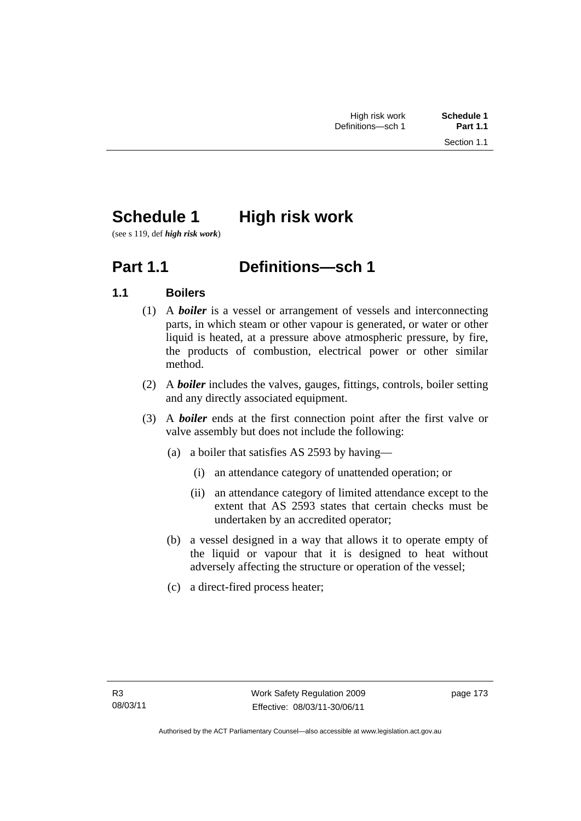# **Schedule 1 High risk work**

(see s 119, def *high risk work*)

# **Part 1.1 Definitions—sch 1**

## **1.1 Boilers**

- (1) A *boiler* is a vessel or arrangement of vessels and interconnecting parts, in which steam or other vapour is generated, or water or other liquid is heated, at a pressure above atmospheric pressure, by fire, the products of combustion, electrical power or other similar method.
- (2) A *boiler* includes the valves, gauges, fittings, controls, boiler setting and any directly associated equipment.
- (3) A *boiler* ends at the first connection point after the first valve or valve assembly but does not include the following:
	- (a) a boiler that satisfies AS 2593 by having—
		- (i) an attendance category of unattended operation; or
		- (ii) an attendance category of limited attendance except to the extent that AS 2593 states that certain checks must be undertaken by an accredited operator;
	- (b) a vessel designed in a way that allows it to operate empty of the liquid or vapour that it is designed to heat without adversely affecting the structure or operation of the vessel;
	- (c) a direct-fired process heater;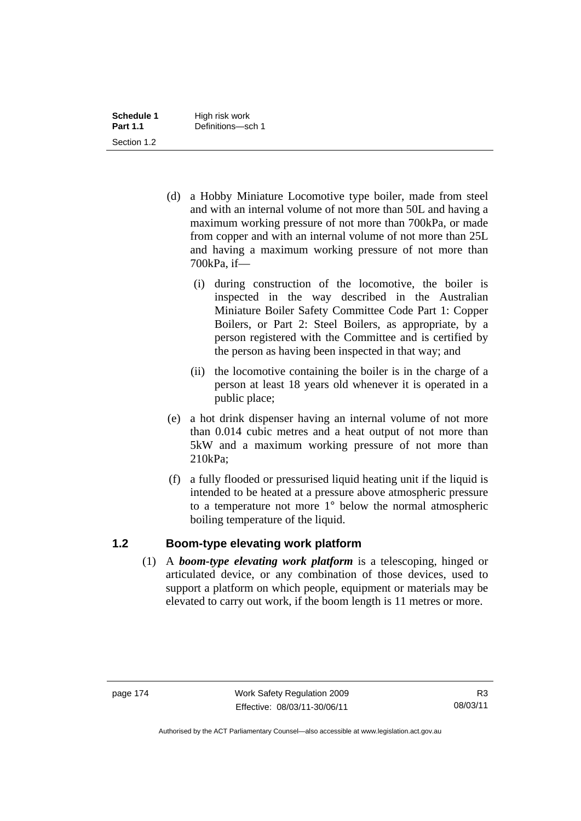| Schedule 1      | High risk work    |
|-----------------|-------------------|
| <b>Part 1.1</b> | Definitions-sch 1 |
| Section 1.2     |                   |

- (d) a Hobby Miniature Locomotive type boiler, made from steel and with an internal volume of not more than 50L and having a maximum working pressure of not more than 700kPa, or made from copper and with an internal volume of not more than 25L and having a maximum working pressure of not more than 700kPa, if—
	- (i) during construction of the locomotive, the boiler is inspected in the way described in the Australian Miniature Boiler Safety Committee Code Part 1: Copper Boilers, or Part 2: Steel Boilers, as appropriate, by a person registered with the Committee and is certified by the person as having been inspected in that way; and
	- (ii) the locomotive containing the boiler is in the charge of a person at least 18 years old whenever it is operated in a public place;
- (e) a hot drink dispenser having an internal volume of not more than 0.014 cubic metres and a heat output of not more than 5kW and a maximum working pressure of not more than 210kPa;
- (f) a fully flooded or pressurised liquid heating unit if the liquid is intended to be heated at a pressure above atmospheric pressure to a temperature not more 1° below the normal atmospheric boiling temperature of the liquid.

#### **1.2 Boom-type elevating work platform**

 (1) A *boom-type elevating work platform* is a telescoping, hinged or articulated device, or any combination of those devices, used to support a platform on which people, equipment or materials may be elevated to carry out work, if the boom length is 11 metres or more.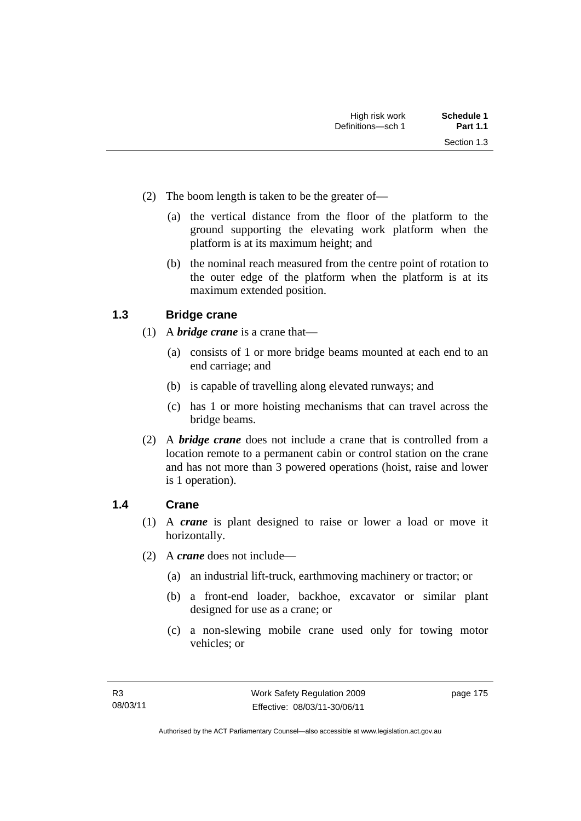- (2) The boom length is taken to be the greater of—
	- (a) the vertical distance from the floor of the platform to the ground supporting the elevating work platform when the platform is at its maximum height; and
	- (b) the nominal reach measured from the centre point of rotation to the outer edge of the platform when the platform is at its maximum extended position.

### **1.3 Bridge crane**

- (1) A *bridge crane* is a crane that—
	- (a) consists of 1 or more bridge beams mounted at each end to an end carriage; and
	- (b) is capable of travelling along elevated runways; and
	- (c) has 1 or more hoisting mechanisms that can travel across the bridge beams.
- (2) A *bridge crane* does not include a crane that is controlled from a location remote to a permanent cabin or control station on the crane and has not more than 3 powered operations (hoist, raise and lower is 1 operation).

#### **1.4 Crane**

- (1) A *crane* is plant designed to raise or lower a load or move it horizontally.
- (2) A *crane* does not include—
	- (a) an industrial lift-truck, earthmoving machinery or tractor; or
	- (b) a front-end loader, backhoe, excavator or similar plant designed for use as a crane; or
	- (c) a non-slewing mobile crane used only for towing motor vehicles; or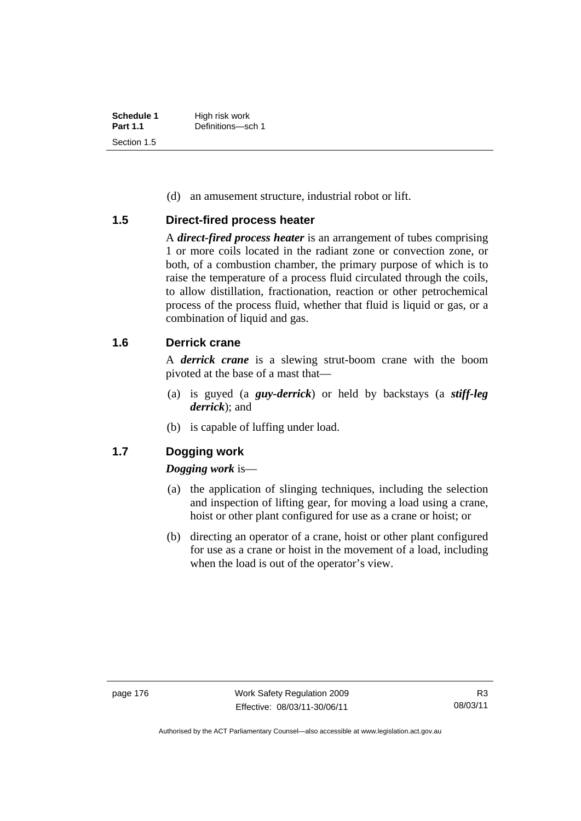| Schedule 1      | High risk work    |
|-----------------|-------------------|
| <b>Part 1.1</b> | Definitions-sch 1 |
| Section 1.5     |                   |

(d) an amusement structure, industrial robot or lift.

#### **1.5 Direct-fired process heater**

A *direct-fired process heater* is an arrangement of tubes comprising 1 or more coils located in the radiant zone or convection zone, or both, of a combustion chamber, the primary purpose of which is to raise the temperature of a process fluid circulated through the coils, to allow distillation, fractionation, reaction or other petrochemical process of the process fluid, whether that fluid is liquid or gas, or a combination of liquid and gas.

#### **1.6 Derrick crane**

A *derrick crane* is a slewing strut-boom crane with the boom pivoted at the base of a mast that—

- (a) is guyed (a *guy-derrick*) or held by backstays (a *stiff-leg derrick*); and
- (b) is capable of luffing under load.

#### **1.7 Dogging work**

#### *Dogging work* is—

- (a) the application of slinging techniques, including the selection and inspection of lifting gear, for moving a load using a crane, hoist or other plant configured for use as a crane or hoist; or
- (b) directing an operator of a crane, hoist or other plant configured for use as a crane or hoist in the movement of a load, including when the load is out of the operator's view.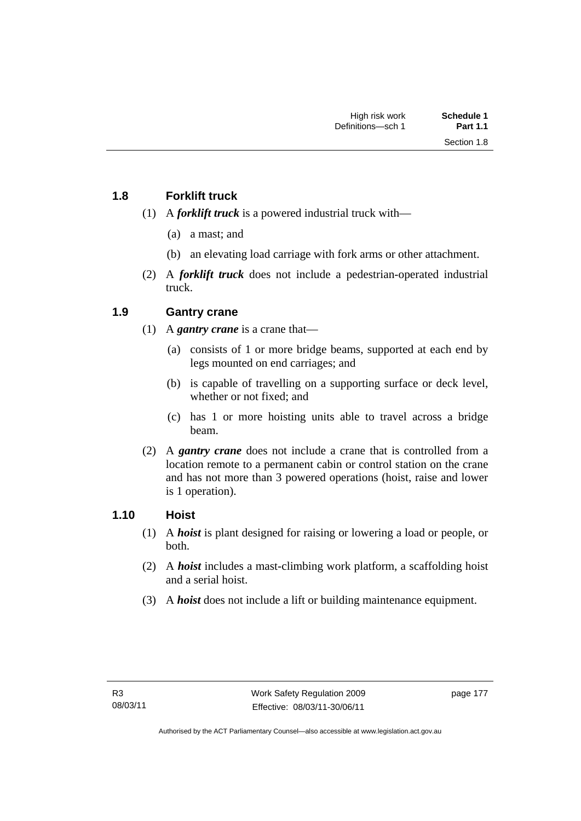#### **1.8 Forklift truck**

- (1) A *forklift truck* is a powered industrial truck with—
	- (a) a mast; and
	- (b) an elevating load carriage with fork arms or other attachment.
- (2) A *forklift truck* does not include a pedestrian-operated industrial truck.

### **1.9 Gantry crane**

- (1) A *gantry crane* is a crane that—
	- (a) consists of 1 or more bridge beams, supported at each end by legs mounted on end carriages; and
	- (b) is capable of travelling on a supporting surface or deck level, whether or not fixed; and
	- (c) has 1 or more hoisting units able to travel across a bridge beam.
- (2) A *gantry crane* does not include a crane that is controlled from a location remote to a permanent cabin or control station on the crane and has not more than 3 powered operations (hoist, raise and lower is 1 operation).

#### **1.10 Hoist**

- (1) A *hoist* is plant designed for raising or lowering a load or people, or both.
- (2) A *hoist* includes a mast-climbing work platform, a scaffolding hoist and a serial hoist.
- (3) A *hoist* does not include a lift or building maintenance equipment.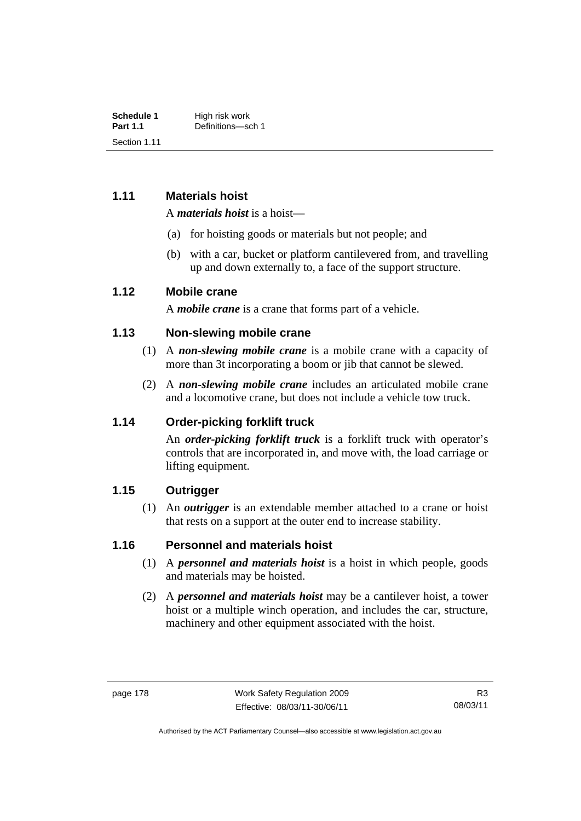| <b>Schedule 1</b> | High risk work    |
|-------------------|-------------------|
| <b>Part 1.1</b>   | Definitions-sch 1 |
| Section 1.11      |                   |

#### **1.11 Materials hoist**

A *materials hoist* is a hoist—

- (a) for hoisting goods or materials but not people; and
- (b) with a car, bucket or platform cantilevered from, and travelling up and down externally to, a face of the support structure.

#### **1.12 Mobile crane**

A *mobile crane* is a crane that forms part of a vehicle.

#### **1.13 Non-slewing mobile crane**

- (1) A *non-slewing mobile crane* is a mobile crane with a capacity of more than 3t incorporating a boom or jib that cannot be slewed.
- (2) A *non-slewing mobile crane* includes an articulated mobile crane and a locomotive crane, but does not include a vehicle tow truck.

#### **1.14 Order-picking forklift truck**

An *order-picking forklift truck* is a forklift truck with operator's controls that are incorporated in, and move with, the load carriage or lifting equipment.

#### **1.15 Outrigger**

 (1) An *outrigger* is an extendable member attached to a crane or hoist that rests on a support at the outer end to increase stability.

#### **1.16 Personnel and materials hoist**

- (1) A *personnel and materials hoist* is a hoist in which people, goods and materials may be hoisted.
- (2) A *personnel and materials hoist* may be a cantilever hoist, a tower hoist or a multiple winch operation, and includes the car, structure, machinery and other equipment associated with the hoist.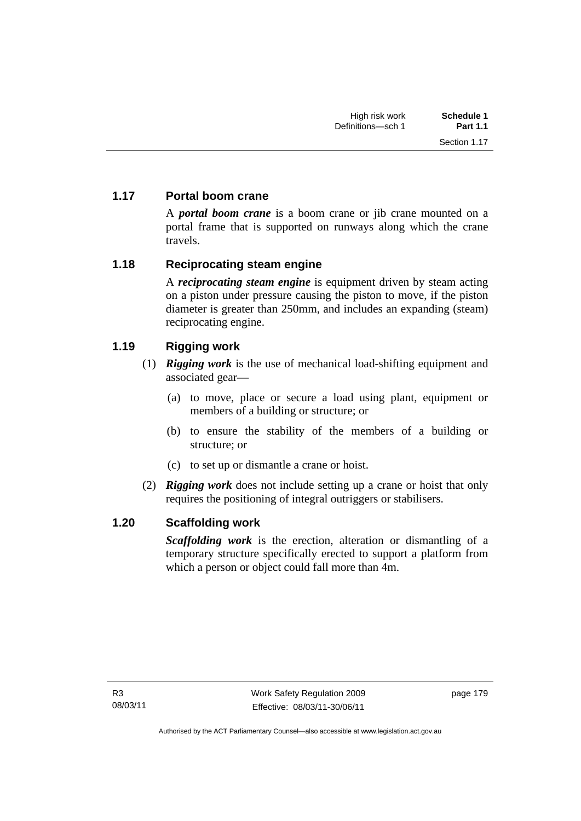### **1.17 Portal boom crane**

A *portal boom crane* is a boom crane or jib crane mounted on a portal frame that is supported on runways along which the crane travels.

#### **1.18 Reciprocating steam engine**

A *reciprocating steam engine* is equipment driven by steam acting on a piston under pressure causing the piston to move, if the piston diameter is greater than 250mm, and includes an expanding (steam) reciprocating engine.

## **1.19 Rigging work**

- (1) *Rigging work* is the use of mechanical load-shifting equipment and associated gear—
	- (a) to move, place or secure a load using plant, equipment or members of a building or structure; or
	- (b) to ensure the stability of the members of a building or structure; or
	- (c) to set up or dismantle a crane or hoist.
- (2) *Rigging work* does not include setting up a crane or hoist that only requires the positioning of integral outriggers or stabilisers.

#### **1.20 Scaffolding work**

*Scaffolding work* is the erection, alteration or dismantling of a temporary structure specifically erected to support a platform from which a person or object could fall more than 4m.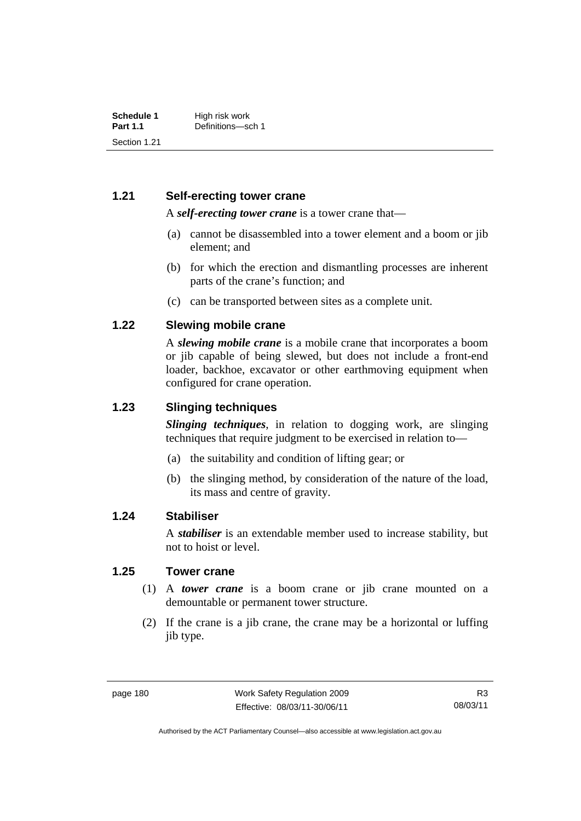| Schedule 1      | High risk work    |
|-----------------|-------------------|
| <b>Part 1.1</b> | Definitions-sch 1 |
| Section 1.21    |                   |

#### **1.21 Self-erecting tower crane**

A *self-erecting tower crane* is a tower crane that—

- (a) cannot be disassembled into a tower element and a boom or jib element; and
- (b) for which the erection and dismantling processes are inherent parts of the crane's function; and
- (c) can be transported between sites as a complete unit.

#### **1.22 Slewing mobile crane**

A *slewing mobile crane* is a mobile crane that incorporates a boom or jib capable of being slewed, but does not include a front-end loader, backhoe, excavator or other earthmoving equipment when configured for crane operation.

#### **1.23 Slinging techniques**

*Slinging techniques*, in relation to dogging work, are slinging techniques that require judgment to be exercised in relation to—

- (a) the suitability and condition of lifting gear; or
- (b) the slinging method, by consideration of the nature of the load, its mass and centre of gravity.

#### **1.24 Stabiliser**

A *stabiliser* is an extendable member used to increase stability, but not to hoist or level.

#### **1.25 Tower crane**

- (1) A *tower crane* is a boom crane or jib crane mounted on a demountable or permanent tower structure.
- (2) If the crane is a jib crane, the crane may be a horizontal or luffing jib type.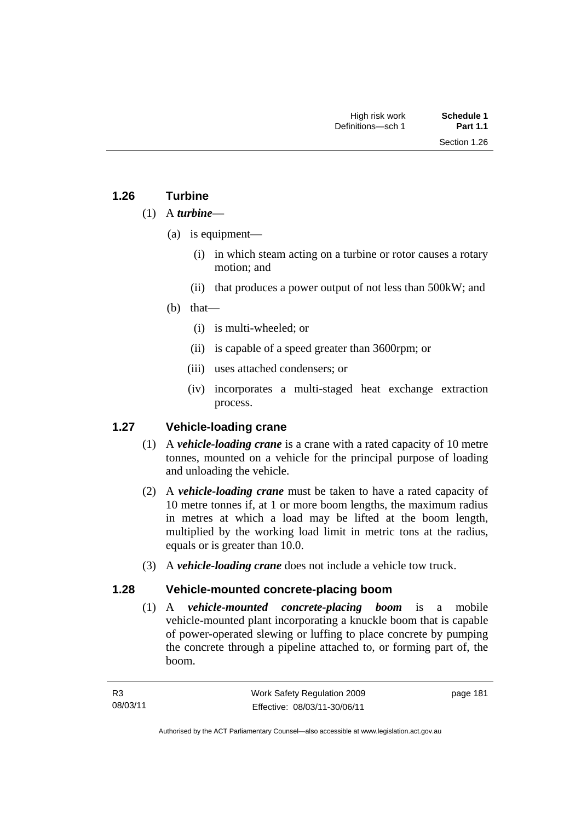### **1.26 Turbine**

#### (1) A *turbine*—

- (a) is equipment—
	- (i) in which steam acting on a turbine or rotor causes a rotary motion; and
	- (ii) that produces a power output of not less than 500kW; and
- (b) that—
	- (i) is multi-wheeled; or
	- (ii) is capable of a speed greater than 3600rpm; or
	- (iii) uses attached condensers; or
	- (iv) incorporates a multi-staged heat exchange extraction process.

#### **1.27 Vehicle-loading crane**

- (1) A *vehicle-loading crane* is a crane with a rated capacity of 10 metre tonnes, mounted on a vehicle for the principal purpose of loading and unloading the vehicle.
- (2) A *vehicle-loading crane* must be taken to have a rated capacity of 10 metre tonnes if, at 1 or more boom lengths, the maximum radius in metres at which a load may be lifted at the boom length, multiplied by the working load limit in metric tons at the radius, equals or is greater than 10.0.
- (3) A *vehicle-loading crane* does not include a vehicle tow truck.

#### **1.28 Vehicle-mounted concrete-placing boom**

 (1) A *vehicle-mounted concrete-placing boom* is a mobile vehicle-mounted plant incorporating a knuckle boom that is capable of power-operated slewing or luffing to place concrete by pumping the concrete through a pipeline attached to, or forming part of, the boom.

page 181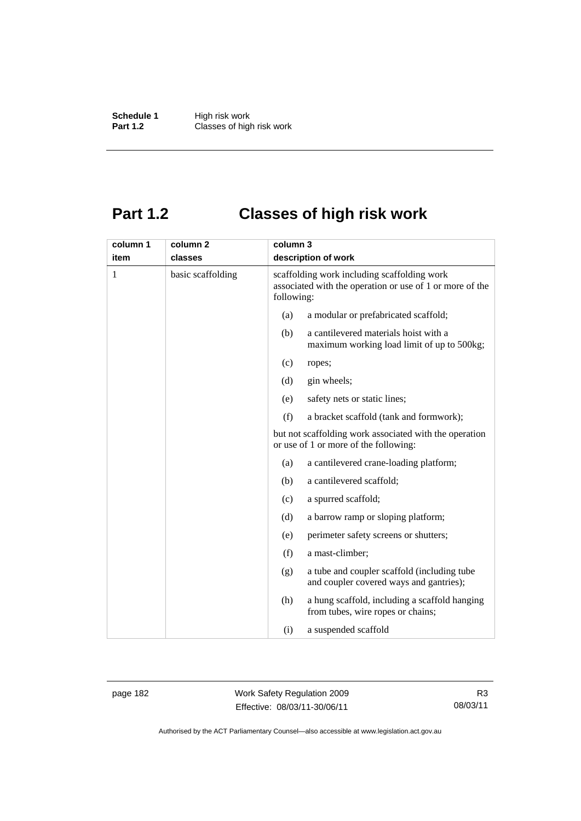**Schedule 1** High risk work<br> **Part 1.2** Classes of high **Classes of high risk work** 

# **Part 1.2 Classes of high risk work**

| column 1 | column <sub>2</sub> | column 3   |                                                                                                         |
|----------|---------------------|------------|---------------------------------------------------------------------------------------------------------|
| item     | classes             |            | description of work                                                                                     |
| 1        | basic scaffolding   | following: | scaffolding work including scaffolding work<br>associated with the operation or use of 1 or more of the |
|          |                     | (a)        | a modular or prefabricated scaffold;                                                                    |
|          |                     | (b)        | a cantilevered materials hoist with a<br>maximum working load limit of up to 500kg;                     |
|          |                     | (c)        | ropes;                                                                                                  |
|          |                     | (d)        | gin wheels;                                                                                             |
|          |                     | (e)        | safety nets or static lines;                                                                            |
|          |                     | (f)        | a bracket scaffold (tank and formwork);                                                                 |
|          |                     |            | but not scaffolding work associated with the operation<br>or use of 1 or more of the following:         |
|          |                     | (a)        | a cantilevered crane-loading platform;                                                                  |
|          |                     | (b)        | a cantilevered scaffold;                                                                                |
|          |                     | (c)        | a spurred scaffold;                                                                                     |
|          |                     | (d)        | a barrow ramp or sloping platform;                                                                      |
|          |                     | (e)        | perimeter safety screens or shutters;                                                                   |
|          |                     | (f)        | a mast-climber;                                                                                         |
|          |                     | (g)        | a tube and coupler scaffold (including tube<br>and coupler covered ways and gantries);                  |
|          |                     | (h)        | a hung scaffold, including a scaffold hanging<br>from tubes, wire ropes or chains;                      |
|          |                     | (i)        | a suspended scaffold                                                                                    |

page 182 Work Safety Regulation 2009 Effective: 08/03/11-30/06/11

R3 08/03/11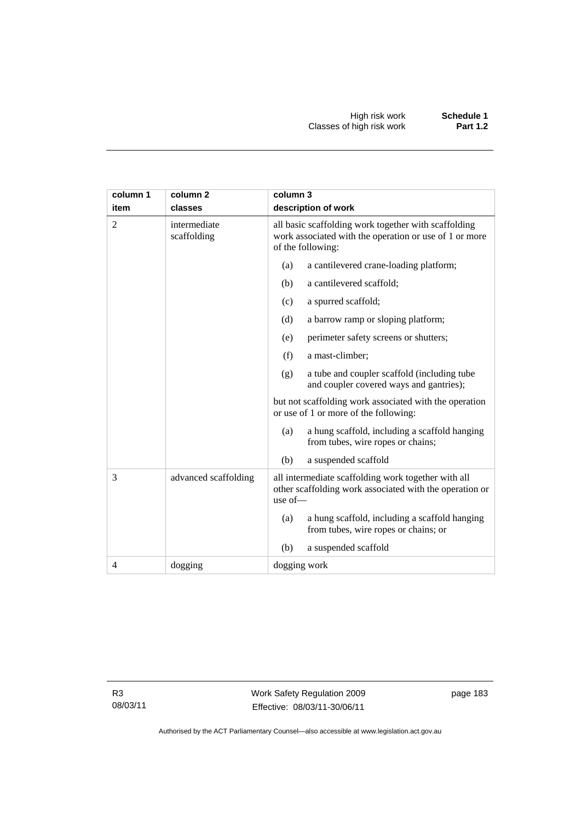| column 1 | column <sub>2</sub>         | column 3                                                                                                                            |
|----------|-----------------------------|-------------------------------------------------------------------------------------------------------------------------------------|
| item     | classes                     | description of work                                                                                                                 |
| 2        | intermediate<br>scaffolding | all basic scaffolding work together with scaffolding<br>work associated with the operation or use of 1 or more<br>of the following: |
|          |                             | (a)<br>a cantilevered crane-loading platform;                                                                                       |
|          |                             | a cantilevered scaffold;<br>(b)                                                                                                     |
|          |                             | a spurred scaffold;<br>(c)                                                                                                          |
|          |                             | (d)<br>a barrow ramp or sloping platform;                                                                                           |
|          |                             | (e)<br>perimeter safety screens or shutters;                                                                                        |
|          |                             | (f)<br>a mast-climber;                                                                                                              |
|          |                             | a tube and coupler scaffold (including tube<br>(g)<br>and coupler covered ways and gantries);                                       |
|          |                             | but not scaffolding work associated with the operation<br>or use of 1 or more of the following:                                     |
|          |                             | a hung scaffold, including a scaffold hanging<br>(a)<br>from tubes, wire ropes or chains;                                           |
|          |                             | (b)<br>a suspended scaffold                                                                                                         |
| 3        | advanced scaffolding        | all intermediate scaffolding work together with all<br>other scaffolding work associated with the operation or<br>use of $-$        |
|          |                             | a hung scaffold, including a scaffold hanging<br>(a)<br>from tubes, wire ropes or chains; or                                        |
|          |                             | a suspended scaffold<br>(b)                                                                                                         |
| 4        | dogging                     | dogging work                                                                                                                        |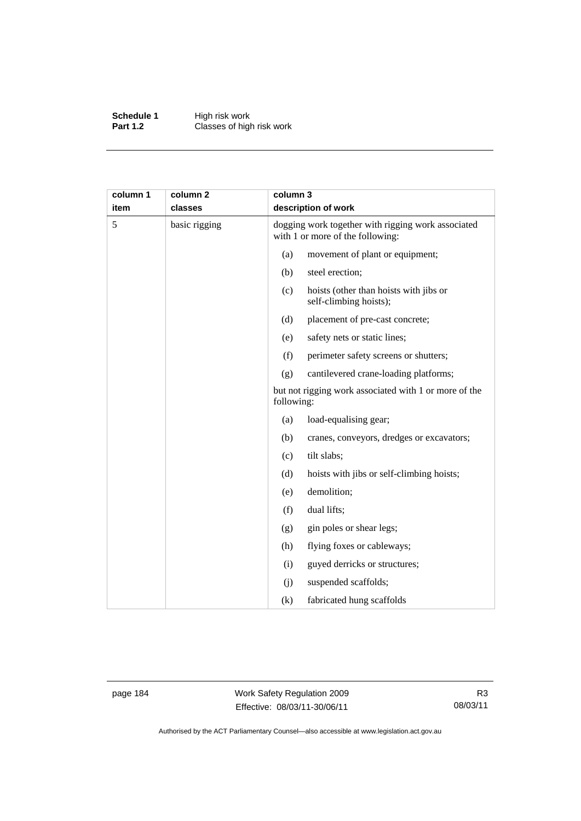**Schedule 1** High risk work **Part 1.2 Classes of high risk work** 

| column 1<br>item | column <sub>2</sub><br>classes | column 3   | description of work                                                                    |
|------------------|--------------------------------|------------|----------------------------------------------------------------------------------------|
| 5                | basic rigging                  |            | dogging work together with rigging work associated<br>with 1 or more of the following: |
|                  |                                | (a)        | movement of plant or equipment;                                                        |
|                  |                                | (b)        | steel erection;                                                                        |
|                  |                                | (c)        | hoists (other than hoists with jibs or<br>self-climbing hoists);                       |
|                  |                                | (d)        | placement of pre-cast concrete;                                                        |
|                  |                                | (e)        | safety nets or static lines;                                                           |
|                  |                                | (f)        | perimeter safety screens or shutters;                                                  |
|                  |                                | (g)        | cantilevered crane-loading platforms;                                                  |
|                  |                                | following: | but not rigging work associated with 1 or more of the                                  |
|                  |                                | (a)        | load-equalising gear;                                                                  |
|                  |                                | (b)        | cranes, conveyors, dredges or excavators;                                              |
|                  |                                | (c)        | tilt slabs;                                                                            |
|                  |                                | (d)        | hoists with jibs or self-climbing hoists;                                              |
|                  |                                | (e)        | demolition;                                                                            |
|                  |                                | (f)        | dual lifts;                                                                            |
|                  |                                | (g)        | gin poles or shear legs;                                                               |
|                  |                                | (h)        | flying foxes or cableways;                                                             |
|                  |                                | (i)        | guyed derricks or structures;                                                          |
|                  |                                | (j)        | suspended scaffolds;                                                                   |
|                  |                                | (k)        | fabricated hung scaffolds                                                              |

page 184 Work Safety Regulation 2009 Effective: 08/03/11-30/06/11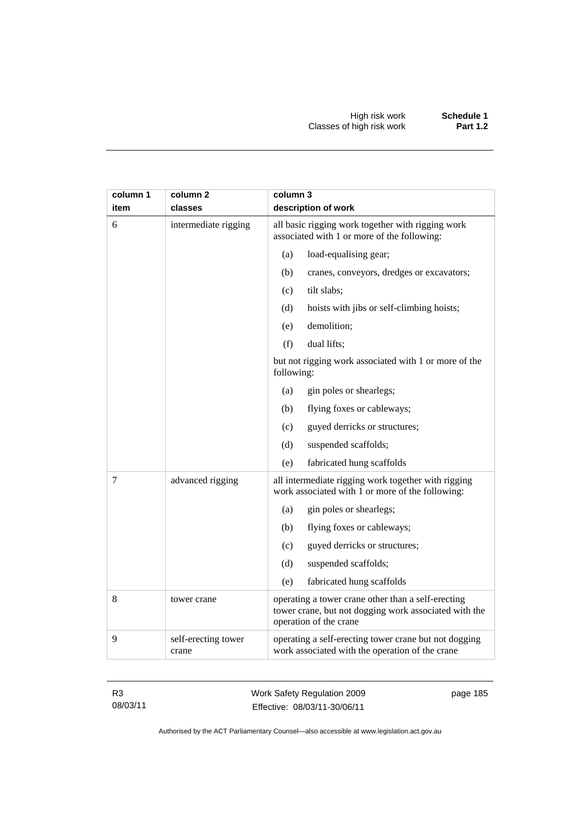| column 1<br>item | column 2<br>classes          | column 3<br>description of work                                                                                                       |
|------------------|------------------------------|---------------------------------------------------------------------------------------------------------------------------------------|
| 6                | intermediate rigging         | all basic rigging work together with rigging work<br>associated with 1 or more of the following:                                      |
|                  |                              | load-equalising gear;<br>(a)                                                                                                          |
|                  |                              | (b)<br>cranes, conveyors, dredges or excavators;                                                                                      |
|                  |                              | (c)<br>tilt slabs;                                                                                                                    |
|                  |                              | hoists with jibs or self-climbing hoists;<br>(d)                                                                                      |
|                  |                              | demolition;<br>(e)                                                                                                                    |
|                  |                              | (f)<br>dual lifts;                                                                                                                    |
|                  |                              | but not rigging work associated with 1 or more of the<br>following:                                                                   |
|                  |                              | gin poles or shearlegs;<br>(a)                                                                                                        |
|                  |                              | (b)<br>flying foxes or cableways;                                                                                                     |
|                  |                              | guyed derricks or structures;<br>(c)                                                                                                  |
|                  |                              | suspended scaffolds;<br>(d)                                                                                                           |
|                  |                              | (e)<br>fabricated hung scaffolds                                                                                                      |
| 7                | advanced rigging             | all intermediate rigging work together with rigging<br>work associated with 1 or more of the following:                               |
|                  |                              | gin poles or shearlegs;<br>(a)                                                                                                        |
|                  |                              | (b)<br>flying foxes or cableways;                                                                                                     |
|                  |                              | guyed derricks or structures;<br>(c)                                                                                                  |
|                  |                              | (d)<br>suspended scaffolds;                                                                                                           |
|                  |                              | fabricated hung scaffolds<br>(e)                                                                                                      |
| 8                | tower crane                  | operating a tower crane other than a self-erecting<br>tower crane, but not dogging work associated with the<br>operation of the crane |
| 9                | self-erecting tower<br>crane | operating a self-erecting tower crane but not dogging<br>work associated with the operation of the crane                              |

R3 08/03/11 Work Safety Regulation 2009 Effective: 08/03/11-30/06/11

page 185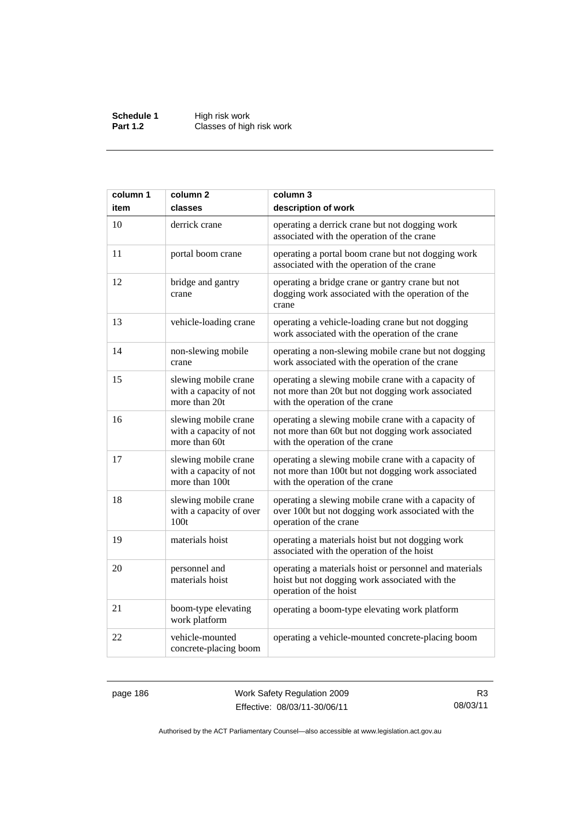**Schedule 1** High risk work **Part 1.2 Classes of high risk work** 

| column 1 | column <sub>2</sub>                                              | column 3                                                                                                                                     |
|----------|------------------------------------------------------------------|----------------------------------------------------------------------------------------------------------------------------------------------|
| item     | classes                                                          | description of work                                                                                                                          |
| 10       | derrick crane                                                    | operating a derrick crane but not dogging work<br>associated with the operation of the crane                                                 |
| 11       | portal boom crane                                                | operating a portal boom crane but not dogging work<br>associated with the operation of the crane                                             |
| 12       | bridge and gantry<br>crane                                       | operating a bridge crane or gantry crane but not<br>dogging work associated with the operation of the<br>crane                               |
| 13       | vehicle-loading crane                                            | operating a vehicle-loading crane but not dogging<br>work associated with the operation of the crane                                         |
| 14       | non-slewing mobile<br>crane                                      | operating a non-slewing mobile crane but not dogging<br>work associated with the operation of the crane                                      |
| 15       | slewing mobile crane<br>with a capacity of not<br>more than 20t  | operating a slewing mobile crane with a capacity of<br>not more than 20t but not dogging work associated<br>with the operation of the crane  |
| 16       | slewing mobile crane<br>with a capacity of not<br>more than 60t  | operating a slewing mobile crane with a capacity of<br>not more than 60t but not dogging work associated<br>with the operation of the crane  |
| 17       | slewing mobile crane<br>with a capacity of not<br>more than 100t | operating a slewing mobile crane with a capacity of<br>not more than 100t but not dogging work associated<br>with the operation of the crane |
| 18       | slewing mobile crane<br>with a capacity of over<br>100t          | operating a slewing mobile crane with a capacity of<br>over 100t but not dogging work associated with the<br>operation of the crane          |
| 19       | materials hoist                                                  | operating a materials hoist but not dogging work<br>associated with the operation of the hoist                                               |
| 20       | personnel and<br>materials hoist                                 | operating a materials hoist or personnel and materials<br>hoist but not dogging work associated with the<br>operation of the hoist           |
| 21       | boom-type elevating<br>work platform                             | operating a boom-type elevating work platform                                                                                                |
| 22       | vehicle-mounted<br>concrete-placing boom                         | operating a vehicle-mounted concrete-placing boom                                                                                            |

page 186 Work Safety Regulation 2009 Effective: 08/03/11-30/06/11

R3 08/03/11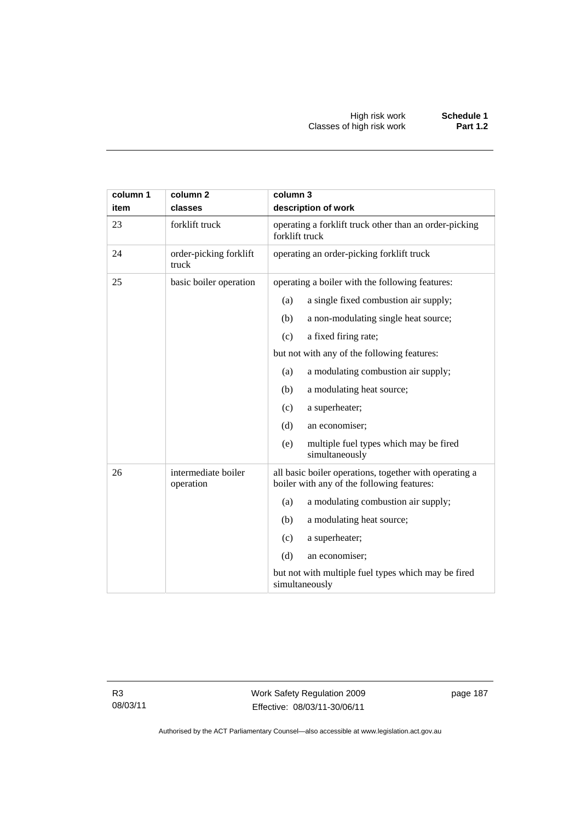| column 1<br>item | column <sub>2</sub><br>classes   | column 3<br>description of work                                                                      |  |
|------------------|----------------------------------|------------------------------------------------------------------------------------------------------|--|
| 23               | forklift truck                   | operating a forklift truck other than an order-picking<br>forklift truck                             |  |
| 24               | order-picking forklift<br>truck  | operating an order-picking forklift truck                                                            |  |
| 25               | basic boiler operation           | operating a boiler with the following features:                                                      |  |
|                  |                                  | a single fixed combustion air supply;<br>(a)                                                         |  |
|                  |                                  | (b)<br>a non-modulating single heat source;                                                          |  |
|                  |                                  | (c)<br>a fixed firing rate;                                                                          |  |
|                  |                                  | but not with any of the following features:                                                          |  |
|                  |                                  | a modulating combustion air supply;<br>(a)                                                           |  |
|                  |                                  | (b)<br>a modulating heat source;                                                                     |  |
|                  |                                  | a superheater;<br>(c)                                                                                |  |
|                  |                                  | (d)<br>an economiser;                                                                                |  |
|                  |                                  | (e)<br>multiple fuel types which may be fired<br>simultaneously                                      |  |
| 26               | intermediate boiler<br>operation | all basic boiler operations, together with operating a<br>boiler with any of the following features: |  |
|                  |                                  | a modulating combustion air supply;<br>(a)                                                           |  |
|                  |                                  | (b)<br>a modulating heat source;                                                                     |  |
|                  |                                  | (c)<br>a superheater;                                                                                |  |
|                  |                                  | (d)<br>an economiser;                                                                                |  |
|                  |                                  | but not with multiple fuel types which may be fired<br>simultaneously                                |  |

R3 08/03/11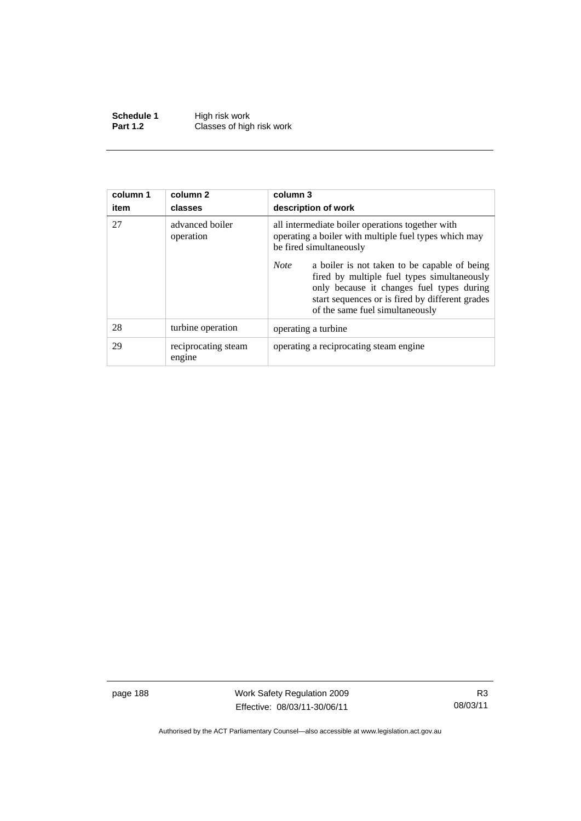**Schedule 1** High risk work **Part 1.2 Classes of high risk work** 

| column 1<br>item | column 2<br>classes           | column 3<br>description of work                                                                                                                                                                                                               |
|------------------|-------------------------------|-----------------------------------------------------------------------------------------------------------------------------------------------------------------------------------------------------------------------------------------------|
| 27               | advanced boiler<br>operation  | all intermediate boiler operations together with<br>operating a boiler with multiple fuel types which may<br>be fired simultaneously                                                                                                          |
|                  |                               | <b>Note</b><br>a boiler is not taken to be capable of being<br>fired by multiple fuel types simultaneously<br>only because it changes fuel types during<br>start sequences or is fired by different grades<br>of the same fuel simultaneously |
| 28               | turbine operation             | operating a turbine.                                                                                                                                                                                                                          |
| 29               | reciprocating steam<br>engine | operating a reciprocating steam engine.                                                                                                                                                                                                       |

page 188 Work Safety Regulation 2009 Effective: 08/03/11-30/06/11

R3 08/03/11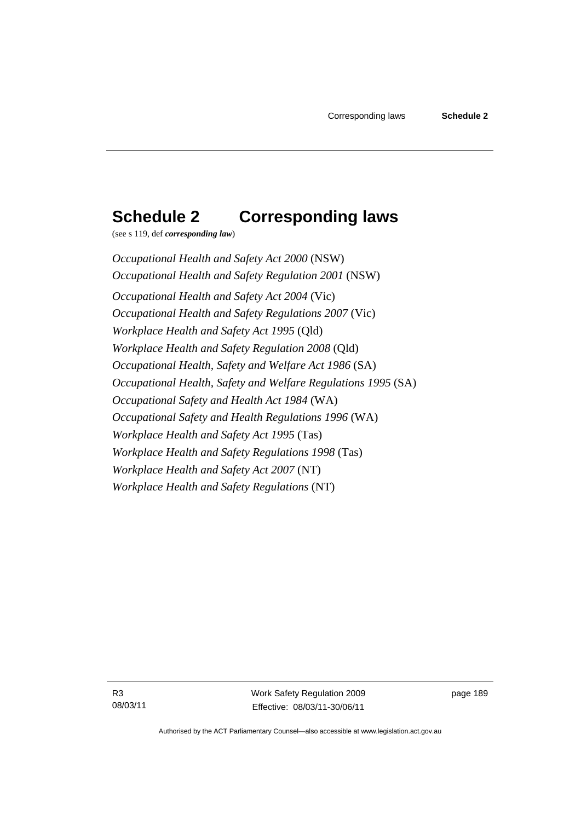# **Schedule 2 Corresponding laws**

(see s 119, def *corresponding law*)

*Occupational Health and Safety Act 2000* (NSW) *Occupational Health and Safety Regulation 2001* (NSW) *Occupational Health and Safety Act 2004* (Vic) *Occupational Health and Safety Regulations 2007* (Vic) *Workplace Health and Safety Act 1995* (Qld) *Workplace Health and Safety Regulation 2008* (Qld) *Occupational Health, Safety and Welfare Act 1986* (SA) *Occupational Health, Safety and Welfare Regulations 1995* (SA) *Occupational Safety and Health Act 1984* (WA) *Occupational Safety and Health Regulations 1996* (WA) *Workplace Health and Safety Act 1995* (Tas) *Workplace Health and Safety Regulations 1998* (Tas) *Workplace Health and Safety Act 2007* (NT) *Workplace Health and Safety Regulations* (NT)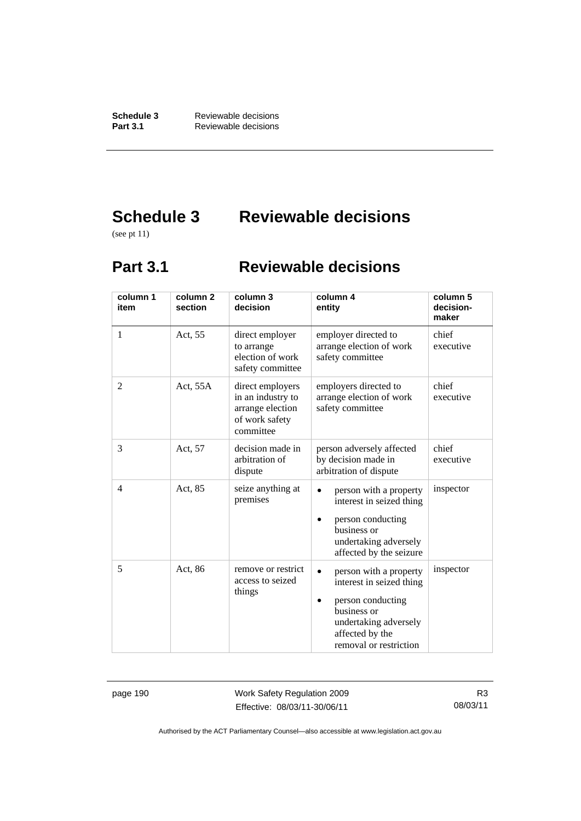**Schedule 3** Reviewable decisions<br>**Part 3.1** Reviewable decisions **Part 3.1** Reviewable decisions

# **Schedule 3 Reviewable decisions**

(see pt 11)

# **Part 3.1 Reviewable decisions**

| column 1<br>item | column <sub>2</sub><br>section | column 3<br>decision                                                                     | column 4<br>entity                                                                                                                                           | column 5<br>decision-<br>maker |
|------------------|--------------------------------|------------------------------------------------------------------------------------------|--------------------------------------------------------------------------------------------------------------------------------------------------------------|--------------------------------|
| 1                | Act, 55                        | direct employer<br>to arrange<br>election of work<br>safety committee                    | employer directed to<br>arrange election of work<br>safety committee                                                                                         | chief<br>executive             |
| 2                | Act, 55A                       | direct employers<br>in an industry to<br>arrange election<br>of work safety<br>committee | employers directed to<br>arrange election of work<br>safety committee                                                                                        | chief<br>executive             |
| 3                | Act, 57                        | decision made in<br>arbitration of<br>dispute                                            | person adversely affected<br>by decision made in<br>arbitration of dispute                                                                                   | chief<br>executive             |
| $\overline{4}$   | Act, 85                        | seize anything at<br>premises                                                            | person with a property<br>interest in seized thing<br>person conducting<br>business or<br>undertaking adversely<br>affected by the seizure                   | inspector                      |
| 5                | Act, 86                        | remove or restrict<br>access to seized<br>things                                         | person with a property<br>interest in seized thing<br>person conducting<br>business or<br>undertaking adversely<br>affected by the<br>removal or restriction | inspector                      |

page 190 Work Safety Regulation 2009 Effective: 08/03/11-30/06/11

R3 08/03/11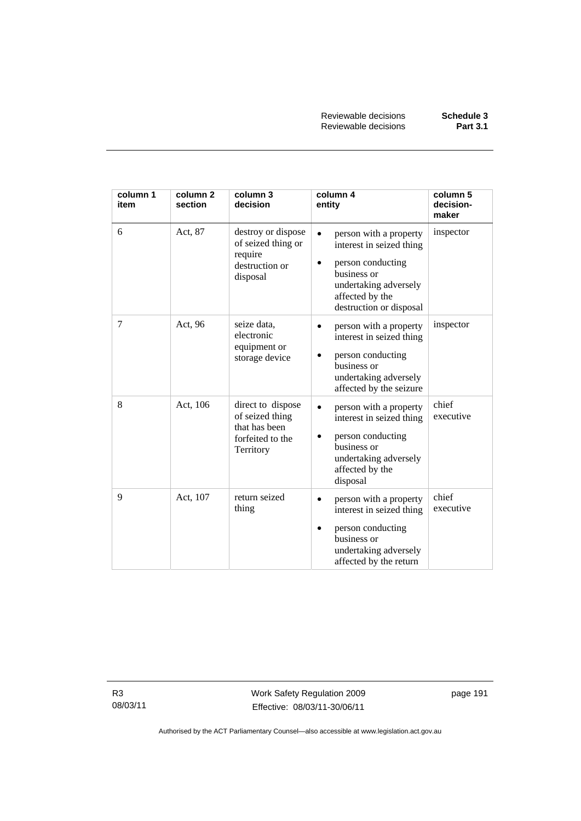Reviewable decisions **Schedule 3 Reviewable decisions** 

| column 1<br>item | column <sub>2</sub><br>section | column 3<br>decision                                                                   | column 4<br>entity                                                                                                                                            | column 5<br>decision-<br>maker |
|------------------|--------------------------------|----------------------------------------------------------------------------------------|---------------------------------------------------------------------------------------------------------------------------------------------------------------|--------------------------------|
| 6                | Act, 87                        | destroy or dispose<br>of seized thing or<br>require<br>destruction or<br>disposal      | person with a property<br>interest in seized thing<br>person conducting<br>business or<br>undertaking adversely<br>affected by the<br>destruction or disposal | inspector                      |
| 7                | Act, 96                        | seize data,<br>electronic<br>equipment or<br>storage device                            | person with a property<br>interest in seized thing<br>person conducting<br>business or<br>undertaking adversely<br>affected by the seizure                    | inspector                      |
| 8                | Act, 106                       | direct to dispose<br>of seized thing<br>that has been<br>forfeited to the<br>Territory | person with a property<br>interest in seized thing<br>person conducting<br>business or<br>undertaking adversely<br>affected by the<br>disposal                | chief<br>executive             |
| 9                | Act, 107                       | return seized<br>thing                                                                 | person with a property<br>interest in seized thing<br>person conducting<br>business or<br>undertaking adversely<br>affected by the return                     | chief<br>executive             |

R3 08/03/11 Work Safety Regulation 2009 Effective: 08/03/11-30/06/11

page 191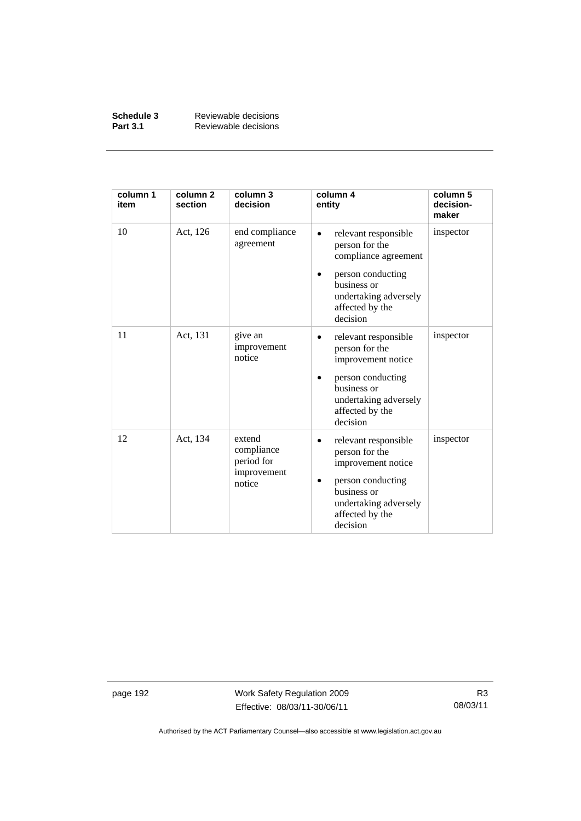| Schedule 3      | Reviewable decisions |
|-----------------|----------------------|
| <b>Part 3.1</b> | Reviewable decisions |

| column 1<br>item | column 2<br>section | column 3<br>decision                                        | column 4<br>entity                                                                                                                                         | column 5<br>decision-<br>maker |
|------------------|---------------------|-------------------------------------------------------------|------------------------------------------------------------------------------------------------------------------------------------------------------------|--------------------------------|
| 10               | Act, 126            | end compliance<br>agreement                                 | relevant responsible<br>person for the<br>compliance agreement<br>person conducting<br>business or<br>undertaking adversely<br>affected by the<br>decision | inspector                      |
| 11               | Act, 131            | give an<br>improvement<br>notice                            | relevant responsible<br>person for the<br>improvement notice<br>person conducting<br>business or<br>undertaking adversely<br>affected by the<br>decision   | inspector                      |
| 12               | Act, 134            | extend<br>compliance<br>period for<br>improvement<br>notice | relevant responsible<br>person for the<br>improvement notice<br>person conducting<br>business or<br>undertaking adversely<br>affected by the<br>decision   | inspector                      |

page 192 Work Safety Regulation 2009 Effective: 08/03/11-30/06/11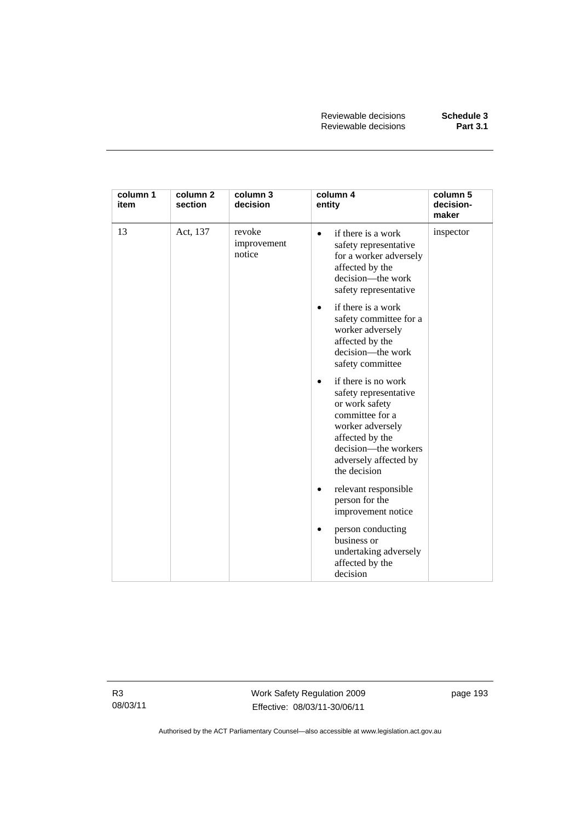| column 1<br>item | column <sub>2</sub><br>section | column 3<br>decision            | column 4<br>entity                                                                                                                                                                                     | column 5<br>decision-<br>maker |
|------------------|--------------------------------|---------------------------------|--------------------------------------------------------------------------------------------------------------------------------------------------------------------------------------------------------|--------------------------------|
| 13               | Act, 137                       | revoke<br>improvement<br>notice | if there is a work<br>$\bullet$<br>safety representative<br>for a worker adversely<br>affected by the<br>decision-the work<br>safety representative                                                    | inspector                      |
|                  |                                |                                 | if there is a work<br>$\bullet$<br>safety committee for a<br>worker adversely<br>affected by the<br>decision-the work<br>safety committee                                                              |                                |
|                  |                                |                                 | if there is no work<br>$\bullet$<br>safety representative<br>or work safety<br>committee for a<br>worker adversely<br>affected by the<br>decision-the workers<br>adversely affected by<br>the decision |                                |
|                  |                                |                                 | relevant responsible<br>٠<br>person for the<br>improvement notice                                                                                                                                      |                                |
|                  |                                |                                 | person conducting<br>$\bullet$<br>business or<br>undertaking adversely<br>affected by the<br>decision                                                                                                  |                                |

R3 08/03/11 Work Safety Regulation 2009 Effective: 08/03/11-30/06/11

page 193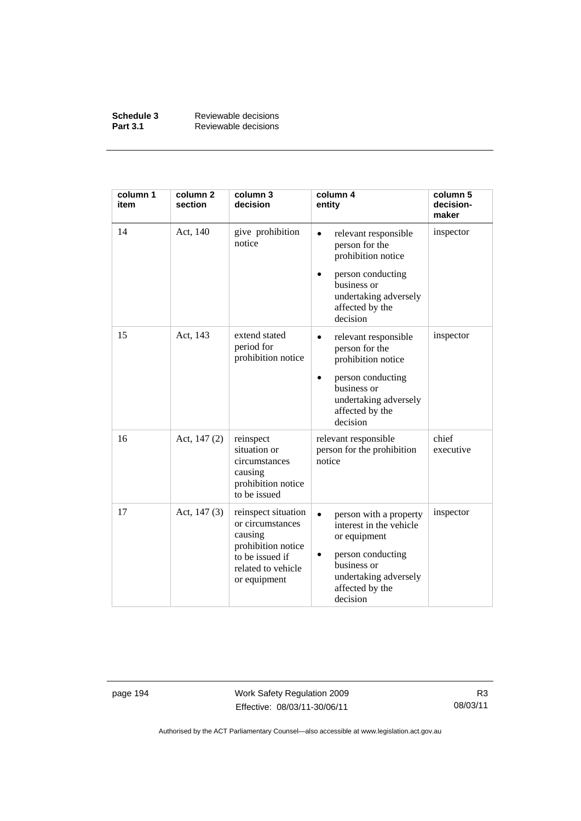| Schedule 3      | Reviewable decisions |
|-----------------|----------------------|
| <b>Part 3.1</b> | Reviewable decisions |

| column 1<br>item | column <sub>2</sub><br>section | column 3<br>decision                                                                                                              | column 4<br>entity                                                                                                                                                         | column 5<br>decision-<br>maker |
|------------------|--------------------------------|-----------------------------------------------------------------------------------------------------------------------------------|----------------------------------------------------------------------------------------------------------------------------------------------------------------------------|--------------------------------|
| 14               | Act, 140                       | give prohibition<br>notice                                                                                                        | relevant responsible<br>person for the<br>prohibition notice<br>person conducting<br>business or<br>undertaking adversely<br>affected by the<br>decision                   | inspector                      |
| 15               | Act, 143                       | extend stated<br>period for<br>prohibition notice                                                                                 | relevant responsible<br>$\bullet$<br>person for the<br>prohibition notice<br>person conducting<br>business or<br>undertaking adversely<br>affected by the<br>decision      | inspector                      |
| 16               | Act, 147 (2)                   | reinspect<br>situation or<br>circumstances<br>causing<br>prohibition notice<br>to be issued                                       | relevant responsible<br>person for the prohibition<br>notice                                                                                                               | chief<br>executive             |
| 17               | Act, 147 (3)                   | reinspect situation<br>or circumstances<br>causing<br>prohibition notice<br>to be issued if<br>related to vehicle<br>or equipment | person with a property<br>$\bullet$<br>interest in the vehicle<br>or equipment<br>person conducting<br>business or<br>undertaking adversely<br>affected by the<br>decision | inspector                      |

page 194 Work Safety Regulation 2009 Effective: 08/03/11-30/06/11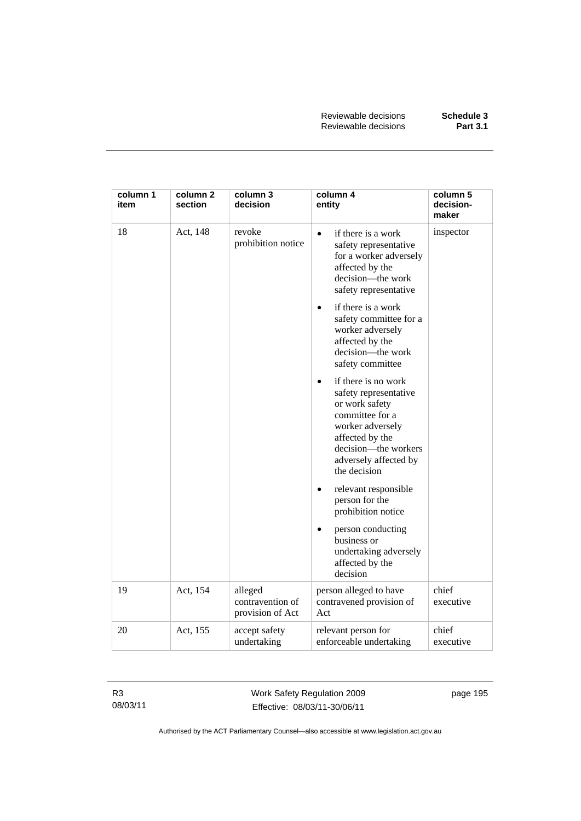| column 1<br>item | column 2<br>section | column 3<br>decision                            | column 4<br>entity                                                                                                                                                                        | column 5<br>decision-<br>maker |
|------------------|---------------------|-------------------------------------------------|-------------------------------------------------------------------------------------------------------------------------------------------------------------------------------------------|--------------------------------|
| 18               | Act, 148            | revoke<br>prohibition notice                    | if there is a work<br>$\bullet$<br>safety representative<br>for a worker adversely<br>affected by the<br>decision-the work<br>safety representative                                       | inspector                      |
|                  |                     |                                                 | if there is a work<br>safety committee for a<br>worker adversely<br>affected by the<br>decision-the work<br>safety committee                                                              |                                |
|                  |                     |                                                 | if there is no work<br>safety representative<br>or work safety<br>committee for a<br>worker adversely<br>affected by the<br>decision-the workers<br>adversely affected by<br>the decision |                                |
|                  |                     |                                                 | relevant responsible<br>person for the<br>prohibition notice                                                                                                                              |                                |
|                  |                     |                                                 | person conducting<br>business or<br>undertaking adversely<br>affected by the<br>decision                                                                                                  |                                |
| 19               | Act, 154            | alleged<br>contravention of<br>provision of Act | person alleged to have<br>contravened provision of<br>Act                                                                                                                                 | chief<br>executive             |
| 20               | Act, 155            | accept safety<br>undertaking                    | relevant person for<br>enforceable undertaking                                                                                                                                            | chief<br>executive             |

R3 08/03/11 Work Safety Regulation 2009 Effective: 08/03/11-30/06/11

page 195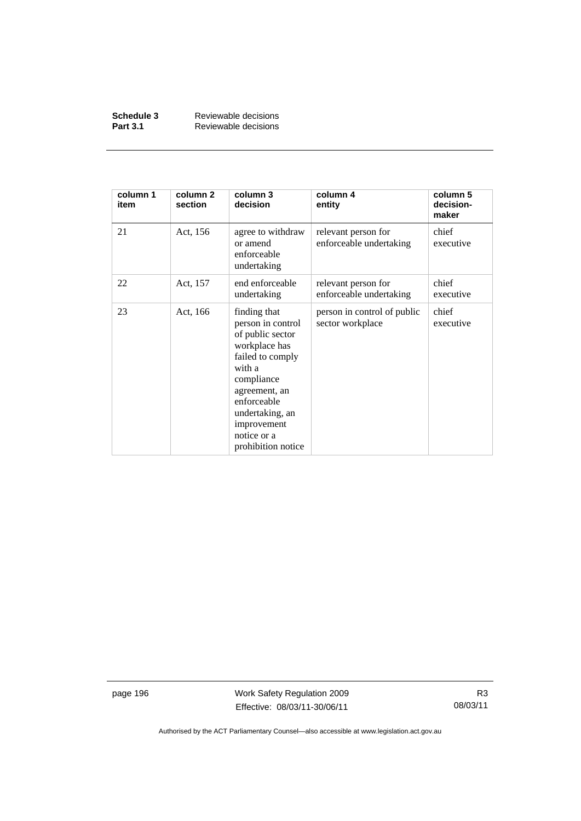| Schedule 3      | Reviewable decisions |
|-----------------|----------------------|
| <b>Part 3.1</b> | Reviewable decisions |

| column 1<br>item | column 2<br>section | column 3<br>decision                                                                                                                                                                                                      | column 4<br>entity                              | column 5<br>decision-<br>maker |
|------------------|---------------------|---------------------------------------------------------------------------------------------------------------------------------------------------------------------------------------------------------------------------|-------------------------------------------------|--------------------------------|
| 21               | Act, 156            | agree to withdraw<br>or amend<br>enforceable<br>undertaking                                                                                                                                                               | relevant person for<br>enforceable undertaking  | chief<br>executive             |
| 22               | Act, 157            | end enforceable<br>undertaking                                                                                                                                                                                            | relevant person for<br>enforceable undertaking  | chief<br>executive             |
| 23               | Act, 166            | finding that<br>person in control<br>of public sector<br>workplace has<br>failed to comply<br>with a<br>compliance<br>agreement, an<br>enforceable<br>undertaking, an<br>improvement<br>notice or a<br>prohibition notice | person in control of public<br>sector workplace | chief<br>executive             |

page 196 Work Safety Regulation 2009 Effective: 08/03/11-30/06/11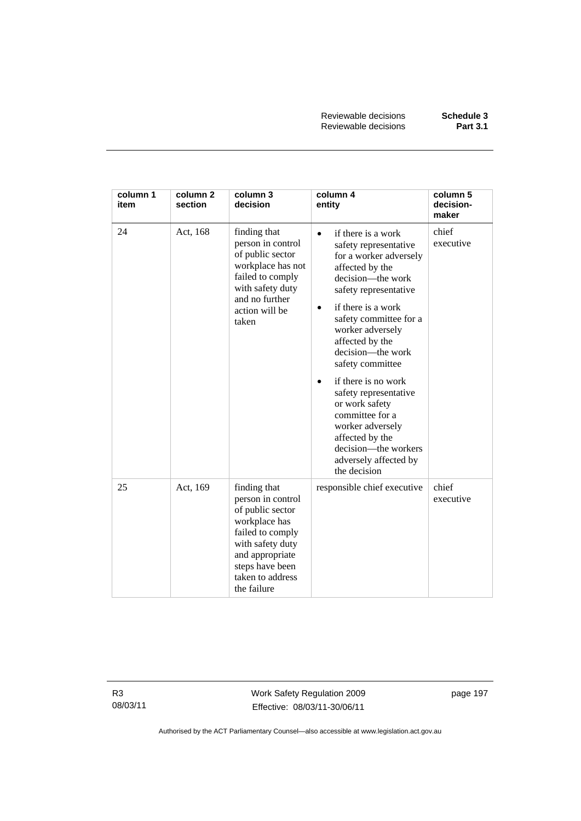Reviewable decisions **Schedule 3 Reviewable decisions** 

| column 1<br>item | column <sub>2</sub><br>section | column 3<br>decision                                                                                                                                                                    | column 4<br>entity                                                                                                                                                                                                                                                                                                                                                                                                                                                               | column 5<br>decision-<br>maker |
|------------------|--------------------------------|-----------------------------------------------------------------------------------------------------------------------------------------------------------------------------------------|----------------------------------------------------------------------------------------------------------------------------------------------------------------------------------------------------------------------------------------------------------------------------------------------------------------------------------------------------------------------------------------------------------------------------------------------------------------------------------|--------------------------------|
| 24               | Act, 168                       | finding that<br>person in control<br>of public sector<br>workplace has not<br>failed to comply<br>with safety duty<br>and no further<br>action will be<br>taken                         | if there is a work<br>$\bullet$<br>safety representative<br>for a worker adversely<br>affected by the<br>decision—the work<br>safety representative<br>if there is a work<br>safety committee for a<br>worker adversely<br>affected by the<br>decision—the work<br>safety committee<br>if there is no work<br>safety representative<br>or work safety<br>committee for a<br>worker adversely<br>affected by the<br>decision—the workers<br>adversely affected by<br>the decision | chief<br>executive             |
| 25               | Act, 169                       | finding that<br>person in control<br>of public sector<br>workplace has<br>failed to comply<br>with safety duty<br>and appropriate<br>steps have been<br>taken to address<br>the failure | responsible chief executive                                                                                                                                                                                                                                                                                                                                                                                                                                                      | chief<br>executive             |

R3 08/03/11 Work Safety Regulation 2009 Effective: 08/03/11-30/06/11

page 197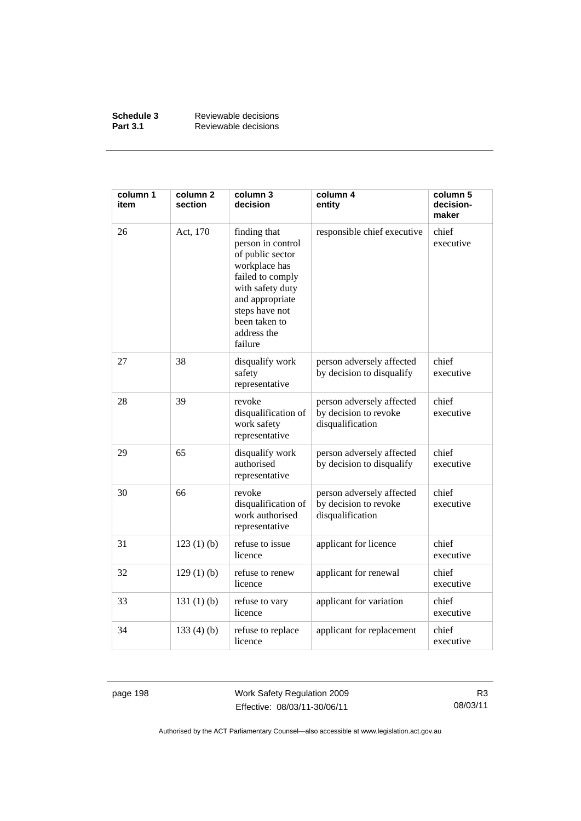| Schedule 3      | Reviewable decisions |
|-----------------|----------------------|
| <b>Part 3.1</b> | Reviewable decisions |

| column 1<br>item | column <sub>2</sub><br>section | column 3<br>decision                                                                                                                                                                           | column 4<br>entity                                                     | column 5<br>decision-<br>maker |
|------------------|--------------------------------|------------------------------------------------------------------------------------------------------------------------------------------------------------------------------------------------|------------------------------------------------------------------------|--------------------------------|
| 26               | Act, 170                       | finding that<br>person in control<br>of public sector<br>workplace has<br>failed to comply<br>with safety duty<br>and appropriate<br>steps have not<br>been taken to<br>address the<br>failure | responsible chief executive                                            | chief<br>executive             |
| 27               | 38                             | disqualify work<br>safety<br>representative                                                                                                                                                    | person adversely affected<br>by decision to disqualify                 | chief<br>executive             |
| 28               | 39                             | revoke<br>disqualification of<br>work safety<br>representative                                                                                                                                 | person adversely affected<br>by decision to revoke<br>disqualification | chief<br>executive             |
| 29               | 65                             | disqualify work<br>authorised<br>representative                                                                                                                                                | person adversely affected<br>by decision to disqualify                 | chief<br>executive             |
| 30               | 66                             | revoke<br>disqualification of<br>work authorised<br>representative                                                                                                                             | person adversely affected<br>by decision to revoke<br>disqualification | chief<br>executive             |
| 31               | 123(1)(b)                      | refuse to issue<br>licence                                                                                                                                                                     | applicant for licence                                                  | chief<br>executive             |
| 32               | 129(1)(b)                      | refuse to renew<br>licence                                                                                                                                                                     | applicant for renewal                                                  | chief<br>executive             |
| 33               | 131 $(1)$ $(b)$                | refuse to vary<br>licence                                                                                                                                                                      | applicant for variation                                                | chief<br>executive             |
| 34               | 133(4)(b)                      | refuse to replace<br>licence                                                                                                                                                                   | applicant for replacement                                              | chief<br>executive             |

page 198 Work Safety Regulation 2009 Effective: 08/03/11-30/06/11

R3 08/03/11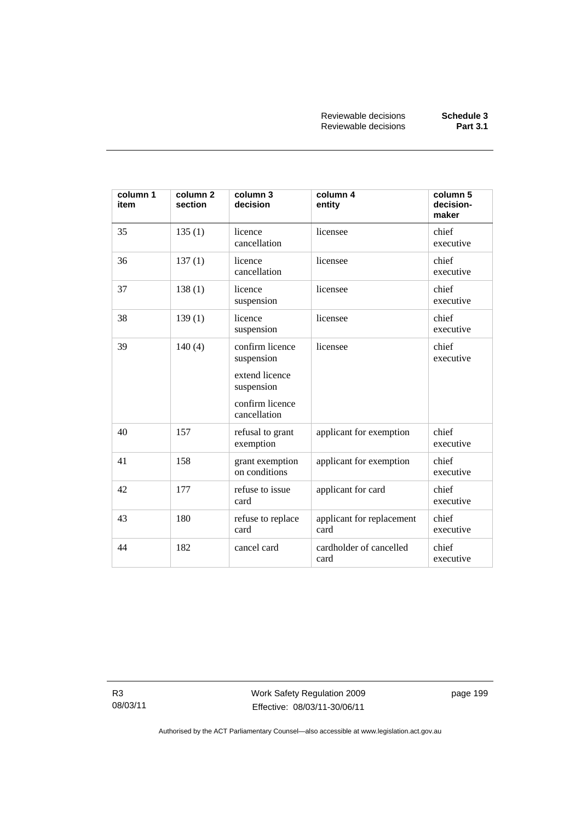| column 1<br>item | column <sub>2</sub><br>section | column 3<br>decision                                                                             | column 4<br>entity                | column 5<br>decision-<br>maker |
|------------------|--------------------------------|--------------------------------------------------------------------------------------------------|-----------------------------------|--------------------------------|
| 35               | 135(1)                         | licence<br>cancellation                                                                          | licensee                          | chief<br>executive             |
| 36               | 137(1)                         | licence<br>cancellation                                                                          | licensee                          | chief<br>executive             |
| 37               | 138(1)                         | licence<br>suspension                                                                            | licensee                          | chief<br>executive             |
| 38               | 139(1)                         | licence<br>suspension                                                                            | licensee                          | chief<br>executive             |
| 39               | 140(4)                         | confirm licence<br>suspension<br>extend licence<br>suspension<br>confirm licence<br>cancellation | licensee                          | chief<br>executive             |
| 40               | 157                            | refusal to grant<br>exemption                                                                    | applicant for exemption           | chief<br>executive             |
| 41               | 158                            | grant exemption<br>on conditions                                                                 | applicant for exemption           | chief<br>executive             |
| 42               | 177                            | refuse to issue<br>card                                                                          | applicant for card                | chief<br>executive             |
| 43               | 180                            | refuse to replace<br>card                                                                        | applicant for replacement<br>card | chief<br>executive             |
| 44               | 182                            | cancel card                                                                                      | cardholder of cancelled<br>card   | chief<br>executive             |

R3 08/03/11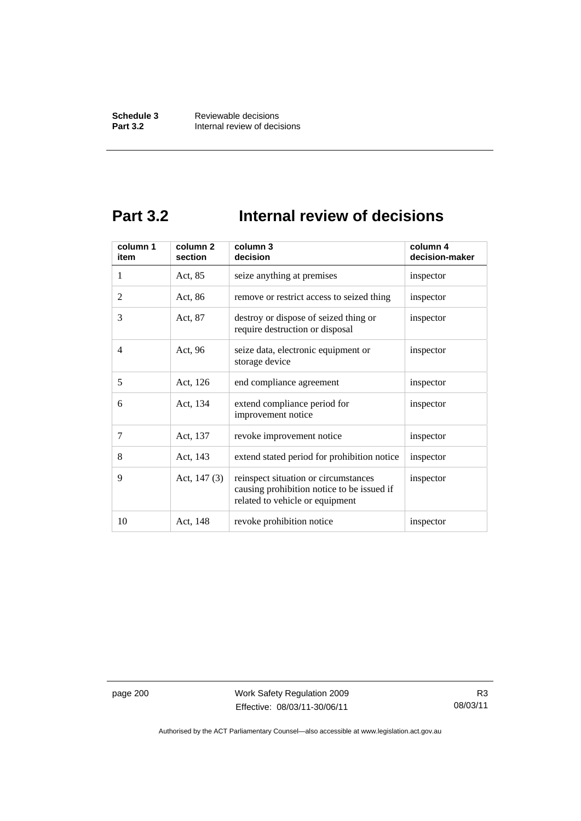# **Part 3.2 Internal review of decisions**

| column 1<br>item | column <sub>2</sub><br>section | column 3<br>decision                                                                                                  | column 4<br>decision-maker |
|------------------|--------------------------------|-----------------------------------------------------------------------------------------------------------------------|----------------------------|
| 1                | Act, 85                        | seize anything at premises                                                                                            | inspector                  |
| $\overline{2}$   | Act, 86                        | remove or restrict access to seized thing                                                                             | inspector                  |
| 3                | Act, 87                        | destroy or dispose of seized thing or<br>require destruction or disposal                                              | inspector                  |
| 4                | Act, 96                        | seize data, electronic equipment or<br>storage device                                                                 | inspector                  |
| 5                | Act, 126                       | end compliance agreement                                                                                              | inspector                  |
| 6                | Act, 134                       | extend compliance period for<br>improvement notice                                                                    | inspector                  |
| 7                | Act, 137                       | revoke improvement notice                                                                                             | inspector                  |
| 8                | Act, 143                       | extend stated period for prohibition notice                                                                           | inspector                  |
| 9                | Act, $147(3)$                  | reinspect situation or circumstances<br>causing prohibition notice to be issued if<br>related to vehicle or equipment | inspector                  |
| 10               | Act, 148                       | revoke prohibition notice                                                                                             | inspector                  |

page 200 Work Safety Regulation 2009 Effective: 08/03/11-30/06/11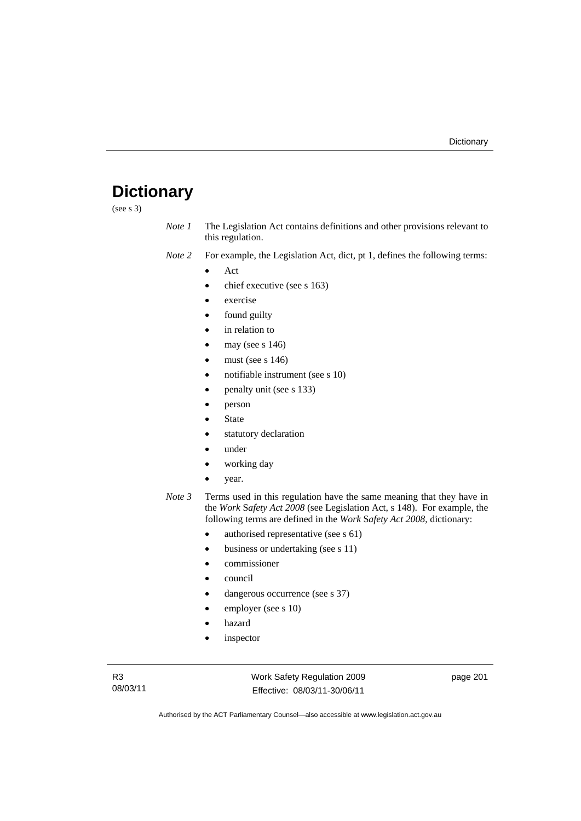# **Dictionary**

(see s 3)

| Note 1 | The Legislation Act contains definitions and other provisions relevant to |
|--------|---------------------------------------------------------------------------|
|        | this regulation.                                                          |

*Note 2* For example, the Legislation Act, dict, pt 1, defines the following terms:

• Act

- chief executive (see s 163)
- exercise
- found guilty
- in relation to
- may (see s 146)
- must (see s 146)
- notifiable instrument (see s 10)
- penalty unit (see s 133)
- person
- State
- statutory declaration
- under
- working day
- year.
- *Note 3* Terms used in this regulation have the same meaning that they have in the *Work* S*afety Act 2008* (see Legislation Act, s 148). For example, the following terms are defined in the *Work* S*afety Act 2008*, dictionary:
	- authorised representative (see s 61)
	- business or undertaking (see s 11)
	- commissioner
	- council
	- dangerous occurrence (see s 37)
	- employer (see s 10)
	- hazard
	- inspector

Work Safety Regulation 2009 Effective: 08/03/11-30/06/11

page 201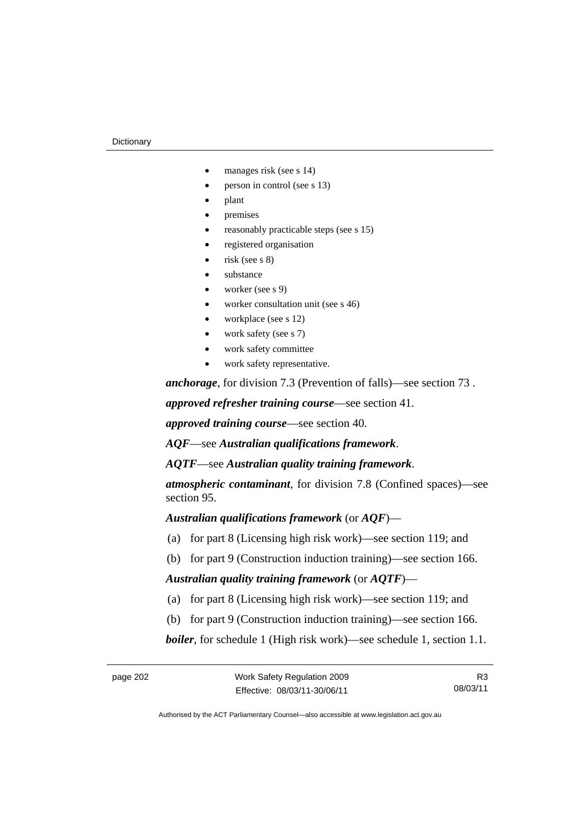#### **Dictionary**

- manages risk (see s 14)
- person in control (see s 13)
- plant
- premises
- reasonably practicable steps (see s 15)
- registered organisation
- risk (see s 8)
- substance
- worker (see s 9)
- worker consultation unit (see s 46)
- workplace (see s 12)
- work safety (see s 7)
- work safety committee
- work safety representative.

*anchorage*, for division 7.3 (Prevention of falls)—see section 73 .

*approved refresher training course*—see section 41.

*approved training course*—see section 40.

*AQF*—see *Australian qualifications framework*.

*AQTF*—see *Australian quality training framework*.

*atmospheric contaminant*, for division 7.8 (Confined spaces)—see section 95.

*Australian qualifications framework* (or *AQF*)—

- (a) for part 8 (Licensing high risk work)—see section 119; and
- (b) for part 9 (Construction induction training)—see section 166.

#### *Australian quality training framework* (or *AQTF*)—

- (a) for part 8 (Licensing high risk work)—see section 119; and
- (b) for part 9 (Construction induction training)—see section 166.

*boiler*, for schedule 1 (High risk work)—see schedule 1, section 1.1.

R3 08/03/11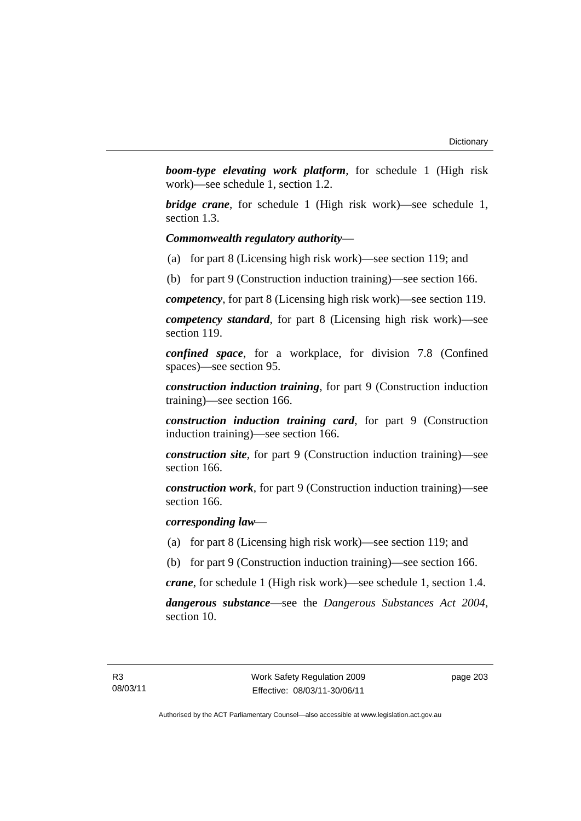*boom-type elevating work platform*, for schedule 1 (High risk work)—see schedule 1, section 1.2.

*bridge crane*, for schedule 1 (High risk work)—see schedule 1, section 1.3.

### *Commonwealth regulatory authority*—

- (a) for part 8 (Licensing high risk work)—see section 119; and
- (b) for part 9 (Construction induction training)—see section 166.

*competency*, for part 8 (Licensing high risk work)—see section 119.

*competency standard*, for part 8 (Licensing high risk work)—see section 119.

*confined space*, for a workplace, for division 7.8 (Confined spaces)—see section 95.

*construction induction training*, for part 9 (Construction induction training)—see section 166.

*construction induction training card*, for part 9 (Construction induction training)—see section 166.

*construction site*, for part 9 (Construction induction training)—see section 166.

*construction work*, for part 9 (Construction induction training)—see section 166.

*corresponding law*—

- (a) for part 8 (Licensing high risk work)—see section 119; and
- (b) for part 9 (Construction induction training)—see section 166.

*crane*, for schedule 1 (High risk work)—see schedule 1, section 1.4.

*dangerous substance*—see the *Dangerous Substances Act 2004*, section 10.

page 203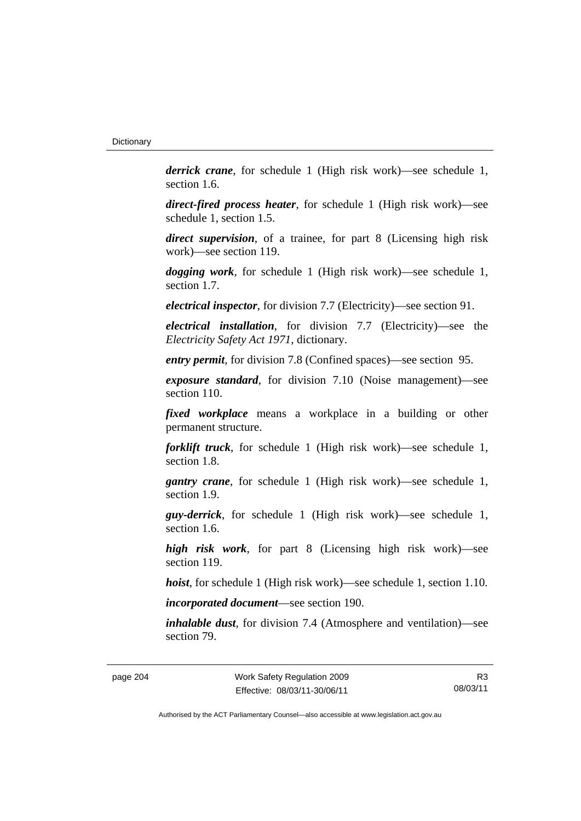*derrick crane*, for schedule 1 (High risk work)—see schedule 1, section 1.6.

*direct-fired process heater*, for schedule 1 (High risk work)—see schedule 1, section 1.5.

*direct supervision*, of a trainee, for part 8 (Licensing high risk work)—see section 119.

*dogging work*, for schedule 1 (High risk work)—see schedule 1, section 1.7.

*electrical inspector*, for division 7.7 (Electricity)—see section 91.

*electrical installation*, for division 7.7 (Electricity)—see the *Electricity Safety Act 1971*, dictionary.

*entry permit*, for division 7.8 (Confined spaces)—see section 95.

*exposure standard*, for division 7.10 (Noise management)—see section 110.

*fixed workplace* means a workplace in a building or other permanent structure.

*forklift truck*, for schedule 1 (High risk work)—see schedule 1, section 1.8.

*gantry crane*, for schedule 1 (High risk work)—see schedule 1, section 1.9.

*guy-derrick*, for schedule 1 (High risk work)—see schedule 1, section 1.6.

*high risk work*, for part 8 (Licensing high risk work)—see section 119.

*hoist*, for schedule 1 (High risk work)—see schedule 1, section 1.10.

*incorporated document*—see section 190.

*inhalable dust*, for division 7.4 (Atmosphere and ventilation)—see section 79.

page 204 Work Safety Regulation 2009 Effective: 08/03/11-30/06/11

R3 08/03/11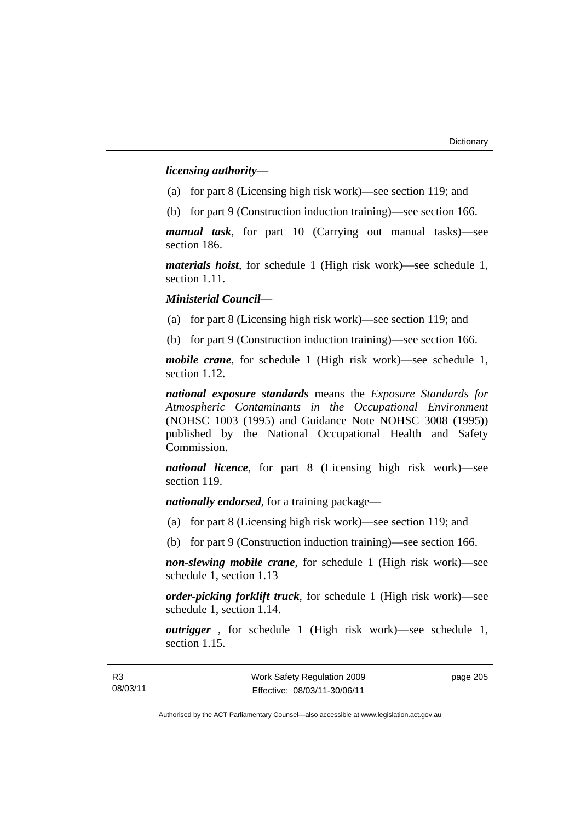*licensing authority*—

- (a) for part 8 (Licensing high risk work)—see section 119; and
- (b) for part 9 (Construction induction training)—see section 166.

*manual task*, for part 10 (Carrying out manual tasks)—see section 186.

*materials hoist*, for schedule 1 (High risk work)—see schedule 1, section 1.11.

*Ministerial Council*—

(a) for part 8 (Licensing high risk work)—see section 119; and

(b) for part 9 (Construction induction training)—see section 166.

*mobile crane*, for schedule 1 (High risk work)—see schedule 1, section 1.12.

*national exposure standards* means the *Exposure Standards for Atmospheric Contaminants in the Occupational Environment* (NOHSC 1003 (1995) and Guidance Note NOHSC 3008 (1995)) published by the National Occupational Health and Safety Commission.

*national licence*, for part 8 (Licensing high risk work)—see section 119.

*nationally endorsed*, for a training package—

- (a) for part 8 (Licensing high risk work)—see section 119; and
- (b) for part 9 (Construction induction training)—see section 166.

*non-slewing mobile crane*, for schedule 1 (High risk work)—see schedule 1, section 1.13

*order-picking forklift truck*, for schedule 1 (High risk work)—see schedule 1, section 1.14.

*outrigger* , for schedule 1 (High risk work)—see schedule 1, section 1.15.

page 205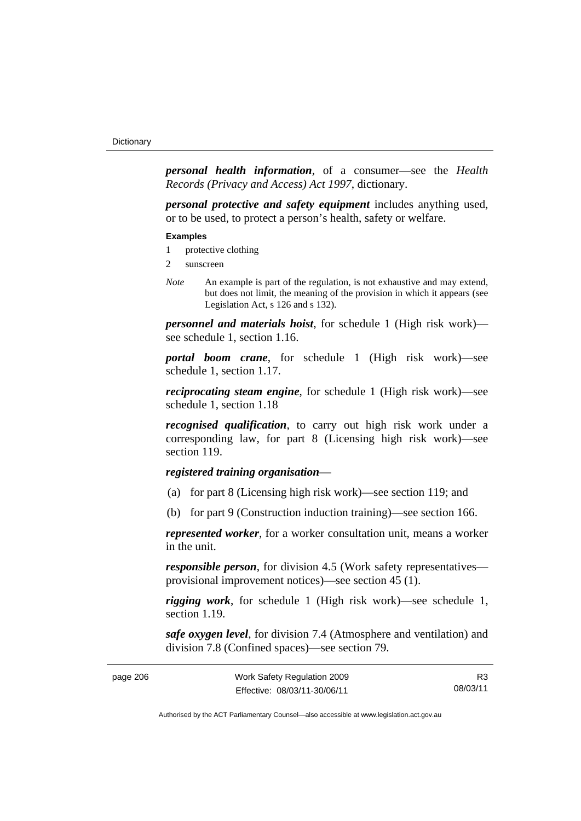*personal health information*, of a consumer—see the *Health Records (Privacy and Access) Act 1997*, dictionary.

*personal protective and safety equipment* includes anything used, or to be used, to protect a person's health, safety or welfare.

#### **Examples**

- 1 protective clothing
- 2 sunscreen
- *Note* An example is part of the regulation, is not exhaustive and may extend, but does not limit, the meaning of the provision in which it appears (see Legislation Act, s 126 and s 132).

*personnel and materials hoist*, for schedule 1 (High risk work) see schedule 1, section 1.16.

*portal boom crane*, for schedule 1 (High risk work)—see schedule 1, section 1.17.

*reciprocating steam engine*, for schedule 1 (High risk work)—see schedule 1, section 1.18

*recognised qualification*, to carry out high risk work under a corresponding law, for part 8 (Licensing high risk work)—see section 119.

### *registered training organisation*—

- (a) for part 8 (Licensing high risk work)—see section 119; and
- (b) for part 9 (Construction induction training)—see section 166.

*represented worker*, for a worker consultation unit, means a worker in the unit.

*responsible person*, for division 4.5 (Work safety representatives provisional improvement notices)—see section 45 (1).

*rigging work*, for schedule 1 (High risk work)—see schedule 1, section 1.19.

*safe oxygen level*, for division 7.4 (Atmosphere and ventilation) and division 7.8 (Confined spaces)—see section 79.

| page 206 | Work Safety Regulation 2009  | R <sub>3</sub> |
|----------|------------------------------|----------------|
|          | Effective: 08/03/11-30/06/11 | 08/03/11       |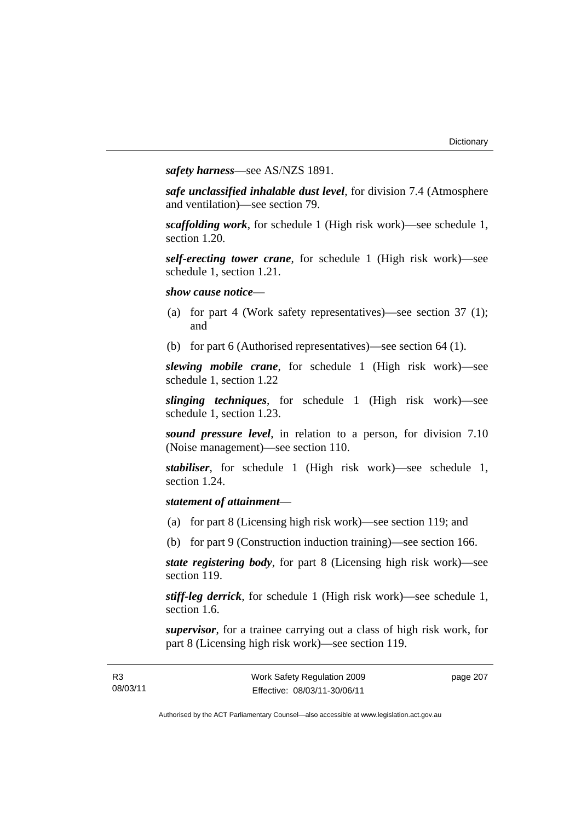*safety harness*—see AS/NZS 1891.

*safe unclassified inhalable dust level*, for division 7.4 (Atmosphere and ventilation)—see section 79.

*scaffolding work*, for schedule 1 (High risk work)—see schedule 1, section 1.20.

*self-erecting tower crane*, for schedule 1 (High risk work)—see schedule 1, section 1.21.

*show cause notice*—

- (a) for part 4 (Work safety representatives)—see section 37 (1); and
- (b) for part 6 (Authorised representatives)—see section 64 (1).

*slewing mobile crane*, for schedule 1 (High risk work)—see schedule 1, section 1.22

*slinging techniques*, for schedule 1 (High risk work)—see schedule 1, section 1.23.

*sound pressure level*, in relation to a person, for division 7.10 (Noise management)—see section 110.

*stabiliser*, for schedule 1 (High risk work)—see schedule 1, section 1.24.

### *statement of attainment*—

- (a) for part 8 (Licensing high risk work)—see section 119; and
- (b) for part 9 (Construction induction training)—see section 166.

*state registering body*, for part 8 (Licensing high risk work)—see section 119.

*stiff-leg derrick*, for schedule 1 (High risk work)—see schedule 1, section 1.6.

*supervisor*, for a trainee carrying out a class of high risk work, for part 8 (Licensing high risk work)—see section 119.

| R3       | Work Safety Regulation 2009  | page 207 |
|----------|------------------------------|----------|
| 08/03/11 | Effective: 08/03/11-30/06/11 |          |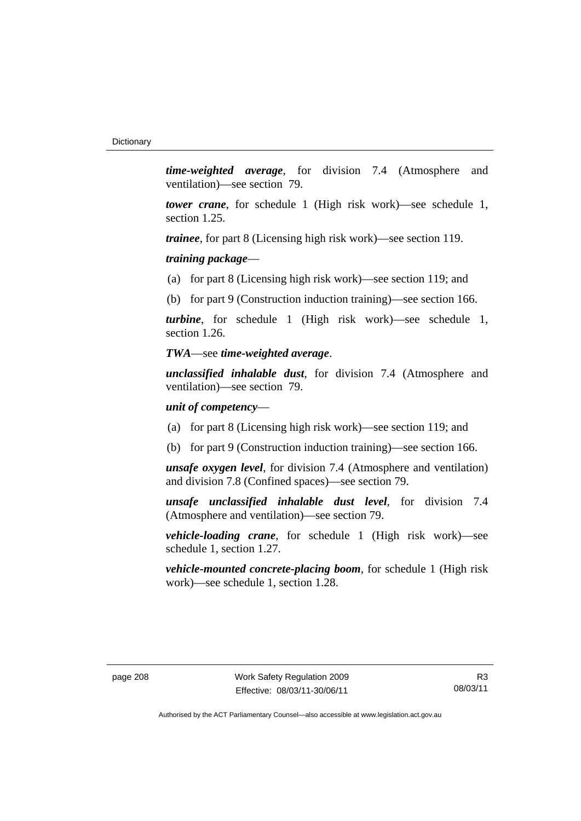*time-weighted average*, for division 7.4 (Atmosphere and ventilation)—see section 79.

*tower crane*, for schedule 1 (High risk work)—see schedule 1, section 1.25.

*trainee*, for part 8 (Licensing high risk work)—see section 119.

*training package*—

(a) for part 8 (Licensing high risk work)—see section 119; and

(b) for part 9 (Construction induction training)—see section 166.

*turbine*, for schedule 1 (High risk work)—see schedule 1, section 1.26.

### *TWA*—see *time-weighted average*.

*unclassified inhalable dust*, for division 7.4 (Atmosphere and ventilation)—see section 79.

### *unit of competency*—

- (a) for part 8 (Licensing high risk work)—see section 119; and
- (b) for part 9 (Construction induction training)—see section 166.

*unsafe oxygen level*, for division 7.4 (Atmosphere and ventilation) and division 7.8 (Confined spaces)—see section 79.

*unsafe unclassified inhalable dust level*, for division 7.4 (Atmosphere and ventilation)—see section 79.

*vehicle-loading crane*, for schedule 1 (High risk work)—see schedule 1, section 1.27.

*vehicle-mounted concrete-placing boom*, for schedule 1 (High risk work)—see schedule 1, section 1.28.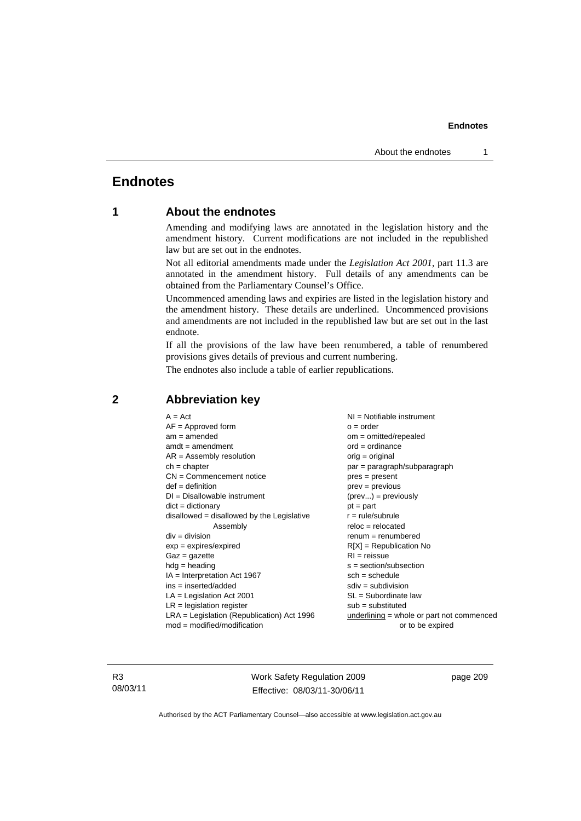#### **Endnotes**

# **Endnotes**

# **1 About the endnotes**

Amending and modifying laws are annotated in the legislation history and the amendment history. Current modifications are not included in the republished law but are set out in the endnotes.

Not all editorial amendments made under the *Legislation Act 2001*, part 11.3 are annotated in the amendment history. Full details of any amendments can be obtained from the Parliamentary Counsel's Office.

Uncommenced amending laws and expiries are listed in the legislation history and the amendment history. These details are underlined. Uncommenced provisions and amendments are not included in the republished law but are set out in the last endnote.

If all the provisions of the law have been renumbered, a table of renumbered provisions gives details of previous and current numbering.

The endnotes also include a table of earlier republications.

| $A = Act$                                    | $NI = Notifiable$ instrument                |
|----------------------------------------------|---------------------------------------------|
| $AF =$ Approved form                         | $o = order$                                 |
| $am = amended$                               | $om = omitted/repealed$                     |
| $amdt = amendment$                           | $ord = ordinance$                           |
| $AR = Assembly resolution$                   | orig = original                             |
| $ch = chapter$                               | $par = paragraph/subparagraph$              |
| $CN =$ Commencement notice                   | $pres = present$                            |
| $def = definition$                           | $prev = previous$                           |
| $DI = Disallowable instrument$               | $(\text{prev}) = \text{previously}$         |
| $dict = dictionary$                          | $pt = part$                                 |
| disallowed = disallowed by the Legislative   | $r = rule/subrule$                          |
| Assembly                                     | $reloc = relocated$                         |
| $div = division$                             | $renum = renumbered$                        |
| $exp = expires/expired$                      | $R[X]$ = Republication No                   |
| $Gaz = gazette$                              | $RI = reissue$                              |
| $hdg = heading$                              | $s = section/subsection$                    |
| $IA = Interpretation Act 1967$               | $sch = schedule$                            |
| $ins = inserted/added$                       | $sdiv = subdivision$                        |
| $LA =$ Legislation Act 2001                  | $SL = Subordinate$ law                      |
| $LR =$ legislation register                  | $sub =$ substituted                         |
| $LRA =$ Legislation (Republication) Act 1996 | $underlining = whole or part not commenced$ |
| $mod = modified/mol$                         | or to be expired                            |
|                                              |                                             |

# **2 Abbreviation key**

R3 08/03/11 Work Safety Regulation 2009 Effective: 08/03/11-30/06/11

page 209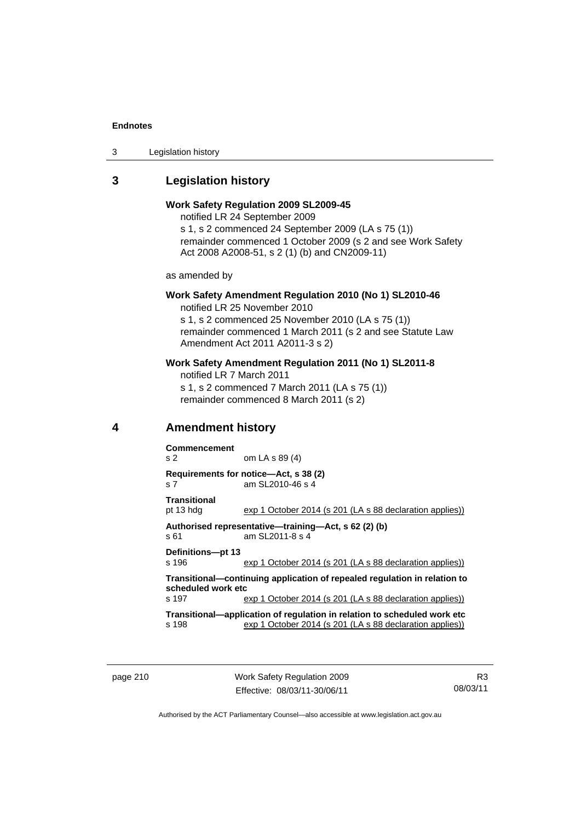#### **Endnotes**

3 Legislation history

# **3 Legislation history**

# **Work Safety Regulation 2009 SL2009-45**

notified LR 24 September 2009

s 1, s 2 commenced 24 September 2009 (LA s 75 (1)) remainder commenced 1 October 2009 (s 2 and see Work Safety Act 2008 A2008-51, s 2 (1) (b) and CN2009-11)

as amended by

# **Work Safety Amendment Regulation 2010 (No 1) SL2010-46**

notified LR 25 November 2010

s 1, s 2 commenced 25 November 2010 (LA s 75 (1)) remainder commenced 1 March 2011 (s 2 and see Statute Law Amendment Act 2011 A2011-3 s 2)

### **Work Safety Amendment Regulation 2011 (No 1) SL2011-8**

notified LR 7 March 2011 s 1, s 2 commenced 7 March 2011 (LA s 75 (1)) remainder commenced 8 March 2011 (s 2)

## **4 Amendment history**

#### **Commencement**

s 2 om LA s 89 (4)

**Requirements for notice—Act, s 38 (2)**  s 7 am SL2010-46 s 4

**Transitional** 

pt 13 hdg exp 1 October 2014 (s 201 (LA s 88 declaration applies))

**Authorised representative—training—Act, s 62 (2) (b)** 

```
s 61 am SL2011-8 s 4
```
**Definitions—pt 13**  s 196 exp 1 October 2014 (s 201 (LA s 88 declaration applies))

**Transitional—continuing application of repealed regulation in relation to scheduled work etc** 

s 197 exp 1 October 2014 (s 201 (LA s 88 declaration applies))

**Transitional—application of regulation in relation to scheduled work etc**  s 198 exp 1 October 2014 (s 201 (LA s 88 declaration applies))

page 210 Work Safety Regulation 2009 Effective: 08/03/11-30/06/11

R3 08/03/11